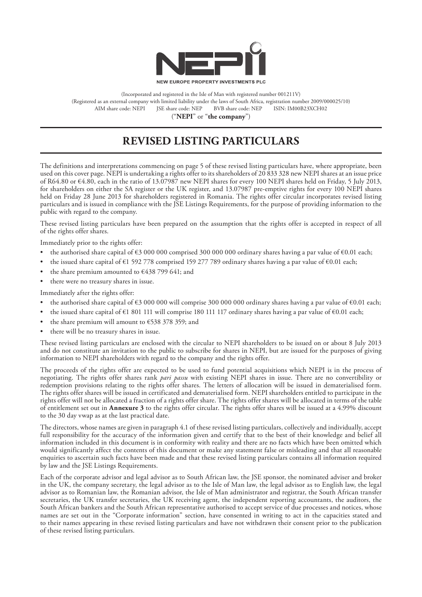

(Incorporated and registered in the Isle of Man with registered number 001211V) (Registered as an external company with limited liability under the laws of South Africa, registration number 2009/000025/10) AIM share code: NEPI JSE share code: NEP BVB share code: NEP ISIN: IM00B23XCH02 ("**NEPI**" or "**the company**")

# **REVISED LISTING PARTICULARS**

The definitions and interpretations commencing on page 5 of these revised listing particulars have, where appropriate, been used on this cover page. NEPI is undertaking a rights offer to its shareholders of 20 833 328 new NEPI shares at an issue price of R64.80 or €4.80, each in the ratio of 13.07987 new NEPI shares for every 100 NEPI shares held on Friday, 5 July 2013, for shareholders on either the SA register or the UK register, and 13.07987 pre-emptive rights for every 100 NEPI shares held on Friday 28 June 2013 for shareholders registered in Romania. The rights offer circular incorporates revised listing particulars and is issued in compliance with the JSE Listings Requirements, for the purpose of providing information to the public with regard to the company.

These revised listing particulars have been prepared on the assumption that the rights offer is accepted in respect of all of the rights offer shares.

Immediately prior to the rights offer:

- the authorised share capital of  $\epsilon$ 3 000 000 comprised 300 000 000 ordinary shares having a par value of  $\epsilon$ 0.01 each;
- the issued share capital of €1 592 778 comprised 159 277 789 ordinary shares having a par value of €0.01 each;
- the share premium amounted to  $€438 799 641$ ; and
- there were no treasury shares in issue.

Immediately after the rights offer:

- the authorised share capital of  $\epsilon$ 3 000 000 will comprise 300 000 000 ordinary shares having a par value of  $\epsilon$ 0.01 each;
- the issued share capital of €1 801 111 will comprise 180 111 117 ordinary shares having a par value of €0.01 each;
- the share premium will amount to  $\epsilon$ 538 378 359; and
- there will be no treasury shares in issue.

These revised listing particulars are enclosed with the circular to NEPI shareholders to be issued on or about 8 July 2013 and do not constitute an invitation to the public to subscribe for shares in NEPI, but are issued for the purposes of giving information to NEPI shareholders with regard to the company and the rights offer.

The proceeds of the rights offer are expected to be used to fund potential acquisitions which NEPI is in the process of negotiating. The rights offer shares rank *pari passu* with existing NEPI shares in issue. There are no convertibility or redemption provisions relating to the rights offer shares. The letters of allocation will be issued in dematerialised form. The rights offer shares will be issued in certificated and dematerialised form. NEPI shareholders entitled to participate in the rights offer will not be allocated a fraction of a rights offer share. The rights offer shares will be allocated in terms of the table of entitlement set out in **Annexure 3** to the rights offer circular. The rights offer shares will be issued at a 4.99% discount to the 30 day vwap as at the last practical date.

The directors, whose names are given in paragraph 4.1 of these revised listing particulars, collectively and individually, accept full responsibility for the accuracy of the information given and certify that to the best of their knowledge and belief all information included in this document is in conformity with reality and there are no facts which have been omitted which would significantly affect the contents of this document or make any statement false or misleading and that all reasonable enquiries to ascertain such facts have been made and that these revised listing particulars contains all information required by law and the JSE Listings Requirements.

Each of the corporate advisor and legal advisor as to South African law, the JSE sponsor, the nominated adviser and broker in the UK, the company secretary, the legal advisor as to the Isle of Man law, the legal advisor as to English law, the legal advisor as to Romanian law, the Romanian advisor, the Isle of Man administrator and registrar, the South African transfer secretaries, the UK transfer secretaries, the UK receiving agent, the independent reporting accountants, the auditors, the South African bankers and the South African representative authorised to accept service of due processes and notices, whose names are set out in the "Corporate information" section, have consented in writing to act in the capacities stated and to their names appearing in these revised listing particulars and have not withdrawn their consent prior to the publication of these revised listing particulars.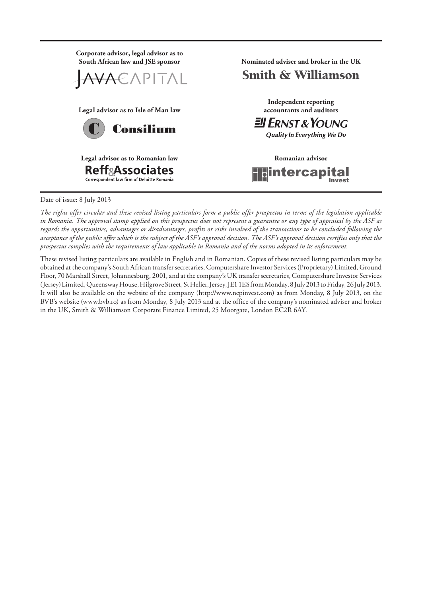

Date of issue: 8 July 2013

*The rights offer circular and these revised listing particulars form a public offer prospectus in terms of the legislation applicable in Romania. The approval stamp applied on this prospectus does not represent a guarantee or any type of appraisal by the ASF as regards the opportunities, advantages or disadvantages, profits or risks involved of the transactions to be concluded following the acceptance of the public offer which is the subject of the ASF's approval decision. The ASF's approval decision certifies only that the prospectus complies with the requirements of law applicable in Romania and of the norms adopted in its enforcement.*

These revised listing particulars are available in English and in Romanian. Copies of these revised listing particulars may be obtained at the company's South African transfer secretaries, Computershare Investor Services (Proprietary) Limited, Ground Floor, 70 Marshall Street, Johannesburg, 2001, and at the company's UK transfer secretaries, Computershare Investor Services (Jersey) Limited, Queensway House, Hilgrove Street, St Helier, Jersey, JE1 1ES from Monday, 8 July 2013 to Friday, 26 July 2013. It will also be available on the website of the company (http://www.nepinvest.com) as from Monday, 8 July 2013, on the BVB's website (www.bvb.ro) as from Monday, 8 July 2013 and at the office of the company's nominated adviser and broker in the UK, Smith & Williamson Corporate Finance Limited, 25 Moorgate, London EC2R 6AY.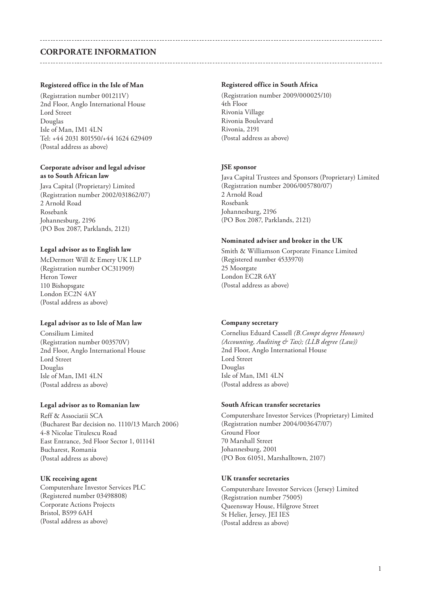# **Corporate information**

#### **Registered office in the Isle of Man**

(Registration number 001211V) 2nd Floor, Anglo International House Lord Street Douglas Isle of Man, IM1 4LN Tel: +44 2031 801550/+44 1624 629409 (Postal address as above)

#### **Corporate advisor and legal advisor as to South African law**

Java Capital (Proprietary) Limited (Registration number 2002/031862/07) 2 Arnold Road Rosebank Johannesburg, 2196 (PO Box 2087, Parklands, 2121)

#### **Legal advisor as to English law**

McDermott Will & Emery UK LLP (Registration number OC311909) Heron Tower 110 Bishopsgate London EC2N 4AY (Postal address as above)

#### **Legal advisor as to Isle of Man law**

Consilium Limited (Registration number 003570V) 2nd Floor, Anglo International House Lord Street Douglas Isle of Man, IM1 4LN (Postal address as above)

#### **Legal advisor as to Romanian law**

Reff & Associatii SCA (Bucharest Bar decision no. 1110/13 March 2006) 4-8 Nicolae Titulescu Road East Entrance, 3rd Floor Sector 1, 011141 Bucharest, Romania (Postal address as above)

#### **UK receiving agent**

Computershare Investor Services PLC (Registered number 03498808) Corporate Actions Projects Bristol, BS99 6AH (Postal address as above)

#### **Registered office in South Africa**

(Registration number 2009/000025/10) 4th Floor Rivonia Village Rivonia Boulevard Rivonia, 2191 (Postal address as above)

#### **JSE sponsor**

Java Capital Trustees and Sponsors (Proprietary) Limited (Registration number 2006/005780/07) 2 Arnold Road Rosebank Johannesburg, 2196 (PO Box 2087, Parklands, 2121)

#### **Nominated adviser and broker in the UK**

Smith & Williamson Corporate Finance Limited (Registered number 4533970) 25 Moorgate London EC2R 6AY (Postal address as above)

#### **Company secretary**

Cornelius Eduard Cassell *(B.Compt degree Honours) (Accounting, Auditing & Tax); (LLB degree (Law))* 2nd Floor, Anglo International House Lord Street Douglas Isle of Man, IM1 4LN (Postal address as above)

#### **South African transfer secretaries**

Computershare Investor Services (Proprietary) Limited (Registration number 2004/003647/07) Ground Floor 70 Marshall Street Johannesburg, 2001 (PO Box 61051, Marshalltown, 2107)

#### **UK transfer secretaries**

Computershare Investor Services (Jersey) Limited (Registration number 75005) Queensway House, Hilgrove Street St Helier, Jersey, JEI IES (Postal address as above)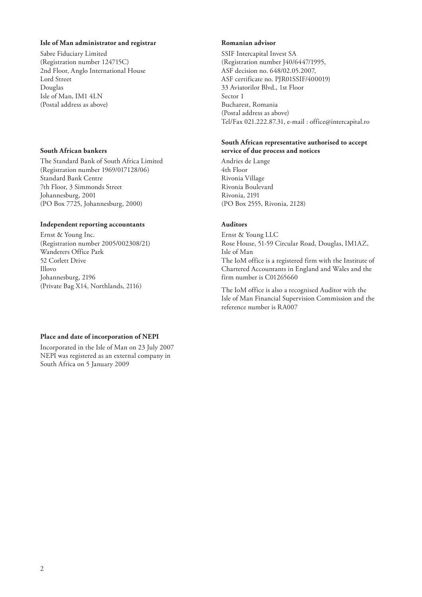#### **Isle of Man administrator and registrar**

Sabre Fiduciary Limited (Registration number 124715C) 2nd Floor, Anglo International House Lord Street Douglas Isle of Man, IM1 4LN (Postal address as above)

#### **South African bankers**

The Standard Bank of South Africa Limited (Registration number 1969/017128/06) Standard Bank Centre 7th Floor, 3 Simmonds Street Johannesburg, 2001 (PO Box 7725, Johannesburg, 2000)

#### **Independent reporting accountants**

Ernst & Young Inc. (Registration number 2005/002308/21) Wanderers Office Park 52 Corlett Drive Illovo Johannesburg, 2196 (Private Bag X14, Northlands, 2116)

#### **Romanian advisor**

SSIF Intercapital Invest SA (Registration number J40/6447/1995, ASF decision no. 648/02.05.2007, ASF certificate no. PJR01SSIF/400019) 33 Aviatorilor Blvd., 1st Floor Sector 1 Bucharest, Romania (Postal address as above) Tel/Fax 021.222.87.31, e-mail : office@intercapital.ro

#### **South African representative authorised to accept service of due process and notices**

Andries de Lange 4th Floor Rivonia Village Rivonia Boulevard Rivonia, 2191 (PO Box 2555, Rivonia, 2128)

### **Auditors**

Ernst & Young LLC Rose House, 51-59 Circular Road, Douglas, IM1AZ, Isle of Man The IoM office is a registered firm with the Institute of Chartered Accountants in England and Wales and the firm number is C01265660

The IoM office is also a recognised Auditor with the Isle of Man Financial Supervision Commission and the reference number is RA007

### **Place and date of incorporation of NEPI**

Incorporated in the Isle of Man on 23 July 2007 NEPI was registered as an external company in South Africa on 5 January 2009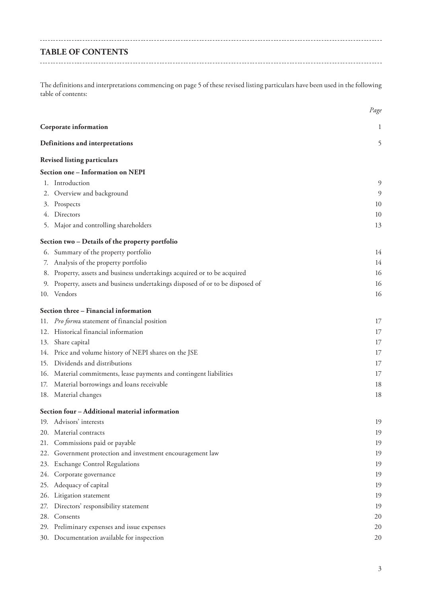# **TABLE OF CONTENTS**

The definitions and interpretations commencing on page 5 of these revised listing particulars have been used in the following table of contents:

|     |                                                                                | Page |
|-----|--------------------------------------------------------------------------------|------|
|     | Corporate information                                                          | 1    |
|     | Definitions and interpretations                                                | 5    |
|     | <b>Revised listing particulars</b>                                             |      |
|     | Section one - Information on NEPI                                              |      |
|     | 1. Introduction                                                                | 9    |
|     | 2. Overview and background                                                     | 9    |
|     | 3. Prospects                                                                   | 10   |
|     | 4. Directors                                                                   | 10   |
|     | 5. Major and controlling shareholders                                          | 13   |
|     | Section two - Details of the property portfolio                                |      |
|     | 6. Summary of the property portfolio                                           | 14   |
|     | 7. Analysis of the property portfolio                                          | 14   |
|     | 8. Property, assets and business undertakings acquired or to be acquired       | 16   |
|     | 9. Property, assets and business undertakings disposed of or to be disposed of | 16   |
|     | 10. Vendors                                                                    | 16   |
|     | Section three - Financial information                                          |      |
|     | 11. Pro forma statement of financial position                                  | 17   |
|     | 12. Historical financial information                                           | 17   |
|     | 13. Share capital                                                              | 17   |
|     | 14. Price and volume history of NEPI shares on the JSE                         | 17   |
|     | 15. Dividends and distributions                                                | 17   |
|     | 16. Material commitments, lease payments and contingent liabilities            | 17   |
|     | 17. Material borrowings and loans receivable                                   | 18   |
|     | 18. Material changes                                                           | 18   |
|     | Section four - Additional material information                                 |      |
|     | 19. Advisors' interests                                                        | 19   |
|     | 20. Material contracts                                                         | 19   |
| 21. | Commissions paid or payable                                                    | 19   |
|     | 22. Government protection and investment encouragement law                     | 19   |
|     | 23. Exchange Control Regulations                                               | 19   |
| 24. | Corporate governance                                                           | 19   |
| 25. | Adequacy of capital                                                            | 19   |
|     | 26. Litigation statement                                                       | 19   |
| 27. | Directors' responsibility statement                                            | 19   |
| 28. | Consents                                                                       | 20   |
|     | 29. Preliminary expenses and issue expenses                                    | 20   |
|     | 30. Documentation available for inspection                                     | 20   |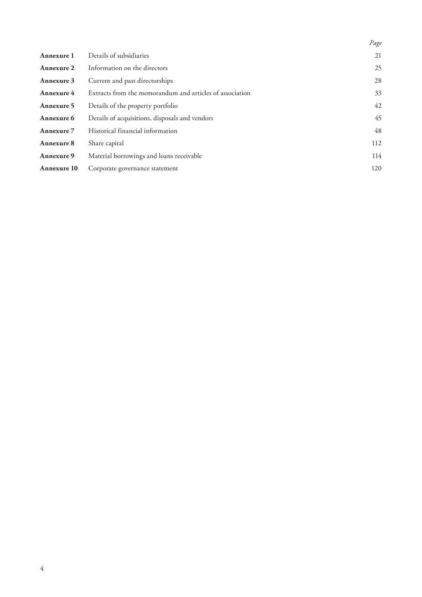|                    |                                                          | Page |
|--------------------|----------------------------------------------------------|------|
| Annexure 1         | Details of subsidiaries                                  | 21   |
| <b>Annexure 2</b>  | Information on the directors                             | 25   |
| Annexure 3         | Current and past directorships                           | 28   |
| Annexure 4         | Extracts from the memorandum and articles of association | 33   |
| Annexure 5         | Details of the property portfolio                        | 42   |
| Annexure 6         | Details of acquisitions, disposals and vendors           | 45   |
| Annexure 7         | Historical financial information                         | 48   |
| Annexure 8         | Share capital                                            | 112  |
| Annexure 9         | Material borrowings and loans receivable                 | 114  |
| <b>Annexure 10</b> | Corporate governance statement                           | 120  |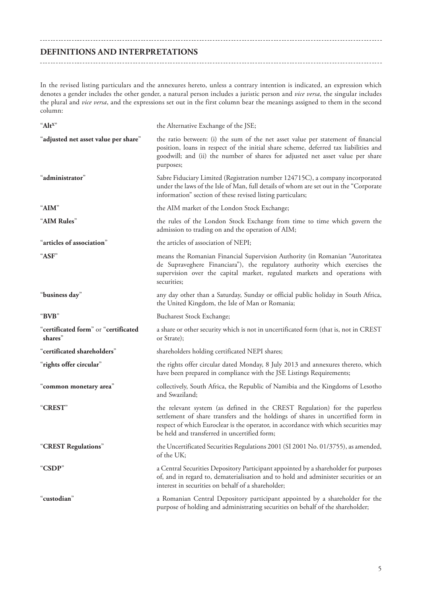## **DEFINITIONS AND INTERPRETATIONS**

In the revised listing particulars and the annexures hereto, unless a contrary intention is indicated, an expression which denotes a gender includes the other gender, a natural person includes a juristic person and *vice versa*, the singular includes the plural and *vice versa*, and the expressions set out in the first column bear the meanings assigned to them in the second column:

| "Alt <sup>x"</sup>                              | the Alternative Exchange of the JSE;                                                                                                                                                                                                                                                                 |
|-------------------------------------------------|------------------------------------------------------------------------------------------------------------------------------------------------------------------------------------------------------------------------------------------------------------------------------------------------------|
| "adjusted net asset value per share"            | the ratio between: (i) the sum of the net asset value per statement of financial<br>position, loans in respect of the initial share scheme, deferred tax liabilities and<br>goodwill; and (ii) the number of shares for adjusted net asset value per share<br>purposes;                              |
| "administrator"                                 | Sabre Fiduciary Limited (Registration number 124715C), a company incorporated<br>under the laws of the Isle of Man, full details of whom are set out in the "Corporate<br>information" section of these revised listing particulars;                                                                 |
| "AIM"                                           | the AIM market of the London Stock Exchange;                                                                                                                                                                                                                                                         |
| "AIM Rules"                                     | the rules of the London Stock Exchange from time to time which govern the<br>admission to trading on and the operation of AIM;                                                                                                                                                                       |
| "articles of association"                       | the articles of association of NEPI;                                                                                                                                                                                                                                                                 |
| "ASF"                                           | means the Romanian Financial Supervision Authority (in Romanian "Autoritatea<br>de Supraveghere Financiara"), the regulatory authority which exercises the<br>supervision over the capital market, regulated markets and operations with<br>securities;                                              |
| "business day"                                  | any day other than a Saturday, Sunday or official public holiday in South Africa,<br>the United Kingdom, the Isle of Man or Romania;                                                                                                                                                                 |
| "BVB"                                           | <b>Bucharest Stock Exchange;</b>                                                                                                                                                                                                                                                                     |
| "certificated form" or "certificated<br>shares" | a share or other security which is not in uncertificated form (that is, not in CREST<br>or Strate);                                                                                                                                                                                                  |
| "certificated shareholders"                     | shareholders holding certificated NEPI shares;                                                                                                                                                                                                                                                       |
| "rights offer circular"                         | the rights offer circular dated Monday, 8 July 2013 and annexures thereto, which<br>have been prepared in compliance with the JSE Listings Requirements;                                                                                                                                             |
| "common monetary area"                          | collectively, South Africa, the Republic of Namibia and the Kingdoms of Lesotho<br>and Swaziland;                                                                                                                                                                                                    |
| "CREST"                                         | the relevant system (as defined in the CREST Regulation) for the paperless<br>settlement of share transfers and the holdings of shares in uncertified form in<br>respect of which Euroclear is the operator, in accordance with which securities may<br>be held and transferred in uncertified form; |
| "CREST Regulations"                             | the Uncertificated Securities Regulations 2001 (SI 2001 No. 01/3755), as amended,<br>of the UK;                                                                                                                                                                                                      |
| "CSDP"                                          | a Central Securities Depository Participant appointed by a shareholder for purposes<br>of, and in regard to, dematerialisation and to hold and administer securities or an<br>interest in securities on behalf of a shareholder;                                                                     |
| "custodian"                                     | a Romanian Central Depository participant appointed by a shareholder for the<br>purpose of holding and administrating securities on behalf of the shareholder;                                                                                                                                       |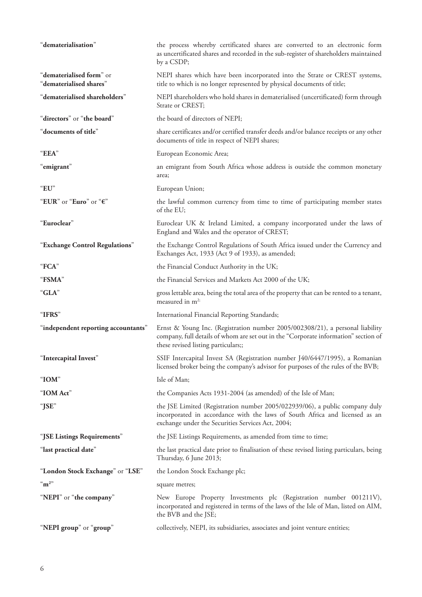| "dematerialisation"                                 | the process whereby certificated shares are converted to an electronic form<br>as uncertificated shares and recorded in the sub-register of shareholders maintained<br>by a CSDP;                               |
|-----------------------------------------------------|-----------------------------------------------------------------------------------------------------------------------------------------------------------------------------------------------------------------|
| "dematerialised form" or<br>"dematerialised shares" | NEPI shares which have been incorporated into the Strate or CREST systems,<br>title to which is no longer represented by physical documents of title;                                                           |
| "dematerialised shareholders"                       | NEPI shareholders who hold shares in dematerialised (uncertificated) form through<br>Strate or CREST;                                                                                                           |
| "directors" or "the board"                          | the board of directors of NEPI;                                                                                                                                                                                 |
| "documents of title"                                | share certificates and/or certified transfer deeds and/or balance receipts or any other<br>documents of title in respect of NEPI shares;                                                                        |
| "EEA"                                               | European Economic Area;                                                                                                                                                                                         |
| "emigrant"                                          | an emigrant from South Africa whose address is outside the common monetary<br>area;                                                                                                                             |
| " $EU$ "                                            | European Union;                                                                                                                                                                                                 |
| "EUR" or "Euro" or "€"                              | the lawful common currency from time to time of participating member states<br>of the EU;                                                                                                                       |
| "Euroclear"                                         | Euroclear UK & Ireland Limited, a company incorporated under the laws of<br>England and Wales and the operator of CREST;                                                                                        |
| "Exchange Control Regulations"                      | the Exchange Control Regulations of South Africa issued under the Currency and<br>Exchanges Act, 1933 (Act 9 of 1933), as amended;                                                                              |
| "FCA"                                               | the Financial Conduct Authority in the UK;                                                                                                                                                                      |
| "FSMA"                                              | the Financial Services and Markets Act 2000 of the UK;                                                                                                                                                          |
| "GLA"                                               | gross lettable area, being the total area of the property that can be rented to a tenant,<br>measured in $m^{2}$ ;                                                                                              |
| "IFRS"                                              | International Financial Reporting Standards;                                                                                                                                                                    |
| "independent reporting accountants"                 | Ernst & Young Inc. (Registration number 2005/002308/21), a personal liability<br>company, full details of whom are set out in the "Corporate information" section of<br>these revised listing particulars;;     |
| Intercapital Invest                                 | SSIF Intercapital Invest SA (Registration number J40/6447/1995), a Romanian<br>licensed broker being the company's advisor for purposes of the rules of the BVB;                                                |
| " $IOM$ "                                           | Isle of Man;                                                                                                                                                                                                    |
| "IOM Act"                                           | the Companies Acts 1931-2004 (as amended) of the Isle of Man;                                                                                                                                                   |
| "JSE"                                               | the JSE Limited (Registration number 2005/022939/06), a public company duly<br>incorporated in accordance with the laws of South Africa and licensed as an<br>exchange under the Securities Services Act, 2004; |
| "JSE Listings Requirements"                         | the JSE Listings Requirements, as amended from time to time;                                                                                                                                                    |
| "last practical date"                               | the last practical date prior to finalisation of these revised listing particulars, being<br>Thursday, 6 June 2013;                                                                                             |
| "London Stock Exchange" or "LSE"                    | the London Stock Exchange plc;                                                                                                                                                                                  |
| $\mathrm{m}^2$                                      | square metres;                                                                                                                                                                                                  |
| "NEPI" or "the company"                             |                                                                                                                                                                                                                 |
|                                                     | New Europe Property Investments plc (Registration number 001211V),<br>incorporated and registered in terms of the laws of the Isle of Man, listed on AIM,<br>the BVB and the JSE;                               |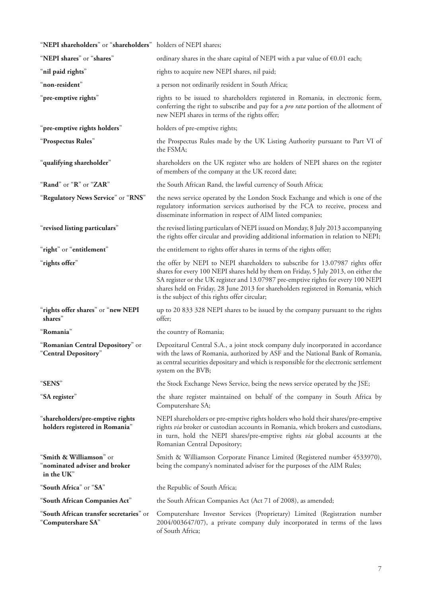| "NEPI shareholders" or "shareholders" holders of NEPI shares;          |                                                                                                                                                                                                                                                                                                                                                                                                 |
|------------------------------------------------------------------------|-------------------------------------------------------------------------------------------------------------------------------------------------------------------------------------------------------------------------------------------------------------------------------------------------------------------------------------------------------------------------------------------------|
| "NEPI shares" or "shares"                                              | ordinary shares in the share capital of NEPI with a par value of $\epsilon$ 0.01 each;                                                                                                                                                                                                                                                                                                          |
| "nil paid rights"                                                      | rights to acquire new NEPI shares, nil paid;                                                                                                                                                                                                                                                                                                                                                    |
| "non-resident"                                                         | a person not ordinarily resident in South Africa;                                                                                                                                                                                                                                                                                                                                               |
| "pre-emptive rights"                                                   | rights to be issued to shareholders registered in Romania, in electronic form,<br>conferring the right to subscribe and pay for a <i>pro rata</i> portion of the allotment of<br>new NEPI shares in terms of the rights offer;                                                                                                                                                                  |
| "pre-emptive rights holders"                                           | holders of pre-emptive rights;                                                                                                                                                                                                                                                                                                                                                                  |
| "Prospectus Rules"                                                     | the Prospectus Rules made by the UK Listing Authority pursuant to Part VI of<br>the FSMA;                                                                                                                                                                                                                                                                                                       |
| "qualifying shareholder"                                               | shareholders on the UK register who are holders of NEPI shares on the register<br>of members of the company at the UK record date;                                                                                                                                                                                                                                                              |
| "Rand" or "R" or "ZAR"                                                 | the South African Rand, the lawful currency of South Africa;                                                                                                                                                                                                                                                                                                                                    |
| "Regulatory News Service" or "RNS"                                     | the news service operated by the London Stock Exchange and which is one of the<br>regulatory information services authorised by the FCA to receive, process and<br>disseminate information in respect of AIM listed companies;                                                                                                                                                                  |
| "revised listing particulars"                                          | the revised listing particulars of NEPI issued on Monday, 8 July 2013 accompanying<br>the rights offer circular and providing additional information in relation to NEPI;                                                                                                                                                                                                                       |
| "right" or "entitlement"                                               | the entitlement to rights offer shares in terms of the rights offer;                                                                                                                                                                                                                                                                                                                            |
| "rights offer"                                                         | the offer by NEPI to NEPI shareholders to subscribe for 13.07987 rights offer<br>shares for every 100 NEPI shares held by them on Friday, 5 July 2013, on either the<br>SA register or the UK register and 13.07987 pre-emptive rights for every 100 NEPI<br>shares held on Friday, 28 June 2013 for shareholders registered in Romania, which<br>is the subject of this rights offer circular; |
| "rights offer shares" or "new NEPI<br>shares"                          | up to 20 833 328 NEPI shares to be issued by the company pursuant to the rights<br>offer;                                                                                                                                                                                                                                                                                                       |
| "Romania"                                                              | the country of Romania;                                                                                                                                                                                                                                                                                                                                                                         |
| "Romanian Central Depository" or<br>"Central Depository"               | Depozitarul Central S.A., a joint stock company duly incorporated in accordance<br>with the laws of Romania, authorized by ASF and the National Bank of Romania,<br>as central securities depositary and which is responsible for the electronic settlement<br>system on the BVB;                                                                                                               |
| "SENS"                                                                 | the Stock Exchange News Service, being the news service operated by the JSE;                                                                                                                                                                                                                                                                                                                    |
| "SA register"                                                          | the share register maintained on behalf of the company in South Africa by<br>Computershare SA;                                                                                                                                                                                                                                                                                                  |
| "shareholders/pre-emptive rights<br>holders registered in Romania"     | NEPI shareholders or pre-emptive rights holders who hold their shares/pre-emptive<br>rights via broker or custodian accounts in Romania, which brokers and custodians,<br>in turn, hold the NEPI shares/pre-emptive rights via global accounts at the<br>Romanian Central Depository;                                                                                                           |
| "Smith & Williamson" or<br>"nominated adviser and broker<br>in the UK" | Smith & Williamson Corporate Finance Limited (Registered number 4533970),<br>being the company's nominated adviser for the purposes of the AIM Rules;                                                                                                                                                                                                                                           |
| "South Africa" or "SA"                                                 | the Republic of South Africa;                                                                                                                                                                                                                                                                                                                                                                   |
| "South African Companies Act"                                          | the South African Companies Act (Act 71 of 2008), as amended;                                                                                                                                                                                                                                                                                                                                   |
| "South African transfer secretaries" or<br>"Computershare SA"          | Computershare Investor Services (Proprietary) Limited (Registration number<br>2004/003647/07), a private company duly incorporated in terms of the laws<br>of South Africa;                                                                                                                                                                                                                     |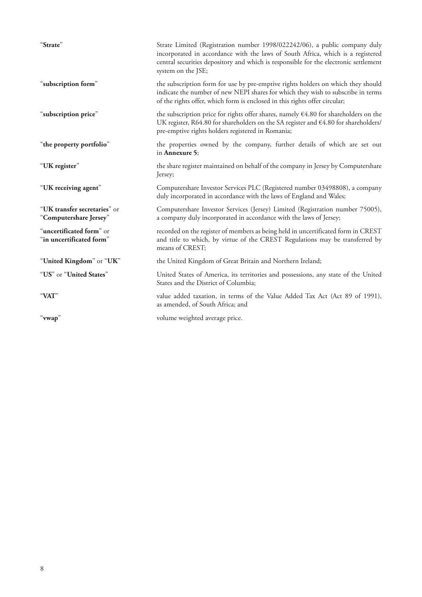| "Strate"                                               | Strate Limited (Registration number 1998/022242/06), a public company duly<br>incorporated in accordance with the laws of South Africa, which is a registered<br>central securities depository and which is responsible for the electronic settlement<br>system on the JSE; |
|--------------------------------------------------------|-----------------------------------------------------------------------------------------------------------------------------------------------------------------------------------------------------------------------------------------------------------------------------|
| "subscription form"                                    | the subscription form for use by pre-emptive rights holders on which they should<br>indicate the number of new NEPI shares for which they wish to subscribe in terms<br>of the rights offer, which form is enclosed in this rights offer circular;                          |
| "subscription price"                                   | the subscription price for rights offer shares, namely $64.80$ for shareholders on the<br>UK register, R64.80 for shareholders on the SA register and €4.80 for shareholders/<br>pre-emptive rights holders registered in Romania;                                          |
| "the property portfolio"                               | the properties owned by the company, further details of which are set out<br>in <b>Annexure</b> 5;                                                                                                                                                                          |
| "UK register"                                          | the share register maintained on behalf of the company in Jersey by Computershare<br>Jersey;                                                                                                                                                                                |
| "UK receiving agent"                                   | Computershare Investor Services PLC (Registered number 03498808), a company<br>duly incorporated in accordance with the laws of England and Wales;                                                                                                                          |
| "UK transfer secretaries" or<br>"Computershare Jersey" | Computershare Investor Services (Jersey) Limited (Registration number 75005),<br>a company duly incorporated in accordance with the laws of Jersey;                                                                                                                         |
| "uncertificated form" or<br>"in uncertificated form"   | recorded on the register of members as being held in uncertificated form in CREST<br>and title to which, by virtue of the CREST Regulations may be transferred by<br>means of CREST;                                                                                        |
| "United Kingdom" or "UK"                               | the United Kingdom of Great Britain and Northern Ireland;                                                                                                                                                                                                                   |
| "US" or "United States"                                | United States of America, its territories and possessions, any state of the United<br>States and the District of Columbia;                                                                                                                                                  |
| "VAT"                                                  | value added taxation, in terms of the Value Added Tax Act (Act 89 of 1991),<br>as amended, of South Africa; and                                                                                                                                                             |
| "vwap"                                                 | volume weighted average price.                                                                                                                                                                                                                                              |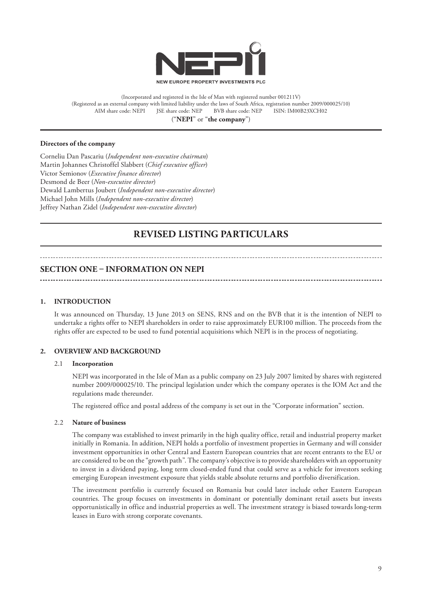

(Incorporated and registered in the Isle of Man with registered number 001211V) (Registered as an external company with limited liability under the laws of South Africa, registration number 2009/000025/10) AIM share code: NEPI JSE share code: NEP BVB share code: NEP ISIN: IM00B23XCH02 ("**NEPI**" or "**the company**")

#### **Directors of the company**

Corneliu Dan Pascariu (*Independent non-executive chairman*) Martin Johannes Christoffel Slabbert (*Chief executive officer*) Victor Semionov (*Executive finance director*) Desmond de Beer (*Non-executive director*) Dewald Lambertus Joubert (*Independent non-executive director*) Michael John Mills (*Independent non-executive director*) Jeffrey Nathan Zidel (*Independent non-executive director*)

# **REVISED LISTING PARTICULARS**

#### **SECTION ONE – INFORMATION ON NEPI**

#### **1. INTRODUCTION**

It was announced on Thursday, 13 June 2013 on SENS, RNS and on the BVB that it is the intention of NEPI to undertake a rights offer to NEPI shareholders in order to raise approximately EUR100 million. The proceeds from the rights offer are expected to be used to fund potential acquisitions which NEPI is in the process of negotiating.

#### **2. OVERVIEW AND BACKGROUND**

#### 2.1 **Incorporation**

NEPI was incorporated in the Isle of Man as a public company on 23 July 2007 limited by shares with registered number 2009/000025/10. The principal legislation under which the company operates is the IOM Act and the regulations made thereunder.

The registered office and postal address of the company is set out in the "Corporate information" section.

#### 2.2 **Nature of business**

The company was established to invest primarily in the high quality office, retail and industrial property market initially in Romania. In addition, NEPI holds a portfolio of investment properties in Germany and will consider investment opportunities in other Central and Eastern European countries that are recent entrants to the EU or are considered to be on the "growth path". The company's objective is to provide shareholders with an opportunity to invest in a dividend paying, long term closed-ended fund that could serve as a vehicle for investors seeking emerging European investment exposure that yields stable absolute returns and portfolio diversification.

The investment portfolio is currently focused on Romania but could later include other Eastern European countries. The group focuses on investments in dominant or potentially dominant retail assets but invests opportunistically in office and industrial properties as well. The investment strategy is biased towards long-term leases in Euro with strong corporate covenants.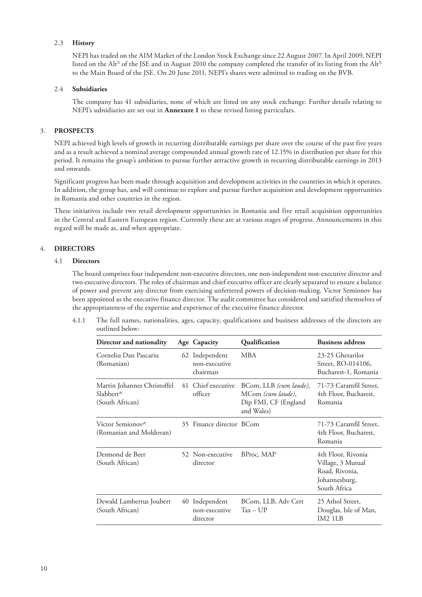#### 2.3 **History**

NEPI has traded on the AIM Market of the London Stock Exchange since 22 August 2007. In April 2009, NEPI listed on the Alt<sup>X</sup> of the JSE and in August 2010 the company completed the transfer of its listing from the Alt<sup>X</sup> to the Main Board of the JSE. On 20 June 2011, NEPI's shares were admitted to trading on the BVB.

#### 2.4 **Subsidiaries**

The company has 41 subsidiaries, none of which are listed on any stock exchange. Further details relating to NEPI's subsidiaries are set out in **Annexure 1** to these revised listing particulars.

#### 3. **PROSPECTS**

NEPI achieved high levels of growth in recurring distributable earnings per share over the course of the past five years and as a result achieved a nominal average compounded annual growth rate of 12.15% in distribution per share for this period. It remains the group's ambition to pursue further attractive growth in recurring distributable earnings in 2013 and onwards.

Significant progress has been made through acquisition and development activities in the countries in which it operates. In addition, the group has, and will continue to explore and pursue further acquisition and development opportunities in Romania and other countries in the region.

These initiatives include two retail development opportunities in Romania and five retail acquisition opportunities in the Central and Eastern European region. Currently these are at various stages of progress. Announcements in this regard will be made as, and when appropriate.

#### 4. **DIRECTORS**

#### 4.1 **Directors**

The board comprises four independent non-executive directors, one non-independent non-executive director and two executive directors. The roles of chairman and chief executive officer are clearly separated to ensure a balance of power and prevent any director from exercising unfettered powers of decision-making. Victor Semionov has been appointed as the executive finance director. The audit committee has considered and satisfied themselves of the appropriateness of the expertise and experience of the executive finance director.

4.1.1 The full names, nationalities, ages, capacity, qualifications and business addresses of the directors are outlined below:

| Director and nationality                                              | Age Capacity                                | Qualification                                                                     | <b>Business address</b>                                                                    |
|-----------------------------------------------------------------------|---------------------------------------------|-----------------------------------------------------------------------------------|--------------------------------------------------------------------------------------------|
| Corneliu Dan Pascariu<br>(Romanian)                                   | 62 Independent<br>non-executive<br>chairman | <b>MBA</b>                                                                        | 23-25 Ghetarilor<br>Street, RO-014106,<br>Bucharest-1, Romania                             |
| Martin Johannes Christoffel<br>$Slabbert^{\wedge}$<br>(South African) | 41 Chief executive<br>officer               | BCom, LLB (cum laude),<br>MCom (cum laude),<br>Dip FMI, CF (England<br>and Wales) | 71-73 Caramfil Street,<br>4th Floor, Bucharest,<br>Romania                                 |
| Victor Semionov <sup>^</sup><br>(Romanian and Moldovan)               | 35 Finance director BCom                    |                                                                                   | 71-73 Caramfil Street,<br>4th Floor, Bucharest,<br>Romania                                 |
| Desmond de Beer<br>(South African)                                    | 52 Non-executive<br>director                | BProc, MAP                                                                        | 4th Floor, Rivonia<br>Village, 3 Mutual<br>Road, Rivonia,<br>Johannesburg,<br>South Africa |
| Dewald Lambertus Joubert<br>(South African)                           | 40 Independent<br>non-executive<br>director | BCom, LLB, Adv Cert<br>$Tax - UP$                                                 | 25 Athol Street,<br>Douglas, Isle of Man,<br>IM2 1LB                                       |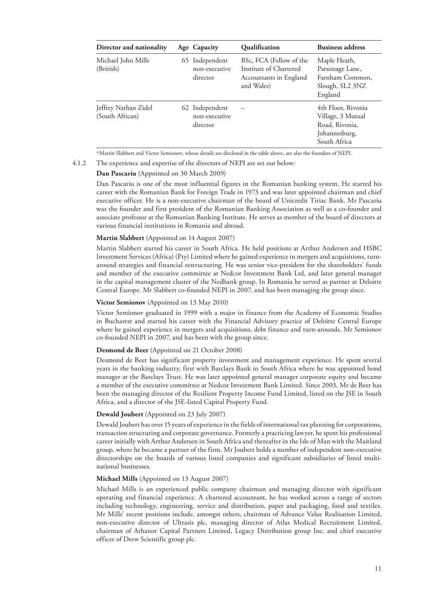| Director and nationality                | Age Capacity                                | Qualification                                                                             | <b>Business address</b>                                                                    |
|-----------------------------------------|---------------------------------------------|-------------------------------------------------------------------------------------------|--------------------------------------------------------------------------------------------|
| Michael John Mills<br>(British)         | 65 Independent<br>non-executive<br>director | BSc, FCA (Fellow of the<br>Institute of Chartered<br>Accountants in England<br>and Wales) | Maple Heath,<br>Parsonage Lane,<br>Farnham Common,<br>Slough, SL2 3NZ<br>England           |
| Jeffrey Nathan Zidel<br>(South African) | 62 Independent<br>non-executive<br>director |                                                                                           | 4th Floor, Rivonia<br>Village, 3 Mutual<br>Road, Rivonia,<br>Johannesburg,<br>South Africa |

^Martin Slabbert and Victor Semionov, whose details are disclosed in the table above, are also the founders of NEPI.

4.1.2 The experience and expertise of the directors of NEPI are set out below:

#### **Dan Pascariu** (Appointed on 30 March 2009)

Dan Pascariu is one of the most influential figures in the Romanian banking system. He started his career with the Romanian Bank for Foreign Trade in 1973 and was later appointed chairman and chief executive officer. He is a non-executive chairman of the board of Unicredit Tiriac Bank. Mr Pascariu was the founder and first president of the Romanian Banking Association as well as a co-founder and associate professor at the Romanian Banking Institute. He serves as member of the board of directors at various financial institutions in Romania and abroad.

#### **Martin Slabbert** (Appointed on 14 August 2007)

Martin Slabbert started his career in South Africa. He held positions at Arthur Andersen and HSBC Investment Services (Africa) (Pty) Limited where he gained experience in mergers and acquisitions, turnaround strategies and financial restructuring. He was senior vice-president for the shareholders' funds and member of the executive committee at Nedcor Investment Bank Ltd, and later general manager in the capital management cluster of the Nedbank group. In Romania he served as partner at Deloitte Central Europe. Mr Slabbert co-founded NEPI in 2007, and has been managing the group since.

#### **Victor Semionov** (Appointed on 13 May 2010)

Victor Semionov graduated in 1999 with a major in finance from the Academy of Economic Studies in Bucharest and started his career with the Financial Advisory practice of Deloitte Central Europe where he gained experience in mergers and acquisitions, debt finance and turn-arounds. Mr Semionov co-founded NEPI in 2007, and has been with the group since.

#### **Desmond de Beer** (Appointed on 21 October 2008)

Desmond de Beer has significant property investment and management experience. He spent several years in the banking industry, first with Barclays Bank in South Africa where he was appointed bond manager at the Barclays Trust. He was later appointed general manager corporate equity and became a member of the executive committee at Nedcor Investment Bank Limited. Since 2003, Mr de Beer has been the managing director of the Resilient Property Income Fund Limited, listed on the JSE in South Africa, and a director of the JSE-listed Capital Property Fund.

#### **Dewald Joubert** (Appointed on 23 July 2007)

Dewald Joubert has over 15 years of experience in the fields of international tax planning for corporations, transaction structuring and corporate governance. Formerly a practicing lawyer, he spent his professional career initially with Arthur Andersen in South Africa and thereafter in the Isle of Man with the Maitland group, where he became a partner of the firm. Mr Joubert holds a number of independent non-executive directorships on the boards of various listed companies and significant subsidiaries of listed multinational businesses.

#### **Michael Mills** (Appointed on 13 August 2007)

Michael Mills is an experienced public company chairman and managing director with significant operating and financial experience. A chartered accountant, he has worked across a range of sectors including technology, engineering, service and distribution, paper and packaging, food and textiles. Mr Mills' recent positions include, amongst others, chairman of Advance Value Realisation Limited, non-executive director of Ultrasis plc, managing director of Atlas Medical Recruitment Limited, chairman of Athanor Capital Partners Limited, Legacy Distribution group Inc. and chief executive officer of Drew Scientific group plc.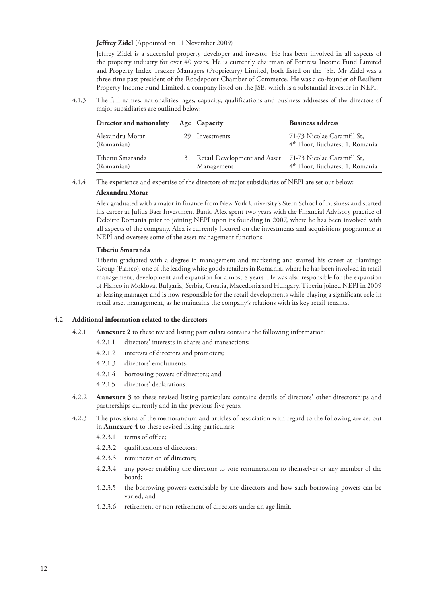#### **Jeffrey Zidel** (Appointed on 11 November 2009)

Jeffrey Zidel is a successful property developer and investor. He has been involved in all aspects of the property industry for over 40 years. He is currently chairman of Fortress Income Fund Limited and Property Index Tracker Managers (Proprietary) Limited, both listed on the JSE. Mr Zidel was a three time past president of the Roodepoort Chamber of Commerce. He was a co-founder of Resilient Property Income Fund Limited, a company listed on the JSE, which is a substantial investor in NEPI.

4.1.3 The full names, nationalities, ages, capacity, qualifications and business addresses of the directors of major subsidiaries are outlined below:

| Director and nationality       | Age Capacity                                  | <b>Business address</b>                                                   |
|--------------------------------|-----------------------------------------------|---------------------------------------------------------------------------|
| Alexandru Morar<br>(Romanian)  | Investments                                   | 71-73 Nicolae Caramfil St,<br>4 <sup>th</sup> Floor, Bucharest 1, Romania |
| Tiberiu Smaranda<br>(Romanian) | 31 Retail Development and Asset<br>Management | 71-73 Nicolae Caramfil St,<br>4 <sup>th</sup> Floor, Bucharest 1, Romania |

4.1.4 The experience and expertise of the directors of major subsidiaries of NEPI are set out below:

#### **Alexandru Morar**

Alex graduated with a major in finance from New York University's Stern School of Business and started his career at Julius Baer Investment Bank. Alex spent two years with the Financial Advisory practice of Deloitte Romania prior to joining NEPI upon its founding in 2007, where he has been involved with all aspects of the company. Alex is currently focused on the investments and acquisitions programme at NEPI and oversees some of the asset management functions.

#### **Tiberiu Smaranda**

Tiberiu graduated with a degree in management and marketing and started his career at Flamingo Group (Flanco), one of the leading white goods retailers in Romania, where he has been involved in retail management, development and expansion for almost 8 years. He was also responsible for the expansion of Flanco in Moldova, Bulgaria, Serbia, Croatia, Macedonia and Hungary. Tiberiu joined NEPI in 2009 as leasing manager and is now responsible for the retail developments while playing a significant role in retail asset management, as he maintains the company's relations with its key retail tenants.

#### 4.2 **Additional information related to the directors**

- 4.2.1 **Annexure 2** to these revised listing particulars contains the following information:
	- 4.2.1.1 directors' interests in shares and transactions;
	- 4.2.1.2 interests of directors and promoters;
	- 4.2.1.3 directors' emoluments;
	- 4.2.1.4 borrowing powers of directors; and
	- 4.2.1.5 directors' declarations.
- 4.2.2 **Annexure 3** to these revised listing particulars contains details of directors' other directorships and partnerships currently and in the previous five years.
- 4.2.3 The provisions of the memorandum and articles of association with regard to the following are set out in **Annexure 4** to these revised listing particulars:
	- 4.2.3.1 terms of office;
	- 4.2.3.2 qualifications of directors;
	- 4.2.3.3 remuneration of directors;
	- 4.2.3.4 any power enabling the directors to vote remuneration to themselves or any member of the board;
	- 4.2.3.5 the borrowing powers exercisable by the directors and how such borrowing powers can be varied; and
	- 4.2.3.6 retirement or non-retirement of directors under an age limit.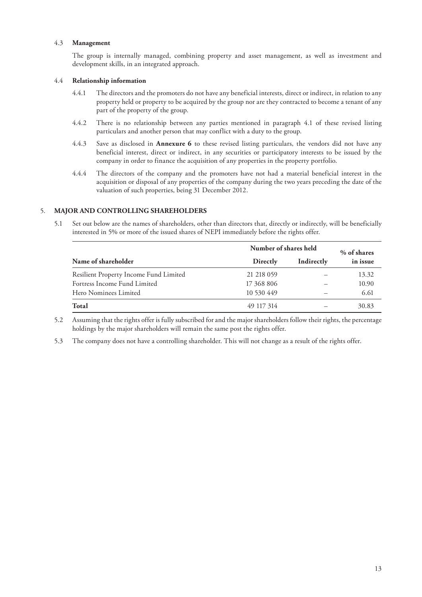#### 4.3 **Management**

The group is internally managed, combining property and asset management, as well as investment and development skills, in an integrated approach.

#### 4.4 **Relationship information**

- 4.4.1 The directors and the promoters do not have any beneficial interests, direct or indirect, in relation to any property held or property to be acquired by the group nor are they contracted to become a tenant of any part of the property of the group.
- 4.4.2 There is no relationship between any parties mentioned in paragraph 4.1 of these revised listing particulars and another person that may conflict with a duty to the group.
- 4.4.3 Save as disclosed in **Annexure 6** to these revised listing particulars, the vendors did not have any beneficial interest, direct or indirect, in any securities or participatory interests to be issued by the company in order to finance the acquisition of any properties in the property portfolio.
- 4.4.4 The directors of the company and the promoters have not had a material beneficial interest in the acquisition or disposal of any properties of the company during the two years preceding the date of the valuation of such properties, being 31 December 2012.

#### 5. **MAJOR AND CONTROLLING SHAREHOLDERS**

5.1 Set out below are the names of shareholders, other than directors that, directly or indirectly, will be beneficially interested in 5% or more of the issued shares of NEPI immediately before the rights offer.

|                                        | Number of shares held | % of shares |          |
|----------------------------------------|-----------------------|-------------|----------|
| Name of shareholder                    | Directly              | Indirectly  | in issue |
| Resilient Property Income Fund Limited | 21 218 059            |             | 13.32    |
| Fortress Income Fund Limited           | 17 368 806            |             | 10.90    |
| Hero Nominees Limited                  | 10 530 449            |             | 6.61     |
| Total                                  | 49 117 314            |             | 30.83    |

5.2 Assuming that the rights offer is fully subscribed for and the major shareholders follow their rights, the percentage holdings by the major shareholders will remain the same post the rights offer.

5.3 The company does not have a controlling shareholder. This will not change as a result of the rights offer.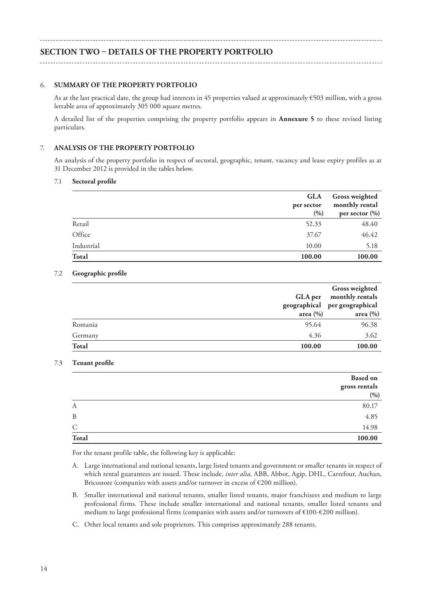# **SECTION TWO – DETAILS OF THE PROPERTY PORTFOLIO**

#### 6. **SUMMARY OF THE PROPERTY PORTFOLIO**

As at the last practical date, the group had interests in 45 properties valued at approximately €503 million, with a gross lettable area of approximately 305 000 square metres.

A detailed list of the properties comprising the property portfolio appears in **Annexure 5** to these revised listing particulars.

#### 7. **ANALYSIS OF THE PROPERTY PORTFOLIO**

An analysis of the property portfolio in respect of sectoral, geographic, tenant, vacancy and lease expiry profiles as at 31 December 2012 is provided in the tables below.

#### 7.1 **Sectoral profile**

|              | <b>GLA</b><br>per sector<br>(0/0) | <b>Gross weighted</b><br>monthly rental<br>per sector $(\%)$ |
|--------------|-----------------------------------|--------------------------------------------------------------|
| Retail       | 52.33                             | 48.40                                                        |
| Office       | 37.67                             | 46.42                                                        |
| Industrial   | 10.00                             | 5.18                                                         |
| <b>Total</b> | 100.00                            | 100.00                                                       |

#### 7.2 **Geographic profile**

|              |              | <b>Gross weighted</b>                         |  |
|--------------|--------------|-----------------------------------------------|--|
|              | GLA per      | monthly rentals                               |  |
|              | area $(\% )$ | geographical per geographical<br>area $(\% )$ |  |
| Romania      | 95.64        | 96.38                                         |  |
| Germany      | 4.36         | 3.62                                          |  |
| <b>Total</b> | 100.00       | 100.00                                        |  |

#### 7.3 **Tenant profile**

|       | <b>Based on</b><br>gross rentals<br>(9/0) |
|-------|-------------------------------------------|
| A     | 80.17                                     |
| B     | 4.85                                      |
| C     | 14.98                                     |
| Total | 100.00                                    |

For the tenant profile table, the following key is applicable:

- A. Large international and national tenants, large listed tenants and government or smaller tenants in respect of which rental guarantees are issued. These include, *inter alia*, ABB, Abbot, Agip, DHL, Carrefour, Auchan, Bricostore (companies with assets and/or turnover in excess of €200 million).
- B. Smaller international and national tenants, smaller listed tenants, major franchisees and medium to large professional firms. These include smaller international and national tenants, smaller listed tenants and medium to large professional firms (companies with assets and/or turnovers of €100-€200 million).
- C. Other local tenants and sole proprietors. This comprises approximately 288 tenants.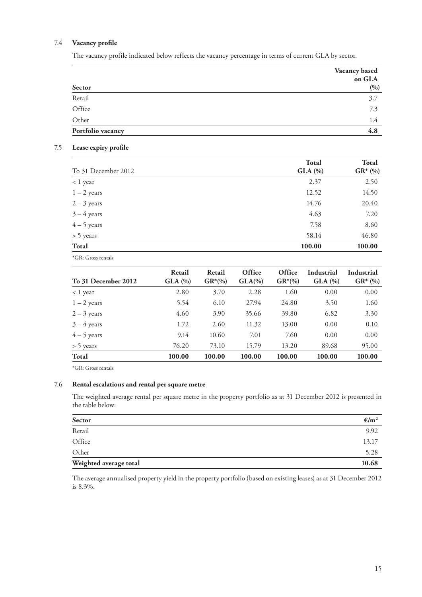# 7.4 **Vacancy profile**

The vacancy profile indicated below reflects the vacancy percentage in terms of current GLA by sector.

|                   | Vacancy based<br>on GLA |
|-------------------|-------------------------|
| Sector            | (0/0)                   |
| Retail            | 3.7                     |
| Office            | 7.3                     |
| Other             | 1.4                     |
| Portfolio vacancy | 4.8                     |

#### 7.5 **Lease expiry profile**

|                     | <b>Total</b>  | <b>Total</b> |
|---------------------|---------------|--------------|
| To 31 December 2012 | $GLA$ $(\% )$ | $GR^*(\%)$   |
| < 1 year            | 2.37          | 2.50         |
| $1 - 2$ years       | 12.52         | 14.50        |
| $2 - 3$ years       | 14.76         | 20.40        |
| $3 - 4$ years       | 4.63          | 7.20         |
| $4 - 5$ years       | 7.58          | 8.60         |
| > 5 years           | 58.14         | 46.80        |
| Total               | 100.00        | 100.00       |
|                     |               |              |

\*GR: Gross rentals

| To 31 December 2012 | Retail<br>$GLA$ $(\% )$ | Retail<br>$GR*(\%)$ | Office<br>$GLA(\%)$ | Office<br>$GR*(\%)$ | Industrial<br>$GLA$ $(\% )$ | Industrial<br>$GR^*(\%)$ |
|---------------------|-------------------------|---------------------|---------------------|---------------------|-----------------------------|--------------------------|
| $< 1$ year          | 2.80                    | 3.70                | 2.28                | 1.60                | 0.00                        | 0.00                     |
| $1 - 2$ years       | 5.54                    | 6.10                | 27.94               | 24.80               | 3.50                        | 1.60                     |
| $2 - 3$ years       | 4.60                    | 3.90                | 35.66               | 39.80               | 6.82                        | 3.30                     |
| $3 - 4$ years       | 1.72                    | 2.60                | 11.32               | 13.00               | 0.00                        | 0.10                     |
| $4 - 5$ years       | 9.14                    | 10.60               | 7.01                | 7.60                | 0.00                        | 0.00                     |
| > 5 years           | 76.20                   | 73.10               | 15.79               | 13.20               | 89.68                       | 95.00                    |
| Total               | 100.00                  | 100.00              | 100.00              | 100.00              | 100.00                      | 100.00                   |

\*GR: Gross rentals

# 7.6 **Rental escalations and rental per square metre**

The weighted average rental per square metre in the property portfolio as at 31 December 2012 is presented in the table below:

| Sector                 | $\epsilon/m^2$ |
|------------------------|----------------|
| Retail                 | 9.92           |
| Office                 | 13.17          |
| Other                  | 5.28           |
| Weighted average total | 10.68          |

The average annualised property yield in the property portfolio (based on existing leases) as at 31 December 2012 is 8.3%.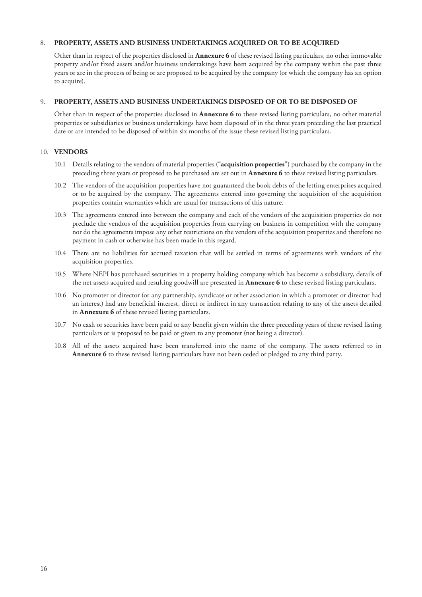#### 8. **PROPERTY, ASSETS AND BUSINESS UNDERTAKINGS ACQUIRED OR TO BE ACQUIRED**

Other than in respect of the properties disclosed in **Annexure 6** of these revised listing particulars, no other immovable property and/or fixed assets and/or business undertakings have been acquired by the company within the past three years or are in the process of being or are proposed to be acquired by the company (or which the company has an option to acquire).

#### 9. **PROPERTY, ASSETS AND BUSINESS UNDERTAKINGS DISPOSED OF OR TO BE DISPOSED OF**

Other than in respect of the properties disclosed in **Annexure 6** to these revised listing particulars, no other material properties or subsidiaries or business undertakings have been disposed of in the three years preceding the last practical date or are intended to be disposed of within six months of the issue these revised listing particulars.

#### 10. **VENDORS**

- 10.1 Details relating to the vendors of material properties ("**acquisition properties**") purchased by the company in the preceding three years or proposed to be purchased are set out in **Annexure 6** to these revised listing particulars.
- 10.2 The vendors of the acquisition properties have not guaranteed the book debts of the letting enterprises acquired or to be acquired by the company. The agreements entered into governing the acquisition of the acquisition properties contain warranties which are usual for transactions of this nature.
- 10.3 The agreements entered into between the company and each of the vendors of the acquisition properties do not preclude the vendors of the acquisition properties from carrying on business in competition with the company nor do the agreements impose any other restrictions on the vendors of the acquisition properties and therefore no payment in cash or otherwise has been made in this regard.
- 10.4 There are no liabilities for accrued taxation that will be settled in terms of agreements with vendors of the acquisition properties.
- 10.5 Where NEPI has purchased securities in a property holding company which has become a subsidiary, details of the net assets acquired and resulting goodwill are presented in **Annexure 6** to these revised listing particulars.
- 10.6 No promoter or director (or any partnership, syndicate or other association in which a promoter or director had an interest) had any beneficial interest, direct or indirect in any transaction relating to any of the assets detailed in **Annexure 6** of these revised listing particulars.
- 10.7 No cash or securities have been paid or any benefit given within the three preceding years of these revised listing particulars or is proposed to be paid or given to any promoter (not being a director).
- 10.8 All of the assets acquired have been transferred into the name of the company. The assets referred to in **Annexure 6** to these revised listing particulars have not been ceded or pledged to any third party.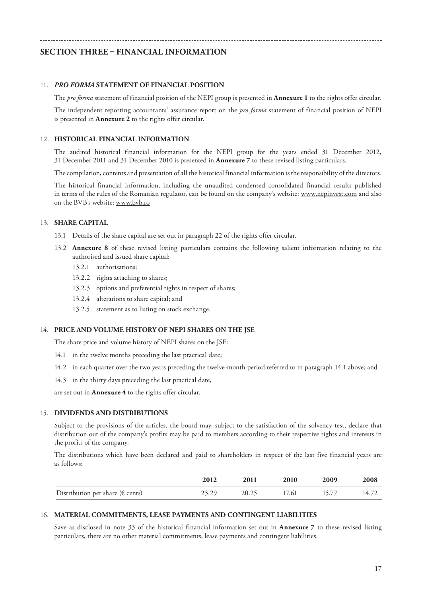# **SECTION THREE – FINANCIAL INFORMATION**

#### 11. *PRO FORMA* **STATEMENT OF FINANCIAL POSITION**

The *pro forma* statement of financial position of the NEPI group is presented in **Annexure 1** to the rights offer circular.

The independent reporting accountants' assurance report on the *pro forma* statement of financial position of NEPI is presented in **Annexure 2** to the rights offer circular.

#### 12. **HISTORICAL FINANCIAL INFORMATION**

The audited historical financial information for the NEPI group for the years ended 31 December 2012, 31 December 2011 and 31 December 2010 is presented in **Annexure 7** to these revised listing particulars.

The compilation, contents and presentation of all the historical financial information is the responsibility of the directors.

The historical financial information, including the unaudited condensed consolidated financial results published in terms of the rules of the Romanian regulator, can be found on the company's website: www.nepinvest.com and also on the BVB's website: www.bvb.ro

#### 13. **SHARE CAPITAL**

- 13.1 Details of the share capital are set out in paragraph 22 of the rights offer circular.
- 13.2 **Annexure 8** of these revised listing particulars contains the following salient information relating to the authorised and issued share capital:
	- 13.2.1 authorisations;
	- 13.2.2 rights attaching to shares;
	- 13.2.3 options and preferential rights in respect of shares;
	- 13.2.4 alterations to share capital; and
	- 13.2.5 statement as to listing on stock exchange.

#### 14. **PRICE AND VOLUME HISTORY OF NEPI SHARES ON THE JSE**

The share price and volume history of NEPI shares on the JSE:

- 14.1 in the twelve months preceding the last practical date;
- 14.2 in each quarter over the two years preceding the twelve-month period referred to in paragraph 14.1 above; and
- 14.3 in the thirty days preceding the last practical date,

are set out in **Annexure 4** to the rights offer circular.

#### 15. **DIVIDENDS AND DISTRIBUTIONS**

Subject to the provisions of the articles, the board may, subject to the satisfaction of the solvency test, declare that distribution out of the company's profits may be paid to members according to their respective rights and interests in the profits of the company.

The distributions which have been declared and paid to shareholders in respect of the last five financial years are as follows:

|                                            | 2012  | 2011  | 2010  | 2009 | 2008  |
|--------------------------------------------|-------|-------|-------|------|-------|
| Distribution per share ( $\epsilon$ cents) | 23.29 | 20.25 | 17.61 |      | 14.72 |

#### 16. **MATERIAL COMMITMENTS, LEASE PAYMENTS AND CONTINGENT LIABILITIES**

Save as disclosed in note 33 of the historical financial information set out in **Annexure 7** to these revised listing particulars, there are no other material commitments, lease payments and contingent liabilities.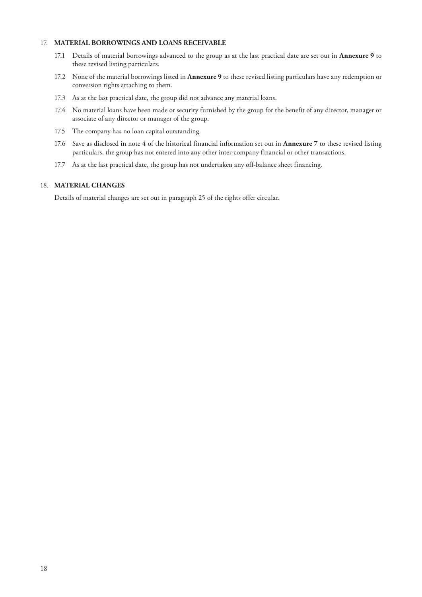#### 17. **MATERIAL BORROWINGS AND LOANS RECEIVABLE**

- 17.1 Details of material borrowings advanced to the group as at the last practical date are set out in **Annexure 9** to these revised listing particulars.
- 17.2 None of the material borrowings listed in **Annexure 9** to these revised listing particulars have any redemption or conversion rights attaching to them.
- 17.3 As at the last practical date, the group did not advance any material loans.
- 17.4 No material loans have been made or security furnished by the group for the benefit of any director, manager or associate of any director or manager of the group.
- 17.5 The company has no loan capital outstanding.
- 17.6 Save as disclosed in note 4 of the historical financial information set out in **Annexure 7** to these revised listing particulars, the group has not entered into any other inter-company financial or other transactions.
- 17.7 As at the last practical date, the group has not undertaken any off-balance sheet financing.

# 18. **MATERIAL CHANGES**

Details of material changes are set out in paragraph 25 of the rights offer circular.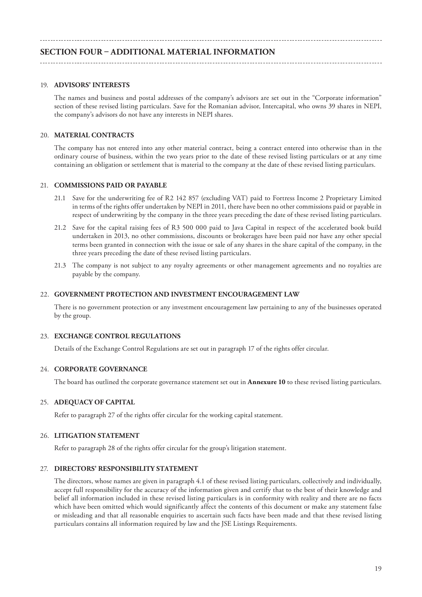# **SECTION FOUR – ADDITIONAL MATERIAL INFORMATION**

#### 19. **ADVISORS' INTERESTS**

The names and business and postal addresses of the company's advisors are set out in the "Corporate information" section of these revised listing particulars. Save for the Romanian advisor, Intercapital, who owns 39 shares in NEPI, the company's advisors do not have any interests in NEPI shares.

#### 20. **MATERIAL CONTRACTS**

The company has not entered into any other material contract, being a contract entered into otherwise than in the ordinary course of business, within the two years prior to the date of these revised listing particulars or at any time containing an obligation or settlement that is material to the company at the date of these revised listing particulars.

#### 21. **COMMISSIONS PAID OR PAYABLE**

- 21.1 Save for the underwriting fee of R2 142 857 (excluding VAT) paid to Fortress Income 2 Proprietary Limited in terms of the rights offer undertaken by NEPI in 2011, there have been no other commissions paid or payable in respect of underwriting by the company in the three years preceding the date of these revised listing particulars.
- 21.2 Save for the capital raising fees of R3 500 000 paid to Java Capital in respect of the accelerated book build undertaken in 2013, no other commissions, discounts or brokerages have been paid nor have any other special terms been granted in connection with the issue or sale of any shares in the share capital of the company, in the three years preceding the date of these revised listing particulars.
- 21.3 The company is not subject to any royalty agreements or other management agreements and no royalties are payable by the company.

#### 22. **GOVERNMENT PROTECTION AND INVESTMENT ENCOURAGEMENT LAW**

There is no government protection or any investment encouragement law pertaining to any of the businesses operated by the group.

#### 23. **EXCHANGE CONTROL REGULATIONS**

Details of the Exchange Control Regulations are set out in paragraph 17 of the rights offer circular.

#### 24. **CORPORATE GOVERNANCE**

The board has outlined the corporate governance statement set out in **Annexure 10** to these revised listing particulars.

#### 25. **ADEQUACY OF CAPITAL**

Refer to paragraph 27 of the rights offer circular for the working capital statement.

#### 26. **LITIGATION STATEMENT**

Refer to paragraph 28 of the rights offer circular for the group's litigation statement.

#### 27. **DIRECTORS' RESPONSIBILITY STATEMENT**

The directors, whose names are given in paragraph 4.1 of these revised listing particulars, collectively and individually, accept full responsibility for the accuracy of the information given and certify that to the best of their knowledge and belief all information included in these revised listing particulars is in conformity with reality and there are no facts which have been omitted which would significantly affect the contents of this document or make any statement false or misleading and that all reasonable enquiries to ascertain such facts have been made and that these revised listing particulars contains all information required by law and the JSE Listings Requirements.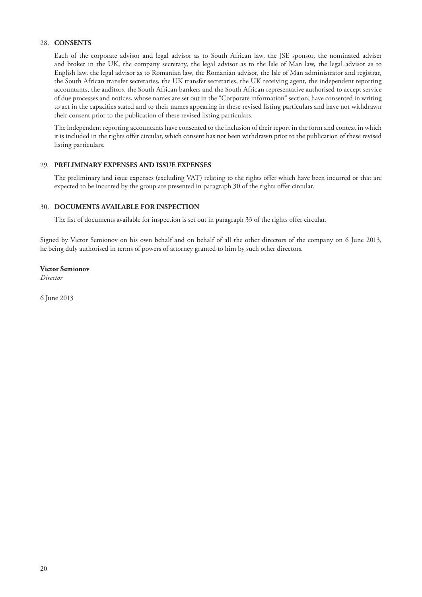# 28. **CONSENTS**

Each of the corporate advisor and legal advisor as to South African law, the JSE sponsor, the nominated adviser and broker in the UK, the company secretary, the legal advisor as to the Isle of Man law, the legal advisor as to English law, the legal advisor as to Romanian law, the Romanian advisor, the Isle of Man administrator and registrar, the South African transfer secretaries, the UK transfer secretaries, the UK receiving agent, the independent reporting accountants, the auditors, the South African bankers and the South African representative authorised to accept service of due processes and notices, whose names are set out in the "Corporate information" section, have consented in writing to act in the capacities stated and to their names appearing in these revised listing particulars and have not withdrawn their consent prior to the publication of these revised listing particulars.

The independent reporting accountants have consented to the inclusion of their report in the form and context in which it is included in the rights offer circular, which consent has not been withdrawn prior to the publication of these revised listing particulars.

#### 29. **PRELIMINARY EXPENSES AND ISSUE EXPENSES**

The preliminary and issue expenses (excluding VAT) relating to the rights offer which have been incurred or that are expected to be incurred by the group are presented in paragraph 30 of the rights offer circular.

#### 30. **DOCUMENTS AVAILABLE FOR INSPECTION**

The list of documents available for inspection is set out in paragraph 33 of the rights offer circular.

Signed by Victor Semionov on his own behalf and on behalf of all the other directors of the company on 6 June 2013, he being duly authorised in terms of powers of attorney granted to him by such other directors.

#### **Victor Semionov**

*Director*

6 June 2013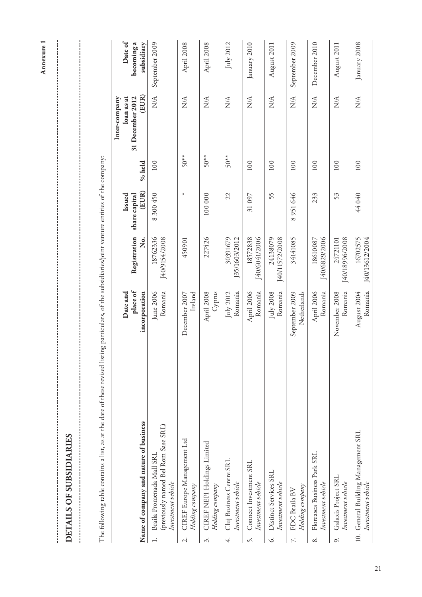| ł<br>J                   |
|--------------------------|
| Í                        |
| $\overline{\phantom{a}}$ |
| ĺ                        |

 $\frac{1}{2}$ 

The following table contains a list, as at the date of these revised listing particulars, of the subsidiaries/joint venture entities of the company: The following table contains a list, as at the date of these revised listing particulars, of the subsidiaries/joint venture entities of the company:

|                          |                                                                                        |                                       |                            |                                  |        | Inter-company                           |                                     |
|--------------------------|----------------------------------------------------------------------------------------|---------------------------------------|----------------------------|----------------------------------|--------|-----------------------------------------|-------------------------------------|
|                          | Name of company and nature of business                                                 | place of<br>incorporation<br>Date and | Registration<br>,<br>Ž     | (EUR)<br>Issued<br>share capital | % held | (EUR)<br>loan as at<br>31 December 2012 | Date of<br>becoming a<br>subsidiary |
|                          | (previously named Bel Rom Sase SRL)<br>Braila Promenada Mall SRL<br>Investment vehicle | Romania<br>June 2006                  | 18762336<br>[40/9154/2008  | 8 300 450                        | 100    | N/A                                     | September 2009                      |
| $\overline{\mathcal{C}}$ | CIREF Europe Management Ltd<br>Holding company                                         | Ireland<br>December 2007              | 450901                     | $\star$                          | $50**$ | $\mathbb{X}^{\mathbb{X}}$               | April 2008                          |
| 3.                       | CIREF NEPI Holdings Limited<br>Holding company                                         | Cyprus<br>April 2008                  | 227426                     | 100 000                          | $50**$ | $\mathbb{X}^{\mathbb{A}}$               | April 2008                          |
| 4.                       | Cluj Business Centre SRL<br>Investment vehicle                                         | Romania<br>July 2012                  | 30391679<br>J35/1603/2012  | 22                               | $50**$ | $\mathbb{X}^{\mathsf{A}}$               | July 2012                           |
| S.                       | Connect Investment SRL<br>Investment vehicle                                           | April 2006<br>Romania                 | J40/6041/2006<br>18572838  | 31 097                           | 100    | NA                                      | January 2010                        |
| Ġ.                       | Distinct Services SRL<br>Investment vehicle                                            | Romania<br>July 2008                  | J40/11572/2008<br>24138079 | 55                               | 100    | $\mathbb{X}^{\mathbb{A}}$               | August 2011                         |
| $\tilde{\sim}$           | Holding company<br>FDC Braila BV                                                       | Netherlands<br>September 2009         | 34141085                   | 8951646                          | 100    | $\frac{\mathcal{A}}{N}$                 | September 2009                      |
| $\infty$                 | Floreasca Business Park SRL<br>Investment vehicle                                      | April 2006<br>Romania                 | J40/6829/2006<br>18610087  | 233                              | 100    | $\frac{\mathcal{A}}{N}$                 | December 2010                       |
|                          | Galaxis Project SRL<br>Investment vehicle                                              | Romania<br>November 2008              | J40/18996/2008<br>24721101 | 53                               | 100    | $\frac{\mathcal{A}}{N}$                 | August 2011                         |
|                          | 10. General Building Management SRL<br>Investment vehicle                              | Romania<br>August 2004                | J40/13612/2004<br>16702575 | 44040                            | 100    | $\frac{\mathcal{A}}{N}$                 | January 2008                        |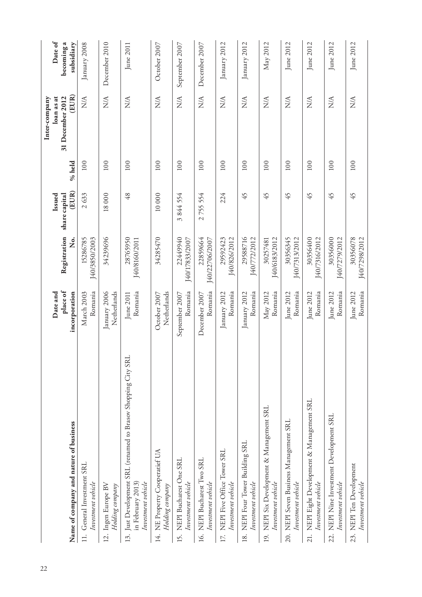|                                                                                                          | Date and                    |                            | Issued                 |        | loan as at<br>Inter-company       | Date of                  |
|----------------------------------------------------------------------------------------------------------|-----------------------------|----------------------------|------------------------|--------|-----------------------------------|--------------------------|
| Name of company and nature of business                                                                   | place of<br>incorporation   | Registration<br>ż.         | (EUR)<br>share capital | % held | (EUR)<br>31 December 2012         | becoming a<br>subsidiary |
| 11. General Investment SRL<br>Investment vehicle                                                         | Romania<br>March 2003       | [40/3850/2003<br>15286785  | 2633                   | 100    | $\frac{\triangleleft}{\triangle}$ | January 2008             |
| 12. Ingen Europe BV<br>Holding company                                                                   | Netherlands<br>January 2006 | 34239696                   | 18000                  | 100    | NA                                | December 2010            |
| 13. Just Development SRL (renamed to Brasov Shopping City SRI<br>in February 2013)<br>Investment vehicle | Romania<br>June 2011        | 28765950<br>J40/8160/2011  | 48                     | 100    | NA                                | June 2011                |
| 14. NE Property Cooperatief UA<br>Holding company                                                        | Netherlands<br>October 2007 | 34285470                   | 10 000                 | 100    | $\frac{\triangleleft}{\triangle}$ | October 2007             |
| NEPI Bucharest One SRL<br>Investment vehicle<br>15.                                                      | Romania<br>September 2007   | 22449940<br>[40/17833/2007 | 3844554                | 100    | $\frac{\triangleleft}{\triangle}$ | September 2007           |
| 16. NEPI Bucharest Two SRL<br>Investment vehicle                                                         | Romania<br>December 2007    | 22859664<br>J40/22706/2007 | 2755554                | 100    | <b>AVA</b>                        | December 2007            |
| NEPI Five Office Tower SRL<br>Investment vehicle<br>$\overline{17}$ .                                    | Romania<br>January 2012     | 29592423<br>[40/826/2012   | 224                    | 100    | NA                                | January 2012             |
| 18. NEPI Four Tower Building SRL<br>Investment vehicle                                                   | Romania<br>January 2012     | 29588716<br>[40/772/2012   | 45                     | 100    | $\frac{\triangleleft}{\triangle}$ | January 2012             |
| NEPI Six Development & Management SRL<br>Investment vehicle<br>$\overline{19}$                           | Romania<br>May 2012         | [40/6183/2012<br>30257481  | 45                     | 100    | $\frac{\triangleleft}{\triangle}$ | May 2012                 |
| 20. NEPI Seven Business Management SRL<br>Investment vehicle                                             | Romania<br>June 2012        | 30356345<br>[40/7313/2012  | 45                     | 100    | NA                                | June 2012                |
| NEPI Eight Development & Management SRL<br>Investment vehicle<br>21.                                     | Romania<br>June 2012        | 30356400<br>J40/7316/2012  | 45                     | 100    | $\frac{\triangleleft}{\triangle}$ | June 2012                |
| 22. NEPI Nine Investment Development SRL<br>Investment vehicle                                           | Romania<br>June 2012        | 30356000<br>140/7279/2012  | 45                     | 100    | $\frac{\triangleleft}{\triangle}$ | June 2012                |
| 23. NEPI Ten Development<br>Investment vehicle                                                           | Romania<br>June 2012        | 30356078<br>J40/7298/2012  | 45                     | 100    | NA                                | June 2012                |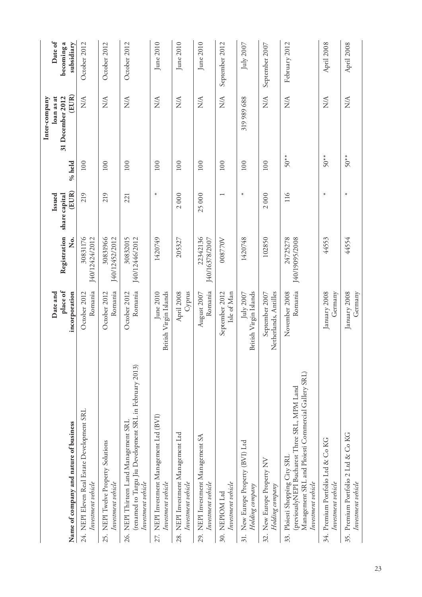|                                                                                                                                                                 | Date and                                |                            | Issued                 |        | loan as at<br>Inter-company       | Date of                  |
|-----------------------------------------------------------------------------------------------------------------------------------------------------------------|-----------------------------------------|----------------------------|------------------------|--------|-----------------------------------|--------------------------|
| Name of company and nature of business                                                                                                                          | place of<br>incorporation               | Registration<br>。<br>No.   | (EUR)<br>share capital | % held | (EUR)<br>31 December 2012         | becoming a<br>subsidiary |
| 24. NEPI Eleven Real Estate Development SRL<br>Investment vehicle                                                                                               | Romania<br>October 2012                 | 30831176<br>140/12424/2012 | 219                    | 100    | $\frac{\mathcal{A}}{\mathcal{A}}$ | October 2012             |
| 25. NEPI Twelve Property Solutions<br>Investment vehicle                                                                                                        | Romania<br>October 2012                 | 30831966<br>J40/12452/2012 | 219                    | 100    | $\mathbb{X}^{\mathsf{A}}$         | October 2012             |
| (renamed to Targu Jiu Development SRL in February 2013)<br>26. NEPI Thirteen Land Management SRL<br>Investment vehicle                                          | Romania<br>October 2012                 | 30832015<br>J40/12446/2012 | 221                    | 100    | $\mathop{\rm NA}\nolimits$        | October 2012             |
| 27. NEPI Investment Management Ltd (BVI)<br>Investment vehicle                                                                                                  | British Virgin Islands<br>June 2010     | 1420749                    | $\ast$                 | 100    | $\mathbb{X}^{\mathbb{X}}$         | June 2010                |
| 28. NEPI Investment Management Ltd<br>Investment vehicle                                                                                                        | Cyprus<br>April 2008                    | 205327                     | 2000                   | 100    | $\mathbb{X}^{\mathbb{X}}$         | June 2010                |
| 29. NEPI Investment Management SA<br>Investment vehicle                                                                                                         | Romania<br>August 2007                  | 22342136<br>J40/16378/2007 | 25000                  | 100    | $\frac{\mathcal{A}}{\mathcal{A}}$ | June 2010                |
| Investment vehicle<br>30. NEPIOM Ltd                                                                                                                            | Isle of Man<br>September 2012           | 008770V                    |                        | 100    | $\frac{\triangleleft}{\triangle}$ | September 2012           |
| 31. New Europe Property (BVI) Ltd<br>Holding company                                                                                                            | British Virgin Islands<br>July 2007     | 1420748                    | $\star$                | 100    | 319 989 688                       | July $2007$              |
| 32. New Europe Property NV<br>Holding company                                                                                                                   | Netherlands, Antilles<br>September 2007 | 102850                     | 2000                   | 100    | $\frac{\mathcal{A}}{N}$           | September 2007           |
| Management SRL and Ploiesti Commercial Gallery SRL)<br>(previouslyNEPI Bucharest Three SRL, MPM Land<br>Ploiesti Shopping City SRL<br>Investment vehicle<br>33. | Romania<br>November 2008                | J40/19095/2008<br>24725278 | 116                    | $50**$ | $\frac{\triangleleft}{\triangle}$ | February 2012            |
| 34. Premium Portfolio Ltd & Co KG<br>Investment vehicle                                                                                                         | January 2008<br>Germany                 | 44553                      | $\ast$                 | $50**$ | <b>NA</b>                         | April 2008               |
| 35. Premium Portfolio 2 Ltd & Co KG<br>Investment vehicle                                                                                                       | January 2008<br>Germany                 | 44554                      | $\ast$                 | $50**$ | NA                                | April 2008               |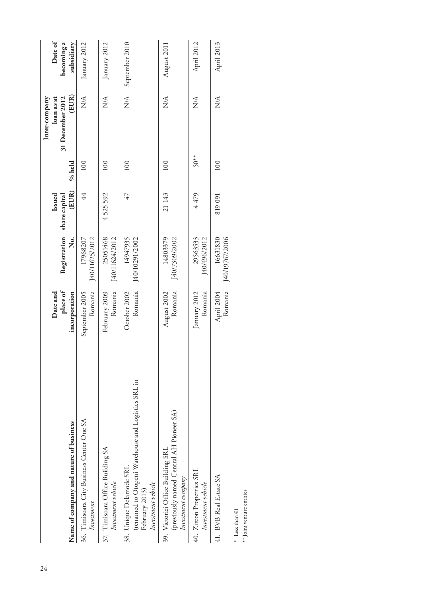|                                                                                                                       |                           |                            |               |           | Inter-company                     |                |
|-----------------------------------------------------------------------------------------------------------------------|---------------------------|----------------------------|---------------|-----------|-----------------------------------|----------------|
|                                                                                                                       | Date and                  |                            | Issued        |           | loan as at                        | Date of        |
|                                                                                                                       | place of                  | Registration               | share capital |           | 31 December 2012                  | becoming a     |
| Name of company and nature of business                                                                                | incorporation             | Ż.                         | (EUR)         | % held    | (EUR)                             | subsidiary     |
| 36. Timisoara City Business Center One SA<br>Investment                                                               | Romania<br>September 2005 | 140/11625/2012<br>17968207 | 44            | 100       | $\frac{\mathcal{A}}{N}$           | January 2012   |
| 37. Timisoara Office Building SA<br>Investment vehicle                                                                | Romania<br>February 2009  | 25051468<br>J40/11624/2012 | 4525592       | 100       | $\frac{\triangleleft}{\triangle}$ | January 2012   |
| (renamed to Otopeni Warehouse and Logistics SRL in<br>38. Unique Delamode SRL<br>Investment vehicle<br>February 2013) | Romania<br>October 2002   | 14947935<br>140/10291/2002 | 47            | 100       | N/A                               | September 2010 |
| (previously named Central AH Pioneer SA)<br>39. Victoriei Office Building SRL<br>Investment company                   | Romania<br>August 2002    | 14803379<br>140/7309/2002  | 21 143        | 100       | NA                                | August 2011    |
| 40. Zircon Properties SRL<br>Investment vehicle                                                                       | Romania<br>January 2012   | 29563533<br>J40/496/2012   | 4479          | $50^{**}$ | $\frac{\triangleleft}{\triangle}$ | April 2012     |
| 41. BVB Real Estate SA                                                                                                | Komania<br>April 2004     | 140/19767/2006<br>16631830 | 819 091       | 100       | $\frac{\triangleleft}{\triangle}$ | April 2013     |
| Less than $\in$ 1                                                                                                     |                           |                            |               |           |                                   |                |

 $\ast\ast$  Joint venture entities \*\* Joint venture entities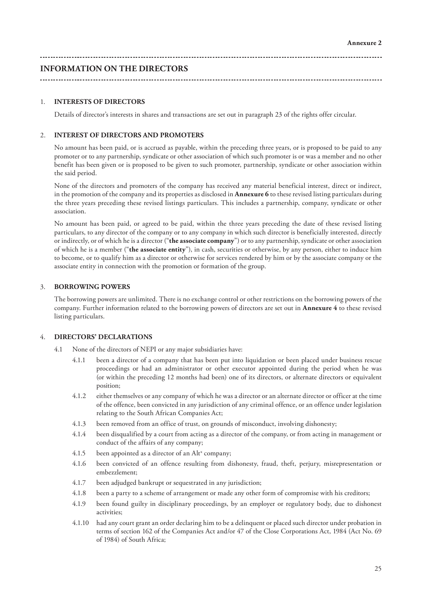**INFORMATION ON THE DIRECTORS**

#### 1. **INTERESTS OF DIRECTORS**

Details of director's interests in shares and transactions are set out in paragraph 23 of the rights offer circular.

### 2. **INTEREST OF DIRECTORS AND PROMOTERS**

No amount has been paid, or is accrued as payable, within the preceding three years, or is proposed to be paid to any promoter or to any partnership, syndicate or other association of which such promoter is or was a member and no other benefit has been given or is proposed to be given to such promoter, partnership, syndicate or other association within the said period.

None of the directors and promoters of the company has received any material beneficial interest, direct or indirect, in the promotion of the company and its properties as disclosed in **Annexure 6** to these revised listing particulars during the three years preceding these revised listings particulars. This includes a partnership, company, syndicate or other association.

No amount has been paid, or agreed to be paid, within the three years preceding the date of these revised listing particulars, to any director of the company or to any company in which such director is beneficially interested, directly or indirectly, or of which he is a director ("**the associate company**") or to any partnership, syndicate or other association of which he is a member ("**the associate entity**"), in cash, securities or otherwise, by any person, either to induce him to become, or to qualify him as a director or otherwise for services rendered by him or by the associate company or the associate entity in connection with the promotion or formation of the group.

#### 3. **BORROWING POWERS**

The borrowing powers are unlimited. There is no exchange control or other restrictions on the borrowing powers of the company. Further information related to the borrowing powers of directors are set out in **Annexure 4** to these revised listing particulars.

### 4. **DIRECTORS' DECLARATIONS**

- 4.1 None of the directors of NEPI or any major subsidiaries have:
	- 4.1.1 been a director of a company that has been put into liquidation or been placed under business rescue proceedings or had an administrator or other executor appointed during the period when he was (or within the preceding 12 months had been) one of its directors, or alternate directors or equivalent position;
	- 4.1.2 either themselves or any company of which he was a director or an alternate director or officer at the time of the offence, been convicted in any jurisdiction of any criminal offence, or an offence under legislation relating to the South African Companies Act;
	- 4.1.3 been removed from an office of trust, on grounds of misconduct, involving dishonesty;
	- 4.1.4 been disqualified by a court from acting as a director of the company, or from acting in management or conduct of the affairs of any company;
	- $4.1.5$  been appointed as a director of an Alt<sup>x</sup> company;
	- 4.1.6 been convicted of an offence resulting from dishonesty, fraud, theft, perjury, misrepresentation or embezzlement;
	- 4.1.7 been adjudged bankrupt or sequestrated in any jurisdiction;
	- 4.1.8 been a party to a scheme of arrangement or made any other form of compromise with his creditors;
	- 4.1.9 been found guilty in disciplinary proceedings, by an employer or regulatory body, due to dishonest activities;
	- 4.1.10 had any court grant an order declaring him to be a delinquent or placed such director under probation in terms of section 162 of the Companies Act and/or 47 of the Close Corporations Act, 1984 (Act No. 69 of 1984) of South Africa;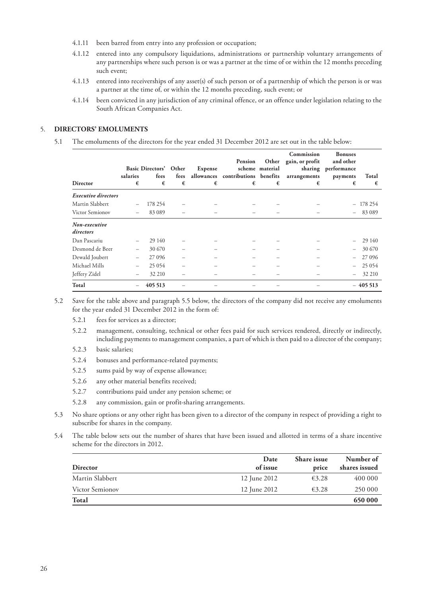- 4.1.11 been barred from entry into any profession or occupation;
- 4.1.12 entered into any compulsory liquidations, administrations or partnership voluntary arrangements of any partnerships where such person is or was a partner at the time of or within the 12 months preceding such event;
- 4.1.13 entered into receiverships of any asset(s) of such person or of a partnership of which the person is or was a partner at the time of, or within the 12 months preceding, such event; or
- 4.1.14 been convicted in any jurisdiction of any criminal offence, or an offence under legislation relating to the South African Companies Act.

#### 5. **DIRECTORS' EMOLUMENTS**

5.1 The emoluments of the directors for the year ended 31 December 2012 are set out in the table below:

|                            | salaries | Basic Directors' Other<br>fees | fees | Expense | Pension<br>allowances contributions benefits | Other<br>scheme material | Commission<br>gain, or profit<br>arrangements | <b>Bonuses</b><br>and other<br>sharing performance<br>payments | Total     |
|----------------------------|----------|--------------------------------|------|---------|----------------------------------------------|--------------------------|-----------------------------------------------|----------------------------------------------------------------|-----------|
| <b>Director</b>            | €        | €                              | €    | €       | €                                            | €                        | €                                             | €                                                              | €         |
| <b>Executive directors</b> |          |                                |      |         |                                              |                          |                                               |                                                                |           |
| Martin Slabbert            |          | 178 254                        |      |         |                                              |                          |                                               |                                                                | $-178254$ |
| Victor Semionov            |          | 83 0 89                        |      |         |                                              |                          |                                               |                                                                | $-83089$  |
| Non-executive<br>directors |          |                                |      |         |                                              |                          |                                               |                                                                |           |
| Dan Pascariu               |          | 29 140                         |      |         |                                              |                          |                                               |                                                                | 29 140    |
| Desmond de Beer            |          | 30 670                         |      |         |                                              |                          |                                               |                                                                | 30 670    |
| Dewald Joubert             |          | 27 0 96                        |      |         |                                              |                          |                                               |                                                                | 27 09 6   |
| Michael Mills              |          | 25 0 54                        |      |         |                                              |                          |                                               |                                                                | $-25054$  |
| Jeffery Zidel              |          | 32 210                         |      |         |                                              |                          |                                               |                                                                | 32 210    |
| Total                      |          | 405 513                        |      |         |                                              |                          |                                               |                                                                | $-405513$ |

5.2 Save for the table above and paragraph 5.5 below, the directors of the company did not receive any emoluments for the year ended 31 December 2012 in the form of:

- 5.2.1 fees for services as a director;
- 5.2.2 management, consulting, technical or other fees paid for such services rendered, directly or indirectly, including payments to management companies, a part of which is then paid to a director of the company;
- 5.2.3 basic salaries;
- 5.2.4 bonuses and performance-related payments;
- 5.2.5 sums paid by way of expense allowance;
- 5.2.6 any other material benefits received;
- 5.2.7 contributions paid under any pension scheme; or
- 5.2.8 any commission, gain or profit-sharing arrangements.
- 5.3 No share options or any other right has been given to a director of the company in respect of providing a right to subscribe for shares in the company.
- 5.4 The table below sets out the number of shares that have been issued and allotted in terms of a share incentive scheme for the directors in 2012.

|                        | Date         | <b>Share</b> issue | Number of     |
|------------------------|--------------|--------------------|---------------|
| Director               | of issue     | price              | shares issued |
| Martin Slabbert        | 12 June 2012 | $\epsilon$ 3.28    | 400 000       |
| <b>Victor Semionov</b> | 12 June 2012 | $\epsilon$ 3.28    | 250 000       |
| <b>Total</b>           |              |                    | 650 000       |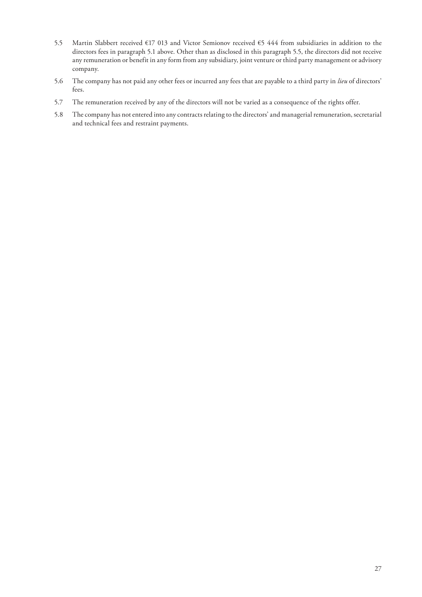- 5.5 Martin Slabbert received €17 013 and Victor Semionov received €5 444 from subsidiaries in addition to the directors fees in paragraph 5.1 above. Other than as disclosed in this paragraph 5.5, the directors did not receive any remuneration or benefit in any form from any subsidiary, joint venture or third party management or advisory company.
- 5.6 The company has not paid any other fees or incurred any fees that are payable to a third party in *lieu* of directors' fees.
- 5.7 The remuneration received by any of the directors will not be varied as a consequence of the rights offer.
- 5.8 The company has not entered into any contracts relating to the directors' and managerial remuneration, secretarial and technical fees and restraint payments.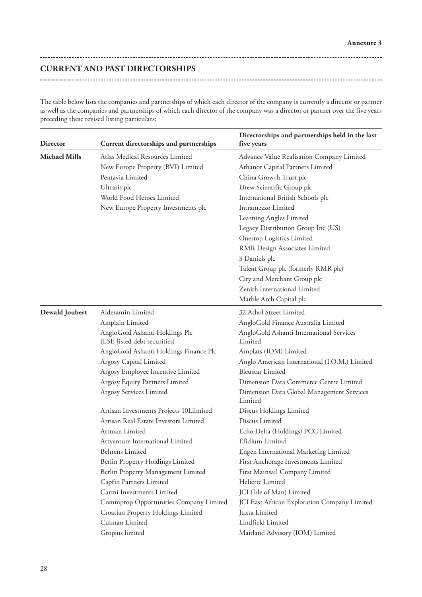**CURRENT AND PAST DIRECTORSHIPS**

 $\sim$ 

The table below lists the companies and partnerships of which each director of the company is currently a director or partner as well as the companies and partnerships of which each director of the company was a director or partner over the five years preceding these revised listing particulars:

| <b>Director</b>      | Current directorships and partnerships                                                                                                                                                                                                                                                                                                                                                                           | Directorships and partnerships held in the last<br>five years                                                                                                                                                                                                                                                                                                                                                                                                |
|----------------------|------------------------------------------------------------------------------------------------------------------------------------------------------------------------------------------------------------------------------------------------------------------------------------------------------------------------------------------------------------------------------------------------------------------|--------------------------------------------------------------------------------------------------------------------------------------------------------------------------------------------------------------------------------------------------------------------------------------------------------------------------------------------------------------------------------------------------------------------------------------------------------------|
| <b>Michael Mills</b> | Atlas Medical Resources Limited<br>New Europe Property (BVI) Limited<br>Pentavia Limited<br>Ultrasis plc<br>World Food Heroes Limited<br>New Europe Property Investments plc                                                                                                                                                                                                                                     | Advance Value Realisation Company Limited<br>Athanor Capital Partners Limited<br>China Growth Trust plc<br>Drew Scientific Group plc<br>International British Schools plc<br>Intramezzo Limited<br>Learning Angles Limited<br>Legacy Distribution Group Inc (US)<br><b>Onestop Logistics Limited</b><br>RMR Design Associates Limited<br>S Daniels plc<br>Talent Group plc (formerly RMR plc)<br>City and Merchant Group plc<br>Zenith International Limited |
| Dewald Joubert       | Alderamin Limited<br>Amplain Limited<br>AngloGold Ashanti Holdings Plc<br>(LSE-listed debt securities)                                                                                                                                                                                                                                                                                                           | Marble Arch Capital plc<br>32 Athol Street Limited<br>AngloGold Finance Australia Limited<br>AngloGold Ashanti International Services<br>Limited                                                                                                                                                                                                                                                                                                             |
|                      | AngloGold Ashanti Holdings Finance Plc<br>Argosy Capital Limited<br>Argosy Employee Incentive Limited<br>Argosy Equity Partners Limited<br>Argosy Services Limited<br>Artisan Investments Projects 10Llimited<br>Artisan Real Estate Investors Limited<br>Attman Limited<br>Attventure International Limited<br><b>Behrens Limited</b><br>Berlin Property Holdings Limited<br>Berlin Property Management Limited | Amplats (IOM) Limited<br>Anglo American International (I.O.M.) Limited<br><b>Bleustar Limited</b><br>Dimension Data Commerce Centre Limited<br>Dimension Data Global Management Services<br>Limited<br>Discus Holdings Limited<br>Discus Limited<br>Echo Delta (Holdings) PCC Limited<br>Efidium Limited<br>Engen International Marketing Limited<br>First Anchorage Investments Limited<br>First Mainsail Company Limited                                   |
|                      | Capfin Partners Limited<br>Carmi Investments Limited<br>Commprop Opportunities Company Limited<br>Croatian Property Holdings Limited<br>Culman Limited<br>Gropius limited                                                                                                                                                                                                                                        | Heliette Limited<br>JCI (Isle of Man) Limited<br>JCI East African Exploration Company Limited<br>Juxta Limited<br>Lindfield Limited<br>Maitland Advisory (IOM) Limited                                                                                                                                                                                                                                                                                       |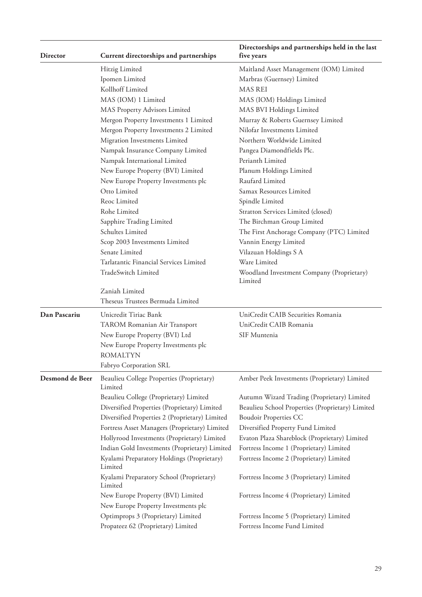| Director        | Current directorships and partnerships                | Directorships and partnerships held in the last<br>five years |
|-----------------|-------------------------------------------------------|---------------------------------------------------------------|
|                 | Hitzig Limited                                        | Maitland Asset Management (IOM) Limited                       |
|                 | Ipomen Limited                                        | Marbras (Guernsey) Limited                                    |
|                 | Kollhoff Limited                                      | <b>MAS REI</b>                                                |
|                 | MAS (IOM) 1 Limited                                   | MAS (IOM) Holdings Limited                                    |
|                 | MAS Property Advisors Limited                         | MAS BVI Holdings Limited                                      |
|                 | Mergon Property Investments 1 Limited                 | Murray & Roberts Guernsey Limited                             |
|                 | Mergon Property Investments 2 Limited                 | Nilofar Investments Limited                                   |
|                 | Migration Investments Limited                         | Northern Worldwide Limited                                    |
|                 | Nampak Insurance Company Limited                      | Pangea Diamondfields Plc.                                     |
|                 | Nampak International Limited                          | Perianth Limited                                              |
|                 | New Europe Property (BVI) Limited                     | Planum Holdings Limited                                       |
|                 | New Europe Property Investments plc                   | Raufard Limited                                               |
|                 | Otto Limited                                          | Samax Resources Limited                                       |
|                 | Reoc Limited                                          | Spindle Limited                                               |
|                 | Rohe Limited                                          | Stratton Services Limited (closed)                            |
|                 | Sapphire Trading Limited                              | The Birchman Group Limited                                    |
|                 | Schultes Limited                                      | The First Anchorage Company (PTC) Limited                     |
|                 | Scop 2003 Investments Limited                         | Vannin Energy Limited                                         |
|                 | Senate Limited                                        | Vilazuan Holdings S A                                         |
|                 | Tarlatantic Financial Services Limited                | Ware Limited                                                  |
|                 | TradeSwitch Limited                                   | Woodland Investment Company (Proprietary)<br>Limited          |
|                 | Zaniah Limited<br>Theseus Trustees Bermuda Limited    |                                                               |
|                 |                                                       |                                                               |
| Dan Pascariu    | Unicredit Tiriac Bank                                 | UniCredit CAIB Securities Romania                             |
|                 | TAROM Romanian Air Transport                          | UniCredit CAIB Romania                                        |
|                 | New Europe Property (BVI) Ltd                         | SIF Muntenia                                                  |
|                 | New Europe Property Investments plc                   |                                                               |
|                 | <b>ROMALTYN</b>                                       |                                                               |
|                 | Fabryo Corporation SRL                                |                                                               |
| Desmond de Beer | Beaulieu College Properties (Proprietary)<br>Limited  | Amber Peek Investments (Proprietary) Limited                  |
|                 | Beaulieu College (Proprietary) Limited                | Autumn Wizard Trading (Proprietary) Limited                   |
|                 | Diversified Properties (Proprietary) Limited          | Beaulieu School Properties (Proprietary) Limited              |
|                 | Diversified Properties 2 (Proprietary) Limited        | <b>Boudoir Properties CC</b>                                  |
|                 | Fortress Asset Managers (Proprietary) Limited         | Diversified Property Fund Limited                             |
|                 | Hollyrood Investments (Proprietary) Limited           | Evaton Plaza Shareblock (Proprietary) Limited                 |
|                 | Indian Gold Investments (Proprietary) Limited         | Fortress Income 1 (Proprietary) Limited                       |
|                 | Kyalami Preparatory Holdings (Proprietary)<br>Limited | Fortress Income 2 (Proprietary) Limited                       |
|                 | Kyalami Preparatory School (Proprietary)<br>Limited   | Fortress Income 3 (Proprietary) Limited                       |
|                 | New Europe Property (BVI) Limited                     | Fortress Income 4 (Proprietary) Limited                       |
|                 | New Europe Property Investments plc                   |                                                               |
|                 | Optimprops 3 (Proprietary) Limited                    | Fortress Income 5 (Proprietary) Limited                       |
|                 | Propateez 62 (Proprietary) Limited                    | Fortress Income Fund Limited                                  |
|                 |                                                       |                                                               |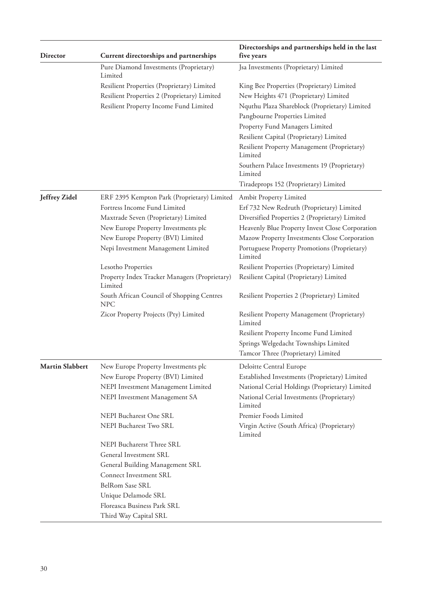| <b>Director</b>        | Current directorships and partnerships                   | Directorships and partnerships held in the last<br>five years |
|------------------------|----------------------------------------------------------|---------------------------------------------------------------|
|                        | Pure Diamond Investments (Proprietary)<br>Limited        | Jsa Investments (Proprietary) Limited                         |
|                        | Resilient Properties (Proprietary) Limited               | King Bee Properties (Proprietary) Limited                     |
|                        | Resilient Properties 2 (Proprietary) Limited             | New Heights 471 (Proprietary) Limited                         |
|                        | Resilient Property Income Fund Limited                   | Nquthu Plaza Shareblock (Proprietary) Limited                 |
|                        |                                                          | Pangbourne Properties Limited                                 |
|                        |                                                          | Property Fund Managers Limited                                |
|                        |                                                          | Resilient Capital (Proprietary) Limited                       |
|                        |                                                          | Resilient Property Management (Proprietary)<br>Limited        |
|                        |                                                          | Southern Palace Investments 19 (Proprietary)<br>Limited       |
|                        |                                                          | Tiradeprops 152 (Proprietary) Limited                         |
| Jeffrey Zidel          | ERF 2395 Kempton Park (Proprietary) Limited              | Ambit Property Limited                                        |
|                        | Fortress Income Fund Limited                             | Erf 732 New Redruth (Proprietary) Limited                     |
|                        | Maxtrade Seven (Proprietary) Limited                     | Diversified Properties 2 (Proprietary) Limited                |
|                        | New Europe Property Investments plc                      | Heavenly Blue Property Invest Close Corporation               |
|                        | New Europe Property (BVI) Limited                        | Mazow Property Investments Close Corporation                  |
|                        | Nepi Investment Management Limited                       | Portuguese Property Promotions (Proprietary)<br>Limited       |
|                        | Lesotho Properties                                       | Resilient Properties (Proprietary) Limited                    |
|                        | Property Index Tracker Managers (Proprietary)<br>Limited | Resilient Capital (Proprietary) Limited                       |
|                        | South African Council of Shopping Centres<br><b>NPC</b>  | Resilient Properties 2 (Proprietary) Limited                  |
|                        | Zicor Property Projects (Pty) Limited                    | Resilient Property Management (Proprietary)<br>Limited        |
|                        |                                                          | Resilient Property Income Fund Limited                        |
|                        |                                                          | Springs Welgedacht Townships Limited                          |
|                        |                                                          | Tamcor Three (Proprietary) Limited                            |
| <b>Martin Slabbert</b> | New Europe Property Investments plc                      | Deloitte Central Europe                                       |
|                        | New Europe Property (BVI) Limited                        | Established Investments (Proprietary) Limited                 |
|                        | NEPI Investment Management Limited                       | National Cerial Holdings (Proprietary) Limited                |
|                        | NEPI Investment Management SA                            | National Cerial Investments (Proprietary)<br>Limited          |
|                        | NEPI Bucharest One SRL                                   | Premier Foods Limited                                         |
|                        | NEPI Bucharest Two SRL                                   | Virgin Active (South Africa) (Proprietary)<br>Limited         |
|                        | NEPI Bucharerst Three SRL                                |                                                               |
|                        | General Investment SRL                                   |                                                               |
|                        | General Building Management SRL                          |                                                               |
|                        | Connect Investment SRL                                   |                                                               |
|                        | BelRom Sase SRL                                          |                                                               |
|                        | Unique Delamode SRL                                      |                                                               |
|                        | Floreasca Business Park SRL                              |                                                               |
|                        | Third Way Capital SRL                                    |                                                               |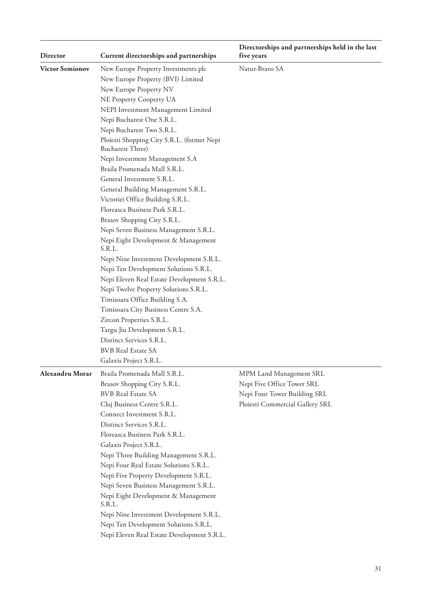| <b>Director</b>        | Current directorships and partnerships                                                                                                                                                                                                                                                                                                                                                                                                                                                                                                                                                                                                                                                                                                                                                                                                                                                                                                                                                                                                        | Directorships and partnerships held in the last<br>five years                                                            |
|------------------------|-----------------------------------------------------------------------------------------------------------------------------------------------------------------------------------------------------------------------------------------------------------------------------------------------------------------------------------------------------------------------------------------------------------------------------------------------------------------------------------------------------------------------------------------------------------------------------------------------------------------------------------------------------------------------------------------------------------------------------------------------------------------------------------------------------------------------------------------------------------------------------------------------------------------------------------------------------------------------------------------------------------------------------------------------|--------------------------------------------------------------------------------------------------------------------------|
| <b>Victor Semionov</b> | New Europe Property Investments plc<br>New Europe Property (BVI) Limited<br>New Europe Property NV<br>NE Property Cooperty UA<br>NEPI Investment Management Limited<br>Nepi Bucharest One S.R.L.<br>Nepi Bucharest Two S.R.L.<br>Ploiesti Shopping City S.R.L. (former Nepi<br><b>Bucharest Three)</b><br>Nepi Investment Management S.A<br>Braila Promenada Mall S.R.L.<br>General Investment S.R.L.<br>General Building Management S.R.L.<br>Victoriei Office Building S.R.L.<br>Floreasca Business Park S.R.L.<br>Brasov Shopping City S.R.L.<br>Nepi Seven Business Management S.R.L.<br>Nepi Eight Development & Management<br>S.R.L.<br>Nepi Nine Investment Development S.R.L.<br>Nepi Ten Development Solutions S.R.L.<br>Nepi Eleven Real Estate Development S.R.L.<br>Nepi Twelve Property Solutions S.R.L.<br>Timisoara Office Building S.A.<br>Timisoara City Business Centre S.A.<br>Zircon Properties S.R.L.<br>Targu Jiu Development S.R.L.<br>Distinct Services S.R.L.<br><b>BVB</b> Real Estate SA<br>Galaxis Project S.R.L. | Natur-Bravo SA                                                                                                           |
| Alexandru Morar        | Braila Promenada Mall S.R.L.<br>Brasov Shopping City S.R.L.<br><b>BVB</b> Real Estate SA<br>Cluj Business Centre S.R.L.<br>Connect Investment S.R.L.<br>Distinct Services S.R.L.<br>Floreasca Business Park S.R.L.<br>Galaxis Project S.R.L.<br>Nepi Three Building Management S.R.L.<br>Nepi Four Real Estate Solutions S.R.L.<br>Nepi Five Property Development S.R.L.<br>Nepi Seven Business Management S.R.L.<br>Nepi Eight Development & Management<br>S.R.L.<br>Nepi Nine Investment Development S.R.L.<br>Nepi Ten Development Solutions S.R.L.<br>Nepi Eleven Real Estate Development S.R.L.                                                                                                                                                                                                                                                                                                                                                                                                                                          | MPM Land Management SRL<br>Nepi Five Office Tower SRL<br>Nepi Four Tower Building SRL<br>Ploiesti Commercial Gallery SRL |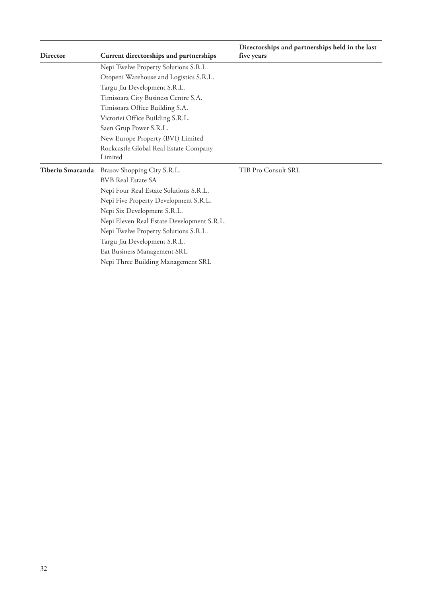| <b>Director</b>  | Current directorships and partnerships           | Directorships and partnerships held in the last<br>five years |
|------------------|--------------------------------------------------|---------------------------------------------------------------|
|                  | Nepi Twelve Property Solutions S.R.L.            |                                                               |
|                  | Otopeni Warehouse and Logistics S.R.L.           |                                                               |
|                  | Targu Jiu Development S.R.L.                     |                                                               |
|                  | Timisoara City Business Centre S.A.              |                                                               |
|                  | Timisoara Office Building S.A.                   |                                                               |
|                  | Victoriei Office Building S.R.L.                 |                                                               |
|                  | Saen Grup Power S.R.L.                           |                                                               |
|                  | New Europe Property (BVI) Limited                |                                                               |
|                  | Rockcastle Global Real Estate Company<br>Limited |                                                               |
| Tiberiu Smaranda | Brasov Shopping City S.R.L.                      | TIB Pro Consult SRL                                           |
|                  | <b>BVB Real Estate SA</b>                        |                                                               |
|                  | Nepi Four Real Estate Solutions S.R.L.           |                                                               |
|                  | Nepi Five Property Development S.R.L.            |                                                               |
|                  | Nepi Six Development S.R.L.                      |                                                               |
|                  | Nepi Eleven Real Estate Development S.R.L.       |                                                               |
|                  | Nepi Twelve Property Solutions S.R.L.            |                                                               |
|                  | Targu Jiu Development S.R.L.                     |                                                               |
|                  | Eat Business Management SRL                      |                                                               |
|                  | Nepi Three Building Management SRL               |                                                               |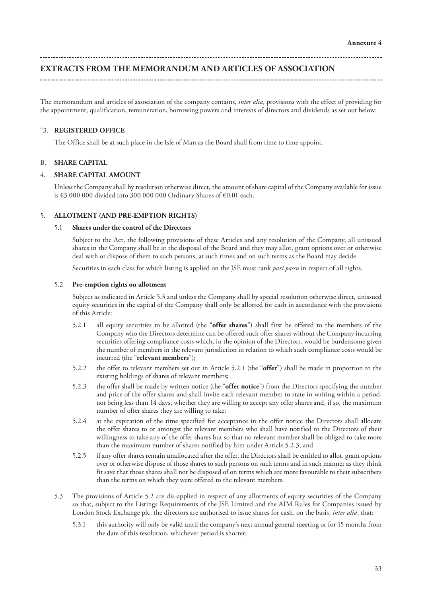# **EXTRACTS FROM THE MEMORANDUM AND ARTICLES OF ASSOCIATION**

The memorandum and articles of association of the company contains, *inter alia*, provisions with the effect of providing for the appointment, qualification, remuneration, borrowing powers and interests of directors and dividends as set out below:

#### "3. **REGISTERED OFFICE**

The Office shall be at such place in the Isle of Man as the Board shall from time to time appoint.

#### B. **SHARE CAPITAL**

#### 4. **SHARE CAPITAL AMOUNT**

Unless the Company shall by resolution otherwise direct, the amount of share capital of the Company available for issue is €3 000 000 divided into 300 000 000 Ordinary Shares of €0.01 each.

#### 5. **ALLOTMENT (AND PRE-EMPTION RIGHTS)**

#### 5.1 **Shares under the control of the Directors**

Subject to the Act, the following provisions of these Articles and any resolution of the Company, all unissued shares in the Company shall be at the disposal of the Board and they may allot, grant options over or otherwise deal with or dispose of them to such persons, at such times and on such terms as the Board may decide.

Securities in each class for which listing is applied on the JSE must rank *pari passu* in respect of all rights.

#### 5.2 **Pre-emption rights on allotment**

Subject as indicated in Article 5.3 and unless the Company shall by special resolution otherwise direct, unissued equity securities in the capital of the Company shall only be allotted for cash in accordance with the provisions of this Article:

- 5.2.1 all equity securities to be allotted (the "**offer shares**") shall first be offered to the members of the Company who the Directors determine can be offered such offer shares without the Company incurring securities offering compliance costs which, in the opinion of the Directors, would be burdensome given the number of members in the relevant jurisdiction in relation to which such compliance costs would be incurred (the "**relevant members**");
- 5.2.2 the offer to relevant members set out in Article 5.2.1 (the "**offer**") shall be made in proportion to the existing holdings of shares of relevant members;
- 5.2.3 the offer shall be made by written notice (the "**offer notice**") from the Directors specifying the number and price of the offer shares and shall invite each relevant member to state in writing within a period, not being less than 14 days, whether they are willing to accept any offer shares and, if so, the maximum number of offer shares they are willing to take;
- 5.2.4 at the expiration of the time specified for acceptance in the offer notice the Directors shall allocate the offer shares to or amongst the relevant members who shall have notified to the Directors of their willingness to take any of the offer shares but so that no relevant member shall be obliged to take more than the maximum number of shares notified by him under Article 5.2.3; and
- 5.2.5 if any offer shares remain unallocated after the offer, the Directors shall be entitled to allot, grant options over or otherwise dispose of those shares to such persons on such terms and in such manner as they think fit save that those shares shall not be disposed of on terms which are more favourable to their subscribers than the terms on which they were offered to the relevant members.
- 5.3 The provisions of Article 5.2 are dis-applied in respect of any allotments of equity securities of the Company so that, subject to the Listings Requirements of the JSE Limited and the AIM Rules for Companies issued by London Stock Exchange plc, the directors are authorised to issue shares for cash, on the basis, *inter alia*, that:
	- 5.3.1 this authority will only be valid until the company's next annual general meeting or for 15 months from the date of this resolution, whichever period is shorter;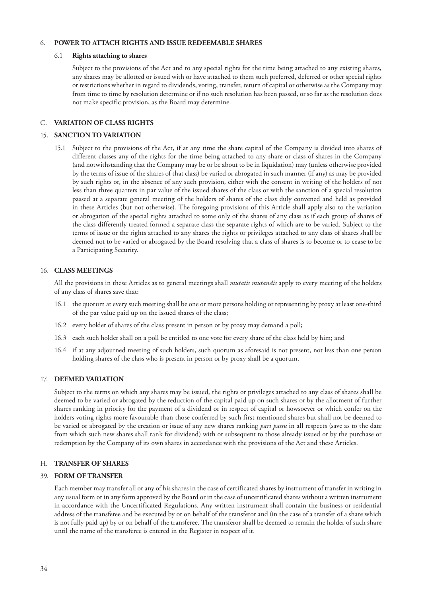#### 6. **POWER TO ATTACH RIGHTS AND ISSUE REDEEMABLE SHARES**

#### 6.1 **Rights attaching to shares**

Subject to the provisions of the Act and to any special rights for the time being attached to any existing shares, any shares may be allotted or issued with or have attached to them such preferred, deferred or other special rights or restrictions whether in regard to dividends, voting, transfer, return of capital or otherwise as the Company may from time to time by resolution determine or if no such resolution has been passed, or so far as the resolution does not make specific provision, as the Board may determine.

#### C. **VARIATION OF CLASS RIGHTS**

#### 15. **SANCTION TO VARIATION**

15.1 Subject to the provisions of the Act, if at any time the share capital of the Company is divided into shares of different classes any of the rights for the time being attached to any share or class of shares in the Company (and notwithstanding that the Company may be or be about to be in liquidation) may (unless otherwise provided by the terms of issue of the shares of that class) be varied or abrogated in such manner (if any) as may be provided by such rights or, in the absence of any such provision, either with the consent in writing of the holders of not less than three quarters in par value of the issued shares of the class or with the sanction of a special resolution passed at a separate general meeting of the holders of shares of the class duly convened and held as provided in these Articles (but not otherwise). The foregoing provisions of this Article shall apply also to the variation or abrogation of the special rights attached to some only of the shares of any class as if each group of shares of the class differently treated formed a separate class the separate rights of which are to be varied. Subject to the terms of issue or the rights attached to any shares the rights or privileges attached to any class of shares shall be deemed not to be varied or abrogated by the Board resolving that a class of shares is to become or to cease to be a Participating Security.

#### 16. **CLASS MEETINGS**

All the provisions in these Articles as to general meetings shall *mutatis mutandis* apply to every meeting of the holders of any class of shares save that:

- 16.1 the quorum at every such meeting shall be one or more persons holding or representing by proxy at least one-third of the par value paid up on the issued shares of the class;
- 16.2 every holder of shares of the class present in person or by proxy may demand a poll;
- 16.3 each such holder shall on a poll be entitled to one vote for every share of the class held by him; and
- 16.4 if at any adjourned meeting of such holders, such quorum as aforesaid is not present, not less than one person holding shares of the class who is present in person or by proxy shall be a quorum.

#### 17. **DEEMED VARIATION**

Subject to the terms on which any shares may be issued, the rights or privileges attached to any class of shares shall be deemed to be varied or abrogated by the reduction of the capital paid up on such shares or by the allotment of further shares ranking in priority for the payment of a dividend or in respect of capital or howsoever or which confer on the holders voting rights more favourable than those conferred by such first mentioned shares but shall not be deemed to be varied or abrogated by the creation or issue of any new shares ranking *pari passu* in all respects (save as to the date from which such new shares shall rank for dividend) with or subsequent to those already issued or by the purchase or redemption by the Company of its own shares in accordance with the provisions of the Act and these Articles.

#### H. **TRANSFER OF SHARES**

#### 39. **FORM OF TRANSFER**

Each member may transfer all or any of his shares in the case of certificated shares by instrument of transfer in writing in any usual form or in any form approved by the Board or in the case of uncertificated shares without a written instrument in accordance with the Uncertificated Regulations. Any written instrument shall contain the business or residential address of the transferee and be executed by or on behalf of the transferor and (in the case of a transfer of a share which is not fully paid up) by or on behalf of the transferee. The transferor shall be deemed to remain the holder of such share until the name of the transferee is entered in the Register in respect of it.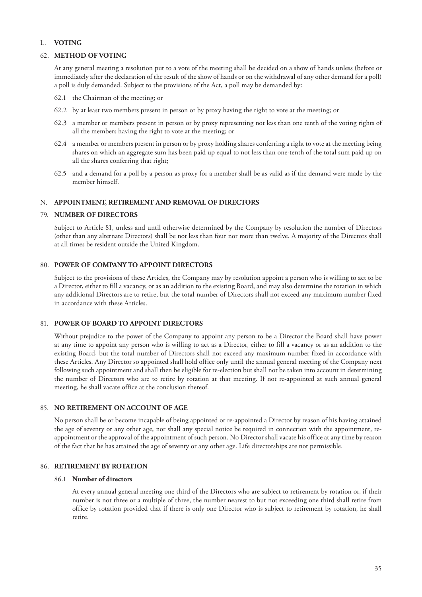# L. **VOTING**

#### 62. **METHOD OF VOTING**

At any general meeting a resolution put to a vote of the meeting shall be decided on a show of hands unless (before or immediately after the declaration of the result of the show of hands or on the withdrawal of any other demand for a poll) a poll is duly demanded. Subject to the provisions of the Act, a poll may be demanded by:

- 62.1 the Chairman of the meeting; or
- 62.2 by at least two members present in person or by proxy having the right to vote at the meeting; or
- 62.3 a member or members present in person or by proxy representing not less than one tenth of the voting rights of all the members having the right to vote at the meeting; or
- 62.4 a member or members present in person or by proxy holding shares conferring a right to vote at the meeting being shares on which an aggregate sum has been paid up equal to not less than one-tenth of the total sum paid up on all the shares conferring that right;
- 62.5 and a demand for a poll by a person as proxy for a member shall be as valid as if the demand were made by the member himself.

# N. **APPOINTMENT, RETIREMENT AND REMOVAL OF DIRECTORS**

#### 79. **NUMBER OF DIRECTORS**

Subject to Article 81, unless and until otherwise determined by the Company by resolution the number of Directors (other than any alternate Directors) shall be not less than four nor more than twelve. A majority of the Directors shall at all times be resident outside the United Kingdom.

#### 80. **POWER OF COMPANY TO APPOINT DIRECTORS**

Subject to the provisions of these Articles, the Company may by resolution appoint a person who is willing to act to be a Director, either to fill a vacancy, or as an addition to the existing Board, and may also determine the rotation in which any additional Directors are to retire, but the total number of Directors shall not exceed any maximum number fixed in accordance with these Articles.

# 81. **POWER OF BOARD TO APPOINT DIRECTORS**

Without prejudice to the power of the Company to appoint any person to be a Director the Board shall have power at any time to appoint any person who is willing to act as a Director, either to fill a vacancy or as an addition to the existing Board, but the total number of Directors shall not exceed any maximum number fixed in accordance with these Articles. Any Director so appointed shall hold office only until the annual general meeting of the Company next following such appointment and shall then be eligible for re-election but shall not be taken into account in determining the number of Directors who are to retire by rotation at that meeting. If not re-appointed at such annual general meeting, he shall vacate office at the conclusion thereof.

#### 85. **NO RETIREMENT ON ACCOUNT OF AGE**

No person shall be or become incapable of being appointed or re-appointed a Director by reason of his having attained the age of seventy or any other age, nor shall any special notice be required in connection with the appointment, reappointment or the approval of the appointment of such person. No Director shall vacate his office at any time by reason of the fact that he has attained the age of seventy or any other age. Life directorships are not permissible.

#### 86. **RETIREMENT BY ROTATION**

#### 86.1 **Number of directors**

At every annual general meeting one third of the Directors who are subject to retirement by rotation or, if their number is not three or a multiple of three, the number nearest to but not exceeding one third shall retire from office by rotation provided that if there is only one Director who is subject to retirement by rotation, he shall retire.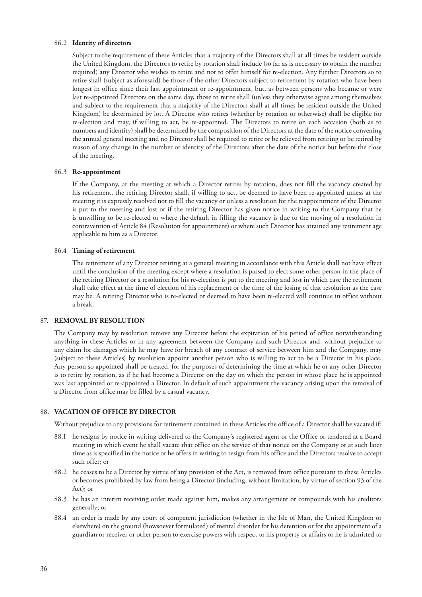#### 86.2 **Identity of directors**

Subject to the requirement of these Articles that a majority of the Directors shall at all times be resident outside the United Kingdom, the Directors to retire by rotation shall include (so far as is necessary to obtain the number required) any Director who wishes to retire and not to offer himself for re-election. Any further Directors so to retire shall (subject as aforesaid) be those of the other Directors subject to retirement by rotation who have been longest in office since their last appointment or re-appointment, but, as between persons who became or were last re-appointed Directors on the same day, those to retire shall (unless they otherwise agree among themselves and subject to the requirement that a majority of the Directors shall at all times be resident outside the United Kingdom) be determined by lot. A Director who retires (whether by rotation or otherwise) shall be eligible for re-election and may, if willing to act, be re-appointed. The Directors to retire on each occasion (both as to numbers and identity) shall be determined by the composition of the Directors at the date of the notice convening the annual general meeting and no Director shall be required to retire or be relieved from retiring or be retired by reason of any change in the number or identity of the Directors after the date of the notice but before the close of the meeting.

#### 86.3 **Re-appointment**

If the Company, at the meeting at which a Director retires by rotation, does not fill the vacancy created by his retirement, the retiring Director shall, if willing to act, be deemed to have been re-appointed unless at the meeting it is expressly resolved not to fill the vacancy or unless a resolution for the reappointment of the Director is put to the meeting and lost or if the retiring Director has given notice in writing to the Company that he is unwilling to be re-elected or where the default in filling the vacancy is due to the moving of a resolution in contravention of Article 84 (Resolution for appointment) or where such Director has attained any retirement age applicable to him as a Director.

#### 86.4 **Timing of retirement**

The retirement of any Director retiring at a general meeting in accordance with this Article shall not have effect until the conclusion of the meeting except where a resolution is passed to elect some other person in the place of the retiring Director or a resolution for his re-election is put to the meeting and lost in which case the retirement shall take effect at the time of election of his replacement or the time of the losing of that resolution as the case may be. A retiring Director who is re-elected or deemed to have been re-elected will continue in office without a break.

#### 87. **REMOVAL BY RESOLUTION**

The Company may by resolution remove any Director before the expiration of his period of office notwithstanding anything in these Articles or in any agreement between the Company and such Director and, without prejudice to any claim for damages which he may have for breach of any contract of service between him and the Company, may (subject to these Articles) by resolution appoint another person who is willing to act to be a Director in his place. Any person so appointed shall be treated, for the purposes of determining the time at which he or any other Director is to retire by rotation, as if he had become a Director on the day on which the person in whose place he is appointed was last appointed or re-appointed a Director. In default of such appointment the vacancy arising upon the removal of a Director from office may be filled by a casual vacancy.

#### 88. **VACATION OF OFFICE BY DIRECTOR**

Without prejudice to any provisions for retirement contained in these Articles the office of a Director shall be vacated if:

- 88.1 he resigns by notice in writing delivered to the Company's registered agent or the Office or tendered at a Board meeting in which event he shall vacate that office on the service of that notice on the Company or at such later time as is specified in the notice or he offers in writing to resign from his office and the Directors resolve to accept such offer; or
- 88.2 he ceases to be a Director by virtue of any provision of the Act, is removed from office pursuant to these Articles or becomes prohibited by law from being a Director (including, without limitation, by virtue of section 93 of the Act); or
- 88.3 he has an interim receiving order made against him, makes any arrangement or compounds with his creditors generally; or
- 88.4 an order is made by any court of competent jurisdiction (whether in the Isle of Man, the United Kingdom or elsewhere) on the ground (howsoever formulated) of mental disorder for his detention or for the appointment of a guardian or receiver or other person to exercise powers with respect to his property or affairs or he is admitted to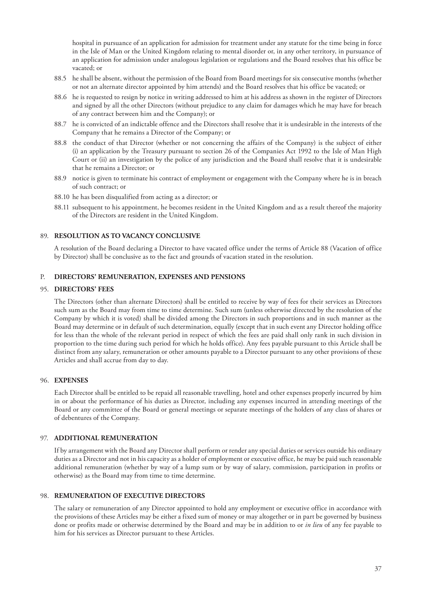hospital in pursuance of an application for admission for treatment under any statute for the time being in force in the Isle of Man or the United Kingdom relating to mental disorder or, in any other territory, in pursuance of an application for admission under analogous legislation or regulations and the Board resolves that his office be vacated; or

- 88.5 he shall be absent, without the permission of the Board from Board meetings for six consecutive months (whether or not an alternate director appointed by him attends) and the Board resolves that his office be vacated; or
- 88.6 he is requested to resign by notice in writing addressed to him at his address as shown in the register of Directors and signed by all the other Directors (without prejudice to any claim for damages which he may have for breach of any contract between him and the Company); or
- 88.7 he is convicted of an indictable offence and the Directors shall resolve that it is undesirable in the interests of the Company that he remains a Director of the Company; or
- 88.8 the conduct of that Director (whether or not concerning the affairs of the Company) is the subject of either (i) an application by the Treasury pursuant to section 26 of the Companies Act 1992 to the Isle of Man High Court or (ii) an investigation by the police of any jurisdiction and the Board shall resolve that it is undesirable that he remains a Director; or
- 88.9 notice is given to terminate his contract of employment or engagement with the Company where he is in breach of such contract; or
- 88.10 he has been disqualified from acting as a director; or
- 88.11 subsequent to his appointment, he becomes resident in the United Kingdom and as a result thereof the majority of the Directors are resident in the United Kingdom.

#### 89. **RESOLUTION AS TO VACANCY CONCLUSIVE**

A resolution of the Board declaring a Director to have vacated office under the terms of Article 88 (Vacation of office by Director) shall be conclusive as to the fact and grounds of vacation stated in the resolution.

#### P. **DIRECTORS' REMUNERATION, EXPENSES AND PENSIONS**

#### 95. **DIRECTORS' FEES**

The Directors (other than alternate Directors) shall be entitled to receive by way of fees for their services as Directors such sum as the Board may from time to time determine. Such sum (unless otherwise directed by the resolution of the Company by which it is voted) shall be divided among the Directors in such proportions and in such manner as the Board may determine or in default of such determination, equally (except that in such event any Director holding office for less than the whole of the relevant period in respect of which the fees are paid shall only rank in such division in proportion to the time during such period for which he holds office). Any fees payable pursuant to this Article shall be distinct from any salary, remuneration or other amounts payable to a Director pursuant to any other provisions of these Articles and shall accrue from day to day.

#### 96. **EXPENSES**

Each Director shall be entitled to be repaid all reasonable travelling, hotel and other expenses properly incurred by him in or about the performance of his duties as Director, including any expenses incurred in attending meetings of the Board or any committee of the Board or general meetings or separate meetings of the holders of any class of shares or of debentures of the Company.

#### 97. **ADDITIONAL REMUNERATION**

If by arrangement with the Board any Director shall perform or render any special duties or services outside his ordinary duties as a Director and not in his capacity as a holder of employment or executive office, he may be paid such reasonable additional remuneration (whether by way of a lump sum or by way of salary, commission, participation in profits or otherwise) as the Board may from time to time determine.

#### 98. **REMUNERATION OF EXECUTIVE DIRECTORS**

The salary or remuneration of any Director appointed to hold any employment or executive office in accordance with the provisions of these Articles may be either a fixed sum of money or may altogether or in part be governed by business done or profits made or otherwise determined by the Board and may be in addition to or *in lieu* of any fee payable to him for his services as Director pursuant to these Articles.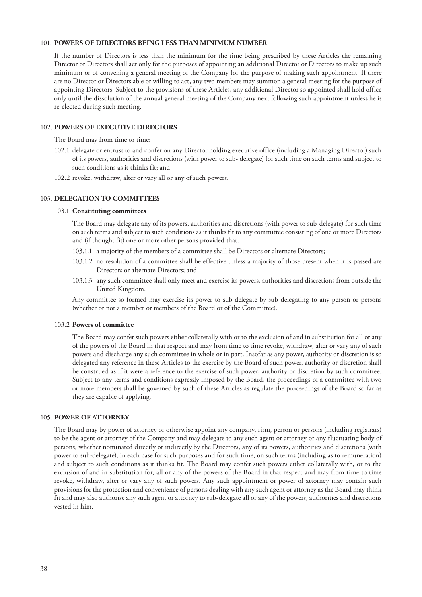# 101. **POWERS OF DIRECTORS BEING LESS THAN MINIMUM NUMBER**

If the number of Directors is less than the minimum for the time being prescribed by these Articles the remaining Director or Directors shall act only for the purposes of appointing an additional Director or Directors to make up such minimum or of convening a general meeting of the Company for the purpose of making such appointment. If there are no Director or Directors able or willing to act, any two members may summon a general meeting for the purpose of appointing Directors. Subject to the provisions of these Articles, any additional Director so appointed shall hold office only until the dissolution of the annual general meeting of the Company next following such appointment unless he is re-elected during such meeting.

#### 102. **POWERS OF EXECUTIVE DIRECTORS**

The Board may from time to time:

- 102.1 delegate or entrust to and confer on any Director holding executive office (including a Managing Director) such of its powers, authorities and discretions (with power to sub- delegate) for such time on such terms and subject to such conditions as it thinks fit; and
- 102.2 revoke, withdraw, alter or vary all or any of such powers.

#### 103. **DELEGATION TO COMMITTEES**

#### 103.1 **Constituting committees**

The Board may delegate any of its powers, authorities and discretions (with power to sub-delegate) for such time on such terms and subject to such conditions as it thinks fit to any committee consisting of one or more Directors and (if thought fit) one or more other persons provided that:

- 103.1.1 a majority of the members of a committee shall be Directors or alternate Directors;
- 103.1.2 no resolution of a committee shall be effective unless a majority of those present when it is passed are Directors or alternate Directors; and
- 103.1.3 any such committee shall only meet and exercise its powers, authorities and discretions from outside the United Kingdom.

Any committee so formed may exercise its power to sub-delegate by sub-delegating to any person or persons (whether or not a member or members of the Board or of the Committee).

#### 103.2 **Powers of committee**

The Board may confer such powers either collaterally with or to the exclusion of and in substitution for all or any of the powers of the Board in that respect and may from time to time revoke, withdraw, alter or vary any of such powers and discharge any such committee in whole or in part. Insofar as any power, authority or discretion is so delegated any reference in these Articles to the exercise by the Board of such power, authority or discretion shall be construed as if it were a reference to the exercise of such power, authority or discretion by such committee. Subject to any terms and conditions expressly imposed by the Board, the proceedings of a committee with two or more members shall be governed by such of these Articles as regulate the proceedings of the Board so far as they are capable of applying.

#### 105. **POWER OF ATTORNEY**

The Board may by power of attorney or otherwise appoint any company, firm, person or persons (including registrars) to be the agent or attorney of the Company and may delegate to any such agent or attorney or any fluctuating body of persons, whether nominated directly or indirectly by the Directors, any of its powers, authorities and discretions (with power to sub-delegate), in each case for such purposes and for such time, on such terms (including as to remuneration) and subject to such conditions as it thinks fit. The Board may confer such powers either collaterally with, or to the exclusion of and in substitution for, all or any of the powers of the Board in that respect and may from time to time revoke, withdraw, alter or vary any of such powers. Any such appointment or power of attorney may contain such provisions for the protection and convenience of persons dealing with any such agent or attorney as the Board may think fit and may also authorise any such agent or attorney to sub-delegate all or any of the powers, authorities and discretions vested in him.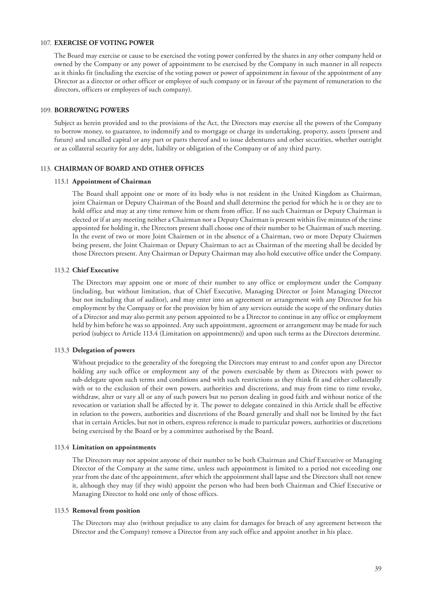# 107. **EXERCISE OF VOTING POWER**

The Board may exercise or cause to be exercised the voting power conferred by the shares in any other company held or owned by the Company or any power of appointment to be exercised by the Company in such manner in all respects as it thinks fit (including the exercise of the voting power or power of appointment in favour of the appointment of any Director as a director or other officer or employee of such company or in favour of the payment of remuneration to the directors, officers or employees of such company).

#### 109. **BORROWING POWERS**

Subject as herein provided and to the provisions of the Act, the Directors may exercise all the powers of the Company to borrow money, to guarantee, to indemnify and to mortgage or charge its undertaking, property, assets (present and future) and uncalled capital or any part or parts thereof and to issue debentures and other securities, whether outright or as collateral security for any debt, liability or obligation of the Company or of any third party.

#### 113. **CHAIRMAN OF BOARD AND OTHER OFFICES**

#### 113.1 **Appointment of Chairman**

The Board shall appoint one or more of its body who is not resident in the United Kingdom as Chairman, joint Chairman or Deputy Chairman of the Board and shall determine the period for which he is or they are to hold office and may at any time remove him or them from office. If no such Chairman or Deputy Chairman is elected or if at any meeting neither a Chairman nor a Deputy Chairman is present within five minutes of the time appointed for holding it, the Directors present shall choose one of their number to be Chairman of such meeting. In the event of two or more Joint Chairmen or in the absence of a Chairman, two or more Deputy Chairmen being present, the Joint Chairman or Deputy Chairman to act as Chairman of the meeting shall be decided by those Directors present. Any Chairman or Deputy Chairman may also hold executive office under the Company.

#### 113.2 **Chief Executive**

The Directors may appoint one or more of their number to any office or employment under the Company (including, but without limitation, that of Chief Executive, Managing Director or Joint Managing Director but not including that of auditor), and may enter into an agreement or arrangement with any Director for his employment by the Company or for the provision by him of any services outside the scope of the ordinary duties of a Director and may also permit any person appointed to be a Director to continue in any office or employment held by him before he was so appointed. Any such appointment, agreement or arrangement may be made for such period (subject to Article 113.4 (Limitation on appointments)) and upon such terms as the Directors determine.

#### 113.3 **Delegation of powers**

Without prejudice to the generality of the foregoing the Directors may entrust to and confer upon any Director holding any such office or employment any of the powers exercisable by them as Directors with power to sub-delegate upon such terms and conditions and with such restrictions as they think fit and either collaterally with or to the exclusion of their own powers, authorities and discretions, and may from time to time revoke, withdraw, alter or vary all or any of such powers but no person dealing in good faith and without notice of the revocation or variation shall be affected by it. The power to delegate contained in this Article shall be effective in relation to the powers, authorities and discretions of the Board generally and shall not be limited by the fact that in certain Articles, but not in others, express reference is made to particular powers, authorities or discretions being exercised by the Board or by a committee authorised by the Board.

#### 113.4 **Limitation on appointments**

The Directors may not appoint anyone of their number to be both Chairman and Chief Executive or Managing Director of the Company at the same time, unless such appointment is limited to a period not exceeding one year from the date of the appointment, after which the appointment shall lapse and the Directors shall not renew it, although they may (if they wish) appoint the person who had been both Chairman and Chief Executive or Managing Director to hold one only of those offices.

#### 113.5 **Removal from position**

The Directors may also (without prejudice to any claim for damages for breach of any agreement between the Director and the Company) remove a Director from any such office and appoint another in his place.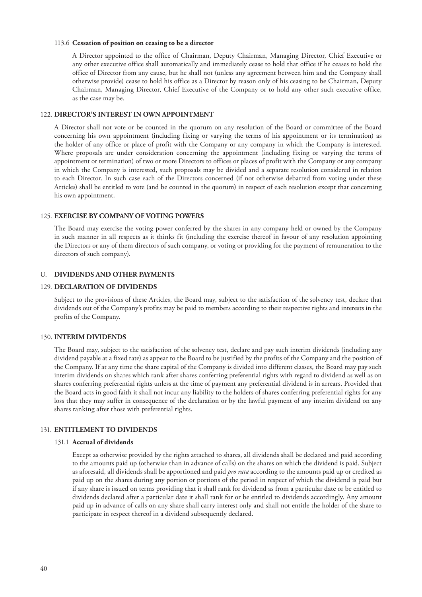#### 113.6 **Cessation of position on ceasing to be a director**

A Director appointed to the office of Chairman, Deputy Chairman, Managing Director, Chief Executive or any other executive office shall automatically and immediately cease to hold that office if he ceases to hold the office of Director from any cause, but he shall not (unless any agreement between him and the Company shall otherwise provide) cease to hold his office as a Director by reason only of his ceasing to be Chairman, Deputy Chairman, Managing Director, Chief Executive of the Company or to hold any other such executive office, as the case may be.

# 122. **DIRECTOR'S INTEREST IN OWN APPOINTMENT**

A Director shall not vote or be counted in the quorum on any resolution of the Board or committee of the Board concerning his own appointment (including fixing or varying the terms of his appointment or its termination) as the holder of any office or place of profit with the Company or any company in which the Company is interested. Where proposals are under consideration concerning the appointment (including fixing or varying the terms of appointment or termination) of two or more Directors to offices or places of profit with the Company or any company in which the Company is interested, such proposals may be divided and a separate resolution considered in relation to each Director. In such case each of the Directors concerned (if not otherwise debarred from voting under these Articles) shall be entitled to vote (and be counted in the quorum) in respect of each resolution except that concerning his own appointment.

#### 125. **EXERCISE BY COMPANY OF VOTING POWERS**

The Board may exercise the voting power conferred by the shares in any company held or owned by the Company in such manner in all respects as it thinks fit (including the exercise thereof in favour of any resolution appointing the Directors or any of them directors of such company, or voting or providing for the payment of remuneration to the directors of such company).

#### U. **DIVIDENDS AND OTHER PAYMENTS**

#### 129. **DECLARATION OF DIVIDENDS**

Subject to the provisions of these Articles, the Board may, subject to the satisfaction of the solvency test, declare that dividends out of the Company's profits may be paid to members according to their respective rights and interests in the profits of the Company.

#### 130. **INTERIM DIVIDENDS**

The Board may, subject to the satisfaction of the solvency test, declare and pay such interim dividends (including any dividend payable at a fixed rate) as appear to the Board to be justified by the profits of the Company and the position of the Company. If at any time the share capital of the Company is divided into different classes, the Board may pay such interim dividends on shares which rank after shares conferring preferential rights with regard to dividend as well as on shares conferring preferential rights unless at the time of payment any preferential dividend is in arrears. Provided that the Board acts in good faith it shall not incur any liability to the holders of shares conferring preferential rights for any loss that they may suffer in consequence of the declaration or by the lawful payment of any interim dividend on any shares ranking after those with preferential rights.

#### 131. **ENTITLEMENT TO DIVIDENDS**

#### 131.1 **Accrual of dividends**

Except as otherwise provided by the rights attached to shares, all dividends shall be declared and paid according to the amounts paid up (otherwise than in advance of calls) on the shares on which the dividend is paid. Subject as aforesaid, all dividends shall be apportioned and paid *pro rata* according to the amounts paid up or credited as paid up on the shares during any portion or portions of the period in respect of which the dividend is paid but if any share is issued on terms providing that it shall rank for dividend as from a particular date or be entitled to dividends declared after a particular date it shall rank for or be entitled to dividends accordingly. Any amount paid up in advance of calls on any share shall carry interest only and shall not entitle the holder of the share to participate in respect thereof in a dividend subsequently declared.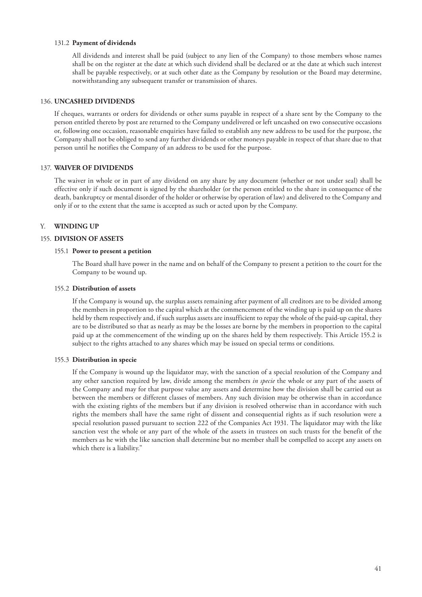#### 131.2 **Payment of dividends**

All dividends and interest shall be paid (subject to any lien of the Company) to those members whose names shall be on the register at the date at which such dividend shall be declared or at the date at which such interest shall be payable respectively, or at such other date as the Company by resolution or the Board may determine, notwithstanding any subsequent transfer or transmission of shares.

#### 136. **UNCASHED DIVIDENDS**

If cheques, warrants or orders for dividends or other sums payable in respect of a share sent by the Company to the person entitled thereto by post are returned to the Company undelivered or left uncashed on two consecutive occasions or, following one occasion, reasonable enquiries have failed to establish any new address to be used for the purpose, the Company shall not be obliged to send any further dividends or other moneys payable in respect of that share due to that person until he notifies the Company of an address to be used for the purpose.

# 137. **WAIVER OF DIVIDENDS**

The waiver in whole or in part of any dividend on any share by any document (whether or not under seal) shall be effective only if such document is signed by the shareholder (or the person entitled to the share in consequence of the death, bankruptcy or mental disorder of the holder or otherwise by operation of law) and delivered to the Company and only if or to the extent that the same is accepted as such or acted upon by the Company.

#### Y. **WINDING UP**

#### 155. **DIVISION OF ASSETS**

#### 155.1 **Power to present a petition**

The Board shall have power in the name and on behalf of the Company to present a petition to the court for the Company to be wound up.

#### 155.2 **Distribution of assets**

If the Company is wound up, the surplus assets remaining after payment of all creditors are to be divided among the members in proportion to the capital which at the commencement of the winding up is paid up on the shares held by them respectively and, if such surplus assets are insufficient to repay the whole of the paid-up capital, they are to be distributed so that as nearly as may be the losses are borne by the members in proportion to the capital paid up at the commencement of the winding up on the shares held by them respectively. This Article 155.2 is subject to the rights attached to any shares which may be issued on special terms or conditions.

#### 155.3 **Distribution in specie**

If the Company is wound up the liquidator may, with the sanction of a special resolution of the Company and any other sanction required by law, divide among the members *in specie* the whole or any part of the assets of the Company and may for that purpose value any assets and determine how the division shall be carried out as between the members or different classes of members. Any such division may be otherwise than in accordance with the existing rights of the members but if any division is resolved otherwise than in accordance with such rights the members shall have the same right of dissent and consequential rights as if such resolution were a special resolution passed pursuant to section 222 of the Companies Act 1931. The liquidator may with the like sanction vest the whole or any part of the whole of the assets in trustees on such trusts for the benefit of the members as he with the like sanction shall determine but no member shall be compelled to accept any assets on which there is a liability."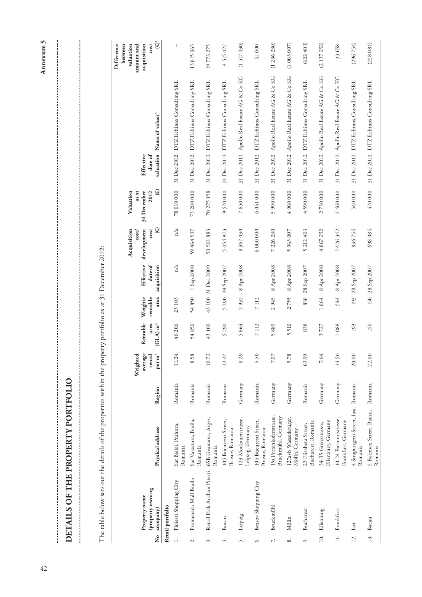**Difference**

Difference

| ו<br>ון                                                                            |
|------------------------------------------------------------------------------------|
| '<br>ו                                                                             |
| ;<br>;<br>;                                                                        |
|                                                                                    |
|                                                                                    |
|                                                                                    |
| $\frac{1}{2}$                                                                      |
|                                                                                    |
| ֧֧֧֧֧֧֧֧֧֧֧֧֧֧֧֧֧֧֧֛֛֛֧֧֚֚֚֚֚֚֚֚֚֚֚֚֚֚֚֚֚֚֚֚֝֝֓֝֓֝֓֝֓֝֬֝֓֝֬֝֓֝֬֝֬֝֬֝֬֝֬֝֬֝֬֝֬֝֬֝֬֝ |
|                                                                                    |
|                                                                                    |
|                                                                                    |
|                                                                                    |
|                                                                                    |
|                                                                                    |
|                                                                                    |
|                                                                                    |
|                                                                                    |
| くちょくじじょく くらいどしらじょく らら じょうしじょく くしゃっしょ                                               |
|                                                                                    |

The table below sets out the details of the properties within the property portfolio as at 31 December 2012: The table below sets out the details of the properties within the property portfolio as at 31 December 2012:

|                     |                              |                                                 |         | Weighted                               |                                |                                 |                        | Acquisition<br>cost/  | Valuation<br>as at    |                  |                                           | valuation<br>between<br>amount and |
|---------------------|------------------------------|-------------------------------------------------|---------|----------------------------------------|--------------------------------|---------------------------------|------------------------|-----------------------|-----------------------|------------------|-------------------------------------------|------------------------------------|
|                     | Property name                |                                                 |         | average                                | Rentable                       | Weighte                         | Effective              | development           | 31 December           | <b>Effective</b> |                                           | acquisition                        |
| 2<br>S              | (property owning<br>company) | Physical address                                | Region  | $\mathbf{per}\,\mathbf{m}^2$<br>rental | area<br>$(GLA)$ m <sup>2</sup> | rentable<br>area                | date of<br>acquisition | $\circledast$<br>cost | $\circledast$<br>2012 | $\rm date$ of    | valuation Name of valuer <sup>5</sup>     | $(\mathbf{\Theta})^1$<br>cost      |
|                     | Retail portfolio             |                                                 |         |                                        |                                |                                 |                        |                       |                       |                  |                                           |                                    |
| $\frac{1}{2}$       | Ploiesti Shopping City       | Sat Blejoi, Prahova,<br>Romania                 | Romania | 11.24                                  | 46 206                         | 23103                           | n/a                    | n/a                   | 78 010 000            | 31 Dec 2012      | DTZ Echinox Consulting SRL                | I                                  |
| $\overline{c}$      | Promenada Mall Braila        | Sat Varsatura, Braila,<br>Romania               | Romania | 8.58                                   | 54850                          | 54850                           | 1 Sep 2008             | 59 464 937            | 73 280 000            | 31 Dec 2012      | DTZ Echinox Consulting SRL                | 13815063                           |
| $\dot{\mathcal{E}}$ | Retail Park Auchan Pitesti   | 65B Geamana, Arges,<br>Romania                  | Romania | 10.72                                  | 43 100                         | 43 100                          | 31 Dec 2009            | 50 501 883            | 70 275 158            | 31 Dec 2012      | DTZ Echinox Consulting SRL                | 19773275                           |
| 4.                  | Brasov                       | 105 Bucuresti Street,<br>Brasov, Romania        | Romania | 12.47                                  | 5290                           | 5290                            | 28 Sep 2007            | 5054973               | 9570000               | 31 Dec 2012      | DTZ Echinox Consulting SRL                | 4515027                            |
| S.                  | Leipzig                      | 123 Mockauerstrasse,<br>Leipzig, Germany        | Germany | 9.29                                   | 5864                           | 932<br>$\overline{\mathcal{C}}$ | 8 Apr 2008             | 9 367 030             | 7850000               | 31 Dec 2012      | Apollo Real Estate AG & Co KG             | (1517030)                          |
| Š                   | Brasov Shopping City         | 105 Bucuresti Street,<br>Brasov, Romania        | Romania | 5.50                                   | 7112                           | 7112                            |                        | 6000000               | 6041000               | 31 Dec 2012      | DTZ Echinox Consulting SRL                | 41000                              |
| $\mathbb{R}^2$      | <b>Bruckmühl</b>             | 15a Pettenkoferstrasse,<br>Bruckmühl, Germany   | Germany | $7.07\,$                               | 5889                           | 2945                            | 8 Apr 2008             | 7 226 230             | 5990000               |                  | 31 Dec 2012 Apollo Real Estate AG & Co KG | (1236230)                          |
| $\infty$            | Mölln                        | 127a+b Wasserkrüger,<br>Mölln, Germany          | Germany | 5.78                                   | 510<br>$\sqrt{ }$              | 2755                            | 8 Apr 2008             | 5963007               | 4960000               | 31 Dec 2012      | Apollo Real Estate AG & Co KG             | (1003007)                          |
| $\sim$              | <b>Bucharest</b>             | Bucharest, Romania<br>23 Elisabeta Street,      | Romania | 63.99                                  | 838                            | 838                             | 28 Sep 2007            | 5 212 403             | 4590000               | 31 Dec 2012      | DTZ Echinox Consulting SRL                | (622403)                           |
| 10.                 | Eilenburg                    | Eilenburg, Germany<br>34-35 Grenzstrasse,       | Germany | 7.64                                   | 3727                           | 1864                            | 8 Apr 2008             | 4867252               | 2730000               | 31 Dec 2012      | Apollo Real Estate AG & Co KG             | (2137252)                          |
| $\overline{a}$      | Frankfurt                    | 10-24 Battonnstrasse,<br>Frankfurt, Germany     | Germany | 14.50                                  | 1088                           | 544                             | 8 Apr 2008             | 2426342               | 2460000               | 31 Dec 2012      | Apollo Real Estate AG & Co KG             | 33 658                             |
| 12.                 | Iasi                         | 4 Strapungerii Street, Iasi, Romania<br>Romania |         | 20.00                                  | 193                            | 193                             | 28 Sep 2007            | 836754                | 540 000               | 31 Dec 2012      | DTZ Echinox Consulting SRL                | (296754)                           |
|                     | 13. Bacau                    | 5 Balcescu Street, Bacau, Romania<br>Romania    |         | 22.00                                  | 150                            |                                 | 150 28 Sep 2007        | 698084                | 470 000               |                  | 31 Dec 2012 DTZ Echinox Consulting SRL    | (228084)                           |

Annexure 5 42**Annexure 5**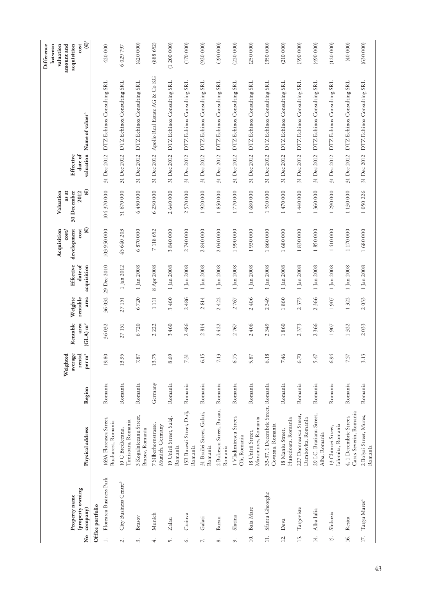|                | Property name                     |                                                        |         | ਦ੍<br>average<br>Weighte               | Rentable                        | Weighte                         | Effective                     | development<br>Acquisition<br>cost/ | as at<br>31 December<br>Valuation  | Effective            |                               | Difference<br>between<br>valuation<br>acquisition<br>amount and |
|----------------|-----------------------------------|--------------------------------------------------------|---------|----------------------------------------|---------------------------------|---------------------------------|-------------------------------|-------------------------------------|------------------------------------|----------------------|-------------------------------|-----------------------------------------------------------------|
| å<br>S         | (property owning<br>company)      | Physical address                                       | Region  | $\mathbf{per}\,\mathbf{m}^2$<br>rental | area<br>$(GLA)$ m <sup>2</sup>  | rentable<br>area                | $\rm{date}$ of<br>acquisition | $\circledast$<br>cost               | $\circledast$<br>2012              | date of<br>valuation | Name of valuer <sup>5</sup>   | $\widetilde{\mathfrak{g}}^1$<br>cost                            |
|                | Office portfolio                  |                                                        |         |                                        |                                 |                                 |                               |                                     |                                    |                      |                               |                                                                 |
| $\overline{a}$ | Floreasca Business Park           | 169A Floreasca Street,<br>Bucharest, Romania           | Romania | $\subseteq$<br>19.8                    | 36032                           | 36032                           | 29 Dec 2010                   | 103 950 000                         | 104 370 000                        | 31 Dec 2012          | DTZ Echinox Consulting SRL    | 420 000                                                         |
| $\sim$         | City Business Centre <sup>3</sup> | Timisoara, Romania<br>10 C Brediceanu,                 | Romania | 13.95                                  | 27 151                          | 27 151                          | 1 Jan 2012                    | 45 640 203                          | 51670000                           | 31 Dec 2012          | DTZ Echinox Consulting SRL    | 6 0 29 7 9 7                                                    |
| 3.             | Brasov                            | 3 Kogalniceanu Street,<br>Brasov, Romania              | Romania | $7.87\,$                               | 6720                            | 6720                            | 1 Jan 2008                    | 6870000                             | 6450000                            | 31 Dec 2012          | DTZ Echinox Consulting SRL    | (420000)                                                        |
| 4.             | Munich                            | 7 Silberhornstrasse,<br>Munich, Germany                | Germany | 13.75                                  | 222<br>$\overline{\mathcal{C}}$ | 1111                            | 8 Apr 2008                    | 7 118 652                           | 6230000                            | 31 Dec 2012          | Apollo Real Estate AG & Co KG | (888652)                                                        |
| Š.             | Zalau                             | 19 Unirii Street, Salaj,<br>Romania                    | Romania | 8.69                                   | 460<br>$\infty$                 | 3460                            | 1 Jan 2008                    | 840000<br>$\tilde{\mathcal{E}}$     | 640000<br>$\mathcal{L}$            | 31 Dec 2012          | DTZ Echinox Consulting SRL    | (1200000)                                                       |
| Ġ.             | Craiova                           | I5B Buzesti Street, Dolj,<br>Romania                   | Romania | 7.31                                   | 486<br>$\overline{\mathcal{L}}$ | 486<br>$\overline{\mathcal{L}}$ | 1 Jan 2008                    | 2740000                             | 570000<br>$\overline{\mathcal{L}}$ | 31 Dec 2012          | DTZ Echinox Consulting SRL    | (170000)                                                        |
| Z.             | Galati                            | 31 Brailei Street, Galati,<br>Romania                  | Romania | $\overline{C}$<br>$\ddot{\circ}$       | 814<br>$\sim$                   | 814<br>$\sim$                   | 1 Jan 2008                    | 840 000<br>$\sim$                   | 920 000                            | 31 Dec 2012          | DTZ Echinox Consulting SRL    | (920 000)                                                       |
| $\infty$       | Buzau                             | 2 Balcescu Street, Buzau,<br>Romania                   | Romania | 3<br>$\gtrsim$                         | 422<br>$\mathcal{L}$            | 422<br>$\sim$                   | 1 Jan 2008                    | 2040000                             | 850000<br>$\overline{ }$           | 31 Dec 2012          | DTZ Echinox Consulting SRL    | (190 000)                                                       |
| c,             | Slatina                           | 1 Vladimirescu Street,<br>Olt, Romania                 | Romania | Ňλ<br>67                               | 2767                            | 767<br>$\overline{\mathcal{L}}$ | 1 Jan 2008                    | 1990 000                            | 770000<br>$\overline{ }$           | 31 Dec 2012          | DTZ Echinox Consulting SRL    | (220 000)                                                       |
| 10.            | Baia Mare                         | Maramures, Romania<br>18 Unirii Street,                | Romania | 5.87                                   | 406<br>$\overline{\mathcal{C}}$ | 406<br>$\mathcal{L}$            | 1 Jan 2008                    | 930 000<br>$\overline{ }$           | 680000                             | 31 Dec 2012          | DTZ Echinox Consulting SRL    | (250 000)                                                       |
| $\exists$      | Sfantu Gheorghe                   | 33-37, 1 Decembrie Street, Romania<br>Covasna, Romania |         | ${}^{\circ}$<br>$\overline{61}$        | 349<br>$\mathcal{L}$            | 349<br>$\mathcal{L}$            | 1 Jan 2008                    | 1860000                             | 1510000                            | 31 Dec 2012          | DTZ Echinox Consulting SRL    | (350 000)                                                       |
| 12.            | Deva                              | Hunedoara, Romania<br>18 Maniu Street,                 | Romania | ڡ<br>7.4                               | 860<br>$\overline{ }$           | 860<br>$\overline{ }$           | 1 Jan 2008                    | 680000                              | 470 000                            | 31 Dec 2012          | DTZ Echinox Consulting SRL    | (210 000)                                                       |
| 13.            | Targoviste                        | 227 Domneasca Street,<br>Dambovita, Romania            | Romania | 6.70                                   | 373<br>$\mathcal{L}$            | 373<br>$\sim$                   | 1 Jan 2008                    | 830000<br>$\overline{ }$            | 440 000                            | 31 Dec 2012          | DTZ Echinox Consulting SRL    | (390 000)                                                       |
| 14.            | Alba Iulia                        | 29 I.C. Bratianu Street,<br>Alba, Romania              | Romania | 5.47                                   | 366<br>$\mathcal{L}$            | 366<br>$\sim$                   | 1 Jan 2008                    | 850000                              | 360 000                            | 31 Dec 2012          | DTZ Echinox Consulting SRL    | (490000)                                                        |
| 15.            | Slobozia                          | Ialomita, Romania<br>13 Chimiei Street,                | Romania | 6.94                                   | 907<br>$\overline{ }$           | 907                             | 1 Jan 2008                    | 1410000                             | 290 000                            | 31 Dec 2012          | DTZ Echinox Consulting SRL    | (120000)                                                        |
| 16.            | Resita                            | Caras-Severin, Romania<br>4, 1 Decembrie Street,       | Romania | 7.57                                   | 322<br>$\overline{\phantom{0}}$ | 322<br>$\overline{ }$           | 1 Jan 2008                    | 1170000                             | 1 130 000                          | 31 Dec 2012          | DTZ Echinox Consulting SRL    | (40000)                                                         |
| 17.            | Targu Mures <sup>4</sup>          | 2 Bolyai Street, Mures,<br>Romania                     | Romania | 3<br>3.1                               | 2033                            | 2033                            | 1 Jan 2008                    | 1680000                             | 1050226                            | 31 Dec 2012          | DTZ Echinox Consulting SRL    | (630000)                                                        |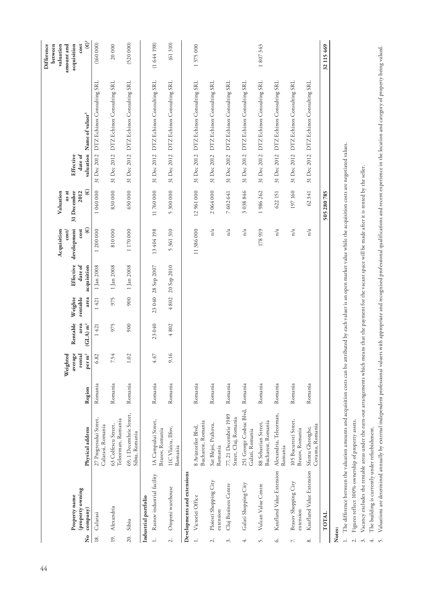| $\mathbf{\hat{z}}$ | property owning<br>Property name<br>company) | Physical address                               | Region  | average<br>$\mathbf{per}\,\mathbf{m}^2$<br>rental<br>Weighted | Rentable<br>area<br>$(GLA)$ m <sup>2</sup> | Weighte<br>rentable<br>area | Effective<br>date of<br>acquisition | $\circledast$<br>development<br>cost<br>Acquisition<br>cost/ | $\circledast$<br>Valuation<br>as at<br>31 December<br>2012 | valuation<br>$\rm{date}$ of<br>Effective | Name of valuer <sup>5</sup>            | $\widetilde{\mathfrak{S}}^1$<br>Difference<br>valuation<br>acquisition<br>cost<br>between<br>amount and |
|--------------------|----------------------------------------------|------------------------------------------------|---------|---------------------------------------------------------------|--------------------------------------------|-----------------------------|-------------------------------------|--------------------------------------------------------------|------------------------------------------------------------|------------------------------------------|----------------------------------------|---------------------------------------------------------------------------------------------------------|
| 18.                | Calarasi                                     | 27 Progresului Street,<br>Calarasi, Romania    | Romania | 6.82                                                          | 1421                                       | 1421                        | 1 Jan 2008                          | 1200000                                                      | 1040000                                                    | 31 Dec 2012                              | DTZ Echinox Consulting SRL             | (160000)                                                                                                |
| 19.                | Alexandria                                   | Teleorman, Romania<br>63 Colfescu Street,      | Romania | 7.54                                                          | 975                                        | 975                         | 1 Jan 2008                          | 810000                                                       | 830000                                                     | 31 Dec 2012                              | DTZ Echinox Consulting SRL             | 20000                                                                                                   |
| 20.                | Sibiu                                        | 69, 1 Decembrie Street,<br>Sibiu, Romania      | Romania | 1.02                                                          | 900                                        | 900                         | $1$ Jan $2008\,$                    | 1 170 000                                                    | 650000                                                     | 31 Dec 2012                              | DTZ Echinox Consulting SRL             | (520 000)                                                                                               |
|                    | Industrial portfolio                         |                                                |         |                                                               |                                            |                             |                                     |                                                              |                                                            |                                          |                                        |                                                                                                         |
| $\overline{a}$     | Rasnov industrial facility                   | 1A Campului Street,<br>Brasov, Romania         | Romania | 4.47                                                          | 23040                                      |                             | 23 040 28 Sep 2007                  | 13 404 198                                                   | 11760000                                                   |                                          | 31 Dec 2012 DTZ Echinox Consulting SRL | (1644198)                                                                                               |
| $\overline{c}$ .   | Otopeni warehouse                            | IIC Vlaicu, Ilfov,<br>Romania                  | Romania | 9.16                                                          | 4802                                       | 4802                        | 20 Sep 2010                         | 5 361 310                                                    | 5 300 000                                                  | 31 Dec 2012                              | DTZ Echinox Consulting SRL             | (61310)                                                                                                 |
|                    | Developments and extensions                  |                                                |         |                                                               |                                            |                             |                                     |                                                              |                                                            |                                          |                                        |                                                                                                         |
| $\overline{a}$     | Victoriei Office                             | Bucharest, Romania<br>8 Aviatorilor Blvd,      | Romania |                                                               |                                            |                             |                                     | 11386000                                                     | 12961000                                                   |                                          | 31 Dec 2012 DTZ Echinox Consulting SRL | 1575000                                                                                                 |
| $\overline{c}$     | Ploiesti Shopping City<br>extension          | Sat Blejoi, Prahova,<br>Romania                | Romania |                                                               |                                            |                             |                                     | n/a                                                          | 2064000                                                    | 31 Dec 2012                              | DTZ Echinox Consulting SRL             |                                                                                                         |
| 3.                 | Cluj Business Centre                         | 77, 21 Decembrie 1989<br>Street, Cluj, Romania | Romania |                                                               |                                            |                             |                                     | n/a                                                          | 7 602 641                                                  | 31 Dec 2012                              | DTZ Echinox Consulting SRL             |                                                                                                         |
| $\ddot{+}$         | Galati Shopping City                         | 251 George Cosbuc Blvd,<br>Galati, Romania     | Romania |                                                               |                                            |                             |                                     | n/a                                                          | 3 038 846                                                  | 31 Dec 2012                              | DTZ Echinox Consulting SRL             |                                                                                                         |
| Š.                 | Vulcan Value Centre                          | Bucharest, Romania<br>88 Sebastian Street,     | Romania |                                                               |                                            |                             |                                     | 178919                                                       | 1986262                                                    | 31 Dec 2012                              | DTZ Echinox Consulting SRL             | 1807343                                                                                                 |
| Ġ.                 | Kaufland Value Extension                     | Alexandria, Teleorman,<br>Romania              | Romania |                                                               |                                            |                             |                                     | n/a                                                          | 622 151                                                    | 31 Dec 2012                              | DTZ Echinox Consulting SRL             |                                                                                                         |
| $\mathbb{N}$       | Brasov Shopping City<br>extension            | 105 Bucuresti Street,<br>Brasov, Romania       | Romania |                                                               |                                            |                             |                                     | n/a                                                          | 197 160                                                    | 31 Dec 2012                              | DTZ Echinox Consulting SRL             |                                                                                                         |
| $\infty$           | Kaufland Value Extension                     | Covasna, Romania<br>Sfantu Gheorghe,           | Romania |                                                               |                                            |                             |                                     | n/a                                                          | 62341                                                      | 31 Dec 2012                              | DTZ Echinox Consulting SRL             |                                                                                                         |
|                    | TOTAL                                        |                                                |         |                                                               |                                            |                             |                                     |                                                              | 505280785                                                  |                                          |                                        | 32 115 469                                                                                              |
| Notes:             |                                              |                                                |         |                                                               |                                            |                             |                                     |                                                              |                                                            |                                          |                                        |                                                                                                         |

1. The difference between the valuation amounts and acquisition costs can be attributed by each valuer is an open market value while the acquisition costs are negotiated values. ಕ್ಷ್ಮ ≣r եր<br>Գ ້ ļ

2. Figures reflect 100% ownership of property assets.

Vacancy excludes the rentable areas under the earn-out arrangements which means that the payment for the vacant space will be made after it is rented by the seller. 3. Vacancy excludes the rentable areas under the earn-out arrangements which means that the payment for the vacant space will be made after it is rented by the seller.

4. The building is currently under refurbishment.

Valuations are determined annually by external independent professional valuers with appropriate and recognised professional qualifications and recent experience in the location and category of property being valued. 5. Valuations are determined annually by external independent professional valuers with appropriate and recognised professional qualifications and recent experience in the location and category of property being valued.2. Figures reflect 100% ownership of property assets.<br>
3. Vacancy excludes the rentable areas under the earn-o<br>
4. The building is currently under refurbishment.<br>
5. Valuations are determined annually by external indep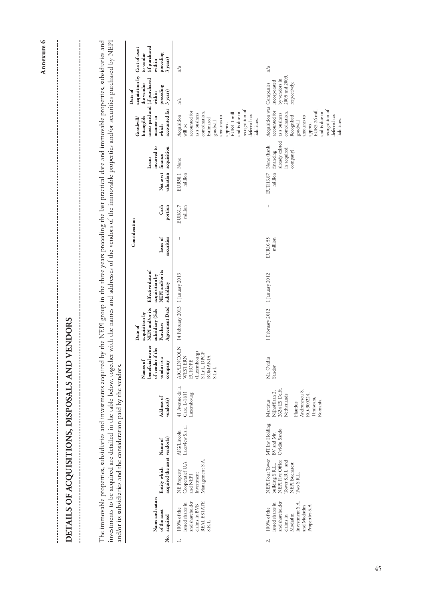| Annexure 6 |                                                                                                                                                                                                                                                                                                                                                                       | Cost of asset             | (if purchased<br>preceding<br>to vendor<br>3 years)<br>within                        | n/a                                                                                                                                                                                                          | n/a                                                                                                                                                                                                               |
|------------|-----------------------------------------------------------------------------------------------------------------------------------------------------------------------------------------------------------------------------------------------------------------------------------------------------------------------------------------------------------------------|---------------------------|--------------------------------------------------------------------------------------|--------------------------------------------------------------------------------------------------------------------------------------------------------------------------------------------------------------|-------------------------------------------------------------------------------------------------------------------------------------------------------------------------------------------------------------------|
|            |                                                                                                                                                                                                                                                                                                                                                                       | acquisition by<br>Date of | (if purchased<br>the vendor<br>preceding<br>3 years)<br>within                       | n/a                                                                                                                                                                                                          | 2005 and 2009,<br>by vendors in<br>incorporated<br>respectively.                                                                                                                                                  |
|            |                                                                                                                                                                                                                                                                                                                                                                       | Goodwill/                 | assets paid and<br>accounted for<br>Intangible<br>manner in<br>which                 | recognition of<br>accounted for<br>and is due to<br>combination.<br>EUR4.1 mill<br>as a business<br>deferred tax<br>Acquisition<br>amounts to<br>Estimated<br>liabilities.<br>goodwill<br>approx.<br>will be | Acquisition was Companies<br>recognition of<br>EUR3.26 mill<br>accounted for<br>and is due to<br>combination.<br>as a business<br>deferred tax<br>amounts to<br>Recognised<br>liabilities.<br>goodwill<br>approx. |
|            | The immovable properties, subsidiaries and investments acquired by the NEPI group in the three years preceding the last practical date and immovable properties, subsidiaries and<br>investments to be acquired are detailed in the table below, together with the names and addresses of the vendors of the immovable properties and/or securities purchased by NEPI |                           | incurred to<br>acquisition<br>finance<br>Loans<br>Net asset<br>valuation             | None<br>EUR58.1<br>million                                                                                                                                                                                   | already existed<br>None (bank<br>in acquired<br>company).<br>financing<br>million<br>EUR13.87                                                                                                                     |
|            |                                                                                                                                                                                                                                                                                                                                                                       |                           | Cash<br>portion                                                                      | million<br>EUR61.7                                                                                                                                                                                           |                                                                                                                                                                                                                   |
|            |                                                                                                                                                                                                                                                                                                                                                                       | Consideration             | Issue of<br>securities                                                               | $\overline{\phantom{a}}$                                                                                                                                                                                     | EUR16.55<br>million                                                                                                                                                                                               |
|            |                                                                                                                                                                                                                                                                                                                                                                       |                           | Effective date of<br>NEPI and/or its<br>acquisition by<br>subsidiary                 |                                                                                                                                                                                                              | 1 January 2012                                                                                                                                                                                                    |
|            | VENDORS                                                                                                                                                                                                                                                                                                                                                               | Date of                   | Agreement Date)<br>NEPI and/or its<br>subsidiary (Sale<br>acquisition by<br>Purchase | 14 February 2013 1 January 2013                                                                                                                                                                              | 1 February 2012                                                                                                                                                                                                   |
|            |                                                                                                                                                                                                                                                                                                                                                                       |                           | beneficial owner<br>of vendor if the<br>vendor is a<br>Names of<br>company           | <b>AIG/LINCOLN</b><br>(Luxembourg)<br>S.à.r.l., DPGP<br>WESTERN<br>ROMANIA<br><b>EUROPE</b><br>S.a.r.l.                                                                                                      | Mr. Ovidiu<br>Sandor                                                                                                                                                                                              |
|            |                                                                                                                                                                                                                                                                                                                                                                       |                           | Address of<br>vendor(s)                                                              | 41 Avenue de la<br>Gare, L-1611<br>Luxembourg                                                                                                                                                                | 2624 ES Delft,<br>Andronescu 8,<br>Nijhofflaan 2,<br>RO-300224,<br>Netherlands<br>Timisoara,<br>Martinus<br>Romania<br>Plautius                                                                                   |
|            |                                                                                                                                                                                                                                                                                                                                                                       |                           | Name of                                                                              | Lakeview S.a.r.l<br>AIG/Lincoln                                                                                                                                                                              | MTInv Holding<br>Ovidiu Sando<br>BV and Mr.                                                                                                                                                                       |
|            |                                                                                                                                                                                                                                                                                                                                                                       |                           | acquired the asset vendor(s)<br>Entity which                                         | Management S.A.<br>Cooperatief U.A.<br>NE Property<br>Investment<br>and NEPI                                                                                                                                 | NEPI Four Tower<br>NEPI Five Office<br>Tower S.R.L. and<br>building S.R.L.,<br>NEPI Bucharest<br>Two S.R.L.                                                                                                       |
|            | DETAILS OF ACQUISITIONS, DISPOSALS AND V<br>and/or its subsidiaries and the consideration paid by the vendors.                                                                                                                                                                                                                                                        |                           | Name and nature<br>of the asset<br>acquired                                          | and shareholder<br>REAL ESTATE<br>issued shares in<br>claims in BVB<br>100% of the<br>S.R.L.                                                                                                                 | and shareholder<br>Investment S.A.<br>issued shares in<br>Properties S.A.<br>and Modatim<br>100% of the<br>Modatim<br>claims in                                                                                   |
|            |                                                                                                                                                                                                                                                                                                                                                                       |                           | ,<br>Ž                                                                               | $\div$                                                                                                                                                                                                       | $\sim$                                                                                                                                                                                                            |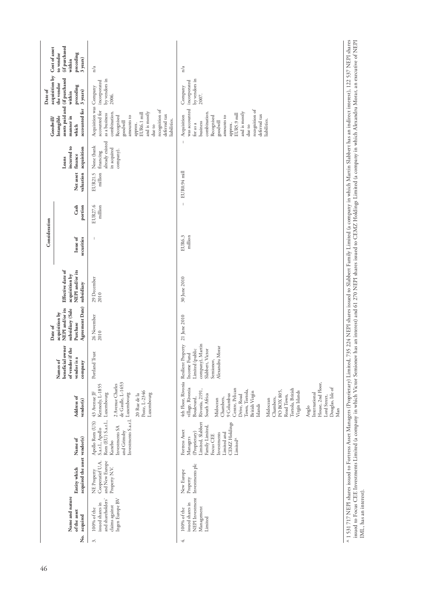| Cost of asset             | (if purchased<br>to vendor<br>preceding<br>3 years)<br>within                        | n/a                                                                                                                                                                                                                      | n/a                                                                                                                                                                                                                                                                                                                                                                            |
|---------------------------|--------------------------------------------------------------------------------------|--------------------------------------------------------------------------------------------------------------------------------------------------------------------------------------------------------------------------|--------------------------------------------------------------------------------------------------------------------------------------------------------------------------------------------------------------------------------------------------------------------------------------------------------------------------------------------------------------------------------|
| acquisition by<br>Date of | assets paid and (if purchased<br>the vendor<br>preceding<br>3 years)<br>within       | by vendors in<br>incorporated<br>2006.                                                                                                                                                                                   | by vendors in<br>incorporated<br>Company<br>2007.                                                                                                                                                                                                                                                                                                                              |
| Goodwill                  | accounted for<br>manner in<br>Intangible<br>which                                    | Acquisition was Company<br>recognition of<br>accounted for<br>and is mostly<br>combination.<br>EUR6.1 mill<br>as a business<br>deferred tax<br>amounts to<br>Recognised<br>liabilities.<br>goodwill<br>approx.<br>due to | was accounted<br>recognition of<br>and is mostly<br>combination.<br>EUR5.9 mill<br>deferred tax<br>Acquisition<br>amounts to<br>Recognised<br>liabilities.<br>goodwill<br>business<br>арргох.<br>for as a<br>due to<br>$\overline{1}$                                                                                                                                          |
|                           | incurred to<br>acquisition<br>finance<br>Loans                                       | already existed<br>None (bank<br>in acquired<br>company).<br>financing                                                                                                                                                   |                                                                                                                                                                                                                                                                                                                                                                                |
|                           | Net asset<br>valuation                                                               | million<br>EUR21.5                                                                                                                                                                                                       | EUR0.94 mill                                                                                                                                                                                                                                                                                                                                                                   |
|                           | Cash<br>portion                                                                      | EUR27.6<br>million                                                                                                                                                                                                       | $\overline{1}$                                                                                                                                                                                                                                                                                                                                                                 |
| Consideration             | Issue of<br>securities                                                               | $\overline{\phantom{a}}$                                                                                                                                                                                                 | million<br>EUR6.3                                                                                                                                                                                                                                                                                                                                                              |
|                           | Effective date of<br>NEPI and/or its<br>acquisition by<br>subsidiary                 | 29 December<br>2010                                                                                                                                                                                                      | 735 224 NEPI shares issued to Slabbert Family Limited (a company in which Martin Slabbert has an indirect interest), 122 537 NEPI shares<br>30 June 2010                                                                                                                                                                                                                       |
| Date of                   | Agreement Date)<br>NEPI and/or its<br>subsidiary (Sale<br>acquisition by<br>Purchase | 26 November<br>2010                                                                                                                                                                                                      |                                                                                                                                                                                                                                                                                                                                                                                |
|                           | owner<br>of vendor if the<br>vendor is a<br>beneficial<br>Names of<br>company        | Portland Trust                                                                                                                                                                                                           | 4th Floor, Rivonia Resilient Property 21 June 2010<br>company), Martin<br>Alexandru Morar<br>Slabbert, Victor<br>Limited (public<br>Income Fund<br>Semionov,                                                                                                                                                                                                                   |
|                           | Address of<br>vendor(s)                                                              | de Gaulle, L-1653<br>2 Avenue Charles<br>Kennedy, L-1855<br>Poste, L-2346<br>43 Avenue JF<br>Luxembourg<br>20 Rue de la                                                                                                  | House, 2nd Floor,<br>Douglas, Isle of<br>village, Rivonia<br>Tortola, British<br>Centre, Pelican<br>Rivonia, 2191,<br>Town, Tortola,<br>British Virgin<br>PO BOX 805,<br>Virgin Islands<br>International<br>9 Columbus<br>Drive, Road<br>South Africa<br>Road Town,<br>Lord Street,<br>Chambers,<br>Chambers,<br>Boulevard,<br>Midocean<br>Midocean<br>Islands<br>Anglo<br>Man |
|                           | Name of                                                                              | Rom (EU) S.a.r.l., Luxembourg<br>Investments S.a.r.1. Luxembourg<br>Apollo Rom (US)<br>Investments SA<br>S.a.r.l., Apollo<br>and Grimsby<br>Kanebo                                                                       | Limited, Slabbert<br>CEMZ Holdings<br>Family Limited,<br>Fortress Asset<br>(Proprietary)<br>Investments<br>Limited and<br>Focus CEE<br>Managers<br>Limited <sup>^</sup>                                                                                                                                                                                                        |
|                           | acquired the asset vendor(s)<br>Entity which                                         | and New Europe<br>Cooperatief U.A.<br>Property N.V.<br>NE Property                                                                                                                                                       | Investments plc<br>New Europe<br>Property                                                                                                                                                                                                                                                                                                                                      |
|                           | Name and nature<br>of the asset<br>acquired                                          | Ingen Europe BV<br>and shareholders'<br>issued shares in<br>claims against<br>100% of the                                                                                                                                | ^ 1 531 717 NEPI shares issued to Fortress Asset Managers (Proprietary) Limited,<br>NEPI Investment<br>issued shares in<br>Management<br>100% of the<br>Limited                                                                                                                                                                                                                |
|                           | ,<br>Ž                                                                               | 3.                                                                                                                                                                                                                       | 4.                                                                                                                                                                                                                                                                                                                                                                             |

issued to Focus CEE Investments Limited (a company in which Victor Semionov has an interest) and 61 270 NEPI shares issued to CEMZ Holdings Limited (a company in which Alexandru Morar, an executive of NEPI<br>IML, has an inte issued to Focus CEE Investments Limited (a company in which Victor Semionov has an interest) and 61 270 NEPI shares issued to CEMZ Holdings Limited (a company in which Alexandru Morar, an executive of NEPI IML, has an interest).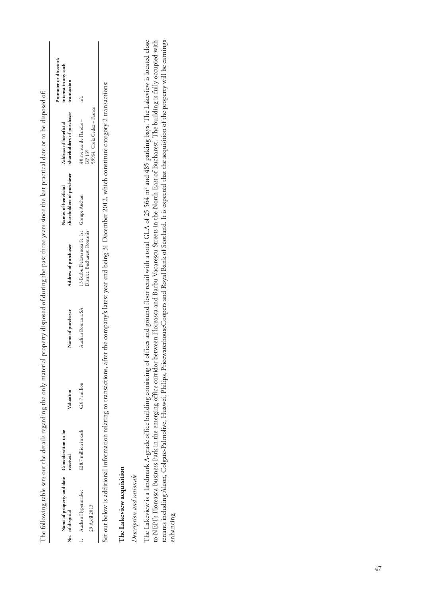| Name of property and date Consideration to be<br>No. of disposal | received              | Valuation     | Name of purchaser | Address of purchaser                       | shareholders of purchaser<br>Names of beneficial | shareholders of purchaser<br>Address of beneficial | Promoter or director's<br>interest in any such<br>transaction |
|------------------------------------------------------------------|-----------------------|---------------|-------------------|--------------------------------------------|--------------------------------------------------|----------------------------------------------------|---------------------------------------------------------------|
| 1. Auchan Hypermarket                                            | €28.7 million in cash | €28.7 million | Auchan Romania SA | 13 Barbu Delavrancea St, 1st Groupe Auchan |                                                  | 40 avenue de Flandre –<br>BP 139                   | n/a                                                           |
| 29 April 2013                                                    |                       |               |                   | District, Bucharest, Romania               |                                                  | 59964 Croix Cedex - France                         |                                                               |

Set out below is additional information relating to transactions, after the company's latest year end being 31 December 2012, which constitute category 2 transactions: \ Ir∩st ٩ Set out below is additional information relating to transactions, after the company's latest year

# The Lakeview acquisition **The Lakeview acquisition**

# Description and rationale *Description and rationale*

The Lakeview is a landmark A-grade office building consisting of offices and ground floor retail with a total GLA of 25 564 m<sup>2</sup> and 485 parking bays. The Lakeview is located close The Lakeview is a landmark A-grade office building consisting of offices and ground floor retail with a total GLA of 25 564 m2 and 485 parking bays. The Lakeview is located close to NEPI's Floreasca Business Park in the emerging office corridor between Floreasca and Barbu Vacarescu Streets in the North East of Bucharest. The building is fully occupied with<br>tenants including Alcon, Colgate-Palmolive to NEPI's Floreasca Business Park in the emerging office corridor between Floreasca and Barbu Vacarescu Streets in the North East of Bucharest. The building is fully occupied with tenants including Alcon, Colgate-Palmolive, Huawei, Philips, PricewaterhouseCoopers and Royal Bank of Scotland. It is expected that the acquisition of the property will be earnings enhancing.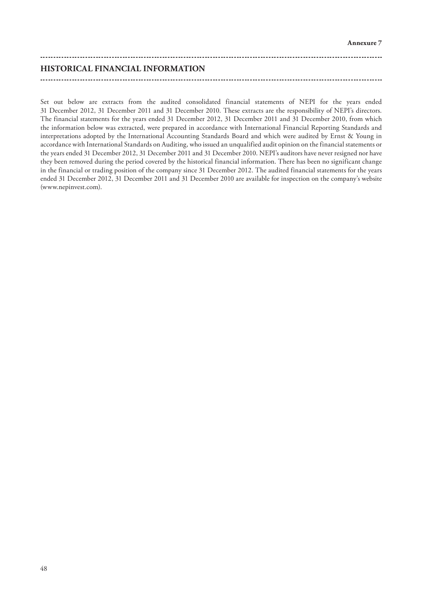# **HISTORICAL FINANCIAL INFORMATION**

Set out below are extracts from the audited consolidated financial statements of NEPI for the years ended 31 December 2012, 31 December 2011 and 31 December 2010. These extracts are the responsibility of NEPI's directors. The financial statements for the years ended 31 December 2012, 31 December 2011 and 31 December 2010, from which the information below was extracted, were prepared in accordance with International Financial Reporting Standards and interpretations adopted by the International Accounting Standards Board and which were audited by Ernst & Young in accordance with International Standards on Auditing, who issued an unqualified audit opinion on the financial statements or the years ended 31 December 2012, 31 December 2011 and 31 December 2010. NEPI's auditors have never resigned nor have they been removed during the period covered by the historical financial information. There has been no significant change in the financial or trading position of the company since 31 December 2012. The audited financial statements for the years ended 31 December 2012, 31 December 2011 and 31 December 2010 are available for inspection on the company's website (www.nepinvest.com).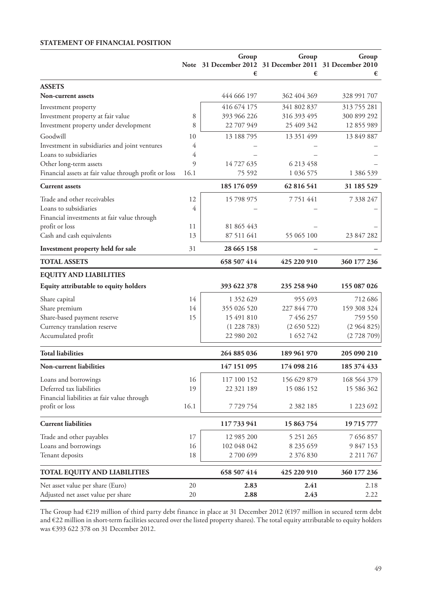# **STATEMENT OF FINANCIAL POSITION**

|                                                       |      | Group<br>Note 31 December 2012 31 December 2011 31 December 2010<br>€ | Group<br>€    | Group<br>€    |
|-------------------------------------------------------|------|-----------------------------------------------------------------------|---------------|---------------|
| <b>ASSETS</b>                                         |      |                                                                       |               |               |
| <b>Non-current assets</b>                             |      | 444 666 197                                                           | 362 404 369   | 328 991 707   |
| Investment property                                   |      | 416 674 175                                                           | 341 802 837   | 313 755 281   |
| Investment property at fair value                     | 8    | 393 966 226                                                           | 316 393 495   | 300 899 292   |
| Investment property under development                 | 8    | 22 707 949                                                            | 25 409 342    | 12 855 989    |
| Goodwill                                              | 10   | 13 188 795                                                            | 13 351 499    | 13 849 887    |
| Investment in subsidiaries and joint ventures         | 4    |                                                                       |               |               |
| Loans to subsidiaries                                 | 4    |                                                                       |               |               |
| Other long-term assets                                | 9    | 14 727 635                                                            | 6 213 458     |               |
| Financial assets at fair value through profit or loss | 16.1 | 75 592                                                                | 1 036 575     | 1 386 539     |
| <b>Current</b> assets                                 |      | 185 176 059                                                           | 62 816 541    | 31 185 529    |
| Trade and other receivables                           | 12   | 15 798 975                                                            | 7 7 5 1 4 4 1 | 7 338 247     |
| Loans to subsidiaries                                 | 4    |                                                                       |               |               |
| Financial investments at fair value through           |      |                                                                       |               |               |
| profit or loss                                        | 11   | 81 865 443                                                            |               |               |
| Cash and cash equivalents                             | 13   | 87 511 641                                                            | 55 065 100    | 23 847 282    |
| Investment property held for sale                     | 31   | 28 665 158                                                            |               |               |
| <b>TOTAL ASSETS</b>                                   |      | 658 507 414                                                           | 425 220 910   | 360 177 236   |
| <b>EQUITY AND LIABILITIES</b>                         |      |                                                                       |               |               |
| Equity attributable to equity holders                 |      | 393 622 378                                                           | 235 258 940   | 155 087 026   |
| Share capital                                         | 14   | 1 352 629                                                             | 955 693       | 712 686       |
| Share premium                                         | 14   | 355 026 520                                                           | 227 844 770   | 159 308 324   |
| Share-based payment reserve                           | 15   | 15 491 810                                                            | 7 456 257     | 759 550       |
| Currency translation reserve                          |      | (1228783)                                                             | (2650522)     | (2964825)     |
| Accumulated profit                                    |      | 22 980 202                                                            | 1 652 742     | (2728709)     |
| <b>Total liabilities</b>                              |      | 264 885 036                                                           | 189 961 970   | 205 090 210   |
| Non-current liabilities                               |      | 147 151 095                                                           | 174 098 216   | 185 374 433   |
| Loans and borrowings                                  | 16   | 117 100 152                                                           | 156 629 879   | 168 564 379   |
| Deferred tax liabilities                              | 19   | 22 321 189                                                            | 15 086 152    | 15 586 362    |
| Financial liabilities at fair value through           |      |                                                                       |               |               |
| profit or loss                                        | 16.1 | 7729754                                                               | 2 3 8 2 1 8 5 | 1 223 692     |
| <b>Current liabilities</b>                            |      | 117733941                                                             | 15 863 754    | 19 715 777    |
| Trade and other payables                              | 17   | 12 985 200                                                            | 5 251 265     | 7 656 857     |
| Loans and borrowings                                  | 16   | 102 048 042                                                           | 8 235 659     | 9 847 153     |
| Tenant deposits                                       | 18   | 2700699                                                               | 2 376 830     | 2 2 1 1 7 6 7 |
| <b>TOTAL EQUITY AND LIABILITIES</b>                   |      | 658 507 414                                                           | 425 220 910   | 360 177 236   |
| Net asset value per share (Euro)                      | 20   | 2.83                                                                  | 2.41          | 2.18          |
| Adjusted net asset value per share                    | 20   | 2.88                                                                  | 2.43          | 2.22          |

The Group had €219 million of third party debt finance in place at 31 December 2012 (€197 million in secured term debt and €22 million in short-term facilities secured over the listed property shares). The total equity attributable to equity holders was €393 622 378 on 31 December 2012.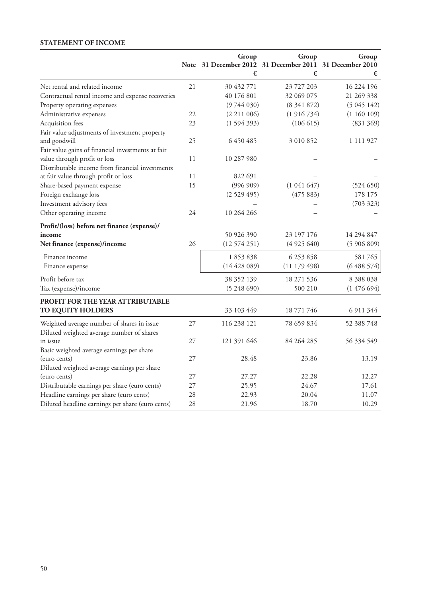# **STATEMENT OF INCOME**

|                                                   |    | Group<br>Note 31 December 2012 31 December 2011<br>€ | Group<br>€ | Group<br>31 December 2010<br>€ |
|---------------------------------------------------|----|------------------------------------------------------|------------|--------------------------------|
| Net rental and related income                     | 21 | 30 432 771                                           | 23 727 203 | 16 224 196                     |
| Contractual rental income and expense recoveries  |    | 40 176 801                                           | 32 069 075 | 21 269 338                     |
| Property operating expenses                       |    | (9744030)                                            | (8341872)  | (5045142)                      |
| Administrative expenses                           | 22 | (2 211 006)                                          | (1916734)  | (1160109)                      |
| Acquisition fees                                  | 23 | (1594393)                                            | (106 615)  | (831 369)                      |
| Fair value adjustments of investment property     |    |                                                      |            |                                |
| and goodwill                                      | 25 | 6 450 485                                            | 3 010 852  | 1 111 927                      |
| Fair value gains of financial investments at fair |    |                                                      |            |                                |
| value through profit or loss                      | 11 | 10 287 980                                           |            |                                |
| Distributable income from financial investments   |    |                                                      |            |                                |
| at fair value through profit or loss              | 11 | 822 691                                              |            |                                |
| Share-based payment expense                       | 15 | (996909)                                             | (1041647)  | (524 650)                      |
| Foreign exchange loss                             |    | (2529495)                                            | (475883)   | 178 175                        |
| Investment advisory fees                          |    |                                                      |            | (703 323)                      |
| Other operating income                            | 24 | 10 264 266                                           |            |                                |
| Profit/(loss) before net finance (expense)/       |    |                                                      |            |                                |
| income                                            |    | 50 926 390                                           | 23 197 176 | 14 294 847                     |
| Net finance (expense)/income                      | 26 | (12574251)                                           | (4925640)  | (5906809)                      |
| Finance income                                    |    | 1853838                                              | 6 253 858  | 581765                         |
| Finance expense                                   |    | (14428089)                                           | (11179498) | (6488574)                      |
| Profit before tax                                 |    | 38 352 139                                           | 18 271 536 | 8 3 8 8 0 3 8                  |
| Tax (expense)/income                              |    | (5248690)                                            | 500 210    | (1476694)                      |
| PROFIT FOR THE YEAR ATTRIBUTABLE                  |    |                                                      |            |                                |
| TO EQUITY HOLDERS                                 |    | 33 103 449                                           | 18 771 746 | 6 911 344                      |
| Weighted average number of shares in issue        | 27 | 116 238 121                                          | 78 659 834 | 52 388 748                     |
| Diluted weighted average number of shares         |    |                                                      |            |                                |
| in issue                                          | 27 | 121 391 646                                          | 84 264 285 | 56 334 549                     |
| Basic weighted average earnings per share         |    |                                                      |            |                                |
| (euro cents)                                      | 27 | 28.48                                                | 23.86      | 13.19                          |
| Diluted weighted average earnings per share       |    |                                                      |            |                                |
| (euro cents)                                      | 27 | 27.27                                                | 22.28      | 12.27                          |
| Distributable earnings per share (euro cents)     | 27 | 25.95                                                | 24.67      | 17.61                          |
| Headline earnings per share (euro cents)          | 28 | 22.93                                                | 20.04      | 11.07                          |
| Diluted headline earnings per share (euro cents)  | 28 | 21.96                                                | 18.70      | 10.29                          |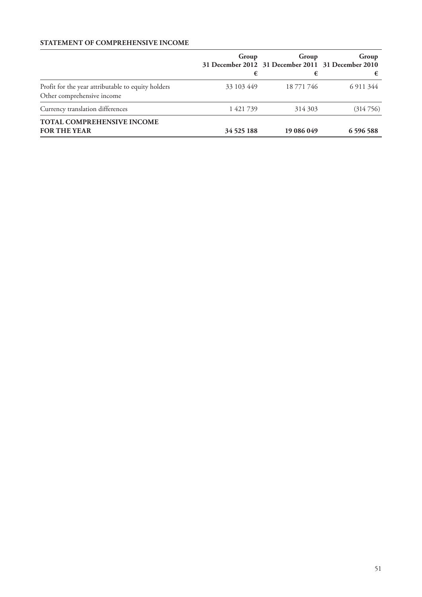# **STATEMENT OF COMPREHENSIVE INCOME**

|                                                                                  | Group<br>€ | Group<br>31 December 2012 31 December 2011 31 December 2010<br>€ | Group<br>€   |
|----------------------------------------------------------------------------------|------------|------------------------------------------------------------------|--------------|
| Profit for the year attributable to equity holders<br>Other comprehensive income | 33 103 449 | 18 771 746                                                       | 6 9 11 3 4 4 |
| Currency translation differences                                                 | 1421739    | 314 303                                                          | (314756)     |
| TOTAL COMPREHENSIVE INCOME<br><b>FOR THE YEAR</b>                                | 34 525 188 | 19 086 049                                                       | 6 596 588    |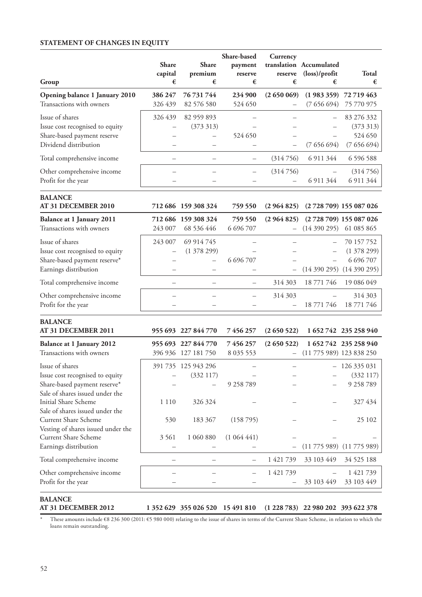# **STATEMENT OF CHANGES IN EQUITY**

|                                 | <b>Share</b> | Share               | Share-based<br>payment | Currency  | translation Accumulated             |                        |
|---------------------------------|--------------|---------------------|------------------------|-----------|-------------------------------------|------------------------|
|                                 | capital      | premium             | reserve                | reserve   | $(\text{loss})/\text{profit}$       | Total                  |
| Group                           | €            | €                   | €                      | €         | €                                   | €                      |
| Opening balance 1 January 2010  | 386 247      | 76 731 744          | 234 900                | (2650069) |                                     | $(1983359)$ 72 719 463 |
| Transactions with owners        | 326 439      | 82 576 580          | 524 650                |           | (7656694)                           | 75 770 975             |
| Issue of shares                 | 326 439      | 82 959 893          |                        |           |                                     | 83 276 332             |
| Issue cost recognised to equity |              | (373313)            |                        |           |                                     | (373 313)              |
| Share-based payment reserve     |              |                     | 524 650                |           |                                     | 524 650                |
| Dividend distribution           |              |                     |                        |           | (7656694)                           | (7656694)              |
| Total comprehensive income      |              |                     |                        | (314756)  | 6 9 11 3 4 4                        | 6 596 588              |
| Other comprehensive income      |              |                     |                        | (314756)  |                                     | (314756)               |
| Profit for the year             |              |                     |                        |           | 6 9 11 3 4 4                        | 6 911 344              |
| <b>BALANCE</b>                  |              |                     |                        |           |                                     |                        |
| AT 31 DECEMBER 2010             |              | 712 686 159 308 324 | 759 550                | (2964825) |                                     | (2728709) 155 087 026  |
| Balance at 1 January 2011       |              | 712 686 159 308 324 | 759 550                |           | (2 964 825) (2 728 709) 155 087 026 |                        |
| Transactions with owners        | 243 007      | 68 536 446          | 6 696 707              | $-$       | (14390295)                          | 61 085 865             |

|                                 |         |            |               |         | \+ + <i>0 &gt;</i> 0 = <i>0 &gt;</i> , 0 + 0 0 <i>y</i> 0 0 <i>y</i> |               |
|---------------------------------|---------|------------|---------------|---------|----------------------------------------------------------------------|---------------|
| Issue of shares                 | 243 007 | 69 914 745 |               |         |                                                                      | $-70157752$   |
| Issue cost recognised to equity | $ \,$   | (1378299)  |               |         |                                                                      | $- (1378299)$ |
| Share-based payment reserve*    |         |            | 6 6 9 6 7 0 7 |         |                                                                      | 6 6 9 6 7 0 7 |
| Earnings distribution           |         |            |               |         | $-$ (14 390 295) (14 390 295)                                        |               |
| Total comprehensive income      |         |            |               |         | 314 303 18 771 746 19 086 049                                        |               |
| Other comprehensive income      |         |            |               | 314 303 | $\qquad \qquad -$                                                    | 314 303       |
| Profit for the year             |         |            |               |         | $-18771746$ 18771746                                                 |               |

# **BALANCE**

| AT 31 DECEMBER 2011                |         | 955 693 227 844 770 | 7 456 257    | (2650522)                |                              | 1 652 742 235 258 940             |
|------------------------------------|---------|---------------------|--------------|--------------------------|------------------------------|-----------------------------------|
| Balance at 1 January 2012          |         | 955 693 227 844 770 | 7 456 257    | (2650522)                |                              | 1 652 742 235 258 940             |
| Transactions with owners           |         | 396 936 127 181 750 | 8 0 35 5 5 3 |                          | $-$ (11 775 989) 123 838 250 |                                   |
| Issue of shares                    |         | 391 735 125 943 296 |              |                          |                              | 126 335 031                       |
| Issue cost recognised to equity    |         | (332117)            |              |                          |                              | (332117)                          |
| Share-based payment reserve*       |         |                     | 9 258 789    |                          |                              | 9 258 789                         |
| Sale of shares issued under the    |         |                     |              |                          |                              |                                   |
| Initial Share Scheme               | 1 1 1 0 | 326 324             |              |                          |                              | 327 434                           |
| Sale of shares issued under the    |         |                     |              |                          |                              |                                   |
| Current Share Scheme               | 530     | 183 367             | (158795)     |                          |                              | 25 102                            |
| Vesting of shares issued under the |         |                     |              |                          |                              |                                   |
| Current Share Scheme               | 3 5 6 1 | 1 060 880           | (1064441)    |                          |                              |                                   |
| Earnings distribution              |         |                     |              | $\overline{\phantom{0}}$ |                              | $(11\ 775\ 989)$ $(11\ 775\ 989)$ |
| Total comprehensive income         |         |                     |              | 1421739                  | 33 103 449                   | 34 525 188                        |
| Other comprehensive income         |         |                     |              | 1421739                  |                              | 1 421 739                         |
| Profit for the year                |         |                     |              |                          | 33 103 449                   | 33 103 449                        |
|                                    |         |                     |              |                          |                              |                                   |

\* These amounts include €8 236 300 (2011: €5 980 000) relating to the issue of shares in terms of the Current Share Scheme, in relation to which the loans remain outstanding.

**AT 31 DECEMBER 2012 1 352 629 355 026 520 15 491 810 (1 228 783) 22 980 202 393 622 378**

**BALANCE<br>AT 31 DECEMBER 2012**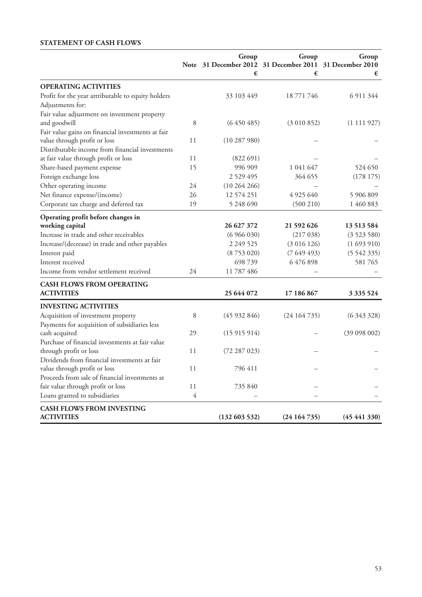# **STATEMENT OF CASH FLOWS**

|                                                                        |                | Group<br>Note 31 December 2012 31 December 2011 31 December 2010<br>€ | Group<br>€  | Group<br>€       |
|------------------------------------------------------------------------|----------------|-----------------------------------------------------------------------|-------------|------------------|
| <b>OPERATING ACTIVITIES</b>                                            |                |                                                                       |             |                  |
| Profit for the year attributable to equity holders<br>Adjustments for: |                | 33 103 449                                                            | 18 771 746  | 6 911 344        |
| Fair value adjustment on investment property                           |                |                                                                       |             |                  |
| and goodwill                                                           | 8              | (6450485)                                                             | (3010852)   | (1111927)        |
| Fair value gains on financial investments at fair                      |                |                                                                       |             |                  |
| value through profit or loss                                           | 11             | (10287980)                                                            |             |                  |
| Distributable income from financial investments                        |                |                                                                       |             |                  |
| at fair value through profit or loss                                   | 11             | (822691)                                                              |             |                  |
| Share-based payment expense                                            | 15             | 996 909                                                               | 1 041 647   | 524 650          |
| Foreign exchange loss                                                  |                | 2 5 2 9 4 9 5                                                         | 364 655     | (178175)         |
| Other operating income                                                 | 24             | (10264266)                                                            |             |                  |
| Net finance expense/(income)                                           | 26             | 12 574 251                                                            | 4 925 640   | 5 906 809        |
| Corporate tax charge and deferred tax                                  | 19             | 5 248 690                                                             | (500 210)   | 1 460 883        |
| Operating profit before changes in                                     |                |                                                                       |             |                  |
| working capital                                                        |                | 26 627 372                                                            | 21 592 626  | 13 5 13 5 8 4    |
| Increase in trade and other receivables                                |                | (6966030)                                                             | (217038)    | (3523580)        |
| Increase/(decrease) in trade and other payables                        |                | 2 2 4 9 5 2 5                                                         | (3 016 126) | (1693910)        |
| Interest paid                                                          |                | (8753020)                                                             | (7649493)   | (5542335)        |
| Interest received                                                      |                | 698 739                                                               | 6476898     | 581765           |
| Income from vendor settlement received                                 | 24             | 11 787 486                                                            |             |                  |
| <b>CASH FLOWS FROM OPERATING</b>                                       |                |                                                                       |             |                  |
| <b>ACTIVITIES</b>                                                      |                | 25 644 072                                                            | 17 186 867  | 3 3 3 5 5 2 4    |
| <b>INVESTING ACTIVITIES</b>                                            |                |                                                                       |             |                  |
| Acquisition of investment property                                     | 8              | (45932846)                                                            | (24164735)  | (6343328)        |
| Payments for acquisition of subsidiaries less                          |                |                                                                       |             |                  |
| cash acquired                                                          | 29             | (15915914)                                                            |             | (39 098 002)     |
| Purchase of financial investments at fair value                        |                |                                                                       |             |                  |
| through profit or loss                                                 | 11             | (72 287 023)                                                          |             |                  |
| Dividends from financial investments at fair                           |                |                                                                       |             |                  |
| value through profit or loss                                           | 11             | 796 411                                                               |             |                  |
| Proceeds from sale of financial investments at                         |                |                                                                       |             |                  |
| fair value through profit or loss                                      | 11             | 735 840                                                               |             |                  |
| Loans granted to subsidiaries                                          | $\overline{4}$ |                                                                       |             |                  |
| <b>CASH FLOWS FROM INVESTING</b>                                       |                |                                                                       |             |                  |
| <b>ACTIVITIES</b>                                                      |                | (132603532)                                                           | (24164735)  | $(45\,441\,330)$ |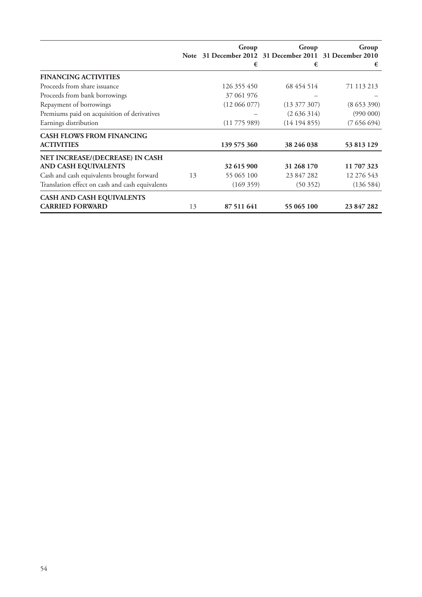|                                                 |    | Group<br>Note 31 December 2012 31 December 2011 31 December 2010 | Group            | Group      |
|-------------------------------------------------|----|------------------------------------------------------------------|------------------|------------|
|                                                 |    | €                                                                | €                | €          |
| <b>FINANCING ACTIVITIES</b>                     |    |                                                                  |                  |            |
| Proceeds from share issuance                    |    | 126 355 450                                                      | 68 454 514       | 71 113 213 |
| Proceeds from bank borrowings                   |    | 37 061 976                                                       |                  |            |
| Repayment of borrowings                         |    | (12066077)                                                       | $(13\ 377\ 307)$ | (8653390)  |
| Premiums paid on acquisition of derivatives     |    |                                                                  | (2636314)        | (990000)   |
| Earnings distribution                           |    | (11775989)                                                       | (14194855)       | (7656694)  |
| <b>CASH FLOWS FROM FINANCING</b>                |    |                                                                  |                  |            |
| <b>ACTIVITIES</b>                               |    | 139 575 360                                                      | 38 246 038       | 53 813 129 |
| NET INCREASE/(DECREASE) IN CASH                 |    |                                                                  |                  |            |
| AND CASH EQUIVALENTS                            |    | 32 615 900                                                       | 31 268 170       | 11 707 323 |
| Cash and cash equivalents brought forward       | 13 | 55 065 100                                                       | 23 847 282       | 12 276 543 |
| Translation effect on cash and cash equivalents |    | (169 359)                                                        | (50352)          | (136584)   |
| <b>CASH AND CASH EQUIVALENTS</b>                |    |                                                                  |                  |            |
| <b>CARRIED FORWARD</b>                          | 13 | 87 511 641                                                       | 55 065 100       | 23 847 282 |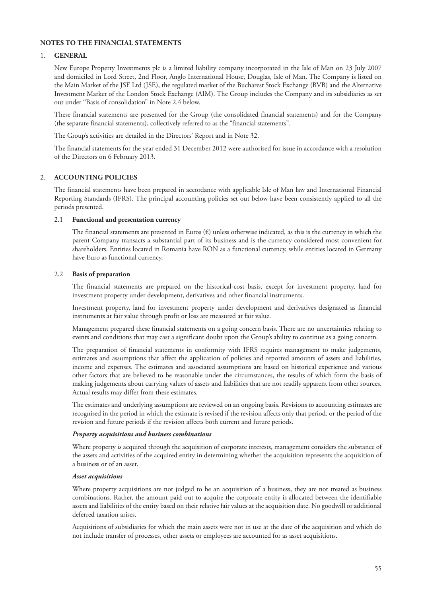# **NOTES TO THE FINANCIAL STATEMENTS**

#### 1. **GENERAL**

New Europe Property Investments plc is a limited liability company incorporated in the Isle of Man on 23 July 2007 and domiciled in Lord Street, 2nd Floor, Anglo International House, Douglas, Isle of Man. The Company is listed on the Main Market of the JSE Ltd (JSE), the regulated market of the Bucharest Stock Exchange (BVB) and the Alternative Investment Market of the London Stock Exchange (AIM). The Group includes the Company and its subsidiaries as set out under "Basis of consolidation" in Note 2.4 below.

These financial statements are presented for the Group (the consolidated financial statements) and for the Company (the separate financial statements), collectively referred to as the "financial statements".

The Group's activities are detailed in the Directors' Report and in Note 32.

The financial statements for the year ended 31 December 2012 were authorised for issue in accordance with a resolution of the Directors on 6 February 2013.

#### 2. **ACCOUNTING POLICIES**

The financial statements have been prepared in accordance with applicable Isle of Man law and International Financial Reporting Standards (IFRS). The principal accounting policies set out below have been consistently applied to all the periods presented.

#### 2.1 **Functional and presentation currency**

The financial statements are presented in Euros  $(\epsilon)$  unless otherwise indicated, as this is the currency in which the parent Company transacts a substantial part of its business and is the currency considered most convenient for shareholders. Entities located in Romania have RON as a functional currency, while entities located in Germany have Euro as functional currency.

#### 2.2 **Basis of preparation**

The financial statements are prepared on the historical-cost basis, except for investment property, land for investment property under development, derivatives and other financial instruments.

Investment property, land for investment property under development and derivatives designated as financial instruments at fair value through profit or loss are measured at fair value.

Management prepared these financial statements on a going concern basis. There are no uncertainties relating to events and conditions that may cast a significant doubt upon the Group's ability to continue as a going concern.

The preparation of financial statements in conformity with IFRS requires management to make judgements, estimates and assumptions that affect the application of policies and reported amounts of assets and liabilities, income and expenses. The estimates and associated assumptions are based on historical experience and various other factors that are believed to be reasonable under the circumstances, the results of which form the basis of making judgements about carrying values of assets and liabilities that are not readily apparent from other sources. Actual results may differ from these estimates.

The estimates and underlying assumptions are reviewed on an ongoing basis. Revisions to accounting estimates are recognised in the period in which the estimate is revised if the revision affects only that period, or the period of the revision and future periods if the revision affects both current and future periods.

#### *Property acquisitions and business combinations*

Where property is acquired through the acquisition of corporate interests, management considers the substance of the assets and activities of the acquired entity in determining whether the acquisition represents the acquisition of a business or of an asset.

#### *Asset acquisitions*

Where property acquisitions are not judged to be an acquisition of a business, they are not treated as business combinations. Rather, the amount paid out to acquire the corporate entity is allocated between the identifiable assets and liabilities of the entity based on their relative fair values at the acquisition date. No goodwill or additional deferred taxation arises.

Acquisitions of subsidiaries for which the main assets were not in use at the date of the acquisition and which do not include transfer of processes, other assets or employees are accounted for as asset acquisitions.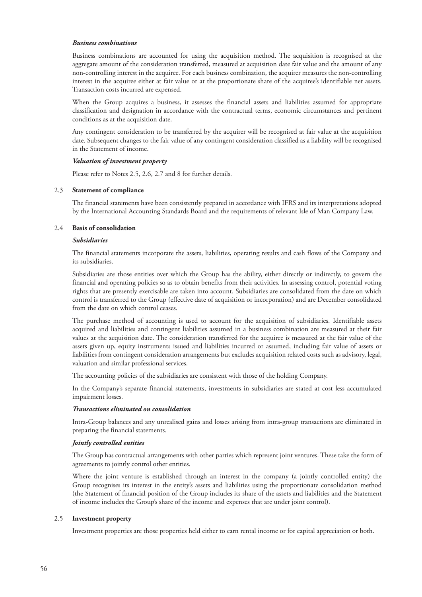#### *Business combinations*

Business combinations are accounted for using the acquisition method. The acquisition is recognised at the aggregate amount of the consideration transferred, measured at acquisition date fair value and the amount of any non-controlling interest in the acquiree. For each business combination, the acquirer measures the non-controlling interest in the acquiree either at fair value or at the proportionate share of the acquiree's identifiable net assets. Transaction costs incurred are expensed.

When the Group acquires a business, it assesses the financial assets and liabilities assumed for appropriate classification and designation in accordance with the contractual terms, economic circumstances and pertinent conditions as at the acquisition date.

Any contingent consideration to be transferred by the acquirer will be recognised at fair value at the acquisition date. Subsequent changes to the fair value of any contingent consideration classified as a liability will be recognised in the Statement of income.

#### *Valuation of investment property*

Please refer to Notes 2.5, 2.6, 2.7 and 8 for further details.

#### 2.3 **Statement of compliance**

The financial statements have been consistently prepared in accordance with IFRS and its interpretations adopted by the International Accounting Standards Board and the requirements of relevant Isle of Man Company Law.

#### 2.4 **Basis of consolidation**

#### *Subsidiaries*

The financial statements incorporate the assets, liabilities, operating results and cash flows of the Company and its subsidiaries.

Subsidiaries are those entities over which the Group has the ability, either directly or indirectly, to govern the financial and operating policies so as to obtain benefits from their activities. In assessing control, potential voting rights that are presently exercisable are taken into account. Subsidiaries are consolidated from the date on which control is transferred to the Group (effective date of acquisition or incorporation) and are December consolidated from the date on which control ceases.

The purchase method of accounting is used to account for the acquisition of subsidiaries. Identifiable assets acquired and liabilities and contingent liabilities assumed in a business combination are measured at their fair values at the acquisition date. The consideration transferred for the acquiree is measured at the fair value of the assets given up, equity instruments issued and liabilities incurred or assumed, including fair value of assets or liabilities from contingent consideration arrangements but excludes acquisition related costs such as advisory, legal, valuation and similar professional services.

The accounting policies of the subsidiaries are consistent with those of the holding Company.

In the Company's separate financial statements, investments in subsidiaries are stated at cost less accumulated impairment losses.

#### *Transactions eliminated on consolidation*

Intra-Group balances and any unrealised gains and losses arising from intra-group transactions are eliminated in preparing the financial statements.

#### *Jointly controlled entities*

The Group has contractual arrangements with other parties which represent joint ventures. These take the form of agreements to jointly control other entities.

Where the joint venture is established through an interest in the company (a jointly controlled entity) the Group recognises its interest in the entity's assets and liabilities using the proportionate consolidation method (the Statement of financial position of the Group includes its share of the assets and liabilities and the Statement of income includes the Group's share of the income and expenses that are under joint control).

#### 2.5 **Investment property**

Investment properties are those properties held either to earn rental income or for capital appreciation or both.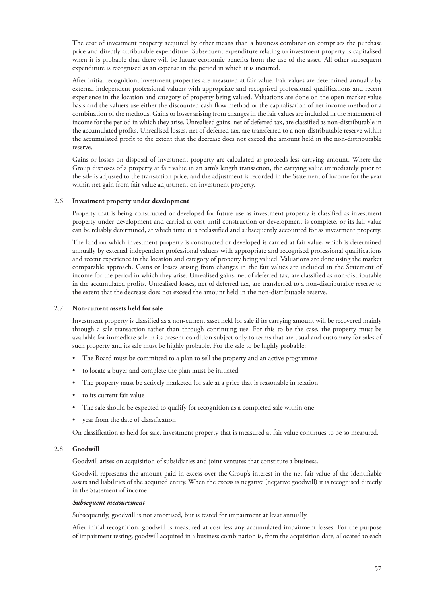The cost of investment property acquired by other means than a business combination comprises the purchase price and directly attributable expenditure. Subsequent expenditure relating to investment property is capitalised when it is probable that there will be future economic benefits from the use of the asset. All other subsequent expenditure is recognised as an expense in the period in which it is incurred.

After initial recognition, investment properties are measured at fair value. Fair values are determined annually by external independent professional valuers with appropriate and recognised professional qualifications and recent experience in the location and category of property being valued. Valuations are done on the open market value basis and the valuers use either the discounted cash flow method or the capitalisation of net income method or a combination of the methods. Gains or losses arising from changes in the fair values are included in the Statement of income for the period in which they arise. Unrealised gains, net of deferred tax, are classified as non-distributable in the accumulated profits. Unrealised losses, net of deferred tax, are transferred to a non-distributable reserve within the accumulated profit to the extent that the decrease does not exceed the amount held in the non-distributable reserve.

Gains or losses on disposal of investment property are calculated as proceeds less carrying amount. Where the Group disposes of a property at fair value in an arm's length transaction, the carrying value immediately prior to the sale is adjusted to the transaction price, and the adjustment is recorded in the Statement of income for the year within net gain from fair value adjustment on investment property.

#### 2.6 **Investment property under development**

Property that is being constructed or developed for future use as investment property is classified as investment property under development and carried at cost until construction or development is complete, or its fair value can be reliably determined, at which time it is reclassified and subsequently accounted for as investment property.

The land on which investment property is constructed or developed is carried at fair value, which is determined annually by external independent professional valuers with appropriate and recognised professional qualifications and recent experience in the location and category of property being valued. Valuations are done using the market comparable approach. Gains or losses arising from changes in the fair values are included in the Statement of income for the period in which they arise. Unrealised gains, net of deferred tax, are classified as non-distributable in the accumulated profits. Unrealised losses, net of deferred tax, are transferred to a non-distributable reserve to the extent that the decrease does not exceed the amount held in the non-distributable reserve.

#### 2.7 **Non-current assets held for sale**

Investment property is classified as a non-current asset held for sale if its carrying amount will be recovered mainly through a sale transaction rather than through continuing use. For this to be the case, the property must be available for immediate sale in its present condition subject only to terms that are usual and customary for sales of such property and its sale must be highly probable. For the sale to be highly probable:

- The Board must be committed to a plan to sell the property and an active programme
- to locate a buyer and complete the plan must be initiated
- The property must be actively marketed for sale at a price that is reasonable in relation
- to its current fair value
- The sale should be expected to qualify for recognition as a completed sale within one
- year from the date of classification

On classification as held for sale, investment property that is measured at fair value continues to be so measured.

# 2.8 **Goodwill**

Goodwill arises on acquisition of subsidiaries and joint ventures that constitute a business.

Goodwill represents the amount paid in excess over the Group's interest in the net fair value of the identifiable assets and liabilities of the acquired entity. When the excess is negative (negative goodwill) it is recognised directly in the Statement of income.

#### *Subsequent measurement*

Subsequently, goodwill is not amortised, but is tested for impairment at least annually.

After initial recognition, goodwill is measured at cost less any accumulated impairment losses. For the purpose of impairment testing, goodwill acquired in a business combination is, from the acquisition date, allocated to each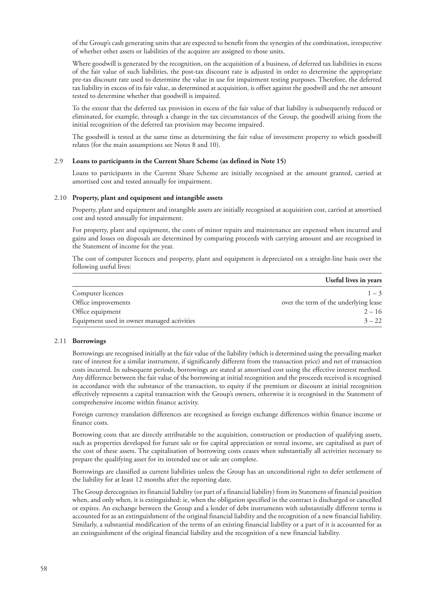of the Group's cash generating units that are expected to benefit from the synergies of the combination, irrespective of whether other assets or liabilities of the acquiree are assigned to those units.

Where goodwill is generated by the recognition, on the acquisition of a business, of deferred tax liabilities in excess of the fair value of such liabilities, the post-tax discount rate is adjusted in order to determine the appropriate pre-tax discount rate used to determine the value in use for impairment testing purposes. Therefore, the deferred tax liability in excess of its fair value, as determined at acquisition, is offset against the goodwill and the net amount tested to determine whether that goodwill is impaired.

To the extent that the deferred tax provision in excess of the fair value of that liability is subsequently reduced or eliminated, for example, through a change in the tax circumstances of the Group, the goodwill arising from the initial recognition of the deferred tax provision may become impaired.

The goodwill is tested at the same time as determining the fair value of investment property to which goodwill relates (for the main assumptions see Notes 8 and 10).

#### 2.9 **Loans to participants in the Current Share Scheme (as defined in Note 15)**

Loans to participants in the Current Share Scheme are initially recognised at the amount granted, carried at amortised cost and tested annually for impairment.

#### 2.10 **Property, plant and equipment and intangible assets**

Property, plant and equipment and intangible assets are initially recognised at acquisition cost, carried at amortised cost and tested annually for impairment.

For property, plant and equipment, the costs of minor repairs and maintenance are expensed when incurred and gains and losses on disposals are determined by comparing proceeds with carrying amount and are recognised in the Statement of income for the year.

The cost of computer licences and property, plant and equipment is depreciated on a straight-line basis over the following useful lives:

|                                            | Useful lives in years                 |
|--------------------------------------------|---------------------------------------|
| Computer licences                          | $1 - 3$                               |
| Office improvements                        | over the term of the underlying lease |
| Office equipment                           | $2 - 16$                              |
| Equipment used in owner managed activities | $3 - 22$                              |

# 2.11 **Borrowings**

Borrowings are recognised initially at the fair value of the liability (which is determined using the prevailing market rate of interest for a similar instrument, if significantly different from the transaction price) and net of transaction costs incurred. In subsequent periods, borrowings are stated at amortised cost using the effective interest method. Any difference between the fair value of the borrowing at initial recognition and the proceeds received is recognised in accordance with the substance of the transaction, to equity if the premium or discount at initial recognition effectively represents a capital transaction with the Group's owners, otherwise it is recognised in the Statement of comprehensive income within finance activity.

Foreign currency translation differences are recognised as foreign exchange differences within finance income or finance costs.

Borrowing costs that are directly attributable to the acquisition, construction or production of qualifying assets, such as properties developed for future sale or for capital appreciation or rental income, are capitalised as part of the cost of these assets. The capitalisation of borrowing costs ceases when substantially all activities necessary to prepare the qualifying asset for its intended use or sale are complete.

Borrowings are classified as current liabilities unless the Group has an unconditional right to defer settlement of the liability for at least 12 months after the reporting date.

The Group derecognises its financial liability (or part of a financial liability) from its Statement of financial position when, and only when, it is extinguished: ie, when the obligation specified in the contract is discharged or cancelled or expires. An exchange between the Group and a lender of debt instruments with substantially different terms is accounted for as an extinguishment of the original financial liability and the recognition of a new financial liability. Similarly, a substantial modification of the terms of an existing financial liability or a part of it is accounted for as an extinguishment of the original financial liability and the recognition of a new financial liability.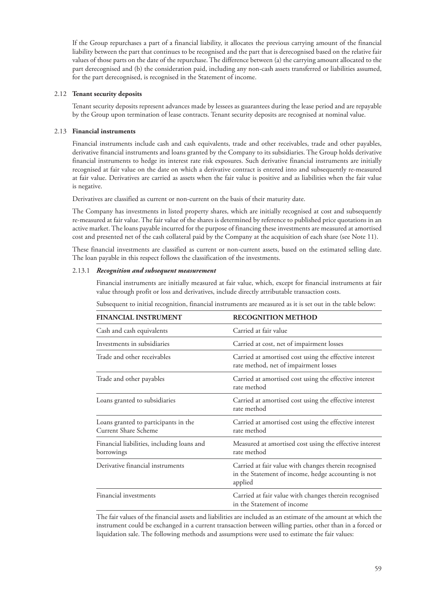If the Group repurchases a part of a financial liability, it allocates the previous carrying amount of the financial liability between the part that continues to be recognised and the part that is derecognised based on the relative fair values of those parts on the date of the repurchase. The difference between (a) the carrying amount allocated to the part derecognised and (b) the consideration paid, including any non-cash assets transferred or liabilities assumed, for the part derecognised, is recognised in the Statement of income.

#### 2.12 **Tenant security deposits**

Tenant security deposits represent advances made by lessees as guarantees during the lease period and are repayable by the Group upon termination of lease contracts. Tenant security deposits are recognised at nominal value.

#### 2.13 **Financial instruments**

Financial instruments include cash and cash equivalents, trade and other receivables, trade and other payables, derivative financial instruments and loans granted by the Company to its subsidiaries. The Group holds derivative financial instruments to hedge its interest rate risk exposures. Such derivative financial instruments are initially recognised at fair value on the date on which a derivative contract is entered into and subsequently re-measured at fair value. Derivatives are carried as assets when the fair value is positive and as liabilities when the fair value is negative.

Derivatives are classified as current or non-current on the basis of their maturity date.

The Company has investments in listed property shares, which are initially recognised at cost and subsequently re-measured at fair value. The fair value of the shares is determined by reference to published price quotations in an active market. The loans payable incurred for the purpose of financing these investments are measured at amortised cost and presented net of the cash collateral paid by the Company at the acquisition of each share (see Note 11).

These financial investments are classified as current or non-current assets, based on the estimated selling date. The loan payable in this respect follows the classification of the investments.

#### 2.13.1 *Recognition and subsequent measurement*

Financial instruments are initially measured at fair value, which, except for financial instruments at fair value through profit or loss and derivatives, include directly attributable transaction costs.

|  | Subsequent to initial recognition, financial instruments are measured as it is set out in the table below: |  |  |
|--|------------------------------------------------------------------------------------------------------------|--|--|
|  |                                                                                                            |  |  |

| <b>FINANCIAL INSTRUMENT</b>                                         | <b>RECOGNITION METHOD</b>                                                                                               |
|---------------------------------------------------------------------|-------------------------------------------------------------------------------------------------------------------------|
| Cash and cash equivalents                                           | Carried at fair value                                                                                                   |
| Investments in subsidiaries                                         | Carried at cost, net of impairment losses                                                                               |
| Trade and other receivables                                         | Carried at amortised cost using the effective interest<br>rate method, net of impairment losses                         |
| Trade and other payables                                            | Carried at amortised cost using the effective interest<br>rate method                                                   |
| Loans granted to subsidiaries                                       | Carried at amortised cost using the effective interest<br>rate method                                                   |
| Loans granted to participants in the<br><b>Current Share Scheme</b> | Carried at amortised cost using the effective interest<br>rate method                                                   |
| Financial liabilities, including loans and<br>borrowings            | Measured at amortised cost using the effective interest<br>rate method                                                  |
| Derivative financial instruments                                    | Carried at fair value with changes therein recognised<br>in the Statement of income, hedge accounting is not<br>applied |
| Financial investments                                               | Carried at fair value with changes therein recognised<br>in the Statement of income                                     |

The fair values of the financial assets and liabilities are included as an estimate of the amount at which the instrument could be exchanged in a current transaction between willing parties, other than in a forced or liquidation sale. The following methods and assumptions were used to estimate the fair values: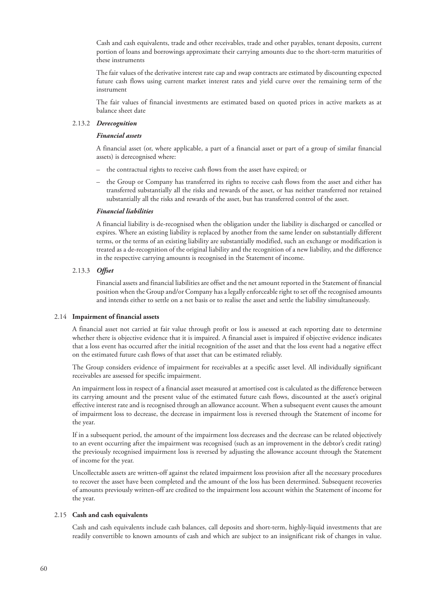Cash and cash equivalents, trade and other receivables, trade and other payables, tenant deposits, current portion of loans and borrowings approximate their carrying amounts due to the short-term maturities of these instruments

The fair values of the derivative interest rate cap and swap contracts are estimated by discounting expected future cash flows using current market interest rates and yield curve over the remaining term of the instrument

The fair values of financial investments are estimated based on quoted prices in active markets as at balance sheet date

#### 2.13.2 *Derecognition*

#### *Financial assets*

A financial asset (or, where applicable, a part of a financial asset or part of a group of similar financial assets) is derecognised where:

- the contractual rights to receive cash flows from the asset have expired; or
- the Group or Company has transferred its rights to receive cash flows from the asset and either has transferred substantially all the risks and rewards of the asset, or has neither transferred nor retained substantially all the risks and rewards of the asset, but has transferred control of the asset.

#### *Financial liabilities*

A financial liability is de-recognised when the obligation under the liability is discharged or cancelled or expires. Where an existing liability is replaced by another from the same lender on substantially different terms, or the terms of an existing liability are substantially modified, such an exchange or modification is treated as a de-recognition of the original liability and the recognition of a new liability, and the difference in the respective carrying amounts is recognised in the Statement of income.

#### 2.13.3 *Offset*

Financial assets and financial liabilities are offset and the net amount reported in the Statement of financial position when the Group and/or Company has a legally enforceable right to set off the recognised amounts and intends either to settle on a net basis or to realise the asset and settle the liability simultaneously.

#### 2.14 **Impairment of financial assets**

A financial asset not carried at fair value through profit or loss is assessed at each reporting date to determine whether there is objective evidence that it is impaired. A financial asset is impaired if objective evidence indicates that a loss event has occurred after the initial recognition of the asset and that the loss event had a negative effect on the estimated future cash flows of that asset that can be estimated reliably.

The Group considers evidence of impairment for receivables at a specific asset level. All individually significant receivables are assessed for specific impairment.

An impairment loss in respect of a financial asset measured at amortised cost is calculated as the difference between its carrying amount and the present value of the estimated future cash flows, discounted at the asset's original effective interest rate and is recognised through an allowance account. When a subsequent event causes the amount of impairment loss to decrease, the decrease in impairment loss is reversed through the Statement of income for the year.

If in a subsequent period, the amount of the impairment loss decreases and the decrease can be related objectively to an event occurring after the impairment was recognised (such as an improvement in the debtor's credit rating) the previously recognised impairment loss is reversed by adjusting the allowance account through the Statement of income for the year.

Uncollectable assets are written-off against the related impairment loss provision after all the necessary procedures to recover the asset have been completed and the amount of the loss has been determined. Subsequent recoveries of amounts previously written-off are credited to the impairment loss account within the Statement of income for the year.

#### 2.15 **Cash and cash equivalents**

Cash and cash equivalents include cash balances, call deposits and short-term, highly-liquid investments that are readily convertible to known amounts of cash and which are subject to an insignificant risk of changes in value.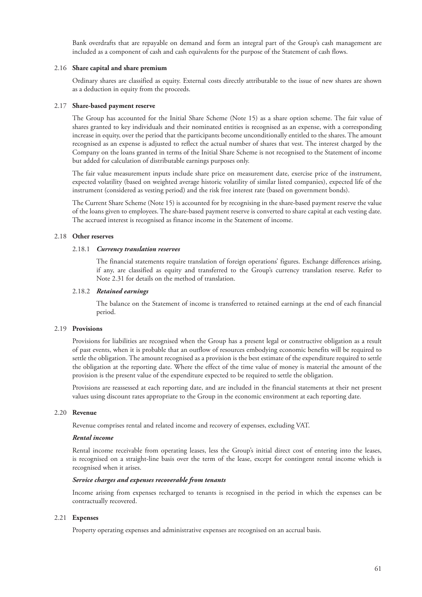Bank overdrafts that are repayable on demand and form an integral part of the Group's cash management are included as a component of cash and cash equivalents for the purpose of the Statement of cash flows.

#### 2.16 **Share capital and share premium**

Ordinary shares are classified as equity. External costs directly attributable to the issue of new shares are shown as a deduction in equity from the proceeds.

#### 2.17 **Share-based payment reserve**

The Group has accounted for the Initial Share Scheme (Note 15) as a share option scheme. The fair value of shares granted to key individuals and their nominated entities is recognised as an expense, with a corresponding increase in equity, over the period that the participants become unconditionally entitled to the shares. The amount recognised as an expense is adjusted to reflect the actual number of shares that vest. The interest charged by the Company on the loans granted in terms of the Initial Share Scheme is not recognised to the Statement of income but added for calculation of distributable earnings purposes only.

The fair value measurement inputs include share price on measurement date, exercise price of the instrument, expected volatility (based on weighted average historic volatility of similar listed companies), expected life of the instrument (considered as vesting period) and the risk free interest rate (based on government bonds).

The Current Share Scheme (Note 15) is accounted for by recognising in the share-based payment reserve the value of the loans given to employees. The share-based payment reserve is converted to share capital at each vesting date. The accrued interest is recognised as finance income in the Statement of income.

#### 2.18 **Other reserves**

#### 2.18.1 *Currency translation reserves*

The financial statements require translation of foreign operations' figures. Exchange differences arising, if any, are classified as equity and transferred to the Group's currency translation reserve. Refer to Note 2.31 for details on the method of translation.

# 2.18.2 *Retained earnings*

The balance on the Statement of income is transferred to retained earnings at the end of each financial period.

#### 2.19 **Provisions**

Provisions for liabilities are recognised when the Group has a present legal or constructive obligation as a result of past events, when it is probable that an outflow of resources embodying economic benefits will be required to settle the obligation. The amount recognised as a provision is the best estimate of the expenditure required to settle the obligation at the reporting date. Where the effect of the time value of money is material the amount of the provision is the present value of the expenditure expected to be required to settle the obligation.

Provisions are reassessed at each reporting date, and are included in the financial statements at their net present values using discount rates appropriate to the Group in the economic environment at each reporting date.

#### 2.20 **Revenue**

Revenue comprises rental and related income and recovery of expenses, excluding VAT.

#### *Rental income*

Rental income receivable from operating leases, less the Group's initial direct cost of entering into the leases, is recognised on a straight-line basis over the term of the lease, except for contingent rental income which is recognised when it arises.

#### *Service charges and expenses recoverable from tenants*

Income arising from expenses recharged to tenants is recognised in the period in which the expenses can be contractually recovered.

#### 2.21 **Expenses**

Property operating expenses and administrative expenses are recognised on an accrual basis.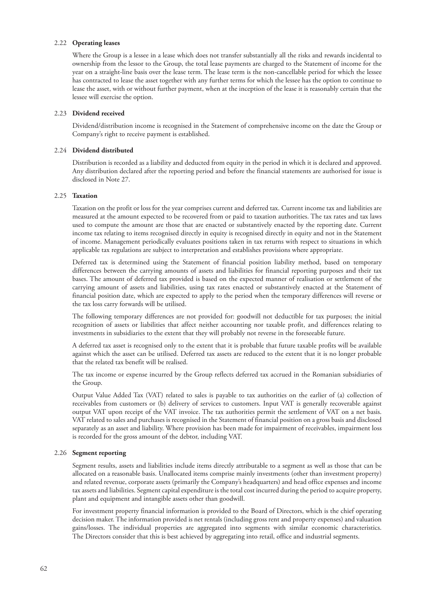#### 2.22 **Operating leases**

Where the Group is a lessee in a lease which does not transfer substantially all the risks and rewards incidental to ownership from the lessor to the Group, the total lease payments are charged to the Statement of income for the year on a straight-line basis over the lease term. The lease term is the non-cancellable period for which the lessee has contracted to lease the asset together with any further terms for which the lessee has the option to continue to lease the asset, with or without further payment, when at the inception of the lease it is reasonably certain that the lessee will exercise the option.

#### 2.23 **Dividend received**

Dividend/distribution income is recognised in the Statement of comprehensive income on the date the Group or Company's right to receive payment is established.

#### 2.24 **Dividend distributed**

Distribution is recorded as a liability and deducted from equity in the period in which it is declared and approved. Any distribution declared after the reporting period and before the financial statements are authorised for issue is disclosed in Note 27.

# 2.25 **Taxation**

Taxation on the profit or loss for the year comprises current and deferred tax. Current income tax and liabilities are measured at the amount expected to be recovered from or paid to taxation authorities. The tax rates and tax laws used to compute the amount are those that are enacted or substantively enacted by the reporting date. Current income tax relating to items recognised directly in equity is recognised directly in equity and not in the Statement of income. Management periodically evaluates positions taken in tax returns with respect to situations in which applicable tax regulations are subject to interpretation and establishes provisions where appropriate.

Deferred tax is determined using the Statement of financial position liability method, based on temporary differences between the carrying amounts of assets and liabilities for financial reporting purposes and their tax bases. The amount of deferred tax provided is based on the expected manner of realisation or settlement of the carrying amount of assets and liabilities, using tax rates enacted or substantively enacted at the Statement of financial position date, which are expected to apply to the period when the temporary differences will reverse or the tax loss carry forwards will be utilised.

The following temporary differences are not provided for: goodwill not deductible for tax purposes; the initial recognition of assets or liabilities that affect neither accounting nor taxable profit, and differences relating to investments in subsidiaries to the extent that they will probably not reverse in the foreseeable future.

A deferred tax asset is recognised only to the extent that it is probable that future taxable profits will be available against which the asset can be utilised. Deferred tax assets are reduced to the extent that it is no longer probable that the related tax benefit will be realised.

The tax income or expense incurred by the Group reflects deferred tax accrued in the Romanian subsidiaries of the Group.

Output Value Added Tax (VAT) related to sales is payable to tax authorities on the earlier of (a) collection of receivables from customers or (b) delivery of services to customers. Input VAT is generally recoverable against output VAT upon receipt of the VAT invoice. The tax authorities permit the settlement of VAT on a net basis. VAT related to sales and purchases is recognised in the Statement of financial position on a gross basis and disclosed separately as an asset and liability. Where provision has been made for impairment of receivables, impairment loss is recorded for the gross amount of the debtor, including VAT.

#### 2.26 **Segment reporting**

Segment results, assets and liabilities include items directly attributable to a segment as well as those that can be allocated on a reasonable basis. Unallocated items comprise mainly investments (other than investment property) and related revenue, corporate assets (primarily the Company's headquarters) and head office expenses and income tax assets and liabilities. Segment capital expenditure is the total cost incurred during the period to acquire property, plant and equipment and intangible assets other than goodwill.

For investment property financial information is provided to the Board of Directors, which is the chief operating decision maker. The information provided is net rentals (including gross rent and property expenses) and valuation gains/losses. The individual properties are aggregated into segments with similar economic characteristics. The Directors consider that this is best achieved by aggregating into retail, office and industrial segments.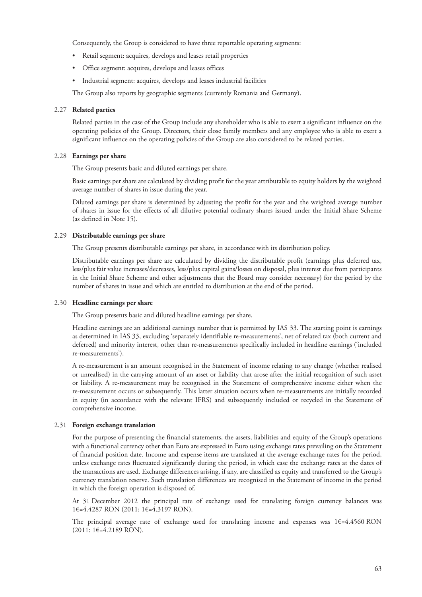Consequently, the Group is considered to have three reportable operating segments:

- Retail segment: acquires, develops and leases retail properties
- Office segment: acquires, develops and leases offices
- Industrial segment: acquires, develops and leases industrial facilities

The Group also reports by geographic segments (currently Romania and Germany).

#### 2.27 **Related parties**

Related parties in the case of the Group include any shareholder who is able to exert a significant influence on the operating policies of the Group. Directors, their close family members and any employee who is able to exert a significant influence on the operating policies of the Group are also considered to be related parties.

#### 2.28 **Earnings per share**

The Group presents basic and diluted earnings per share.

Basic earnings per share are calculated by dividing profit for the year attributable to equity holders by the weighted average number of shares in issue during the year.

Diluted earnings per share is determined by adjusting the profit for the year and the weighted average number of shares in issue for the effects of all dilutive potential ordinary shares issued under the Initial Share Scheme (as defined in Note 15).

# 2.29 **Distributable earnings per share**

The Group presents distributable earnings per share, in accordance with its distribution policy.

Distributable earnings per share are calculated by dividing the distributable profit (earnings plus deferred tax, less/plus fair value increases/decreases, less/plus capital gains/losses on disposal, plus interest due from participants in the Initial Share Scheme and other adjustments that the Board may consider necessary) for the period by the number of shares in issue and which are entitled to distribution at the end of the period.

#### 2.30 **Headline earnings per share**

The Group presents basic and diluted headline earnings per share.

Headline earnings are an additional earnings number that is permitted by IAS 33. The starting point is earnings as determined in IAS 33, excluding 'separately identifiable re-measurements', net of related tax (both current and deferred) and minority interest, other than re-measurements specifically included in headline earnings ('included re-measurements').

A re-measurement is an amount recognised in the Statement of income relating to any change (whether realised or unrealised) in the carrying amount of an asset or liability that arose after the initial recognition of such asset or liability. A re-measurement may be recognised in the Statement of comprehensive income either when the re-measurement occurs or subsequently. This latter situation occurs when re-measurements are initially recorded in equity (in accordance with the relevant IFRS) and subsequently included or recycled in the Statement of comprehensive income.

#### 2.31 **Foreign exchange translation**

For the purpose of presenting the financial statements, the assets, liabilities and equity of the Group's operations with a functional currency other than Euro are expressed in Euro using exchange rates prevailing on the Statement of financial position date. Income and expense items are translated at the average exchange rates for the period, unless exchange rates fluctuated significantly during the period, in which case the exchange rates at the dates of the transactions are used. Exchange differences arising, if any, are classified as equity and transferred to the Group's currency translation reserve. Such translation differences are recognised in the Statement of income in the period in which the foreign operation is disposed of.

At 31 December 2012 the principal rate of exchange used for translating foreign currency balances was 1€=4.4287 RON (2011: 1€=4.3197 RON).

The principal average rate of exchange used for translating income and expenses was 1€=4.4560 RON (2011: 1€=4.2189 RON).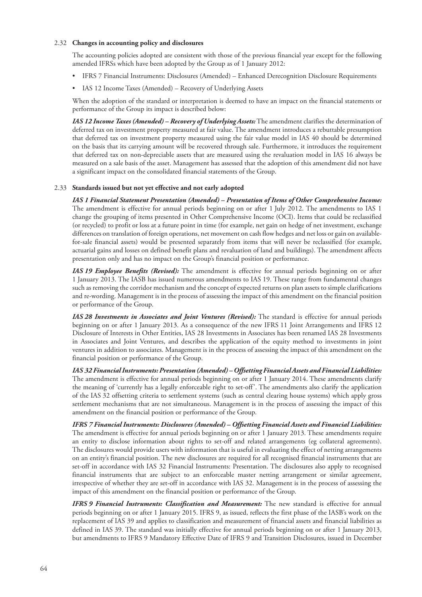#### 2.32 **Changes in accounting policy and disclosures**

The accounting policies adopted are consistent with those of the previous financial year except for the following amended IFRSs which have been adopted by the Group as of 1 January 2012:

- IFRS 7 Financial Instruments: Disclosures (Amended) Enhanced Derecognition Disclosure Requirements
- IAS 12 Income Taxes (Amended) Recovery of Underlying Assets

When the adoption of the standard or interpretation is deemed to have an impact on the financial statements or performance of the Group its impact is described below:

*IAS 12 Income Taxes (Amended) – Recovery of Underlying Assets:* The amendment clarifies the determination of deferred tax on investment property measured at fair value. The amendment introduces a rebuttable presumption that deferred tax on investment property measured using the fair value model in IAS 40 should be determined on the basis that its carrying amount will be recovered through sale. Furthermore, it introduces the requirement that deferred tax on non-depreciable assets that are measured using the revaluation model in IAS 16 always be measured on a sale basis of the asset. Management has assessed that the adoption of this amendment did not have a significant impact on the consolidated financial statements of the Group.

# 2.33 **Standards issued but not yet effective and not early adopted**

*IAS 1 Financial Statement Presentation (Amended) – Presentation of Items of Other Comprehensive Income:* The amendment is effective for annual periods beginning on or after 1 July 2012. The amendments to IAS 1 change the grouping of items presented in Other Comprehensive Income (OCI). Items that could be reclassified (or recycled) to profit or loss at a future point in time (for example, net gain on hedge of net investment, exchange differences on translation of foreign operations, net movement on cash flow hedges and net loss or gain on availablefor-sale financial assets) would be presented separately from items that will never be reclassified (for example, actuarial gains and losses on defined benefit plans and revaluation of land and buildings). The amendment affects presentation only and has no impact on the Group's financial position or performance.

*IAS 19 Employee Benefits (Revised):* The amendment is effective for annual periods beginning on or after 1 January 2013. The IASB has issued numerous amendments to IAS 19. These range from fundamental changes such as removing the corridor mechanism and the concept of expected returns on plan assets to simple clarifications and re-wording. Management is in the process of assessing the impact of this amendment on the financial position or performance of the Group.

*IAS 28 Investments in Associates and Joint Ventures (Revised):* The standard is effective for annual periods beginning on or after 1 January 2013. As a consequence of the new IFRS 11 Joint Arrangements and IFRS 12 Disclosure of Interests in Other Entities, IAS 28 Investments in Associates has been renamed IAS 28 Investments in Associates and Joint Ventures, and describes the application of the equity method to investments in joint ventures in addition to associates. Management is in the process of assessing the impact of this amendment on the financial position or performance of the Group.

*IAS 32 FinancialInstruments: Presentation (Amended) – Offsetting Financial Assets and Financial Liabilities:* The amendment is effective for annual periods beginning on or after 1 January 2014. These amendments clarify the meaning of 'currently has a legally enforceable right to set-off'. The amendments also clarify the application of the IAS 32 offsetting criteria to settlement systems (such as central clearing house systems) which apply gross settlement mechanisms that are not simultaneous. Management is in the process of assessing the impact of this amendment on the financial position or performance of the Group.

*IFRS 7 Financial Instruments: Disclosures (Amended) – Offsetting Financial Assets and Financial Liabilities:* The amendment is effective for annual periods beginning on or after 1 January 2013. These amendments require an entity to disclose information about rights to set-off and related arrangements (eg collateral agreements). The disclosures would provide users with information that is useful in evaluating the effect of netting arrangements on an entity's financial position. The new disclosures are required for all recognised financial instruments that are set-off in accordance with IAS 32 Financial Instruments: Presentation. The disclosures also apply to recognised financial instruments that are subject to an enforceable master netting arrangement or similar agreement, irrespective of whether they are set-off in accordance with IAS 32. Management is in the process of assessing the impact of this amendment on the financial position or performance of the Group.

*IFRS 9 Financial Instruments: Classification and Measurement:* The new standard is effective for annual periods beginning on or after 1 January 2015. IFRS 9, as issued, reflects the first phase of the IASB's work on the replacement of IAS 39 and applies to classification and measurement of financial assets and financial liabilities as defined in IAS 39. The standard was initially effective for annual periods beginning on or after 1 January 2013, but amendments to IFRS 9 Mandatory Effective Date of IFRS 9 and Transition Disclosures, issued in December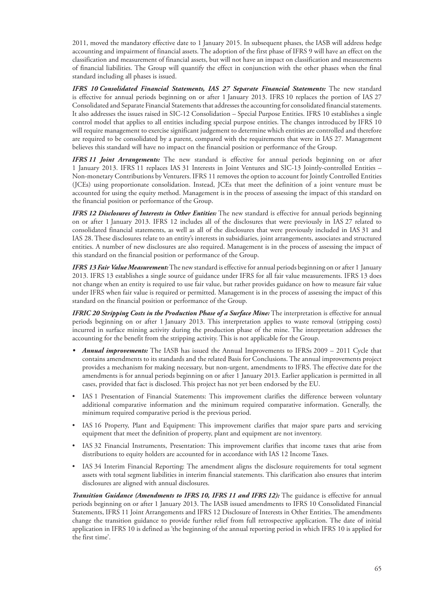2011, moved the mandatory effective date to 1 January 2015. In subsequent phases, the IASB will address hedge accounting and impairment of financial assets. The adoption of the first phase of IFRS 9 will have an effect on the classification and measurement of financial assets, but will not have an impact on classification and measurements of financial liabilities. The Group will quantify the effect in conjunction with the other phases when the final standard including all phases is issued.

*IFRS 10 Consolidated Financial Statements, IAS 27 Separate Financial Statements:* The new standard is effective for annual periods beginning on or after 1 January 2013. IFRS 10 replaces the portion of IAS 27 Consolidated and Separate Financial Statements that addresses the accounting for consolidated financial statements. It also addresses the issues raised in SIC-12 Consolidation – Special Purpose Entities. IFRS 10 establishes a single control model that applies to all entities including special purpose entities. The changes introduced by IFRS 10 will require management to exercise significant judgement to determine which entities are controlled and therefore are required to be consolidated by a parent, compared with the requirements that were in IAS 27. Management believes this standard will have no impact on the financial position or performance of the Group.

*IFRS 11 Joint Arrangements:* The new standard is effective for annual periods beginning on or after 1 January 2013. IFRS 11 replaces IAS 31 Interests in Joint Ventures and SIC-13 Jointly-controlled Entities – Non-monetary Contributions by Venturers. IFRS 11 removes the option to account for Jointly Controlled Entities (JCEs) using proportionate consolidation. Instead, JCEs that meet the definition of a joint venture must be accounted for using the equity method. Management is in the process of assessing the impact of this standard on the financial position or performance of the Group.

*IFRS 12 Disclosures of Interests in Other Entities:* The new standard is effective for annual periods beginning on or after 1 January 2013. IFRS 12 includes all of the disclosures that were previously in IAS 27 related to consolidated financial statements, as well as all of the disclosures that were previously included in IAS 31 and IAS 28. These disclosures relate to an entity's interests in subsidiaries, joint arrangements, associates and structured entities. A number of new disclosures are also required. Management is in the process of assessing the impact of this standard on the financial position or performance of the Group.

*IFRS 13 Fair Value Measurement:* The new standard is effective for annual periods beginning on or after 1 January 2013. IFRS 13 establishes a single source of guidance under IFRS for all fair value measurements. IFRS 13 does not change when an entity is required to use fair value, but rather provides guidance on how to measure fair value under IFRS when fair value is required or permitted. Management is in the process of assessing the impact of this standard on the financial position or performance of the Group.

*IFRIC 20 Stripping Costs in the Production Phase of a Surface Mine:* The interpretation is effective for annual periods beginning on or after 1 January 2013. This interpretation applies to waste removal (stripping costs) incurred in surface mining activity during the production phase of the mine. The interpretation addresses the accounting for the benefit from the stripping activity. This is not applicable for the Group.

- *Annual improvements:* The IASB has issued the Annual Improvements to IFRSs 2009 2011 Cycle that contains amendments to its standards and the related Basis for Conclusions. The annual improvements project provides a mechanism for making necessary, but non-urgent, amendments to IFRS. The effective date for the amendments is for annual periods beginning on or after 1 January 2013. Earlier application is permitted in all cases, provided that fact is disclosed. This project has not yet been endorsed by the EU.
- IAS 1 Presentation of Financial Statements: This improvement clarifies the difference between voluntary additional comparative information and the minimum required comparative information. Generally, the minimum required comparative period is the previous period.
- IAS 16 Property, Plant and Equipment: This improvement clarifies that major spare parts and servicing equipment that meet the definition of property, plant and equipment are not inventory.
- IAS 32 Financial Instruments, Presentation: This improvement clarifies that income taxes that arise from distributions to equity holders are accounted for in accordance with IAS 12 Income Taxes.
- IAS 34 Interim Financial Reporting: The amendment aligns the disclosure requirements for total segment assets with total segment liabilities in interim financial statements. This clarification also ensures that interim disclosures are aligned with annual disclosures.

*Transition Guidance (Amendments to IFRS 10, IFRS 11 and IFRS 12):* The guidance is effective for annual periods beginning on or after 1 January 2013. The IASB issued amendments to IFRS 10 Consolidated Financial Statements, IFRS 11 Joint Arrangements and IFRS 12 Disclosure of Interests in Other Entities. The amendments change the transition guidance to provide further relief from full retrospective application. The date of initial application in IFRS 10 is defined as 'the beginning of the annual reporting period in which IFRS 10 is applied for the first time'.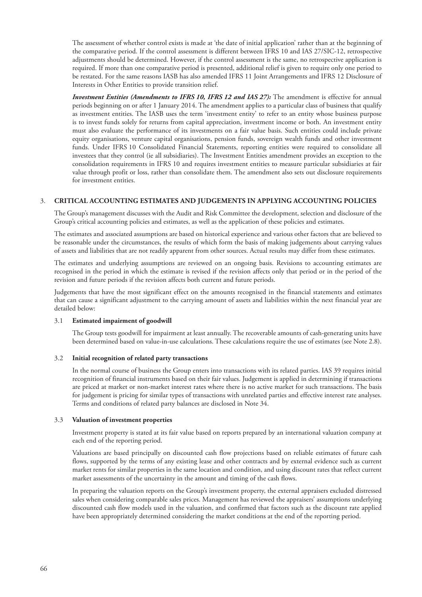The assessment of whether control exists is made at 'the date of initial application' rather than at the beginning of the comparative period. If the control assessment is different between IFRS 10 and IAS 27/SIC-12, retrospective adjustments should be determined. However, if the control assessment is the same, no retrospective application is required. If more than one comparative period is presented, additional relief is given to require only one period to be restated. For the same reasons IASB has also amended IFRS 11 Joint Arrangements and IFRS 12 Disclosure of Interests in Other Entities to provide transition relief.

*Investment Entities (Amendments to IFRS 10, IFRS 12 and IAS 27):* The amendment is effective for annual periods beginning on or after 1 January 2014. The amendment applies to a particular class of business that qualify as investment entities. The IASB uses the term 'investment entity' to refer to an entity whose business purpose is to invest funds solely for returns from capital appreciation, investment income or both. An investment entity must also evaluate the performance of its investments on a fair value basis. Such entities could include private equity organisations, venture capital organisations, pension funds, sovereign wealth funds and other investment funds. Under IFRS 10 Consolidated Financial Statements, reporting entities were required to consolidate all investees that they control (ie all subsidiaries). The Investment Entities amendment provides an exception to the consolidation requirements in IFRS 10 and requires investment entities to measure particular subsidiaries at fair value through profit or loss, rather than consolidate them. The amendment also sets out disclosure requirements for investment entities.

#### 3. **CRITICAL ACCOUNTING ESTIMATES AND JUDGEMENTS IN APPLYING ACCOUNTING POLICIES**

The Group's management discusses with the Audit and Risk Committee the development, selection and disclosure of the Group's critical accounting policies and estimates, as well as the application of these policies and estimates.

The estimates and associated assumptions are based on historical experience and various other factors that are believed to be reasonable under the circumstances, the results of which form the basis of making judgements about carrying values of assets and liabilities that are not readily apparent from other sources. Actual results may differ from these estimates.

The estimates and underlying assumptions are reviewed on an ongoing basis. Revisions to accounting estimates are recognised in the period in which the estimate is revised if the revision affects only that period or in the period of the revision and future periods if the revision affects both current and future periods.

Judgements that have the most significant effect on the amounts recognised in the financial statements and estimates that can cause a significant adjustment to the carrying amount of assets and liabilities within the next financial year are detailed below:

#### 3.1 **Estimated impairment of goodwill**

The Group tests goodwill for impairment at least annually. The recoverable amounts of cash-generating units have been determined based on value-in-use calculations. These calculations require the use of estimates (see Note 2.8).

#### 3.2 **Initial recognition of related party transactions**

In the normal course of business the Group enters into transactions with its related parties. IAS 39 requires initial recognition of financial instruments based on their fair values. Judgement is applied in determining if transactions are priced at market or non-market interest rates where there is no active market for such transactions. The basis for judgement is pricing for similar types of transactions with unrelated parties and effective interest rate analyses. Terms and conditions of related party balances are disclosed in Note 34.

#### 3.3 **Valuation of investment properties**

Investment property is stated at its fair value based on reports prepared by an international valuation company at each end of the reporting period.

Valuations are based principally on discounted cash flow projections based on reliable estimates of future cash flows, supported by the terms of any existing lease and other contracts and by external evidence such as current market rents for similar properties in the same location and condition, and using discount rates that reflect current market assessments of the uncertainty in the amount and timing of the cash flows.

In preparing the valuation reports on the Group's investment property, the external appraisers excluded distressed sales when considering comparable sales prices. Management has reviewed the appraisers' assumptions underlying discounted cash flow models used in the valuation, and confirmed that factors such as the discount rate applied have been appropriately determined considering the market conditions at the end of the reporting period.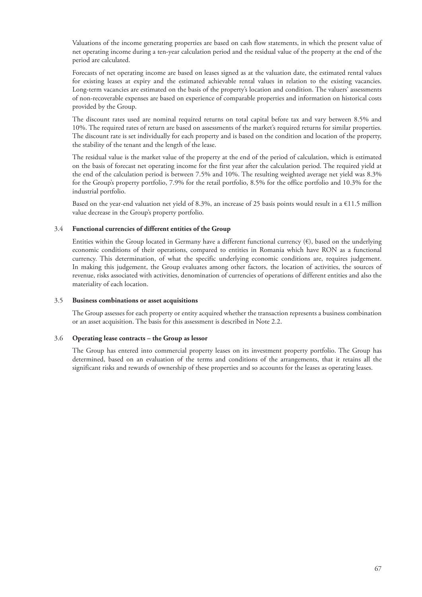Valuations of the income generating properties are based on cash flow statements, in which the present value of net operating income during a ten-year calculation period and the residual value of the property at the end of the period are calculated.

Forecasts of net operating income are based on leases signed as at the valuation date, the estimated rental values for existing leases at expiry and the estimated achievable rental values in relation to the existing vacancies. Long-term vacancies are estimated on the basis of the property's location and condition. The valuers' assessments of non-recoverable expenses are based on experience of comparable properties and information on historical costs provided by the Group.

The discount rates used are nominal required returns on total capital before tax and vary between 8.5% and 10%. The required rates of return are based on assessments of the market's required returns for similar properties. The discount rate is set individually for each property and is based on the condition and location of the property, the stability of the tenant and the length of the lease.

The residual value is the market value of the property at the end of the period of calculation, which is estimated on the basis of forecast net operating income for the first year after the calculation period. The required yield at the end of the calculation period is between 7.5% and 10%. The resulting weighted average net yield was 8.3% for the Group's property portfolio, 7.9% for the retail portfolio, 8.5% for the office portfolio and 10.3% for the industrial portfolio.

Based on the year-end valuation net yield of 8.3%, an increase of 25 basis points would result in a €11.5 million value decrease in the Group's property portfolio.

# 3.4 **Functional currencies of different entities of the Group**

Entities within the Group located in Germany have a different functional currency  $(\epsilon)$ , based on the underlying economic conditions of their operations, compared to entities in Romania which have RON as a functional currency. This determination, of what the specific underlying economic conditions are, requires judgement. In making this judgement, the Group evaluates among other factors, the location of activities, the sources of revenue, risks associated with activities, denomination of currencies of operations of different entities and also the materiality of each location.

#### 3.5 **Business combinations or asset acquisitions**

The Group assesses for each property or entity acquired whether the transaction represents a business combination or an asset acquisition. The basis for this assessment is described in Note 2.2.

#### 3.6 **Operating lease contracts – the Group as lessor**

The Group has entered into commercial property leases on its investment property portfolio. The Group has determined, based on an evaluation of the terms and conditions of the arrangements, that it retains all the significant risks and rewards of ownership of these properties and so accounts for the leases as operating leases.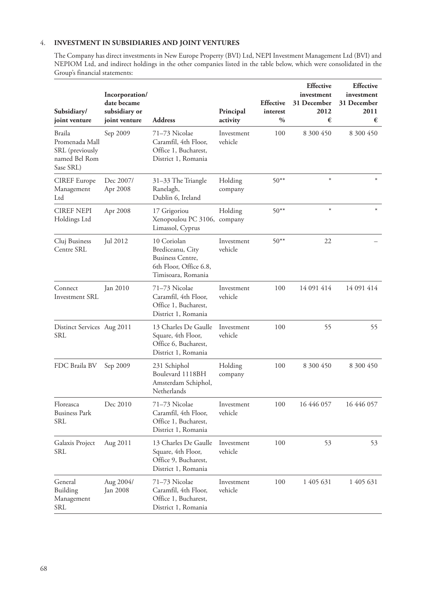# 4. **INVESTMENT IN SUBSIDIARIES AND JOINT VENTURES**

The Company has direct investments in New Europe Property (BVI) Ltd, NEPI Investment Management Ltd (BVI) and NEPIOM Ltd, and indirect holdings in the other companies listed in the table below, which were consolidated in the Group's financial statements:

| Subsidiary/<br>joint venture                                              | Incorporation/<br>date became<br>subsidiary or<br>joint venture | <b>Address</b>                                                                                             | Principal<br>activity | <b>Effective</b><br>interest<br>$\frac{0}{0}$ | <b>Effective</b><br>investment<br>31 December<br>2012<br>€ | <b>Effective</b><br>investment<br>31 December<br>2011<br>€ |
|---------------------------------------------------------------------------|-----------------------------------------------------------------|------------------------------------------------------------------------------------------------------------|-----------------------|-----------------------------------------------|------------------------------------------------------------|------------------------------------------------------------|
| Braila<br>Promenada Mall<br>SRL (previously<br>named Bel Rom<br>Sase SRL) | Sep 2009                                                        | 71-73 Nicolae<br>Caramfil, 4th Floor,<br>Office 1, Bucharest,<br>District 1, Romania                       | Investment<br>vehicle | 100                                           | 8 300 450                                                  | 8 300 450                                                  |
| <b>CIREF</b> Europe<br>Management<br>Ltd                                  | Dec 2007/<br>Apr 2008                                           | 31-33 The Triangle<br>Ranelagh,<br>Dublin 6, Ireland                                                       | Holding<br>company    | $50**$                                        | $\ast$                                                     | $\ast$                                                     |
| <b>CIREF NEPI</b><br>Holdings Ltd                                         | Apr 2008                                                        | 17 Grigoriou<br>Xenopoulou PC 3106,<br>Limassol, Cyprus                                                    | Holding<br>company    | $50**$                                        | $\ast$                                                     | $\ast$                                                     |
| Cluj Business<br>Centre SRL                                               | Jul 2012                                                        | 10 Coriolan<br>Brediceanu, City<br><b>Business Centre,</b><br>6th Floor, Office 6.8,<br>Timisoara, Romania | Investment<br>vehicle | $50**$                                        | 22                                                         |                                                            |
| Connect<br>Investment SRL                                                 | Jan 2010                                                        | 71-73 Nicolae<br>Caramfil, 4th Floor,<br>Office 1, Bucharest,<br>District 1, Romania                       | Investment<br>vehicle | 100                                           | 14 091 414                                                 | 14 091 414                                                 |
| Distinct Services Aug 2011<br>SRL                                         |                                                                 | 13 Charles De Gaulle<br>Square, 4th Floor,<br>Office 6, Bucharest,<br>District 1, Romania                  | Investment<br>vehicle | 100                                           | 55                                                         | 55                                                         |
| FDC Braila BV                                                             | Sep 2009                                                        | 231 Schiphol<br>Boulevard 1118BH<br>Amsterdam Schiphol,<br>Netherlands                                     | Holding<br>company    | 100                                           | 8 300 450                                                  | 8 300 450                                                  |
| Floreasca<br><b>Business Park</b><br>SRL                                  | Dec 2010                                                        | 71–73 Nicolae<br>Caramfil, 4th Floor,<br>Office 1, Bucharest,<br>District 1, Romania                       | Investment<br>vehicle | 100                                           | 16 446 057                                                 | 16 446 057                                                 |
| Galaxis Project<br>SRL                                                    | Aug 2011                                                        | 13 Charles De Gaulle<br>Square, 4th Floor,<br>Office 9, Bucharest,<br>District 1, Romania                  | Investment<br>vehicle | 100                                           | 53                                                         | 53                                                         |
| General<br>Building<br>Management<br>SRL                                  | Aug 2004/<br><b>Jan 2008</b>                                    | 71-73 Nicolae<br>Caramfil, 4th Floor,<br>Office 1, Bucharest,<br>District 1, Romania                       | Investment<br>vehicle | 100                                           | 1 405 631                                                  | 1 405 631                                                  |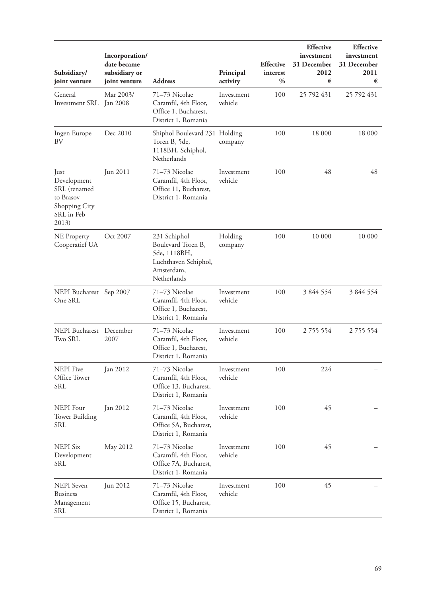| Subsidiary/<br>joint venture                                                             | Incorporation/<br>date became<br>subsidiary or<br>joint venture | <b>Address</b>                                                                                          | Principal<br>activity | <b>Effective</b><br>interest<br>$\frac{0}{0}$ | <b>Effective</b><br>investment<br>31 December<br>2012<br>€ | <b>Effective</b><br>investment<br>31 December<br>2011<br>€ |
|------------------------------------------------------------------------------------------|-----------------------------------------------------------------|---------------------------------------------------------------------------------------------------------|-----------------------|-----------------------------------------------|------------------------------------------------------------|------------------------------------------------------------|
| General<br>Investment SRL                                                                | Mar 2003/<br><b>Jan 2008</b>                                    | 71-73 Nicolae<br>Caramfil, 4th Floor,<br>Office 1, Bucharest,<br>District 1, Romania                    | Investment<br>vehicle | 100                                           | 25 792 431                                                 | 25 792 431                                                 |
| Ingen Europe<br>BV                                                                       | Dec 2010                                                        | Shiphol Boulevard 231 Holding<br>Toren B, 5de,<br>1118BH, Schiphol,<br>Netherlands                      | company               | 100                                           | 18 000                                                     | 18 000                                                     |
| Just<br>Development<br>SRL (renamed<br>to Brasov<br>Shopping City<br>SRL in Feb<br>2013) | Jun 2011                                                        | 71-73 Nicolae<br>Caramfil, 4th Floor,<br>Office 11, Bucharest,<br>District 1, Romania                   | Investment<br>vehicle | 100                                           | 48                                                         | 48                                                         |
| <b>NE</b> Property<br>Cooperatief UA                                                     | Oct 2007                                                        | 231 Schiphol<br>Boulevard Toren B,<br>5de, 1118BH,<br>Luchthaven Schiphol,<br>Amsterdam,<br>Netherlands | Holding<br>company    | 100                                           | 10 000                                                     | 10 000                                                     |
| NEPI Bucharest Sep 2007<br>One SRL                                                       |                                                                 | 71-73 Nicolae<br>Caramfil, 4th Floor,<br>Office 1, Bucharest,<br>District 1, Romania                    | Investment<br>vehicle | 100                                           | 3 844 554                                                  | 3 844 554                                                  |
| NEPI Bucharest December<br>Two SRL                                                       | 2007                                                            | 71-73 Nicolae<br>Caramfil, 4th Floor,<br>Office 1, Bucharest,<br>District 1, Romania                    | Investment<br>vehicle | 100                                           | 2 7 5 5 5 5 4                                              | 2755554                                                    |
| <b>NEPI</b> Five<br>Office Tower<br>SRL                                                  | Jan 2012                                                        | 71-73 Nicolae<br>Caramfil, 4th Floor,<br>Office 13, Bucharest,<br>District 1, Romania                   | Investment<br>vehicle | 100                                           | 224                                                        |                                                            |
| <b>NEPI</b> Four<br><b>Tower Building</b><br>SRL                                         | Jan 2012                                                        | 71–73 Nicolae<br>Caramfil, 4th Floor,<br>Office 5A, Bucharest,<br>District 1, Romania                   | Investment<br>vehicle | 100                                           | 45                                                         |                                                            |
| <b>NEPI Six</b><br>Development<br>SRL                                                    | May 2012                                                        | 71-73 Nicolae<br>Caramfil, 4th Floor,<br>Office 7A, Bucharest,<br>District 1, Romania                   | Investment<br>vehicle | 100                                           | 45                                                         |                                                            |
| <b>NEPI</b> Seven<br><b>Business</b><br>Management<br>SRL                                | Jun 2012                                                        | 71-73 Nicolae<br>Caramfil, 4th Floor,<br>Office 15, Bucharest,<br>District 1, Romania                   | Investment<br>vehicle | 100                                           | 45                                                         |                                                            |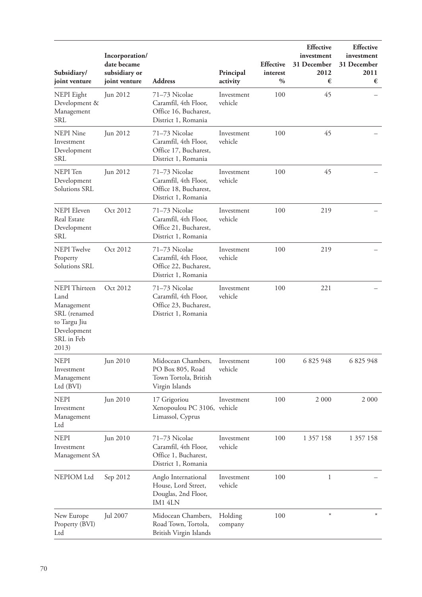| Subsidiary/<br>joint venture                                                                                     | Incorporation/<br>date became<br>subsidiary or<br>joint venture | <b>Address</b>                                                                               | Principal<br>activity | <b>Effective</b><br>interest<br>$\%$ | <b>Effective</b><br>investment<br>31 December<br>2012<br>€ | <b>Effective</b><br>investment<br>31 December<br>2011<br>€ |
|------------------------------------------------------------------------------------------------------------------|-----------------------------------------------------------------|----------------------------------------------------------------------------------------------|-----------------------|--------------------------------------|------------------------------------------------------------|------------------------------------------------------------|
| NEPI Eight<br>Development &<br>Management<br><b>SRL</b>                                                          | Jun 2012                                                        | 71-73 Nicolae<br>Caramfil, 4th Floor,<br>Office 16, Bucharest,<br>District 1, Romania        | Investment<br>vehicle | 100                                  | 45                                                         |                                                            |
| <b>NEPI</b> Nine<br>Investment<br>Development<br><b>SRL</b>                                                      | Jun 2012                                                        | 71-73 Nicolae<br>Caramfil, 4th Floor,<br>Office 17, Bucharest,<br>District 1, Romania        | Investment<br>vehicle | 100                                  | 45                                                         |                                                            |
| NEPI Ten<br>Development<br>Solutions SRL                                                                         | Jun 2012                                                        | 71-73 Nicolae<br>Caramfil, 4th Floor,<br>Office 18, Bucharest,<br>District 1, Romania        | Investment<br>vehicle | 100                                  | 45                                                         |                                                            |
| <b>NEPI</b> Eleven<br>Real Estate<br>Development<br><b>SRL</b>                                                   | Oct 2012                                                        | 71-73 Nicolae<br>Caramfil, 4th Floor,<br>Office 21, Bucharest,<br>District 1, Romania        | Investment<br>vehicle | 100                                  | 219                                                        |                                                            |
| <b>NEPI</b> Twelve<br>Property<br>Solutions SRL                                                                  | Oct 2012                                                        | 71-73 Nicolae<br>Caramfil, 4th Floor,<br>Office 22, Bucharest,<br>District 1, Romania        | Investment<br>vehicle | 100                                  | 219                                                        |                                                            |
| <b>NEPI</b> Thirteen<br>Land<br>Management<br>SRL (renamed<br>to Targu Jiu<br>Development<br>SRL in Feb<br>2013) | Oct 2012                                                        | 71-73 Nicolae<br>Caramfil, 4th Floor,<br>Office 23, Bucharest,<br>District 1, Romania        | Investment<br>vehicle | 100                                  | 221                                                        |                                                            |
| <b>NEPI</b><br>Investment<br>Management<br>Ltd (BVI)                                                             | Jun 2010                                                        | Midocean Chambers, Investment<br>PO Box 805, Road<br>Town Tortola, British<br>Virgin Islands | vehicle               | 100                                  | 6 825 948                                                  | 6 825 948                                                  |
| <b>NEPI</b><br>Investment<br>Management<br>Ltd                                                                   | Jun 2010                                                        | 17 Grigoriou<br>Xenopoulou PC 3106, vehicle<br>Limassol, Cyprus                              | Investment            | 100                                  | 2 0 0 0                                                    | 2 0 0 0                                                    |
| <b>NEPI</b><br>Investment<br>Management SA                                                                       | Jun 2010                                                        | 71–73 Nicolae<br>Caramfil, 4th Floor,<br>Office 1, Bucharest,<br>District 1, Romania         | Investment<br>vehicle | 100                                  | 1 357 158                                                  | 1 357 158                                                  |
| NEPIOM Ltd                                                                                                       | Sep 2012                                                        | Anglo International<br>House, Lord Street,<br>Douglas, 2nd Floor,<br>IM14LN                  | Investment<br>vehicle | 100                                  | 1                                                          |                                                            |
| New Europe<br>Property (BVI)<br>Ltd                                                                              | Jul 2007                                                        | Midocean Chambers,<br>Road Town, Tortola,<br>British Virgin Islands                          | Holding<br>company    | 100                                  | $\ast$                                                     |                                                            |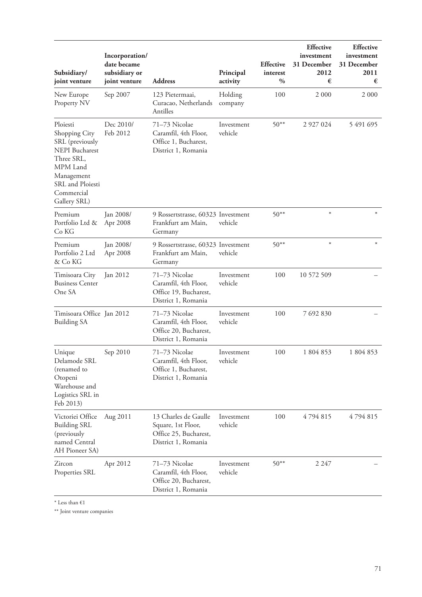| Subsidiary/<br>joint venture                                                                                                                                    | Incorporation/<br>date became<br>subsidiary or<br>joint venture | <b>Address</b>                                                                             | Principal<br>activity | <b>Effective</b><br>interest<br>$\frac{0}{0}$ | <b>Effective</b><br>investment<br>31 December<br>2012<br>€ | <b>Effective</b><br>investment<br>31 December<br>2011<br>€ |
|-----------------------------------------------------------------------------------------------------------------------------------------------------------------|-----------------------------------------------------------------|--------------------------------------------------------------------------------------------|-----------------------|-----------------------------------------------|------------------------------------------------------------|------------------------------------------------------------|
| New Europe<br>Property NV                                                                                                                                       | Sep 2007                                                        | 123 Pietermaai,<br>Curacao, Netherlands<br>Antilles                                        | Holding<br>company    | 100                                           | 2 0 0 0                                                    | 2 0 0 0                                                    |
| Ploiesti<br>Shopping City<br>SRL (previously<br><b>NEPI</b> Bucharest<br>Three SRL,<br>MPM Land<br>Management<br>SRL and Ploiesti<br>Commercial<br>Gallery SRL) | Dec 2010/<br>Feb 2012                                           | 71-73 Nicolae<br>Caramfil, 4th Floor,<br>Office 1, Bucharest,<br>District 1, Romania       | Investment<br>vehicle | $50**$                                        | 2 9 2 7 0 2 4                                              | 5 491 695                                                  |
| Premium<br>Portfolio Ltd &<br>Co KG                                                                                                                             | Jan 2008/<br>Apr 2008                                           | 9 Rossertstrasse, 60323 Investment<br>Frankfurt am Main,<br>Germany                        | vehicle               | $50***$                                       | $\ast$                                                     | $\ast$                                                     |
| Premium<br>Portfolio 2 Ltd<br>& Co KG                                                                                                                           | Jan 2008/<br>Apr 2008                                           | 9 Rossertstrasse, 60323 Investment<br>Frankfurt am Main,<br>Germany                        | vehicle               | $50***$                                       | $\ast$                                                     |                                                            |
| Timisoara City<br><b>Business Center</b><br>One SA                                                                                                              | Jan 2012                                                        | 71-73 Nicolae<br>Caramfil, 4th Floor,<br>Office 19, Bucharest,<br>District 1, Romania      | Investment<br>vehicle | 100                                           | 10 572 509                                                 |                                                            |
| Timisoara Office Jan 2012<br><b>Building SA</b>                                                                                                                 |                                                                 | 71-73 Nicolae<br>Caramfil, 4th Floor,<br>Office 20, Bucharest,<br>District 1, Romania      | Investment<br>vehicle | 100                                           | 7 692 830                                                  |                                                            |
| Unique<br>Delamode SRL<br>(renamed to<br>Otopeni<br>Warehouse and<br>Logistics SRL in<br>Feb 2013)                                                              | Sep 2010                                                        | 71–73 Nicolae<br>Caramfil, 4th Floor,<br>Office 1, Bucharest,<br>District 1, Romania       | Investment<br>vehicle | 100                                           | 1 804 853                                                  | 1 804 853                                                  |
| Victoriei Office<br><b>Building SRL</b><br>(previously<br>named Central<br>AH Pioneer SA)                                                                       | Aug 2011                                                        | 13 Charles de Gaulle<br>Square, 1st Floor,<br>Office 25, Bucharest,<br>District 1, Romania | Investment<br>vehicle | 100                                           | 4794815                                                    | 4794815                                                    |
| Zircon<br>Properties SRL                                                                                                                                        | Apr 2012                                                        | 71-73 Nicolae<br>Caramfil, 4th Floor,<br>Office 20, Bucharest,<br>District 1, Romania      | Investment<br>vehicle | $50**$                                        | 2 2 4 7                                                    |                                                            |

 $^*$  Less than  $\mathop{\in}\nolimits\mathop{1}$ 

\*\* Joint venture companies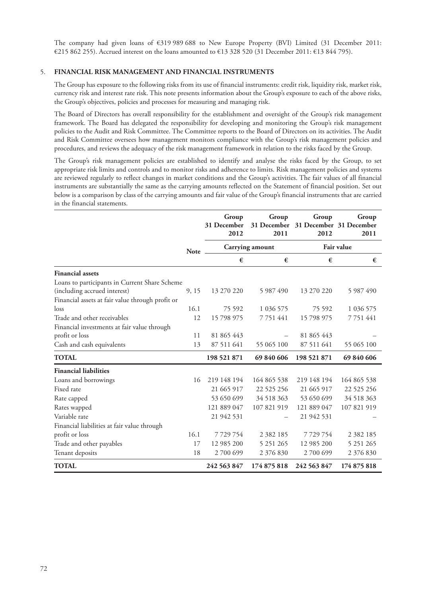The company had given loans of €319 989 688 to New Europe Property (BVI) Limited (31 December 2011: €215 862 255). Accrued interest on the loans amounted to €13 328 520 (31 December 2011: €13 844 795).

# 5. **FINANCIAL RISK MANAGEMENT AND FINANCIAL INSTRUMENTS**

The Group has exposure to the following risks from its use of financial instruments: credit risk, liquidity risk, market risk, currency risk and interest rate risk. This note presents information about the Group's exposure to each of the above risks, the Group's objectives, policies and processes for measuring and managing risk.

The Board of Directors has overall responsibility for the establishment and oversight of the Group's risk management framework. The Board has delegated the responsibility for developing and monitoring the Group's risk management policies to the Audit and Risk Committee. The Committee reports to the Board of Directors on its activities. The Audit and Risk Committee oversees how management monitors compliance with the Group's risk management policies and procedures, and reviews the adequacy of the risk management framework in relation to the risks faced by the Group.

The Group's risk management policies are established to identify and analyse the risks faced by the Group, to set appropriate risk limits and controls and to monitor risks and adherence to limits. Risk management policies and systems are reviewed regularly to reflect changes in market conditions and the Group's activities. The fair values of all financial instruments are substantially the same as the carrying amounts reflected on the Statement of financial position. Set out below is a comparison by class of the carrying amounts and fair value of the Group's financial instruments that are carried in the financial statements.

|                                                  |             | Group<br>31 December<br>2012 | Group<br>31 December<br>2011 | Group<br>31 December 31 December<br>2012 | Group<br>2011     |
|--------------------------------------------------|-------------|------------------------------|------------------------------|------------------------------------------|-------------------|
|                                                  | <b>Note</b> |                              | Carrying amount              |                                          | <b>Fair value</b> |
|                                                  |             | €                            | €                            | €                                        | €                 |
| <b>Financial assets</b>                          |             |                              |                              |                                          |                   |
| Loans to participants in Current Share Scheme    |             |                              |                              |                                          |                   |
| (including accrued interest)                     | 9, 15       | 13 270 220                   | 5 987 490                    | 13 270 220                               | 5 987 490         |
| Financial assets at fair value through profit or |             |                              |                              |                                          |                   |
| loss                                             | 16.1        | 75 592                       | 1 036 575                    | 75 592                                   | 1 036 575         |
| Trade and other receivables                      | 12          | 15 798 975                   | 7751441                      | 15 798 975                               | 7 7 5 1 4 4 1     |
| Financial investments at fair value through      |             |                              |                              |                                          |                   |
| profit or loss                                   | 11          | 81 865 443                   |                              | 81 865 443                               |                   |
| Cash and cash equivalents                        | 13          | 87 511 641                   | 55 065 100                   | 87 511 641                               | 55 065 100        |
| <b>TOTAL</b>                                     |             | 198 521 871                  | 69 840 606                   | 198 521 871                              | 69 840 606        |
| <b>Financial liabilities</b>                     |             |                              |                              |                                          |                   |
| Loans and borrowings                             | 16          | 219 148 194                  | 164 865 538                  | 219 148 194                              | 164 865 538       |
| Fixed rate                                       |             | 21 665 917                   | 22 5 25 25 6                 | 21 665 917                               | 22 5 25 25 6      |
| Rate capped                                      |             | 53 650 699                   | 34 518 363                   | 53 650 699                               | 34 518 363        |
| Rates wapped                                     |             | 121 889 047                  | 107 821 919                  | 121 889 047                              | 107 821 919       |
| Variable rate                                    |             | 21 942 531                   |                              | 21 942 531                               |                   |
| Financial liabilities at fair value through      |             |                              |                              |                                          |                   |
| profit or loss                                   | 16.1        | 7729754                      | 2 3 8 2 1 8 5                | 7729754                                  | 2 3 8 2 1 8 5     |
| Trade and other payables                         | 17          | 12 985 200                   | 5 251 265                    | 12 985 200                               | 5 251 265         |
| Tenant deposits                                  | 18          | 2700699                      | 2 376 830                    | 2700699                                  | 2 376 830         |
| <b>TOTAL</b>                                     |             | 242 563 847                  | 174 875 818                  | 242 563 847                              | 174 875 818       |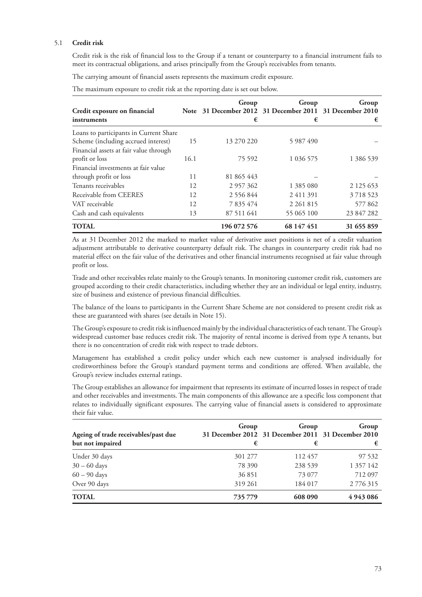# 5.1 **Credit risk**

Credit risk is the risk of financial loss to the Group if a tenant or counterparty to a financial instrument fails to meet its contractual obligations, and arises principally from the Group's receivables from tenants.

The carrying amount of financial assets represents the maximum credit exposure.

| The maximum exposure to credit risk at the reporting date is set out below. |  |  |  |
|-----------------------------------------------------------------------------|--|--|--|
|                                                                             |  |  |  |

| Credit exposure on financial           |      | Group<br>Note 31 December 2012 31 December 2011 31 December 2010 | Group         | Group         |
|----------------------------------------|------|------------------------------------------------------------------|---------------|---------------|
| instruments                            |      | €                                                                | €             | €             |
| Loans to participants in Current Share |      |                                                                  |               |               |
| Scheme (including accrued interest)    | 15   | 13 270 220                                                       | 5 987 490     |               |
| Financial assets at fair value through |      |                                                                  |               |               |
| profit or loss                         | 16.1 | 75 592                                                           | 1 0 3 6 5 7 5 | 1 386 539     |
| Financial investments at fair value    |      |                                                                  |               |               |
| through profit or loss                 | 11   | 81 865 443                                                       |               |               |
| Tenants receivables                    | 12   | 2 957 362                                                        | 1 385 080     | 2 1 2 5 6 5 3 |
| Receivable from CEERES                 | 12   | 2 556 844                                                        | 2411391       | 3718523       |
| VAT receivable                         | 12   | 7 835 474                                                        | 2 2 6 1 8 1 5 | 577 862       |
| Cash and cash equivalents              | 13   | 87 511 641                                                       | 55 065 100    | 23 847 282    |
| <b>TOTAL</b>                           |      | 196 072 576                                                      | 68 147 451    | 31 655 859    |

As at 31 December 2012 the marked to market value of derivative asset positions is net of a credit valuation adjustment attributable to derivative counterparty default risk. The changes in counterparty credit risk had no material effect on the fair value of the derivatives and other financial instruments recognised at fair value through profit or loss.

Trade and other receivables relate mainly to the Group's tenants. In monitoring customer credit risk, customers are grouped according to their credit characteristics, including whether they are an individual or legal entity, industry, size of business and existence of previous financial difficulties.

The balance of the loans to participants in the Current Share Scheme are not considered to present credit risk as these are guaranteed with shares (see details in Note 15).

The Group's exposure to credit risk is influenced mainly by the individual characteristics of each tenant. The Group's widespread customer base reduces credit risk. The majority of rental income is derived from type A tenants, but there is no concentration of credit risk with respect to trade debtors.

Management has established a credit policy under which each new customer is analysed individually for creditworthiness before the Group's standard payment terms and conditions are offered. When available, the Group's review includes external ratings.

The Group establishes an allowance for impairment that represents its estimate of incurred losses in respect of trade and other receivables and investments. The main components of this allowance are a specific loss component that relates to individually significant exposures. The carrying value of financial assets is considered to approximate their fair value.

| Ageing of trade receivables/past due<br>but not impaired | Group<br>€ | Group<br>31 December 2012 31 December 2011 31 December 2010<br>€ | Group<br>€    |
|----------------------------------------------------------|------------|------------------------------------------------------------------|---------------|
| Under 30 days                                            | 301 277    | 112457                                                           | 97 532        |
| $30 - 60$ days                                           | 78 390     | 238 539                                                          | 1 357 142     |
| $60 - 90$ days                                           | 36 851     | 73 077                                                           | 712 097       |
| Over 90 days                                             | 319 261    | 184 017                                                          | 2 776 315     |
| <b>TOTAL</b>                                             | 735779     | 608 090                                                          | 4 9 4 3 0 8 6 |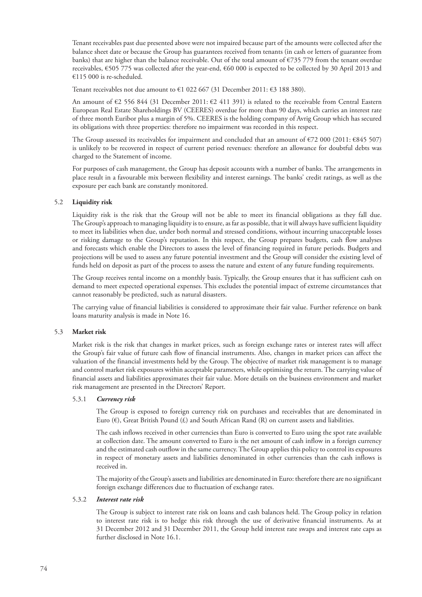Tenant receivables past due presented above were not impaired because part of the amounts were collected after the balance sheet date or because the Group has guarantees received from tenants (in cash or letters of guarantee from banks) that are higher than the balance receivable. Out of the total amount of €735 779 from the tenant overdue receivables, €505 775 was collected after the year-end, €60 000 is expected to be collected by 30 April 2013 and €115 000 is re-scheduled.

Tenant receivables not due amount to €1 022 667 (31 December 2011: €3 188 380).

An amount of €2 556 844 (31 December 2011: €2 411 391) is related to the receivable from Central Eastern European Real Estate Shareholdings BV (CEERES) overdue for more than 90 days, which carries an interest rate of three month Euribor plus a margin of 5%. CEERES is the holding company of Avrig Group which has secured its obligations with three properties: therefore no impairment was recorded in this respect.

The Group assessed its receivables for impairment and concluded that an amount of €72 000 (2011: €845 507) is unlikely to be recovered in respect of current period revenues: therefore an allowance for doubtful debts was charged to the Statement of income.

For purposes of cash management, the Group has deposit accounts with a number of banks. The arrangements in place result in a favourable mix between flexibility and interest earnings. The banks' credit ratings, as well as the exposure per each bank are constantly monitored.

## 5.2 **Liquidity risk**

Liquidity risk is the risk that the Group will not be able to meet its financial obligations as they fall due. The Group's approach to managing liquidity is to ensure, as far as possible, that it will always have sufficient liquidity to meet its liabilities when due, under both normal and stressed conditions, without incurring unacceptable losses or risking damage to the Group's reputation. In this respect, the Group prepares budgets, cash flow analyses and forecasts which enable the Directors to assess the level of financing required in future periods. Budgets and projections will be used to assess any future potential investment and the Group will consider the existing level of funds held on deposit as part of the process to assess the nature and extent of any future funding requirements.

The Group receives rental income on a monthly basis. Typically, the Group ensures that it has sufficient cash on demand to meet expected operational expenses. This excludes the potential impact of extreme circumstances that cannot reasonably be predicted, such as natural disasters.

The carrying value of financial liabilities is considered to approximate their fair value. Further reference on bank loans maturity analysis is made in Note 16.

#### 5.3 **Market risk**

Market risk is the risk that changes in market prices, such as foreign exchange rates or interest rates will affect the Group's fair value of future cash flow of financial instruments. Also, changes in market prices can affect the valuation of the financial investments held by the Group. The objective of market risk management is to manage and control market risk exposures within acceptable parameters, while optimising the return. The carrying value of financial assets and liabilities approximates their fair value. More details on the business environment and market risk management are presented in the Directors' Report.

#### 5.3.1 *Currency risk*

The Group is exposed to foreign currency risk on purchases and receivables that are denominated in Euro ( $\epsilon$ ), Great British Pound ( $\epsilon$ ) and South African Rand (R) on current assets and liabilities.

The cash inflows received in other currencies than Euro is converted to Euro using the spot rate available at collection date. The amount converted to Euro is the net amount of cash inflow in a foreign currency and the estimated cash outflow in the same currency. The Group applies this policy to control its exposures in respect of monetary assets and liabilities denominated in other currencies than the cash inflows is received in.

The majority of the Group's assets and liabilities are denominated in Euro: therefore there are no significant foreign exchange differences due to fluctuation of exchange rates.

### 5.3.2 *Interest rate risk*

The Group is subject to interest rate risk on loans and cash balances held. The Group policy in relation to interest rate risk is to hedge this risk through the use of derivative financial instruments. As at 31 December 2012 and 31 December 2011, the Group held interest rate swaps and interest rate caps as further disclosed in Note 16.1.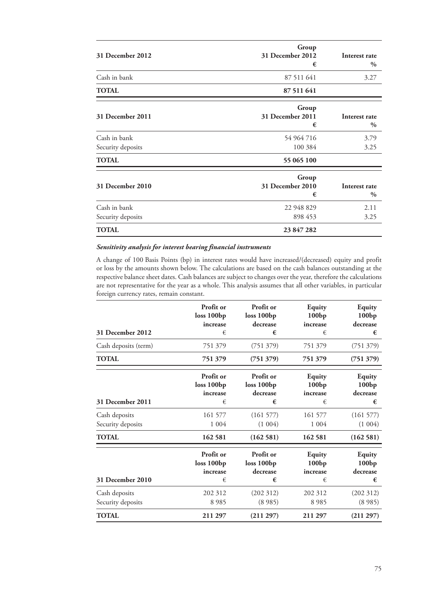| 31 December 2012                  | Group<br>31 December 2012<br>€ | Interest rate<br>$\%$          |
|-----------------------------------|--------------------------------|--------------------------------|
| Cash in bank                      | 87 511 641                     | 3.27                           |
| <b>TOTAL</b>                      | 87 511 641                     |                                |
| 31 December 2011                  | Group<br>31 December 2011<br>€ | Interest rate<br>$\%$          |
| Cash in bank<br>Security deposits | 54 964 716<br>100 384          | 3.79<br>3.25                   |
| <b>TOTAL</b>                      | 55 065 100                     |                                |
| 31 December 2010                  | Group<br>31 December 2010<br>€ | Interest rate<br>$\frac{0}{0}$ |
| Cash in bank<br>Security deposits | 22 948 829<br>898 453          | 2.11<br>3.25                   |
| <b>TOTAL</b>                      | 23 847 282                     |                                |

# *Sensitivity analysis for interest bearing financial instruments*

A change of 100 Basis Points (bp) in interest rates would have increased/(decreased) equity and profit or loss by the amounts shown below. The calculations are based on the cash balances outstanding at the respective balance sheet dates. Cash balances are subject to changes over the year, therefore the calculations are not representative for the year as a whole. This analysis assumes that all other variables, in particular foreign currency rates, remain constant.

|                                    | Profit or<br>loss 100bp<br>increase      | Profit or<br>loss 100bp<br>decrease      | <b>Equity</b><br>100bp<br>increase | <b>Equity</b><br>100 <sub>bp</sub><br>decrease      |
|------------------------------------|------------------------------------------|------------------------------------------|------------------------------------|-----------------------------------------------------|
| 31 December 2012                   | €                                        | €                                        | €                                  | €                                                   |
| Cash deposits (term)               | 751 379                                  | (751 379)                                | 751 379                            | (751 379)                                           |
| <b>TOTAL</b>                       | 751 379                                  | (751 379)                                | 751 379                            | (751 379)                                           |
| 31 December 2011                   | Profit or<br>loss 100bp<br>increase<br>€ | Profit or<br>loss 100bp<br>decrease<br>€ | Equity<br>100bp<br>increase<br>€   | <b>Equity</b><br>100bp<br>decrease<br>€             |
| Cash deposits                      | 161 577                                  | (161577)                                 | 161 577                            | (161577)                                            |
| Security deposits                  | 1 0 0 4                                  | (1004)                                   | 1 0 0 4                            | (1004)                                              |
| <b>TOTAL</b>                       | 162 581                                  | (162581)                                 | 162 581                            | (162581)                                            |
| 31 December 2010                   | Profit or<br>loss 100bp<br>increase<br>€ | Profit or<br>loss 100bp<br>decrease<br>€ | Equity<br>100bp<br>increase<br>€   | <b>Equity</b><br>100 <sub>bp</sub><br>decrease<br>€ |
| Cash deposits<br>Security deposits | 202 312<br>8985                          | (202312)<br>(8985)                       | 202 312<br>8985                    | (202312)<br>(8985)                                  |
| <b>TOTAL</b>                       | 211 297                                  | (211 297)                                | 211 297                            | (211 297)                                           |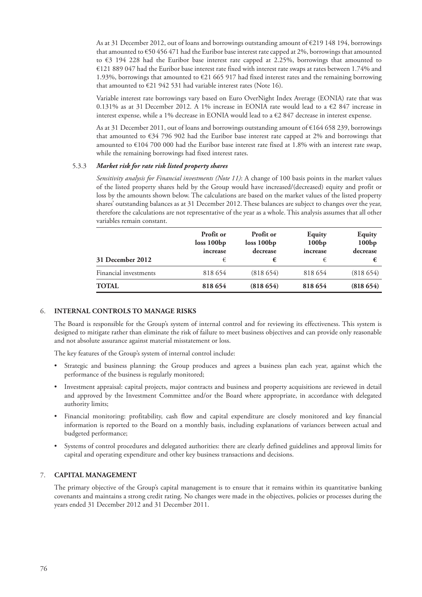As at 31 December 2012, out of loans and borrowings outstanding amount of €219 148 194, borrowings that amounted to €50 456 471 had the Euribor base interest rate capped at 2%, borrowings that amounted to €3 194 228 had the Euribor base interest rate capped at 2.25%, borrowings that amounted to €121 889 047 had the Euribor base interest rate fixed with interest rate swaps at rates between 1.74% and 1.93%, borrowings that amounted to €21 665 917 had fixed interest rates and the remaining borrowing that amounted to €21 942 531 had variable interest rates (Note 16).

Variable interest rate borrowings vary based on Euro OverNight Index Average (EONIA) rate that was 0.131% as at 31 December 2012. A 1% increase in EONIA rate would lead to a €2 847 increase in interest expense, while a 1% decrease in EONIA would lead to a €2 847 decrease in interest expense.

As at 31 December 2011, out of loans and borrowings outstanding amount of €164 658 239, borrowings that amounted to €34 796 902 had the Euribor base interest rate capped at 2% and borrowings that amounted to €104 700 000 had the Euribor base interest rate fixed at 1.8% with an interest rate swap, while the remaining borrowings had fixed interest rates.

### 5.3.3 *Market risk for rate risk listed property shares*

*Sensitivity analysis for Financial investments (Note 11)*: A change of 100 basis points in the market values of the listed property shares held by the Group would have increased/(decreased) equity and profit or loss by the amounts shown below. The calculations are based on the market values of the listed property shares' outstanding balances as at 31 December 2012. These balances are subject to changes over the year, therefore the calculations are not representative of the year as a whole. This analysis assumes that all other variables remain constant.

| 31 December 2012      | Profit or<br>loss 100bp<br>increase<br>€ | Profit or<br>loss 100bp<br>decrease<br>€ | Equity<br>100bp<br>increase<br>€ | Equity<br>100bp<br>decrease<br>€ |
|-----------------------|------------------------------------------|------------------------------------------|----------------------------------|----------------------------------|
| Financial investments | 818 654                                  | (818654)                                 | 818 654                          | (818654)                         |
| <b>TOTAL</b>          | 818 654                                  | (818654)                                 | 818 654                          | (818654)                         |

### 6. **INTERNAL CONTROLS TO MANAGE RISKS**

The Board is responsible for the Group's system of internal control and for reviewing its effectiveness. This system is designed to mitigate rather than eliminate the risk of failure to meet business objectives and can provide only reasonable and not absolute assurance against material misstatement or loss.

The key features of the Group's system of internal control include:

- Strategic and business planning: the Group produces and agrees a business plan each year, against which the performance of the business is regularly monitored;
- Investment appraisal: capital projects, major contracts and business and property acquisitions are reviewed in detail and approved by the Investment Committee and/or the Board where appropriate, in accordance with delegated authority limits;
- Financial monitoring: profitability, cash flow and capital expenditure are closely monitored and key financial information is reported to the Board on a monthly basis, including explanations of variances between actual and budgeted performance;
- Systems of control procedures and delegated authorities: there are clearly defined guidelines and approval limits for capital and operating expenditure and other key business transactions and decisions.

### 7. **CAPITAL MANAGEMENT**

The primary objective of the Group's capital management is to ensure that it remains within its quantitative banking covenants and maintains a strong credit rating. No changes were made in the objectives, policies or processes during the years ended 31 December 2012 and 31 December 2011.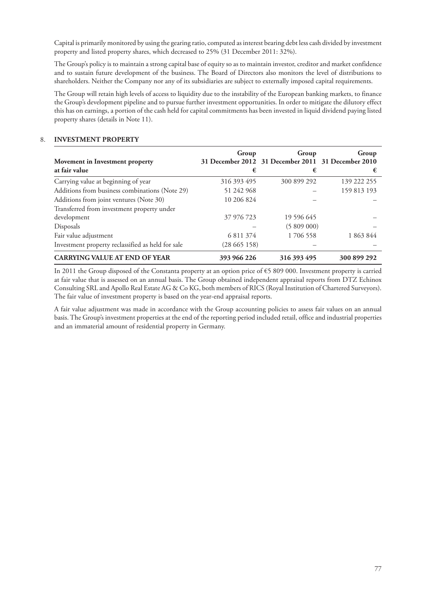Capital is primarily monitored by using the gearing ratio, computed as interest bearing debt less cash divided by investment property and listed property shares, which decreased to 25% (31 December 2011: 32%).

The Group's policy is to maintain a strong capital base of equity so as to maintain investor, creditor and market confidence and to sustain future development of the business. The Board of Directors also monitors the level of distributions to shareholders. Neither the Company nor any of its subsidiaries are subject to externally imposed capital requirements.

The Group will retain high levels of access to liquidity due to the instability of the European banking markets, to finance the Group's development pipeline and to pursue further investment opportunities. In order to mitigate the dilutory effect this has on earnings, a portion of the cash held for capital commitments has been invested in liquid dividend paying listed property shares (details in Note 11).

# 8. **INVESTMENT PROPERTY**

| Movement in Investment property                   | Group       | Group<br>31 December 2012 31 December 2011 31 December 2010 | Group       |
|---------------------------------------------------|-------------|-------------------------------------------------------------|-------------|
| at fair value                                     | €           | €                                                           | €           |
| Carrying value at beginning of year               | 316 393 495 | 300 899 292                                                 | 139 222 255 |
| Additions from business combinations (Note 29)    | 51 242 968  |                                                             | 159 813 193 |
| Additions from joint ventures (Note 30)           | 10 206 824  |                                                             |             |
| Transferred from investment property under        |             |                                                             |             |
| development                                       | 37 976 723  | 19 596 645                                                  |             |
| Disposals                                         |             | (5809000)                                                   |             |
| Fair value adjustment                             | 6 811 374   | 1 706 558                                                   | 1 863 844   |
| Investment property reclassified as held for sale | (28665158)  |                                                             |             |
| <b>CARRYING VALUE AT END OF YEAR</b>              | 393 966 226 | 316 393 495                                                 | 300 899 292 |

In 2011 the Group disposed of the Constanta property at an option price of €5 809 000. Investment property is carried at fair value that is assessed on an annual basis. The Group obtained independent appraisal reports from DTZ Echinox Consulting SRL and Apollo Real Estate AG & Co KG, both members of RICS (Royal Institution of Chartered Surveyors). The fair value of investment property is based on the year-end appraisal reports.

A fair value adjustment was made in accordance with the Group accounting policies to assess fair values on an annual basis. The Group's investment properties at the end of the reporting period included retail, office and industrial properties and an immaterial amount of residential property in Germany.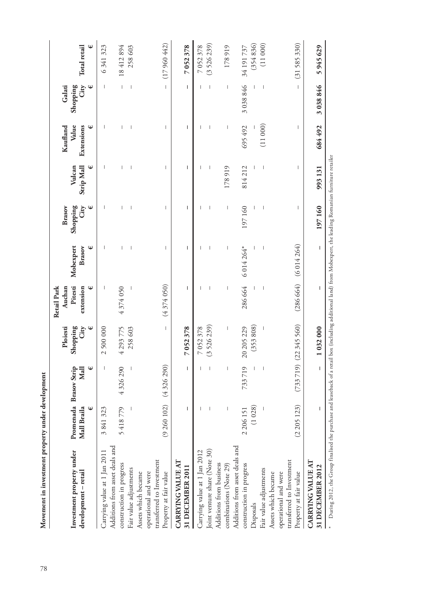|                                                                                                    |                                            |                             | Ploiesti                              | Retail Park<br>Auchan     |                          | Brasov                              |                           | Kaufland                 | Galati                                |                     |
|----------------------------------------------------------------------------------------------------|--------------------------------------------|-----------------------------|---------------------------------------|---------------------------|--------------------------|-------------------------------------|---------------------------|--------------------------|---------------------------------------|---------------------|
| Investment property under<br>development – retail                                                  | Promenada Brasov Strip<br>⊎<br>Mall Braila | €<br>Mall                   | Shopping<br>City<br>Ψ                 | Pitesti<br>⊎<br>extension | Mobexpert<br>€<br>Brasov | Shopping<br>$\mathbf{\Psi}$<br>City | ⊎<br>Strip Mall<br>Vulcan | Value<br>Extensions<br>⊎ | City<br>Shopping<br>Ψ                 | <b>Total</b> retail |
| Carrying value at 1 Jan 2011                                                                       | 3841323                                    | $\mathbf{I}$                | 2500000                               |                           |                          |                                     |                           |                          | $\overline{\phantom{a}}$              | 6341323             |
| Additions from asset deals and<br>construction in progress                                         | 5418779                                    | 4326290                     | 4 293 775                             | 4374050                   |                          |                                     | $\overline{1}$            |                          | $\begin{array}{c} \hline \end{array}$ | 18412894            |
| Fair value adjustments                                                                             |                                            |                             | 258603                                |                           |                          |                                     | $\overline{\phantom{a}}$  | $\overline{\phantom{a}}$ | $\begin{array}{c} \end{array}$        | 258603              |
| transferred to Investment<br>operational and were<br>Property at fair value<br>Assets which became |                                            | $(9 260 102)$ $(4 326 290)$ | $\begin{array}{c} \hline \end{array}$ | (4374050)                 | $\overline{1}$           | $\overline{\phantom{a}}$            | $\overline{\phantom{a}}$  | I                        | $\overline{1}$                        | (17960442)          |
| CARRYING VALUE AT<br>31 DECEMBER 2011                                                              | $\overline{1}$                             | $\mathsf{I}$                | 7052378                               | $\mathsf{I}$              | $\overline{1}$           | $\overline{1}$                      | $\overline{1}$            | $\overline{1}$           | $\mathsf I$                           | 7052378             |
| Carrying value at 1 Jan 2012                                                                       |                                            |                             | 7052378                               |                           |                          |                                     |                           |                          |                                       | 7052378             |
| Joint venture share (Note 30)                                                                      |                                            |                             | (3526239)                             |                           |                          |                                     |                           |                          | $\overline{\phantom{a}}$              | (3526239)           |
| Additions from business<br>combinations (Note 29)                                                  |                                            | $\overline{\phantom{a}}$    | $\overline{\phantom{a}}$              |                           |                          | $\overline{\phantom{a}}$            | 178919                    |                          | $\begin{array}{c} \end{array}$        | 178919              |
| Additions from asset deals and                                                                     |                                            |                             |                                       |                           |                          |                                     |                           |                          |                                       |                     |
| construction in progress                                                                           | 2 206 151                                  | 733719                      | 20 205 229                            | 286 664                   | 6 014 264*               | 197160                              | 814212                    | 695 492                  | 3 038 846                             | 34 191 737          |
| Disposals                                                                                          | (1028)                                     |                             | (353808)                              |                           |                          |                                     |                           |                          |                                       | (354836)            |
| Fair value adjustments                                                                             |                                            |                             | $\overline{\phantom{a}}$              |                           |                          | I                                   | $\overline{\phantom{a}}$  | (11000)                  |                                       | (11000)             |
| operational and were<br>Assets which became                                                        |                                            |                             |                                       |                           |                          |                                     |                           |                          |                                       |                     |
| transferred to Investment<br>Property at fair value                                                | (2205123)                                  |                             | $(733 719)$ $(22 345 560)$            | (286664)                  | (6014264)                | $\overline{\phantom{a}}$            | I                         | $\overline{\phantom{a}}$ | $\begin{array}{c} \hline \end{array}$ | (31585330)          |
| CARRYING VALUE AT<br>31 DECEMBER 2012                                                              |                                            |                             | 1032000                               |                           |                          | 197160                              | 993131                    | 684 492                  | 3038846                               | 5945629             |

During 2012, the Group finalised the purchase and leaseback of a retail box (including additional land) from Mobexpert, the leading Romanian furniture retailer During 2012, the Group finalised the purchase and leaseback of a retail box (including additional land) from Mobexpert, the leading Romanian furniture retailer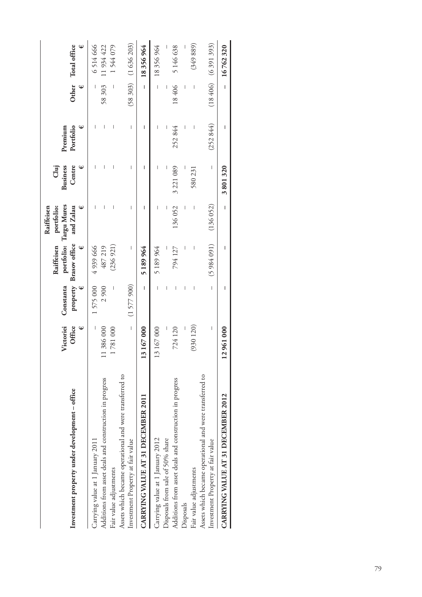| Investment property under development - office                                               | Victoriei<br>Office<br>Ψ | Ψ<br>Constanta | portfolio:<br>property Brasov office<br>Raiffeisen<br>Ψ | Targu Mures<br>portfolio:<br>and Zalau<br>Raiffeisen | <b>Business</b><br>Centre<br>Clui | Portfolio<br>ѡ<br>Premium      | Ψ                        | Other Total office<br>⊎ |
|----------------------------------------------------------------------------------------------|--------------------------|----------------|---------------------------------------------------------|------------------------------------------------------|-----------------------------------|--------------------------------|--------------------------|-------------------------|
| Carrying value at 1 January 2011                                                             | $\mid$                   | 1575000        | 4939666                                                 |                                                      |                                   | $\overline{\phantom{a}}$       | I                        | 6514666                 |
| Additions from asset deals and construction in progress                                      | 11386000                 | 2900           | 487219                                                  |                                                      |                                   | Ī                              | 58303                    | 11934422                |
| Fair value adjustments                                                                       | 1781000                  |                | (236921)                                                |                                                      | I                                 | I                              | $\overline{\phantom{a}}$ | 1544079                 |
| Assets which became operational and were transferred to<br>Investment Property at fair value | $\overline{1}$           | (1577900)      | I                                                       | I                                                    | $\begin{array}{c} \end{array}$    | $\begin{array}{c} \end{array}$ |                          | $(58303)$ $(1636203)$   |
| CARRYING VALUE AT 31 DECEMBER 2011                                                           | 13167000                 | Ī              | 5189964                                                 | ı                                                    | ı                                 | I                              | $\overline{1}$           | 18356964                |
| Carrying value at 1 January 2012                                                             | 13 167 000               |                | 5 189 964                                               | I                                                    |                                   |                                | $\overline{1}$           | 18356964                |
| Disposals from sale of 50% share                                                             |                          | I              |                                                         |                                                      |                                   |                                |                          |                         |
| Additions from asset deals and construction in progress                                      | 724 120                  | I              | 794 127                                                 | 136052                                               | 3 221 089                         | 252844                         | 18406                    | 5146638                 |
| Disposals                                                                                    |                          | I              |                                                         |                                                      |                                   |                                | I                        |                         |
| Fair value adjustments                                                                       | (930 120)                | I              | I                                                       |                                                      | 580 231                           |                                | I                        | (349889)                |
| Assets which became operational and were transferred to                                      |                          |                |                                                         |                                                      |                                   |                                |                          |                         |
| Investment Property at fair value                                                            | I                        | $\overline{1}$ | (5984091)                                               | (136052)                                             | $\overline{\phantom{a}}$          | (252844)                       |                          | $(18406)$ $(6391393)$   |
| CARRYING VALUE AT 31 DECEMBER 2012                                                           | 12961000                 |                |                                                         | I                                                    | 3801320                           |                                | $\overline{1}$           | 16762320                |
|                                                                                              |                          |                |                                                         |                                                      |                                   |                                |                          |                         |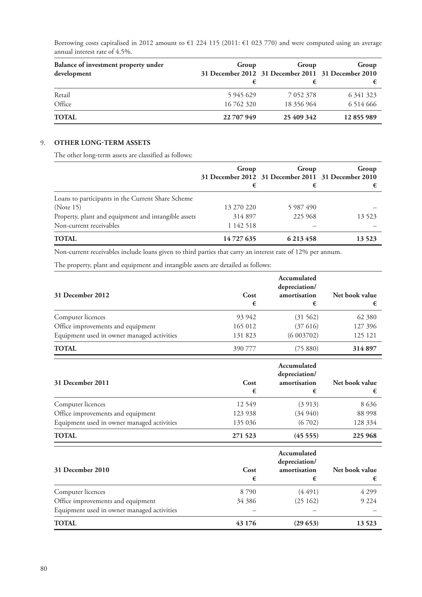Borrowing costs capitalised in 2012 amount to €1 224 115 (2011: €1 023 770) and were computed using an average annual interest rate of 4.5%.

| Balance of investment property under<br>development | Group      | Group<br>31 December 2012 31 December 2011 31 December 2010 | Group         |
|-----------------------------------------------------|------------|-------------------------------------------------------------|---------------|
|                                                     |            |                                                             |               |
| Retail                                              | 5 945 629  | 7 0 5 2 3 7 8                                               | 6 3 4 1 3 2 3 |
| Office                                              | 16 762 320 | 18 356 964                                                  | 6 5 1 4 6 6 6 |
| <b>TOTAL</b>                                        | 22 707 949 | 25 409 342                                                  | 12855989      |

# 9. **OTHER LONG-TERM ASSETS**

The other long-term assets are classified as follows:

|                                                     | Group      | Group<br>31 December 2012 31 December 2011 31 December 2010 | Group   |
|-----------------------------------------------------|------------|-------------------------------------------------------------|---------|
|                                                     | €          | €                                                           |         |
| Loans to participants in the Current Share Scheme   |            |                                                             |         |
| (Note 15)                                           | 13 270 220 | 5 987 490                                                   |         |
| Property, plant and equipment and intangible assets | 314 897    | 225 968                                                     | 13 5 23 |
| Non-current receivables                             | 1 142 518  |                                                             |         |
| <b>TOTAL</b>                                        | 14727635   | 6 213 458                                                   | 13 5 23 |

Non-current receivables include loans given to third parties that carry an interest rate of 12% per annum.

The property, plant and equipment and intangible assets are detailed as follows:

| 31 December 2012                           | Cost<br>€ | Accumulated<br>depreciation/<br>amortisation<br>€ | Net book value |
|--------------------------------------------|-----------|---------------------------------------------------|----------------|
| Computer licences                          | 93 942    | (31 562)                                          | 62 380         |
| Office improvements and equipment          | 165 012   | (37616)                                           | 127 396        |
| Equipment used in owner managed activities | 131 823   | (6003702)                                         | 125 121        |
| <b>TOTAL</b>                               | 390 777   | (75 880)                                          | 314 897        |

| 31 December 2011                           | Cost<br>€ | Accumulated<br>depreciation/<br>amortisation<br>€ | Net book value |
|--------------------------------------------|-----------|---------------------------------------------------|----------------|
| Computer licences                          | 12 5 4 9  | (3913)                                            | 8 6 3 6        |
| Office improvements and equipment          | 123 938   | (34940)                                           | 88 998         |
| Equipment used in owner managed activities | 135 036   | (6702)                                            | 128 334        |
| <b>TOTAL</b>                               | 271 523   | (45555)                                           | 225 968        |

| 31 December 2010                           | Cost<br>€ | Accumulated<br>depreciation/<br>amortisation<br>€ | Net book value<br>€ |
|--------------------------------------------|-----------|---------------------------------------------------|---------------------|
| Computer licences                          | 8790      | (4491)                                            | 4 2 9 9             |
| Office improvements and equipment          | 34 38 6   | (25162)                                           | 9 2 2 4             |
| Equipment used in owner managed activities |           |                                                   |                     |
| <b>TOTAL</b>                               | 43 176    | (29653)                                           | 13 5 23             |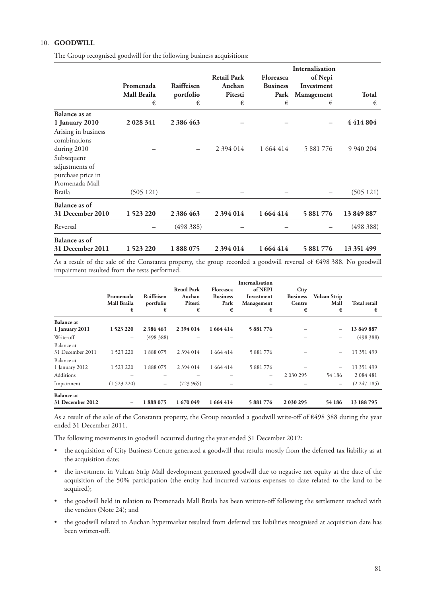# 10. **GOODWILL**

The Group recognised goodwill for the following business acquisitions:

|                                                                     | Promenada<br>Mall Braila<br>€ | Raiffeisen<br>portfolio<br>€ | <b>Retail Park</b><br>Auchan<br>Pitesti<br>€ | <b>Floreasca</b><br><b>Business</b><br>Park<br>€ | Internalisation<br>of Nepi<br>Investment<br>Management<br>€ | <b>Total</b><br>€ |
|---------------------------------------------------------------------|-------------------------------|------------------------------|----------------------------------------------|--------------------------------------------------|-------------------------------------------------------------|-------------------|
| Balance as at                                                       |                               |                              |                                              |                                                  |                                                             |                   |
| 1 January 2010                                                      | 2 0 28 3 41                   | 2 386 463                    |                                              |                                                  |                                                             | 4414804           |
| Arising in business<br>combinations<br>during 2010                  |                               |                              | 2 3 9 4 0 1 4                                | 1 664 414                                        | 5 881 776                                                   | 9 9 4 0 2 0 4     |
| Subsequent<br>adjustments of<br>purchase price in<br>Promenada Mall |                               |                              |                                              |                                                  |                                                             |                   |
| Braila                                                              | (505121)                      |                              |                                              |                                                  |                                                             | (505121)          |
| Balance as of                                                       |                               |                              |                                              |                                                  |                                                             |                   |
| 31 December 2010                                                    | 1 523 220                     | 2 386 463                    | 2 394 014                                    | 1 664 414                                        | 5 881 776                                                   | 13 849 887        |
| Reversal                                                            |                               | (498 388)                    |                                              |                                                  |                                                             | (498, 388)        |
| Balance as of                                                       |                               |                              |                                              |                                                  |                                                             |                   |
| 31 December 2011                                                    | 1 523 220                     | 1888075                      | 2 394 014                                    | 1 664 414                                        | 5 881 776                                                   | 13 351 499        |

As a result of the sale of the Constanta property, the group recorded a goodwill reversal of €498 388. No goodwill impairment resulted from the tests performed.

|                                       | Promenada<br>Mall Braila<br>€ | Raiffeisen<br>portfolio<br>€ | <b>Retail Park</b><br>Auchan<br>Pitesti<br>€ | <b>Floreasca</b><br><b>Business</b><br>Park<br>€ | <b>Internalisation</b><br>of NEPI<br>Investment<br>Management<br>€ | City<br><b>Business</b><br>Centre<br>€ | <b>Vulcan Strip</b><br>Mall<br>€ | <b>Total retail</b><br>€ |
|---------------------------------------|-------------------------------|------------------------------|----------------------------------------------|--------------------------------------------------|--------------------------------------------------------------------|----------------------------------------|----------------------------------|--------------------------|
| <b>Balance</b> at                     |                               |                              |                                              |                                                  |                                                                    |                                        |                                  |                          |
| 1 January 2011                        | 1523220                       | 2 386 463                    | 2 394 014                                    | 1664414                                          | 5 881 776                                                          |                                        | $\overline{\phantom{0}}$         | 13849887                 |
| Write-off                             | $\overline{\phantom{m}}$      | (498, 388)                   |                                              |                                                  |                                                                    |                                        | -                                | (498, 388)               |
| Balance at                            |                               |                              |                                              |                                                  |                                                                    |                                        |                                  |                          |
| 31 December 2011                      | 1 523 220                     | 1888075                      | 2 394 014                                    | 1 664 414                                        | 5 881 776                                                          |                                        | $\overline{\phantom{0}}$         | 13 351 499               |
| Balance at                            |                               |                              |                                              |                                                  |                                                                    |                                        |                                  |                          |
| 1 January 2012                        | 1 523 220                     | 1888075                      | 2 394 014                                    | 1 664 414                                        | 5 881 776                                                          |                                        | $\overline{\phantom{0}}$         | 13 351 499               |
| Additions                             |                               |                              |                                              |                                                  | $\qquad \qquad -$                                                  | 2 030 295                              | 54 186                           | 2 0 8 4 4 8 1            |
| Impairment                            | (1523220)                     | $\qquad \qquad -$            | (723965)                                     |                                                  |                                                                    |                                        | -                                | (2.247185)               |
| <b>Balance</b> at<br>31 December 2012 | $\qquad \qquad -$             | 1888075                      | 1670049                                      | 1 664 414                                        | 5 881 776                                                          | 2 0 30 2 95                            | 54 186                           | 13 188 795               |

As a result of the sale of the Constanta property, the Group recorded a goodwill write-off of €498 388 during the year ended 31 December 2011.

The following movements in goodwill occurred during the year ended 31 December 2012:

- the acquisition of City Business Centre generated a goodwill that results mostly from the deferred tax liability as at the acquisition date;
- the investment in Vulcan Strip Mall development generated goodwill due to negative net equity at the date of the acquisition of the 50% participation (the entity had incurred various expenses to date related to the land to be acquired);
- the goodwill held in relation to Promenada Mall Braila has been written-off following the settlement reached with the vendors (Note 24); and
- the goodwill related to Auchan hypermarket resulted from deferred tax liabilities recognised at acquisition date has been written-off.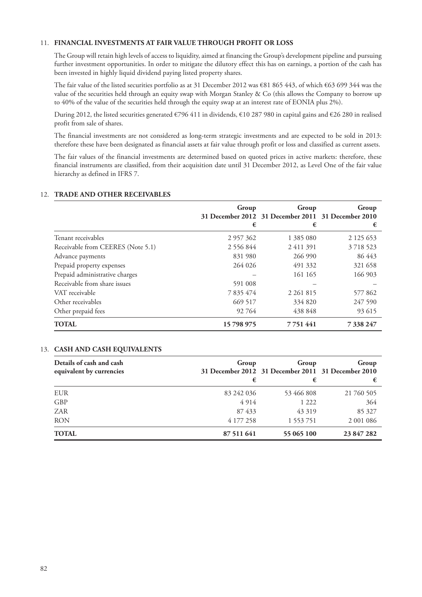# 11. **FINANCIAL INVESTMENTS AT FAIR VALUE THROUGH PROFIT OR LOSS**

The Group will retain high levels of access to liquidity, aimed at financing the Group's development pipeline and pursuing further investment opportunities. In order to mitigate the dilutory effect this has on earnings, a portion of the cash has been invested in highly liquid dividend paying listed property shares.

The fair value of the listed securities portfolio as at 31 December 2012 was €81 865 443, of which €63 699 344 was the value of the securities held through an equity swap with Morgan Stanley & Co (this allows the Company to borrow up to 40% of the value of the securities held through the equity swap at an interest rate of EONIA plus 2%).

During 2012, the listed securities generated  $\epsilon$ 796 411 in dividends,  $\epsilon$ 10 287 980 in capital gains and  $\epsilon$ 26 280 in realised profit from sale of shares.

The financial investments are not considered as long-term strategic investments and are expected to be sold in 2013: therefore these have been designated as financial assets at fair value through profit or loss and classified as current assets.

The fair values of the financial investments are determined based on quoted prices in active markets: therefore, these financial instruments are classified, from their acquisition date until 31 December 2012, as Level One of the fair value hierarchy as defined in IFRS 7.

|                                   | Group<br>€ | Group<br>31 December 2012 31 December 2011 31 December 2010<br>€ | Group<br>€    |
|-----------------------------------|------------|------------------------------------------------------------------|---------------|
| Tenant receivables                | 2 957 362  | 1 385 080                                                        | 2 1 2 5 6 5 3 |
| Receivable from CEERES (Note 5.1) | 2 556 844  | 2411391                                                          | 3 7 18 5 23   |
| Advance payments                  | 831 980    | 266 990                                                          | 86 443        |
| Prepaid property expenses         | 264 026    | 491 332                                                          | 321 658       |
| Prepaid administrative charges    |            | 161 165                                                          | 166 903       |
| Receivable from share issues      | 591 008    |                                                                  |               |
| VAT receivable                    | 7 835 474  | 2 2 6 1 8 1 5                                                    | 577862        |
| Other receivables                 | 669 517    | 334 820                                                          | 247 590       |
| Other prepaid fees                | 92764      | 438 848                                                          | 93 615        |
| <b>TOTAL</b>                      | 15798975   | 7 7 5 1 4 4 1                                                    | 7 338 247     |

## 12. **TRADE AND OTHER RECEIVABLES**

## 13. **CASH AND CASH EQUIVALENTS**

| Details of cash and cash<br>equivalent by currencies | Group      | Group<br>31 December 2012 31 December 2011 31 December 2010 | Group      |
|------------------------------------------------------|------------|-------------------------------------------------------------|------------|
|                                                      | €          | €                                                           | €          |
| <b>EUR</b>                                           | 83 242 036 | 53 466 808                                                  | 21 760 505 |
| <b>GBP</b>                                           | 4914       | 1 2 2 2                                                     | 364        |
| ZAR                                                  | 87433      | 43 319                                                      | 85 327     |
| <b>RON</b>                                           | 4 177 258  | 1 553 751                                                   | 2 001 086  |
| <b>TOTAL</b>                                         | 87 511 641 | 55 065 100                                                  | 23 847 282 |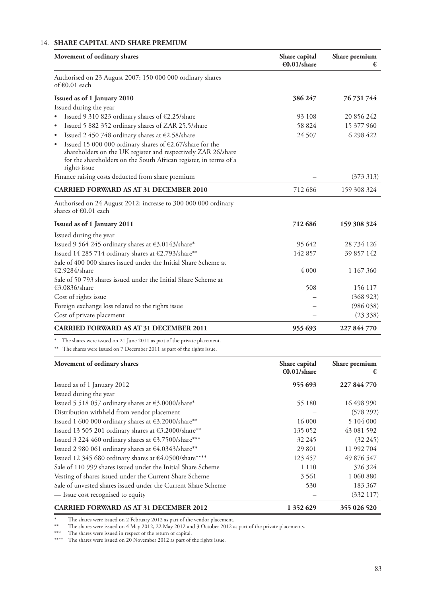# 14. **SHARE CAPITAL AND SHARE PREMIUM**

| Movement of ordinary shares                                                                                                                                                                                                                           | Share capital<br>€0.01/share | Share premium<br>€ |  |
|-------------------------------------------------------------------------------------------------------------------------------------------------------------------------------------------------------------------------------------------------------|------------------------------|--------------------|--|
| Authorised on 23 August 2007: 150 000 000 ordinary shares<br>of $\epsilon$ 0.01 each                                                                                                                                                                  |                              |                    |  |
| Issued as of 1 January 2010                                                                                                                                                                                                                           | 386 247                      | 76 731 744         |  |
| Issued during the year                                                                                                                                                                                                                                |                              |                    |  |
| Issued 9 310 823 ordinary shares of €2.25/share                                                                                                                                                                                                       | 93 108                       | 20 856 242         |  |
| Issued 5 882 352 ordinary shares of ZAR 25.5/share                                                                                                                                                                                                    | 58 824                       | 15 377 960         |  |
| Issued 2 450 748 ordinary shares at €2.58/share                                                                                                                                                                                                       | 24 507                       | 6 298 422          |  |
| Issued 15 000 000 ordinary shares of $\text{\large\ensuremath{\in}} 2.67/\text{s}$ hare for the<br>shareholders on the UK register and respectively ZAR 26/share<br>for the shareholders on the South African register, in terms of a<br>rights issue |                              |                    |  |
| Finance raising costs deducted from share premium                                                                                                                                                                                                     |                              | (373313)           |  |
| <b>CARRIED FORWARD AS AT 31 DECEMBER 2010</b>                                                                                                                                                                                                         | 712 686                      | 159 308 324        |  |
| Authorised on 24 August 2012: increase to 300 000 000 ordinary<br>shares of $\epsilon$ 0.01 each                                                                                                                                                      |                              |                    |  |
| Issued as of 1 January 2011                                                                                                                                                                                                                           | 712 686                      | 159 308 324        |  |
| Issued during the year                                                                                                                                                                                                                                |                              |                    |  |
| Issued 9 564 245 ordinary shares at €3.0143/share*                                                                                                                                                                                                    | 95 642                       | 28 734 126         |  |
| Issued 14 285 714 ordinary shares at €2.793/share**                                                                                                                                                                                                   | 142 857                      | 39 857 142         |  |
| Sale of 400 000 shares issued under the Initial Share Scheme at                                                                                                                                                                                       |                              |                    |  |
| €2.9284/share                                                                                                                                                                                                                                         | 4 0 0 0                      | 1 167 360          |  |
| Sale of 50 793 shares issued under the Initial Share Scheme at                                                                                                                                                                                        |                              |                    |  |
| €3.0836/share                                                                                                                                                                                                                                         | 508                          | 156 117            |  |
| Cost of rights issue                                                                                                                                                                                                                                  |                              | (368923)           |  |
| Foreign exchange loss related to the rights issue                                                                                                                                                                                                     |                              | (986 038)          |  |
| Cost of private placement                                                                                                                                                                                                                             |                              | (23 338)           |  |
| <b>CARRIED FORWARD AS AT 31 DECEMBER 2011</b>                                                                                                                                                                                                         | 955 693                      | 227 844 770        |  |

\* The shares were issued on 21 June 2011 as part of the private placement.

\*\* The shares were issued on 7 December 2011 as part of the rights issue.

| Movement of ordinary shares                                                 | Share capital<br>€0.01/share | Share premium<br>€ |
|-----------------------------------------------------------------------------|------------------------------|--------------------|
| Issued as of 1 January 2012                                                 | 955 693                      | 227 844 770        |
| Issued during the year                                                      |                              |                    |
| Issued 5 518 057 ordinary shares at $\textnormal{\textbf{63.0000/s}hare}^*$ | 55 180                       | 16 498 990         |
| Distribution withheld from vendor placement                                 |                              | (578 292)          |
| Issued 1 600 000 ordinary shares at €3.2000/share**                         | 16 000                       | 5 104 000          |
| Issued 13 505 201 ordinary shares at €3.2000/share**                        | 135 052                      | 43 081 592         |
| Issued 3 224 460 ordinary shares at €3.7500/share***                        | 32 245                       | $(32\,245)$        |
| Issued 2 980 061 ordinary shares at €4.0343/share**                         | 29 801                       | 11 992 704         |
| Issued 12 345 680 ordinary shares at €4.0500/share****                      | 123 457                      | 49 876 547         |
| Sale of 110 999 shares issued under the Initial Share Scheme                | 1 1 1 0                      | 326 324            |
| Vesting of shares issued under the Current Share Scheme                     | 3 5 6 1                      | 1 060 880          |
| Sale of unvested shares issued under the Current Share Scheme               | 530                          | 183 367            |
| - Issue cost recognised to equity                                           |                              | (332117)           |
| <b>CARRIED FORWARD AS AT 31 DECEMBER 2012</b>                               | 1 352 629                    | 355 026 520        |

\* The shares were issued on 2 February 2012 as part of the vendor placement.

\*\* The shares were issued on 4 May 2012, 22 May 2012 and 3 October 2012 as part of the private placements.

\*\*\* The shares were issued in respect of the return of capital.

\*\*\*\* The shares were issued on 20 November 2012 as part of the rights issue.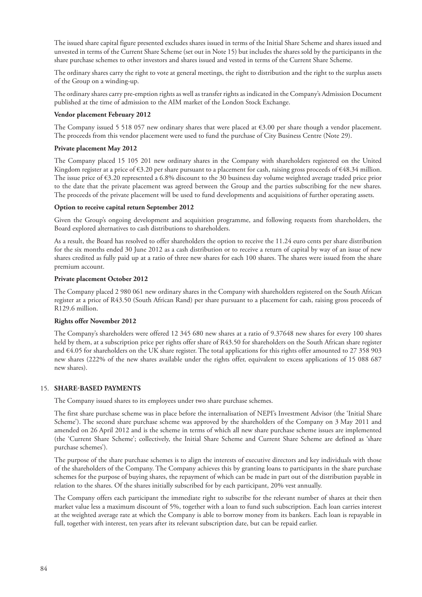The issued share capital figure presented excludes shares issued in terms of the Initial Share Scheme and shares issued and unvested in terms of the Current Share Scheme (set out in Note 15) but includes the shares sold by the participants in the share purchase schemes to other investors and shares issued and vested in terms of the Current Share Scheme.

The ordinary shares carry the right to vote at general meetings, the right to distribution and the right to the surplus assets of the Group on a winding-up.

The ordinary shares carry pre-emption rights as well as transfer rights as indicated in the Company's Admission Document published at the time of admission to the AIM market of the London Stock Exchange.

## **Vendor placement February 2012**

The Company issued 5 518 057 new ordinary shares that were placed at €3.00 per share though a vendor placement. The proceeds from this vendor placement were used to fund the purchase of City Business Centre (Note 29).

## **Private placement May 2012**

The Company placed 15 105 201 new ordinary shares in the Company with shareholders registered on the United Kingdom register at a price of  $\epsilon$ 3.20 per share pursuant to a placement for cash, raising gross proceeds of  $\epsilon$ 48.34 million. The issue price of €3.20 represented a 6.8% discount to the 30 business day volume weighted average traded price prior to the date that the private placement was agreed between the Group and the parties subscribing for the new shares. The proceeds of the private placement will be used to fund developments and acquisitions of further operating assets.

## **Option to receive capital return September 2012**

Given the Group's ongoing development and acquisition programme, and following requests from shareholders, the Board explored alternatives to cash distributions to shareholders.

As a result, the Board has resolved to offer shareholders the option to receive the 11.24 euro cents per share distribution for the six months ended 30 June 2012 as a cash distribution or to receive a return of capital by way of an issue of new shares credited as fully paid up at a ratio of three new shares for each 100 shares. The shares were issued from the share premium account.

## **Private placement October 2012**

The Company placed 2 980 061 new ordinary shares in the Company with shareholders registered on the South African register at a price of R43.50 (South African Rand) per share pursuant to a placement for cash, raising gross proceeds of R129.6 million.

## **Rights offer November 2012**

The Company's shareholders were offered 12 345 680 new shares at a ratio of 9.37648 new shares for every 100 shares held by them, at a subscription price per rights offer share of R43.50 for shareholders on the South African share register and €4.05 for shareholders on the UK share register. The total applications for this rights offer amounted to 27 358 903 new shares (222% of the new shares available under the rights offer, equivalent to excess applications of 15 088 687 new shares).

## 15. **SHARE-BASED PAYMENTS**

The Company issued shares to its employees under two share purchase schemes.

The first share purchase scheme was in place before the internalisation of NEPI's Investment Advisor (the 'Initial Share Scheme'). The second share purchase scheme was approved by the shareholders of the Company on 3 May 2011 and amended on 26 April 2012 and is the scheme in terms of which all new share purchase scheme issues are implemented (the 'Current Share Scheme'; collectively, the Initial Share Scheme and Current Share Scheme are defined as 'share purchase schemes').

The purpose of the share purchase schemes is to align the interests of executive directors and key individuals with those of the shareholders of the Company. The Company achieves this by granting loans to participants in the share purchase schemes for the purpose of buying shares, the repayment of which can be made in part out of the distribution payable in relation to the shares. Of the shares initially subscribed for by each participant, 20% vest annually.

The Company offers each participant the immediate right to subscribe for the relevant number of shares at their then market value less a maximum discount of 5%, together with a loan to fund such subscription. Each loan carries interest at the weighted average rate at which the Company is able to borrow money from its bankers. Each loan is repayable in full, together with interest, ten years after its relevant subscription date, but can be repaid earlier.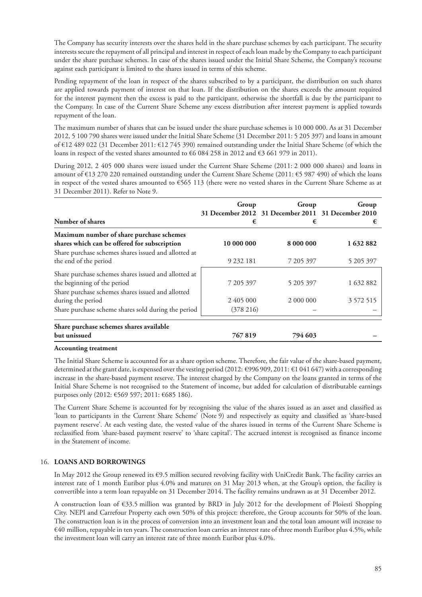The Company has security interests over the shares held in the share purchase schemes by each participant. The security interests secure the repayment of all principal and interest in respect of each loan made by the Company to each participant under the share purchase schemes. In case of the shares issued under the Initial Share Scheme, the Company's recourse against each participant is limited to the shares issued in terms of this scheme.

Pending repayment of the loan in respect of the shares subscribed to by a participant, the distribution on such shares are applied towards payment of interest on that loan. If the distribution on the shares exceeds the amount required for the interest payment then the excess is paid to the participant, otherwise the shortfall is due by the participant to the Company. In case of the Current Share Scheme any excess distribution after interest payment is applied towards repayment of the loan.

The maximum number of shares that can be issued under the share purchase schemes is 10 000 000. As at 31 December 2012, 5 100 790 shares were issued under the Initial Share Scheme (31 December 2011: 5 205 397) and loans in amount of €12 489 022 (31 December 2011: €12 745 390) remained outstanding under the Initial Share Scheme (of which the loans in respect of the vested shares amounted to  $66 084 258$  in 2012 and  $63 661 979$  in 2011).

During 2012, 2 405 000 shares were issued under the Current Share Scheme (2011: 2 000 000 shares) and loans in amount of €13 270 220 remained outstanding under the Current Share Scheme (2011: €5 987 490) of which the loans in respect of the vested shares amounted to €565 113 (there were no vested shares in the Current Share Scheme as at 31 December 2011). Refer to Note 9.

| Number of shares                                                                                                              | Group<br>€                | Group<br>31 December 2012 31 December 2011 31 December 2010<br>€ | Group<br>€ |
|-------------------------------------------------------------------------------------------------------------------------------|---------------------------|------------------------------------------------------------------|------------|
| Maximum number of share purchase schemes<br>shares which can be offered for subscription                                      | 10 000 000                | 8 000 000                                                        | 1632882    |
| Share purchase schemes shares issued and allotted at<br>the end of the period                                                 | 9 232 181                 | 7 205 397                                                        | 5 205 397  |
| Share purchase schemes shares issued and allotted at<br>the beginning of the period                                           | 7 205 397                 | 5 205 397                                                        | 1 632 882  |
| Share purchase schemes shares issued and allotted<br>during the period<br>Share purchase scheme shares sold during the period | 2 405 000<br>$(378\;216)$ | 2 000 000                                                        | 3 572 515  |
| Share purchase schemes shares available<br>but unissued                                                                       | 767819                    | 794 603                                                          |            |

## **Accounting treatment**

The Initial Share Scheme is accounted for as a share option scheme. Therefore, the fair value of the share-based payment, determined at the grant date, is expensed over the vesting period (2012: €996 909, 2011: €1 041 647) with a corresponding increase in the share-based payment reserve. The interest charged by the Company on the loans granted in terms of the Initial Share Scheme is not recognised to the Statement of income, but added for calculation of distributable earnings purposes only (2012: €569 597; 2011: €685 186).

The Current Share Scheme is accounted for by recognising the value of the shares issued as an asset and classified as 'loan to participants in the Current Share Scheme' (Note 9) and respectively as equity and classified as 'share-based payment reserve'. At each vesting date, the vested value of the shares issued in terms of the Current Share Scheme is reclassified from 'share-based payment reserve' to 'share capital'. The accrued interest is recognised as finance income in the Statement of income.

# 16. **LOANS AND BORROWINGS**

In May 2012 the Group renewed its €9.5 million secured revolving facility with UniCredit Bank. The facility carries an interest rate of 1 month Euribor plus 4.0% and matures on 31 May 2013 when, at the Group's option, the facility is convertible into a term loan repayable on 31 December 2014. The facility remains undrawn as at 31 December 2012.

A construction loan of €33.5 million was granted by BRD in July 2012 for the development of Ploiesti Shopping City. NEPI and Carrefour Property each own 50% of this project: therefore, the Group accounts for 50% of the loan. The construction loan is in the process of conversion into an investment loan and the total loan amount will increase to €40 million, repayable in ten years. The construction loan carries an interest rate of three month Euribor plus 4.5%, while the investment loan will carry an interest rate of three month Euribor plus 4.0%.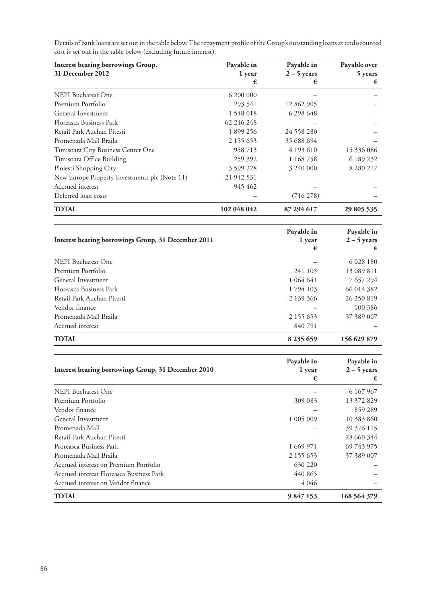| Interest bearing borrowings Group,<br>31 December 2012 | Payable in<br>1 year | Payable in<br>$2 - 5$ years | Payable over<br>5 years |
|--------------------------------------------------------|----------------------|-----------------------------|-------------------------|
|                                                        | €                    | €                           | €                       |
| NEPI Bucharest One                                     | 6 200 000            |                             |                         |
| Premium Portfolio                                      | 293 541              | 12 862 905                  |                         |
| General Investment                                     | 1548018              | 6 298 648                   |                         |
| Floreasca Business Park                                | 62 246 248           |                             |                         |
| Retail Park Auchan Pitesti                             | 1 899 256            | 24 558 280                  |                         |
| Promenada Mall Braila                                  | 2 155 653            | 35 688 694                  |                         |
| Timisoara City Business Center One                     | 958713               | 4 193 610                   | 15 336 086              |
| Timisoara Office Building                              | 259 392              | 1 168 758                   | 6 189 232               |
| Ploiesti Shopping City                                 | 3 599 228            | 3 240 000                   | 8 280 217               |
| New Europe Property Investments plc (Note 11)          | 21 942 531           |                             |                         |
| Accrued interest                                       | 945 462              |                             |                         |
| Deferred loan costs                                    |                      | $(716\,278)$                |                         |
| <b>TOTAL</b>                                           | 102 048 042          | 87 294 617                  | 29 805 535              |

Details of bank loans are set out in the table below. The repayment profile of the Group's outstanding loans at undiscounted cost is set out in the table below (excluding future interest).

| Interest bearing borrowings Group, 31 December 2011 | Payable in<br>1 year<br>€ | Payable in<br>$2 - 5$ years<br>€ |
|-----------------------------------------------------|---------------------------|----------------------------------|
| <b>NEPI Bucharest One</b>                           |                           | 6 028 180                        |
| Premium Portfolio                                   | 241 105                   | 13 089 811                       |
| General Investment                                  | 1 0 6 4 6 4 1             | 7 657 294                        |
| Floreasca Business Park                             | 1794 103                  | 66 014 382                       |
| Retail Park Auchan Pitesti                          | 2 139 366                 | 26 350 819                       |
| Vendor finance                                      |                           | 100 386                          |
| Promenada Mall Braila                               | 2 155 653                 | 37 389 007                       |
| Accrued interest                                    | 840 791                   |                                  |
| <b>TOTAL</b>                                        | 8 2 3 5 6 5 9             | 156 629 879                      |

| Interest bearing borrowings Group, 31 December 2010 | Payable in<br>1 year<br>€ | Payable in<br>$2 - 5$ years<br>€ |
|-----------------------------------------------------|---------------------------|----------------------------------|
| <b>NEPI Bucharest One</b>                           |                           | 6 167 967                        |
| Premium Portfolio                                   | 309 083                   | 13 372 829                       |
| Vendor finance                                      |                           | 859 289                          |
| General Investment                                  | 1 005 009                 | 10 383 860                       |
| Promenada Mall                                      |                           | 39 376 115                       |
| Retail Park Auchan Pitesti                          |                           | 28 660 344                       |
| Proreasca Business Park                             | 1 669 971                 | 69 743 975                       |
| Promenada Mall Braila                               | 2 155 653                 | 37 389 007                       |
| Accrued interest on Premium Portfolio               | 630 220                   |                                  |
| Accrued interest Floreasca Business Park            | 440 865                   |                                  |
| Accrued interest on Vendor finance                  | 4 0 4 6                   |                                  |
| <b>TOTAL</b>                                        | 9 847 153                 | 168 564 379                      |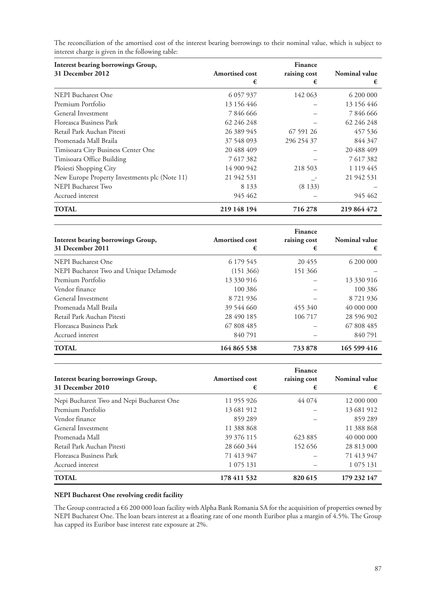| Interest bearing borrowings Group,            |                       | <b>Finance</b> |               |
|-----------------------------------------------|-----------------------|----------------|---------------|
| 31 December 2012                              | <b>Amortised cost</b> | raising cost   | Nominal value |
|                                               | €                     | €              | €             |
| <b>NEPI Bucharest One</b>                     | 6 0 5 7 9 3 7         | 142 063        | 6 200 000     |
| Premium Portfolio                             | 13 156 446            |                | 13 156 446    |
| General Investment                            | 7846666               |                | 7846666       |
| Floreasca Business Park                       | 62 246 248            |                | 62 246 248    |
| Retail Park Auchan Pitesti                    | 26 389 945            | 67 591 26      | 457 536       |
| Promenada Mall Braila                         | 37 548 093            | 296 254 37     | 844 347       |
| Timisoara City Business Center One            | 20 488 409            |                | 20 488 409    |
| Timisoara Office Building                     | 7617382               |                | 7 617 382     |
| Ploiesti Shopping City                        | 14 900 942            | 218 503        | 1 1 1 9 4 4 5 |
| New Europe Property Investments plc (Note 11) | 21 942 531            |                | 21 942 531    |
| NEPI Bucharest Two                            | 8 1 3 3               | (8133)         |               |
| Accrued interest                              | 945 462               |                | 945 462       |
| <b>TOTAL</b>                                  | 219 148 194           | 716 278        | 219 864 472   |

The reconciliation of the amortised cost of the interest bearing borrowings to their nominal value, which is subject to interest charge is given in the following table:

| Interest bearing borrowings Group,<br>31 December 2011 | Amortised cost<br>€ | Finance<br>raising cost<br>€ | Nominal value<br>€ |
|--------------------------------------------------------|---------------------|------------------------------|--------------------|
| <b>NEPI Bucharest One</b>                              | 6 179 545           | 20455                        | 6 200 000          |
| NEPI Bucharest Two and Unique Delamode                 | (151 366)           | 151 366                      |                    |
| Premium Portfolio                                      | 13 330 916          |                              | 13 330 916         |
| Vendor finance                                         | 100 386             |                              | 100 386            |
| General Investment                                     | 8 7 21 9 36         |                              | 8 7 21 9 36        |
| Promenada Mall Braila                                  | 39 544 660          | 455 340                      | 40 000 000         |
| Retail Park Auchan Pitesti                             | 28 490 185          | 106 717                      | 28 596 902         |
| Floreasca Business Park                                | 67 808 485          |                              | 67 808 485         |
| Accrued interest                                       | 840 791             |                              | 840 791            |
| <b>TOTAL</b>                                           | 164 865 538         | 733 878                      | 165 599 416        |

| Interest bearing borrowings Group,<br>31 December 2010 | Amortised cost<br>€ | Finance<br>raising cost<br>€ | <b>Nominal value</b><br>€ |
|--------------------------------------------------------|---------------------|------------------------------|---------------------------|
| Nepi Bucharest Two and Nepi Bucharest One              | 11 955 926          | 44 074                       | 12 000 000                |
| Premium Portfolio                                      | 13 681 912          |                              | 13 681 912                |
| Vendor finance                                         | 859 289             |                              | 859 289                   |
| General Investment                                     | 11 388 868          |                              | 11 388 868                |
| Promenada Mall                                         | 39 376 115          | 623885                       | 40 000 000                |
| Retail Park Auchan Pitesti                             | 28 660 344          | 152 656                      | 28 813 000                |
| Floreasca Business Park                                | 71 413 947          |                              | 71 413 947                |
| Accrued interest                                       | 1 075 131           |                              | 1 0 75 1 31               |
| <b>TOTAL</b>                                           | 178 411 532         | 820 615                      | 179 232 147               |

# **NEPI Bucharest One revolving credit facility**

The Group contracted a €6 200 000 loan facility with Alpha Bank Romania SA for the acquisition of properties owned by NEPI Bucharest One. The loan bears interest at a floating rate of one month Euribor plus a margin of 4.5%. The Group has capped its Euribor base interest rate exposure at 2%.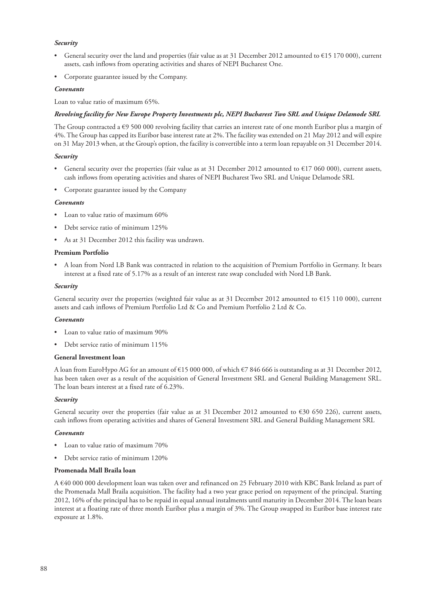## *Security*

- General security over the land and properties (fair value as at 31 December 2012 amounted to  $\epsilon$ 15 170 000), current assets, cash inflows from operating activities and shares of NEPI Bucharest One.
- Corporate guarantee issued by the Company.

## *Covenants*

Loan to value ratio of maximum 65%.

### *Revolving facility for New Europe Property Investments plc, NEPI Bucharest Two SRL and Unique Delamode SRL*

The Group contracted a  $\epsilon$ 9 500 000 revolving facility that carries an interest rate of one month Euribor plus a margin of 4%. The Group has capped its Euribor base interest rate at 2%. The facility was extended on 21 May 2012 and will expire on 31 May 2013 when, at the Group's option, the facility is convertible into a term loan repayable on 31 December 2014.

## *Security*

- General security over the properties (fair value as at 31 December 2012 amounted to  $E$ 17 060 000), current assets, cash inflows from operating activities and shares of NEPI Bucharest Two SRL and Unique Delamode SRL
- Corporate guarantee issued by the Company

### *Covenants*

- Loan to value ratio of maximum 60%
- Debt service ratio of minimum 125%
- As at 31 December 2012 this facility was undrawn.

### **Premium Portfolio**

• A loan from Nord LB Bank was contracted in relation to the acquisition of Premium Portfolio in Germany. It bears interest at a fixed rate of 5.17% as a result of an interest rate swap concluded with Nord LB Bank.

### *Security*

General security over the properties (weighted fair value as at 31 December 2012 amounted to €15 110 000), current assets and cash inflows of Premium Portfolio Ltd & Co and Premium Portfolio 2 Ltd & Co.

#### *Covenants*

- Loan to value ratio of maximum 90%
- Debt service ratio of minimum 115%

### **General Investment loan**

A loan from EuroHypo AG for an amount of €15 000 000, of which €7 846 666 is outstanding as at 31 December 2012, has been taken over as a result of the acquisition of General Investment SRL and General Building Management SRL. The loan bears interest at a fixed rate of 6.23%.

#### *Security*

General security over the properties (fair value as at 31 December 2012 amounted to  $\epsilon$ 30 650 226), current assets, cash inflows from operating activities and shares of General Investment SRL and General Building Management SRL

#### *Covenants*

- Loan to value ratio of maximum 70%
- Debt service ratio of minimum 120%

### **Promenada Mall Braila loan**

A €40 000 000 development loan was taken over and refinanced on 25 February 2010 with KBC Bank Ireland as part of the Promenada Mall Braila acquisition. The facility had a two year grace period on repayment of the principal. Starting 2012, 16% of the principal has to be repaid in equal annual instalments until maturity in December 2014. The loan bears interest at a floating rate of three month Euribor plus a margin of 3%. The Group swapped its Euribor base interest rate exposure at 1.8%.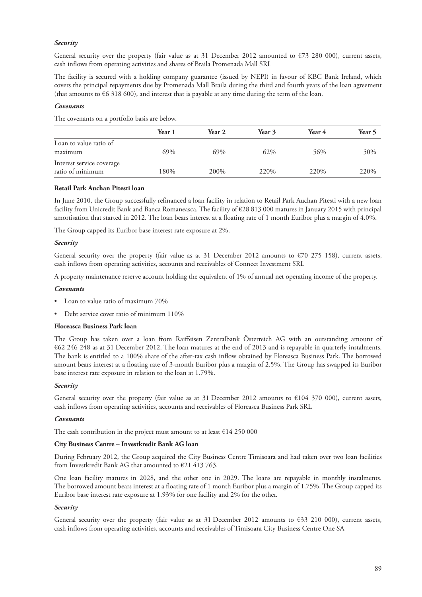## *Security*

General security over the property (fair value as at 31 December 2012 amounted to  $\epsilon$ 73 280 000), current assets, cash inflows from operating activities and shares of Braila Promenada Mall SRL

The facility is secured with a holding company guarantee (issued by NEPI) in favour of KBC Bank Ireland, which covers the principal repayments due by Promenada Mall Braila during the third and fourth years of the loan agreement (that amounts to €6 318 600), and interest that is payable at any time during the term of the loan.

## *Covenants*

The covenants on a portfolio basis are below.

|                                               | Year 1 | Year 2 | Year 3 | Year 4 | Year 5 |
|-----------------------------------------------|--------|--------|--------|--------|--------|
| Loan to value ratio of<br>maximum             | 69%    | 69%    | 62%    | 56%    | 50%    |
| Interest service coverage<br>ratio of minimum | 180%   | 200%   | 220\%  | 220\%  | 220\%  |

### **Retail Park Auchan Pitesti loan**

In June 2010, the Group successfully refinanced a loan facility in relation to Retail Park Auchan Pitesti with a new loan facility from Unicredit Bank and Banca Romaneasca. The facility of €28 813 000 matures in January 2015 with principal amortisation that started in 2012. The loan bears interest at a floating rate of 1 month Euribor plus a margin of 4.0%.

The Group capped its Euribor base interest rate exposure at 2%.

### *Security*

General security over the property (fair value as at 31 December 2012 amounts to  $\epsilon$ 70 275 158), current assets, cash inflows from operating activities, accounts and receivables of Connect Investment SRL

A property maintenance reserve account holding the equivalent of 1% of annual net operating income of the property.

### *Covenants*

- Loan to value ratio of maximum 70%
- Debt service cover ratio of minimum 110%

## **Floreasca Business Park loan**

The Group has taken over a loan from Raiffeisen Zentralbank Österreich AG with an outstanding amount of €62 246 248 as at 31 December 2012. The loan matures at the end of 2013 and is repayable in quarterly instalments. The bank is entitled to a 100% share of the after-tax cash inflow obtained by Floreasca Business Park. The borrowed amount bears interest at a floating rate of 3-month Euribor plus a margin of 2.5%. The Group has swapped its Euribor base interest rate exposure in relation to the loan at 1.79%.

### *Security*

General security over the property (fair value as at 31 December 2012 amounts to €104 370 000), current assets, cash inflows from operating activities, accounts and receivables of Floreasca Business Park SRL

#### *Covenants*

The cash contribution in the project must amount to at least  $\epsilon$ 14 250 000

# **City Business Centre – Investkredit Bank AG loan**

During February 2012, the Group acquired the City Business Centre Timisoara and had taken over two loan facilities from Investkredit Bank AG that amounted to €21 413 763.

One loan facility matures in 2028, and the other one in 2029. The loans are repayable in monthly instalments. The borrowed amount bears interest at a floating rate of 1 month Euribor plus a margin of 1.75%. The Group capped its Euribor base interest rate exposure at 1.93% for one facility and 2% for the other.

## *Security*

General security over the property (fair value as at 31 December 2012 amounts to  $\epsilon$ 33 210 000), current assets, cash inflows from operating activities, accounts and receivables of Timisoara City Business Centre One SA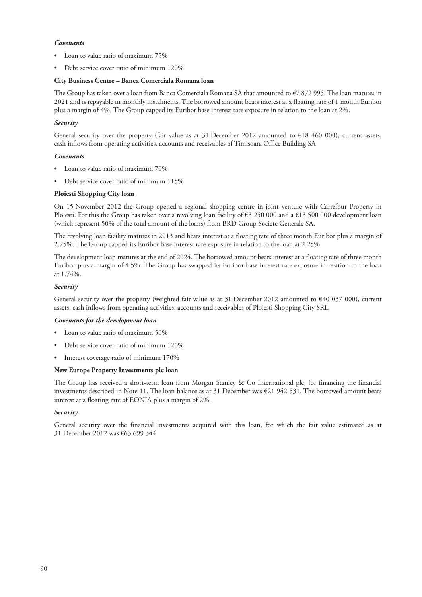## *Covenants*

- Loan to value ratio of maximum 75%
- Debt service cover ratio of minimum 120%

## **City Business Centre – Banca Comerciala Romana loan**

The Group has taken over a loan from Banca Comerciala Romana SA that amounted to €7 872 995. The loan matures in 2021 and is repayable in monthly instalments. The borrowed amount bears interest at a floating rate of 1 month Euribor plus a margin of 4%. The Group capped its Euribor base interest rate exposure in relation to the loan at 2%.

## *Security*

General security over the property (fair value as at 31 December 2012 amounted to €18 460 000), current assets, cash inflows from operating activities, accounts and receivables of Timisoara Office Building SA

## *Covenants*

- Loan to value ratio of maximum 70%
- Debt service cover ratio of minimum 115%

# **Ploiesti Shopping City loan**

On 15 November 2012 the Group opened a regional shopping centre in joint venture with Carrefour Property in Ploiesti. For this the Group has taken over a revolving loan facility of €3 250 000 and a €13 500 000 development loan (which represent 50% of the total amount of the loans) from BRD Group Societe Generale SA.

The revolving loan facility matures in 2013 and bears interest at a floating rate of three month Euribor plus a margin of 2.75%. The Group capped its Euribor base interest rate exposure in relation to the loan at 2.25%.

The development loan matures at the end of 2024. The borrowed amount bears interest at a floating rate of three month Euribor plus a margin of 4.5%. The Group has swapped its Euribor base interest rate exposure in relation to the loan at 1.74%.

## *Security*

General security over the property (weighted fair value as at 31 December 2012 amounted to  $\epsilon$ 40 037 000), current assets, cash inflows from operating activities, accounts and receivables of Ploiesti Shopping City SRL

## *Covenants for the development loan*

- Loan to value ratio of maximum 50%
- Debt service cover ratio of minimum 120%
- Interest coverage ratio of minimum 170%

## **New Europe Property Investments plc loan**

The Group has received a short-term loan from Morgan Stanley & Co International plc, for financing the financial investments described in Note 11. The loan balance as at 31 December was €21 942 531. The borrowed amount bears interest at a floating rate of EONIA plus a margin of 2%.

#### *Security*

General security over the financial investments acquired with this loan, for which the fair value estimated as at 31 December 2012 was €63 699 344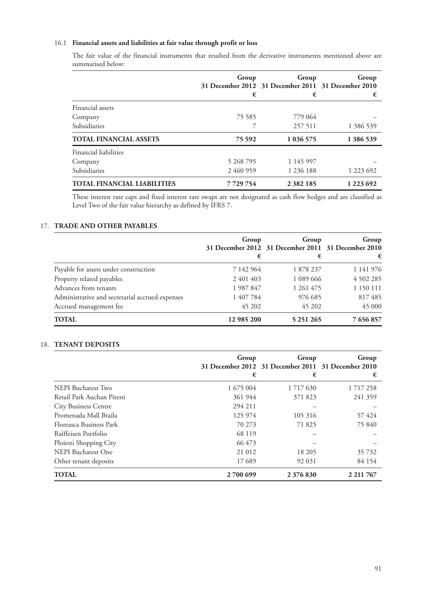# 16.1 **Financial assets and liabilities at fair value through profit or loss**

The fair value of the financial instruments that resulted from the derivative instruments mentioned above are summarised below:

|                                    | Group<br>€ | Group<br>31 December 2012 31 December 2011 31 December 2010<br>€ | Group<br>€ |
|------------------------------------|------------|------------------------------------------------------------------|------------|
| Financial assets                   |            |                                                                  |            |
| Company                            | 75 585     | 779 064                                                          |            |
| Subsidiaries                       |            | 257 511                                                          | 1 386 539  |
| <b>TOTAL FINANCIAL ASSETS</b>      | 75 5 92    | 1 036 575                                                        | 1 386 539  |
| Financial liabilities              |            |                                                                  |            |
| Company                            | 5 268 795  | 1 145 997                                                        |            |
| Subsidiaries                       | 2460959    | 1 2 3 6 1 8 8                                                    | 1 223 692  |
| <b>TOTAL FINANCIAL LIABILITIES</b> | 7729754    | 2 3 8 2 1 8 5                                                    | 1 223 692  |

These interest rate caps and fixed interest rate swaps are not designated as cash flow hedges and are classified as Level Two of the fair value hierarchy as defined by IFRS 7.

# 17. **TRADE AND OTHER PAYABLES**

|                                                 | Group<br>€ | Group<br>31 December 2012 31 December 2011 31 December 2010<br>€ | Group<br>€ |
|-------------------------------------------------|------------|------------------------------------------------------------------|------------|
| Payable for assets under construction           | 7 142 964  | 1878237                                                          | 1 141 976  |
| Property related payables                       | 2 401 403  | 1 089 666                                                        | 4 502 285  |
| Advances from tenants                           | 1987847    | 1 261 475                                                        | 1 150 111  |
| Administrative and secretarial accrued expenses | 1 407 784  | 976 685                                                          | 817485     |
| Accrued management fee                          | 45 202     | 45 202                                                           | 45 000     |
| <b>TOTAL</b>                                    | 12 985 200 | 5 251 265                                                        | 7 656 857  |

## 18. **TENANT DEPOSITS**

|                             | Group<br>€ | Group<br>31 December 2012 31 December 2011 31 December 2010<br>€ | Group<br>€    |
|-----------------------------|------------|------------------------------------------------------------------|---------------|
| NEPI Bucharest Two          | 1 675 004  | 1 7 1 7 6 3 0                                                    | 1 7 1 7 2 5 8 |
| Retail Park Auchan Pitesti  | 361 944    | 371 823                                                          | 241 359       |
| <b>City Business Centre</b> | 294 211    |                                                                  |               |
| Promenada Mall Braila       | 125 974    | 105 316                                                          | 57424         |
| Floreasca Business Park     | 70 273     | 71825                                                            | 75 840        |
| Raiffeisen Portfolio        | 68 119     |                                                                  |               |
| Ploiesti Shopping City      | 66 473     |                                                                  |               |
| NEPI Bucharest One          | 21 012     | 18 205                                                           | 35 732        |
| Other tenant deposits       | 17689      | 92 031                                                           | 84 154        |
| TOTAL                       | 2700 699   | 2 376 830                                                        | 2 2 1 7 6 7   |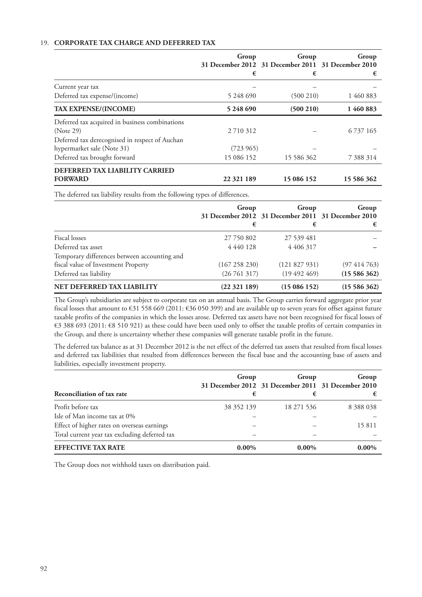# 19. **CORPORATE TAX CHARGE AND DEFERRED TAX**

|                                                | Group<br>€  | Group<br>31 December 2012 31 December 2011 31 December 2010<br>€ | Group<br>€    |
|------------------------------------------------|-------------|------------------------------------------------------------------|---------------|
| Current year tax                               |             |                                                                  |               |
| Deferred tax expense/(income)                  | 5 248 690   | (500 210)                                                        | 1 460 883     |
| <b>TAX EXPENSE/(INCOME)</b>                    | 5 248 690   | (500 210)                                                        | 1460883       |
| Deferred tax acquired in business combinations |             |                                                                  |               |
| (Note 29)                                      | 2 7 10 3 12 |                                                                  | 6 7 3 7 1 6 5 |
| Deferred tax derecognised in respect of Auchan |             |                                                                  |               |
| hypermarket sale (Note 31)                     | (723965)    |                                                                  |               |
| Deferred tax brought forward                   | 15 086 152  | 15 586 362                                                       | 7 388 314     |
| DEFERRED TAX LIABILITY CARRIED                 |             |                                                                  |               |
| <b>FORWARD</b>                                 | 22 321 189  | 15 086 152                                                       | 15 586 362    |

The deferred tax liability results from the following types of differences.

|                                              | Group         | Group<br>31 December 2012 31 December 2011 31 December 2010 | Group            |
|----------------------------------------------|---------------|-------------------------------------------------------------|------------------|
|                                              | €             | €                                                           | €                |
| Fiscal losses                                | 27 750 802    | 27 539 481                                                  |                  |
| Deferred tax asset                           | 4 4 4 0 1 2 8 | 4 4 0 6 3 1 7                                               |                  |
| Temporary differences between accounting and |               |                                                             |                  |
| fiscal value of Investment Property          | (167 258 230) | (121 827 931)                                               | $(97\;414\;763)$ |
| Deferred tax liability                       | (26761317)    | $(19\ 492\ 469)$                                            | (1558636)        |
| NET DEFERRED TAX LIABILITY                   | (22321189)    | (15086152)                                                  | (1558636)        |

The Group's subsidiaries are subject to corporate tax on an annual basis. The Group carries forward aggregate prior year fiscal losses that amount to €31 558 669 (2011: €36 050 399) and are available up to seven years for offset against future taxable profits of the companies in which the losses arose. Deferred tax assets have not been recognised for fiscal losses of €3 388 693 (2011: €8 510 921) as these could have been used only to offset the taxable profits of certain companies in the Group, and there is uncertainty whether these companies will generate taxable profit in the future.

The deferred tax balance as at 31 December 2012 is the net effect of the deferred tax assets that resulted from fiscal losses and deferred tax liabilities that resulted from differences between the fiscal base and the accounting base of assets and liabilities, especially investment property.

| Reconciliation of tax rate                    | Group<br>€ | Group<br>31 December 2012 31 December 2011 31 December 2010<br>€ | Group         |
|-----------------------------------------------|------------|------------------------------------------------------------------|---------------|
| Profit before tax                             | 38 352 139 | 18 271 536                                                       | 8 3 8 8 0 3 8 |
| Isle of Man income tax at 0%                  |            |                                                                  |               |
| Effect of higher rates on overseas earnings   |            |                                                                  | 15811         |
| Total current year tax excluding deferred tax |            |                                                                  |               |
| <b>EFFECTIVE TAX RATE</b>                     | $0.00\%$   | $0.00\%$                                                         | $0.00\%$      |

The Group does not withhold taxes on distribution paid.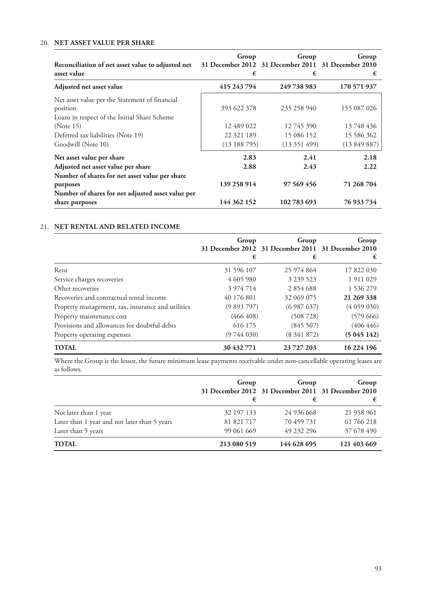# 20. **NET ASSET VALUE PER SHARE**

| Reconciliation of net asset value to adjusted net<br>asset value                                                                                                                    | Group<br>€                                            | Group<br>31 December 2012 31 December 2011 31 December 2010<br>€ | Group<br>€                                            |
|-------------------------------------------------------------------------------------------------------------------------------------------------------------------------------------|-------------------------------------------------------|------------------------------------------------------------------|-------------------------------------------------------|
| Adjusted net asset value                                                                                                                                                            | 415 243 794                                           | 249 738 983                                                      | 170 571 937                                           |
| Net asset value per the Statement of financial<br>position<br>Loans in respect of the Initial Share Scheme<br>(Note 15)<br>Deferred tax liabilities (Note 19)<br>Goodwill (Note 10) | 393 622 378<br>12 489 022<br>22 321 189<br>(13188795) | 235 258 940<br>12 745 390<br>15 086 152<br>(13351499)            | 155 087 026<br>13 748 436<br>15 586 362<br>(13849887) |
| Net asset value per share<br>Adjusted net asset value per share<br>Number of shares for net asset value per share                                                                   | 2.83<br>2.88                                          | 2.41<br>2.43                                                     | 2.18<br>2.22                                          |
| purposes                                                                                                                                                                            | 139 258 914                                           | 97 569 456                                                       | 71 268 704                                            |
| Number of shares for net adjusted asset value per<br>share purposes                                                                                                                 | 144 362 152                                           | 102783693                                                        | 76 933 734                                            |

## 21. **NET RENTAL AND RELATED INCOME**

|                                                   | Group<br>€ | Group<br>31 December 2012 31 December 2011 31 December 2010<br>€ | Group<br>€ |
|---------------------------------------------------|------------|------------------------------------------------------------------|------------|
| Rent                                              | 31 596 107 | 25 974 864                                                       | 17 822 030 |
| Service charges recoveries                        | 4 605 980  | 3 239 523                                                        | 1911029    |
| Other recoveries                                  | 3 974 714  | 2854688                                                          | 1 536 279  |
| Recoveries and contractual rental income          | 40 176 801 | 32 069 075                                                       | 21 269 338 |
| Property management, tax, insurance and utilities | (9893797)  | (6987637)                                                        | (4059030)  |
| Property maintenance cost                         | (466 408)  | (508728)                                                         | (57966)    |
| Provisions and allowances for doubtful debts      | 616 175    | (845 507)                                                        | (406 446)  |
| Property operating expenses                       | (9744030)  | (8341872)                                                        | (5045142)  |
| <b>TOTAL</b>                                      | 30 432 771 | 23 727 203                                                       | 16 224 196 |

Where the Group is the lessor, the future minimum lease payments receivable under non-cancellable operating leases are as follows.

|                                              | Group       | Group                                              | Group       |
|----------------------------------------------|-------------|----------------------------------------------------|-------------|
|                                              |             | 31 December 2012 31 December 2011 31 December 2010 |             |
|                                              | €           | €                                                  |             |
| Not later than 1 year                        | 32 197 133  | 24 936 668                                         | 21 958 961  |
| Later than 1 year and not later than 5 years | 81 821 717  | 70 459 731                                         | 61 766 218  |
| Later than 5 years                           | 99 061 669  | 49 232 296                                         | 37 678 490  |
| <b>TOTAL</b>                                 | 213 080 519 | 144 628 695                                        | 121 403 669 |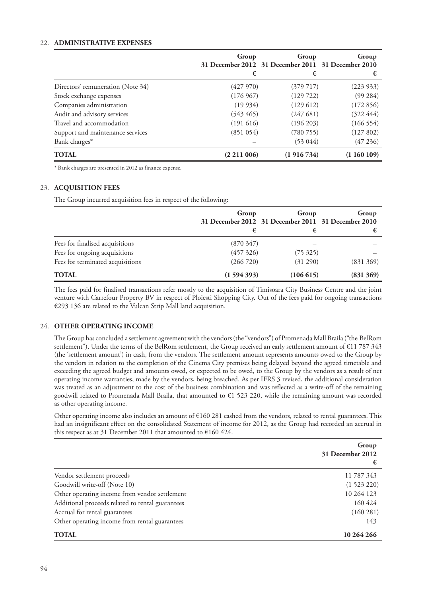# 22. **ADMINISTRATIVE EXPENSES**

|                                   | Group<br>€   | Group<br>31 December 2012 31 December 2011 31 December 2010<br>€ | Group<br>€ |
|-----------------------------------|--------------|------------------------------------------------------------------|------------|
| Directors' remuneration (Note 34) | (427970)     | (379 717)                                                        | (223933)   |
| Stock exchange expenses           | (176967)     | (129722)                                                         | (99 284)   |
| Companies administration          | (19934)      | (129612)                                                         | (172856)   |
| Audit and advisory services       | $(543\,465)$ | (247681)                                                         | (322 444)  |
| Travel and accommodation          | (191616)     | (196 203)                                                        | (166554)   |
| Support and maintenance services  | (851054)     | (780 755)                                                        | (127802)   |
| Bank charges*                     |              | (53044)                                                          | (47236)    |
| <b>TOTAL</b>                      | (2211006)    | (1916734)                                                        | (1160109)  |

\* Bank charges are presented in 2012 as finance expense.

# 23. **ACQUISITION FEES**

The Group incurred acquisition fees in respect of the following:

|                                  | Group     | Group<br>31 December 2012 31 December 2011 31 December 2010 | Group     |
|----------------------------------|-----------|-------------------------------------------------------------|-----------|
|                                  | €         |                                                             |           |
| Fees for finalised acquisitions  | (870347)  |                                                             |           |
| Fees for ongoing acquisitions    | (457 326) | (75325)                                                     |           |
| Fees for terminated acquisitions | (266720)  | (31 290)                                                    | (831369)  |
| <b>TOTAL</b>                     | (1594393) | (106615)                                                    | (831 369) |

The fees paid for finalised transactions refer mostly to the acquisition of Timisoara City Business Centre and the joint venture with Carrefour Property BV in respect of Ploiesti Shopping City. Out of the fees paid for ongoing transactions €293 136 are related to the Vulcan Strip Mall land acquisition.

## 24. **OTHER OPERATING INCOME**

The Group has concluded a settlement agreement with the vendors (the "vendors") of Promenada Mall Braila ("the BelRom settlement"). Under the terms of the BelRom settlement, the Group received an early settlement amount of €11 787 343 (the 'settlement amount') in cash, from the vendors. The settlement amount represents amounts owed to the Group by the vendors in relation to the completion of the Cinema City premises being delayed beyond the agreed timetable and exceeding the agreed budget and amounts owed, or expected to be owed, to the Group by the vendors as a result of net operating income warranties, made by the vendors, being breached. As per IFRS 3 revised, the additional consideration was treated as an adjustment to the cost of the business combination and was reflected as a write-off of the remaining goodwill related to Promenada Mall Braila, that amounted to €1 523 220, while the remaining amount was recorded as other operating income.

Other operating income also includes an amount of  $\epsilon$ 160 281 cashed from the vendors, related to rental guarantees. This had an insignificant effect on the consolidated Statement of income for 2012, as the Group had recorded an accrual in this respect as at 31 December 2011 that amounted to  $€160 424$ .

|                                                  | Group<br>31 December 2012<br>€ |
|--------------------------------------------------|--------------------------------|
| Vendor settlement proceeds                       | 11 787 343                     |
| Goodwill write-off (Note 10)                     | (1523220)                      |
| Other operating income from vendor settlement    | 10 264 123                     |
| Additional proceeds related to rental guarantees | 160 424                        |
| Accrual for rental guarantees                    | (160 281)                      |
| Other operating income from rental guarantees    | 143                            |
| <b>TOTAL</b>                                     | 10 264 266                     |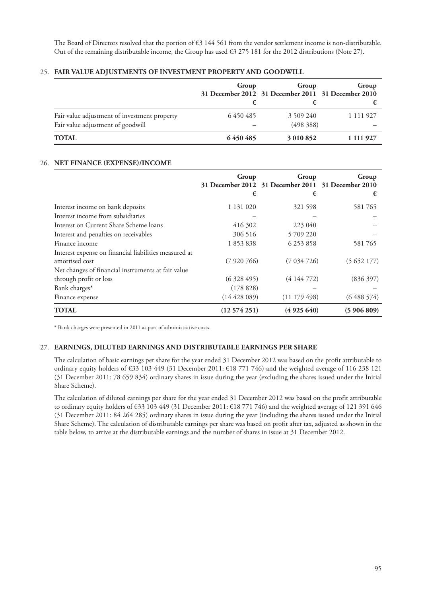The Board of Directors resolved that the portion of €3 144 561 from the vendor settlement income is non-distributable. Out of the remaining distributable income, the Group has used €3 275 181 for the 2012 distributions (Note 27).

## 25. **FAIR VALUE ADJUSTMENTS OF INVESTMENT PROPERTY AND GOODWILL**

|                                                                                   | Group<br>€ | Group<br>31 December 2012 31 December 2011 31 December 2010 | Group         |
|-----------------------------------------------------------------------------------|------------|-------------------------------------------------------------|---------------|
| Fair value adjustment of investment property<br>Fair value adjustment of goodwill | 6450485    | 3 509 240<br>(498388)                                       | 1 1 1 1 9 2 7 |
| <b>TOTAL</b>                                                                      | 6450485    | 3 010 852                                                   | 1 111 927     |

## 26. **NET FINANCE (EXPENSE)/INCOME**

|                                                                         | Group<br>€       | Group<br>31 December 2012 31 December 2011 31 December 2010<br>€ | Group<br>€ |
|-------------------------------------------------------------------------|------------------|------------------------------------------------------------------|------------|
| Interest income on bank deposits                                        | 1 131 020        | 321 598                                                          | 581765     |
| Interest income from subsidiaries                                       |                  |                                                                  |            |
| Interest on Current Share Scheme loans                                  | 416 302          | 223 040                                                          |            |
| Interest and penalties on receivables                                   | 306 516          | 5 709 220                                                        |            |
| Finance income                                                          | 1853838          | 6 253 858                                                        | 581765     |
| Interest expense on financial liabilities measured at<br>amortised cost | (7920766)        | (7034726)                                                        | (5652177)  |
| Net changes of financial instruments at fair value                      |                  |                                                                  |            |
| through profit or loss                                                  | (6328495)        | (4144772)                                                        | (836397)   |
| Bank charges*                                                           | (178828)         |                                                                  |            |
| Finance expense                                                         | $(14\,428\,089)$ | (11179498)                                                       | (6488574)  |
| TOTAL                                                                   | (12574251)       | (4925640)                                                        | (5906809)  |

\* Bank charges were presented in 2011 as part of administrative costs.

## 27. **EARNINGS, DILUTED EARNINGS AND DISTRIBUTABLE EARNINGS PER SHARE**

The calculation of basic earnings per share for the year ended 31 December 2012 was based on the profit attributable to ordinary equity holders of €33 103 449 (31 December 2011: €18 771 746) and the weighted average of 116 238 121 (31 December 2011: 78 659 834) ordinary shares in issue during the year (excluding the shares issued under the Initial Share Scheme).

The calculation of diluted earnings per share for the year ended 31 December 2012 was based on the profit attributable to ordinary equity holders of €33 103 449 (31 December 2011: €18 771 746) and the weighted average of 121 391 646 (31 December 2011: 84 264 285) ordinary shares in issue during the year (including the shares issued under the Initial Share Scheme). The calculation of distributable earnings per share was based on profit after tax, adjusted as shown in the table below, to arrive at the distributable earnings and the number of shares in issue at 31 December 2012.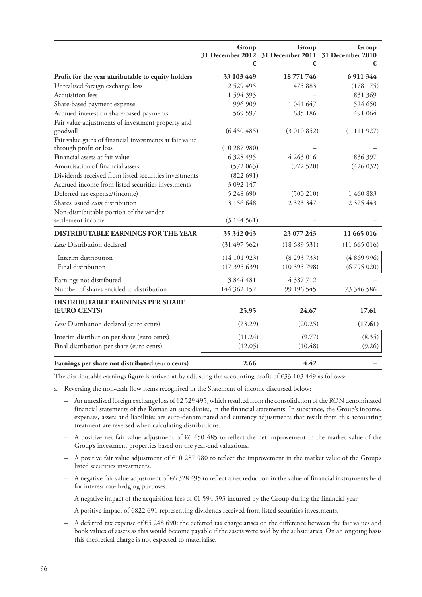|                                                               | Group         | Group<br>31 December 2012 31 December 2011 31 December 2010 | Group         |
|---------------------------------------------------------------|---------------|-------------------------------------------------------------|---------------|
|                                                               | €             | €                                                           | €             |
| Profit for the year attributable to equity holders            | 33 103 449    | 18 771 746                                                  | 6 911 344     |
| Unrealised foreign exchange loss                              | 2 5 2 9 4 9 5 | 475 883                                                     | (178175)      |
| Acquisition fees                                              | 1 5 9 4 3 9 3 |                                                             | 831 369       |
| Share-based payment expense                                   | 996 909       | 1 041 647                                                   | 524 650       |
| Accrued interest on share-based payments                      | 569 597       | 685 186                                                     | 491 064       |
| Fair value adjustments of investment property and<br>goodwill | (6450485)     | (3010852)                                                   | (1111927)     |
| Fair value gains of financial investments at fair value       |               |                                                             |               |
| through profit or loss                                        | (10287980)    |                                                             |               |
| Financial assets at fair value                                | 6 328 495     | 4 263 016                                                   | 836 397       |
| Amortisation of financial assets                              | (572063)      | (972520)                                                    | (426 032)     |
| Dividends received from listed securities investments         | (822691)      |                                                             |               |
| Accrued income from listed securities investments             | 3 0 9 2 1 4 7 |                                                             |               |
| Deferred tax expense/(income)                                 | 5 248 690     | (500 210)                                                   | 1 460 883     |
| Shares issued cum distribution                                | 3 156 648     | 2 3 2 3 3 4 7                                               | 2 3 2 5 4 4 3 |
| Non-distributable portion of the vendor                       |               |                                                             |               |
| settlement income                                             | (3144561)     |                                                             |               |
| <b>DISTRIBUTABLE EARNINGS FOR THE YEAR</b>                    | 35 342 043    | 23 077 243                                                  | 11 665 016    |
| Less: Distribution declared                                   | (31497562)    | (18689531)                                                  | (11665016)    |
| Interim distribution                                          | (14101923)    | (8293733)                                                   | (4869996)     |
| Final distribution                                            | (17395639)    | (10395798)                                                  | (6795020)     |
| Earnings not distributed                                      | 3 844 481     | 4 387 712                                                   |               |
| Number of shares entitled to distribution                     | 144 362 152   | 99 196 545                                                  | 73 346 586    |
| <b>DISTRIBUTABLE EARNINGS PER SHARE</b>                       |               |                                                             |               |
| (EURO CENTS)                                                  | 25.95         | 24.67                                                       | 17.61         |
| Less: Distribution declared (euro cents)                      | (23.29)       | (20.25)                                                     | (17.61)       |
| Interim distribution per share (euro cents)                   | (11.24)       | (9.77)                                                      | (8.35)        |
| Final distribution per share (euro cents)                     | (12.05)       | (10.48)                                                     | (9.26)        |
| Earnings per share not distributed (euro cents)               | 2.66          | 4.42                                                        |               |

The distributable earnings figure is arrived at by adjusting the accounting profit of  $\epsilon$ 33 103 449 as follows:

a. Reversing the non-cash flow items recognised in the Statement of income discussed below:

- $-$  An unrealised foreign exchange loss of  $\epsilon$ 2 529 495, which resulted from the consolidation of the RON denominated financial statements of the Romanian subsidiaries, in the financial statements. In substance, the Group's income, expenses, assets and liabilities are euro-denominated and currency adjustments that result from this accounting treatment are reversed when calculating distributions.
- A positive net fair value adjustment of €6 450 485 to reflect the net improvement in the market value of the Group's investment properties based on the year-end valuations.
- $-$  A positive fair value adjustment of  $\text{\textsterling}10$  287 980 to reflect the improvement in the market value of the Group's listed securities investments.
- A negative fair value adjustment of  $66328495$  to reflect a net reduction in the value of financial instruments held for interest rate hedging purposes.
- A negative impact of the acquisition fees of  $\epsilon$ 1 594 393 incurred by the Group during the financial year.
- $-$  A positive impact of  $\epsilon$ 822 691 representing dividends received from listed securities investments.
- A deferred tax expense of €5 248 690: the deferred tax charge arises on the difference between the fair values and book values of assets as this would become payable if the assets were sold by the subsidiaries. On an ongoing basis this theoretical charge is not expected to materialise.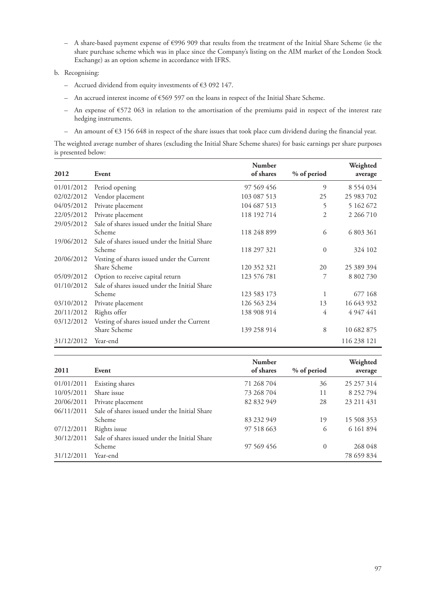- A share-based payment expense of €996 909 that results from the treatment of the Initial Share Scheme (ie the share purchase scheme which was in place since the Company's listing on the AIM market of the London Stock Exchange) as an option scheme in accordance with IFRS.
- b. Recognising:
	- Accrued dividend from equity investments of €3 092 147.
	- An accrued interest income of €569 597 on the loans in respect of the Initial Share Scheme.
	- An expense of €572 063 in relation to the amortisation of the premiums paid in respect of the interest rate hedging instruments.
	- An amount of €3 156 648 in respect of the share issues that took place cum dividend during the financial year.

The weighted average number of shares (excluding the Initial Share Scheme shares) for basic earnings per share purposes is presented below:

|            |                                               | <b>Number</b> |             | Weighted      |
|------------|-----------------------------------------------|---------------|-------------|---------------|
| 2012       | Event                                         | of shares     | % of period | average       |
| 01/01/2012 | Period opening                                | 97 569 456    | 9           | 8 5 5 4 0 3 4 |
| 02/02/2012 | Vendor placement                              | 103 087 513   | 25          | 25 983 702    |
| 04/05/2012 | Private placement                             | 104 687 513   | 5           | 5 162 672     |
| 22/05/2012 | Private placement                             | 118 192 714   | 2           | 2 2 6 7 1 0   |
| 29/05/2012 | Sale of shares issued under the Initial Share |               |             |               |
|            | Scheme                                        | 118 248 899   | 6           | 6 803 361     |
| 19/06/2012 | Sale of shares issued under the Initial Share |               |             |               |
|            | Scheme                                        | 118 297 321   | $\theta$    | 324 102       |
| 20/06/2012 | Vesting of shares issued under the Current    |               |             |               |
|            | Share Scheme                                  | 120 352 321   | 20          | 25 389 394    |
| 05/09/2012 | Option to receive capital return              | 123 576 781   | 7           | 8 802 730     |
| 01/10/2012 | Sale of shares issued under the Initial Share |               |             |               |
|            | Scheme                                        | 123 583 173   | 1           | 677 168       |
| 03/10/2012 | Private placement                             | 126 563 234   | 13          | 16 643 932    |
| 20/11/2012 | Rights offer                                  | 138 908 914   | 4           | 4 9 4 7 4 4 1 |
| 03/12/2012 | Vesting of shares issued under the Current    |               |             |               |
|            | Share Scheme                                  | 139 258 914   | 8           | 10 682 875    |
| 31/12/2012 | Year-end                                      |               |             | 116 238 121   |

| 2011       | Event                                         | <b>Number</b><br>of shares | % of period | Weighted<br>average |
|------------|-----------------------------------------------|----------------------------|-------------|---------------------|
| 01/01/2011 | Existing shares                               | 71 268 704                 | 36          | 25 257 314          |
| 10/05/2011 | Share issue                                   | 73 268 704                 | 11          | 8 252 794           |
| 20/06/2011 | Private placement                             | 82 832 949                 | 28          | 23 211 431          |
| 06/11/2011 | Sale of shares issued under the Initial Share |                            |             |                     |
|            | Scheme                                        | 83 232 949                 | 19          | 15 508 353          |
| 07/12/2011 | Rights issue                                  | 97 518 663                 | 6           | 6 161 894           |
| 30/12/2011 | Sale of shares issued under the Initial Share |                            |             |                     |
|            | Scheme                                        | 97 569 456                 | 0           | 268 048             |
| 31/12/2011 | Year-end                                      |                            |             | 78 659 834          |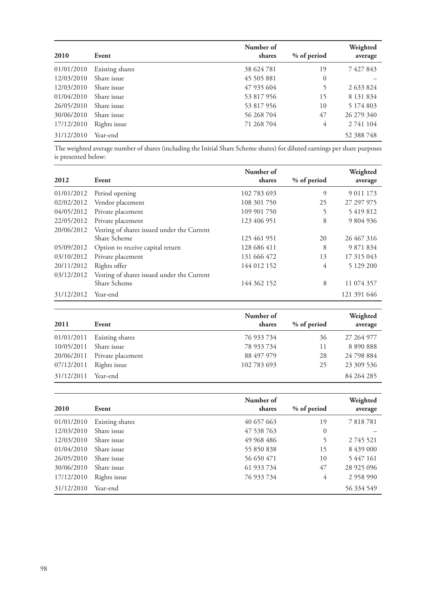| 2010       | Event           | Number of<br>shares | % of period    | Weighted<br>average |
|------------|-----------------|---------------------|----------------|---------------------|
| 01/01/2010 | Existing shares | 38 624 781          | 19             | 7427843             |
| 12/03/2010 | Share issue     | 45 505 881          | $\overline{0}$ |                     |
| 12/03/2010 | Share issue     | 47 935 604          | 5              | 2 633 824           |
| 01/04/2010 | Share issue     | 53 817 956          | 15             | 8 131 834           |
| 26/05/2010 | Share issue     | 53 817 956          | 10             | 5 174 803           |
| 30/06/2010 | Share issue     | 56 268 704          | 47             | 26 279 340          |
| 17/12/2010 | Rights issue    | 71 268 704          | 4              | 2 741 104           |
| 31/12/2010 | Year-end        |                     |                | 52 388 748          |

The weighted average number of shares (including the Initial Share Scheme shares) for diluted earnings per share purposes is presented below:

|            |                                            | Number of   |             | Weighted      |
|------------|--------------------------------------------|-------------|-------------|---------------|
| 2012       | Event                                      | shares      | % of period | average       |
| 01/01/2012 | Period opening                             | 102 783 693 | 9           | 9 0 1 1 1 7 3 |
| 02/02/2012 | Vendor placement                           | 108 301 750 | 25          | 27 297 975    |
| 04/05/2012 | Private placement                          | 109 901 750 | 5           | 5419812       |
| 22/05/2012 | Private placement                          | 123 406 951 | 8           | 9 804 936     |
| 20/06/2012 | Vesting of shares issued under the Current |             |             |               |
|            | Share Scheme                               | 125 461 951 | 20          | 26 467 316    |
| 05/09/2012 | Option to receive capital return           | 128 686 411 | 8           | 9 871 834     |
| 03/10/2012 | Private placement                          | 131 666 472 | 13          | 17 315 043    |
| 20/11/2012 | Rights offer                               | 144 012 152 | 4           | 5 129 200     |
| 03/12/2012 | Vesting of shares issued under the Current |             |             |               |
|            | Share Scheme                               | 144 362 152 | 8           | 11 074 357    |
| 31/12/2012 | Year-end                                   |             |             | 121 391 646   |

| 2011       | Event             | Number of<br>shares | % of period | Weighted<br>average |
|------------|-------------------|---------------------|-------------|---------------------|
| 01/01/2011 | Existing shares   | 76 933 734          | 36          | 27 264 977          |
| 10/05/2011 | Share issue       | 78 933 734          | 11          | 8 890 888           |
| 20/06/2011 | Private placement | 88 497 979          | 28          | 24 798 884          |
| 07/12/2011 | Rights issue      | 102 783 693         | 25          | 23 309 536          |
| 31/12/2011 | Year-end          |                     |             | 84 264 285          |

| 2010       | Event           | Number of<br>shares | % of period    | Weighted<br>average |
|------------|-----------------|---------------------|----------------|---------------------|
| 01/01/2010 | Existing shares | 40 657 663          | 19             | 7818781             |
| 12/03/2010 | Share issue     | 47 538 763          | $\overline{0}$ |                     |
| 12/03/2010 | Share issue     | 49 968 486          | 5              | 2745521             |
| 01/04/2010 | Share issue     | 55 850 838          | 15             | 8 439 000           |
| 26/05/2010 | Share issue     | 56 650 471          | 10             | 5 447 161           |
| 30/06/2010 | Share issue     | 61 933 734          | 47             | 28 925 096          |
| 17/12/2010 | Rights issue    | 76 933 734          | 4              | 2 958 990           |
| 31/12/2010 | Year-end        |                     |                | 56 334 549          |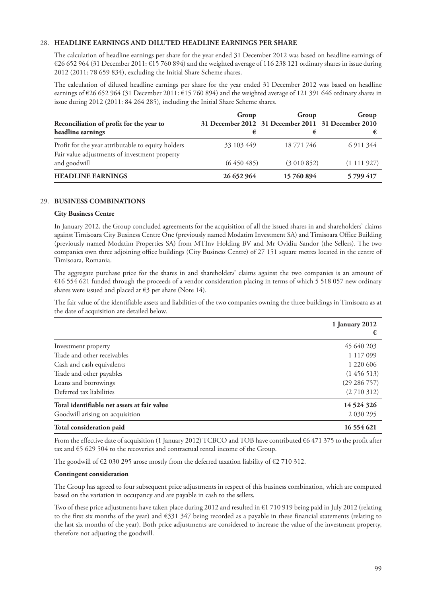# 28. **HEADLINE EARNINGS AND DILUTED HEADLINE EARNINGS PER SHARE**

The calculation of headline earnings per share for the year ended 31 December 2012 was based on headline earnings of €26 652 964 (31 December 2011: €15 760 894) and the weighted average of 116 238 121 ordinary shares in issue during 2012 (2011: 78 659 834), excluding the Initial Share Scheme shares.

The calculation of diluted headline earnings per share for the year ended 31 December 2012 was based on headline earnings of €26 652 964 (31 December 2011: €15 760 894) and the weighted average of 121 391 646 ordinary shares in issue during 2012 (2011: 84 264 285), including the Initial Share Scheme shares.

| Reconciliation of profit for the year to<br>headline earnings                                       | Group      | Group<br>31 December 2012 31 December 2011 31 December 2010<br>€ | Group     |
|-----------------------------------------------------------------------------------------------------|------------|------------------------------------------------------------------|-----------|
| Profit for the year attributable to equity holders<br>Fair value adjustments of investment property | 33 103 449 | 18 771 746                                                       | 6 911 344 |
| and goodwill                                                                                        | (6450485)  | (3010852)                                                        | (1111927) |
| <b>HEADLINE EARNINGS</b>                                                                            | 26 652 964 | 15760894                                                         | 5799417   |

## 29. **BUSINESS COMBINATIONS**

## **City Business Centre**

In January 2012, the Group concluded agreements for the acquisition of all the issued shares in and shareholders' claims against Timisoara City Business Centre One (previously named Modatim Investment SA) and Timisoara Office Building (previously named Modatim Properties SA) from MTInv Holding BV and Mr Ovidiu Sandor (the Sellers). The two companies own three adjoining office buildings (City Business Centre) of 27 151 square metres located in the centre of Timisoara, Romania.

The aggregate purchase price for the shares in and shareholders' claims against the two companies is an amount of €16 554 621 funded through the proceeds of a vendor consideration placing in terms of which 5 518 057 new ordinary shares were issued and placed at  $\epsilon$ 3 per share (Note 14).

The fair value of the identifiable assets and liabilities of the two companies owning the three buildings in Timisoara as at the date of acquisition are detailed below.

|                                             | 1 January 2012<br>€ |
|---------------------------------------------|---------------------|
| Investment property                         | 45 640 203          |
| Trade and other receivables                 | 1 117 099           |
| Cash and cash equivalents                   | 1 2 2 0 6 0 6       |
| Trade and other payables                    | (1456513)           |
| Loans and borrowings                        | (29 286 757)        |
| Deferred tax liabilities                    | (2710312)           |
| Total identifiable net assets at fair value | 14 5 24 3 26        |
| Goodwill arising on acquisition             | 2 0 3 0 2 9 5       |
| Total consideration paid                    | 16 554 621          |

From the effective date of acquisition (1 January 2012) TCBCO and TOB have contributed €6 471 375 to the profit after tax and €5 629 504 to the recoveries and contractual rental income of the Group.

The goodwill of  $\epsilon$ 2 030 295 arose mostly from the deferred taxation liability of  $\epsilon$ 2 710 312.

## **Contingent consideration**

The Group has agreed to four subsequent price adjustments in respect of this business combination, which are computed based on the variation in occupancy and are payable in cash to the sellers.

Two of these price adjustments have taken place during 2012 and resulted in €1 710 919 being paid in July 2012 (relating to the first six months of the year) and €331 347 being recorded as a payable in these financial statements (relating to the last six months of the year). Both price adjustments are considered to increase the value of the investment property, therefore not adjusting the goodwill.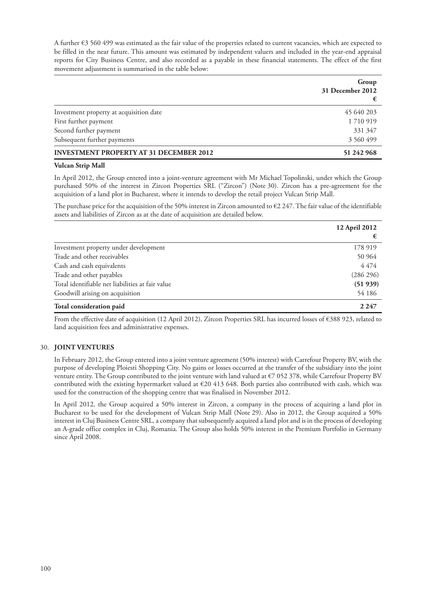A further €3 560 499 was estimated as the fair value of the properties related to current vacancies, which are expected to be filled in the near future. This amount was estimated by independent valuers and included in the year-end appraisal reports for City Business Centre, and also recorded as a payable in these financial statements. The effect of the first movement adjustment is summarised in the table below:

|                                                | Group<br>31 December 2012<br>€ |
|------------------------------------------------|--------------------------------|
| Investment property at acquisition date        | 45 640 203                     |
| First further payment                          | 1710919                        |
| Second further payment                         | 331 347                        |
| Subsequent further payments                    | 3 560 499                      |
| <b>INVESTMENT PROPERTY AT 31 DECEMBER 2012</b> | 51 242 968                     |

### **Vulcan Strip Mall**

In April 2012, the Group entered into a joint-venture agreement with Mr Michael Topolinski, under which the Group purchased 50% of the interest in Zircon Properties SRL ("Zircon") (Note 30). Zircon has a pre-agreement for the acquisition of a land plot in Bucharest, where it intends to develop the retail project Vulcan Strip Mall.

The purchase price for the acquisition of the 50% interest in Zircon amounted to  $\epsilon$ 2 247. The fair value of the identifiable assets and liabilities of Zircon as at the date of acquisition are detailed below.

|                                                  | 12 April 2012<br>€ |
|--------------------------------------------------|--------------------|
| Investment property under development            | 178 919            |
| Trade and other receivables                      | 50 964             |
| Cash and cash equivalents                        | 4474               |
| Trade and other payables                         | (286 296)          |
| Total identifiable net liabilities at fair value | (51939)            |
| Goodwill arising on acquisition                  | 54 186             |
| Total consideration paid                         | 2 2 4 7            |

From the effective date of acquisition (12 April 2012), Zircon Properties SRL has incurred losses of €388 923, related to land acquisition fees and administrative expenses.

## 30. **JOINT VENTURES**

In February 2012, the Group entered into a joint venture agreement (50% interest) with Carrefour Property BV, with the purpose of developing Ploiesti Shopping City. No gains or losses occurred at the transfer of the subsidiary into the joint venture entity. The Group contributed to the joint venture with land valued at  $\epsilon$ 7 052 378, while Carrefour Property BV contributed with the existing hypermarket valued at  $\epsilon$ 20 413 648. Both parties also contributed with cash, which was used for the construction of the shopping centre that was finalised in November 2012.

In April 2012, the Group acquired a 50% interest in Zircon, a company in the process of acquiring a land plot in Bucharest to be used for the development of Vulcan Strip Mall (Note 29). Also in 2012, the Group acquired a 50% interest in Cluj Business Centre SRL, a company that subsequently acquired a land plot and is in the process of developing an A-grade office complex in Cluj, Romania. The Group also holds 50% interest in the Premium Portfolio in Germany since April 2008.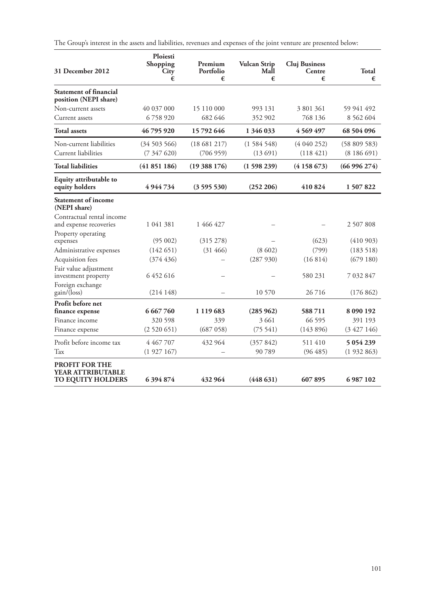The Group's interest in the assets and liabilities, revenues and expenses of the joint venture are presented below:

| 31 December 2012                                                | <b>Ploiesti</b><br>Shopping<br>City<br>€ | Premium<br>Portfolio<br>€ | <b>Vulcan Strip</b><br>Mall<br>€ | <b>Cluj Business</b><br>Centre<br>€ | <b>Total</b><br>€ |
|-----------------------------------------------------------------|------------------------------------------|---------------------------|----------------------------------|-------------------------------------|-------------------|
| <b>Statement of financial</b><br>position (NEPI share)          |                                          |                           |                                  |                                     |                   |
| Non-current assets                                              | 40 037 000                               | 15 110 000                | 993 131                          | 3 801 361                           | 59 941 492        |
| Current assets                                                  | 6758920                                  | 682 646                   | 352 902                          | 768 136                             | 8 5 6 2 6 0 4     |
| <b>Total assets</b>                                             | 46 795 920                               | 15 792 646                | 1 346 033                        | 4 5 6 9 4 9 7                       | 68 504 096        |
| Non-current liabilities                                         | (34503566)                               | (18681217)                | (1584548)                        | (4040252)                           | (58 809 583)      |
| Current liabilities                                             | (7347620)                                | (706959)                  | (13691)                          | (118421)                            | (8186691)         |
| <b>Total liabilities</b>                                        | (41851186)                               | (19388176)                | (1598239)                        | (4158673)                           | (66996274)        |
| Equity attributable to<br>equity holders                        | 4944734                                  | (3595530)                 | (252 206)                        | 410824                              | 1507822           |
| <b>Statement of income</b><br>(NEPI share)                      |                                          |                           |                                  |                                     |                   |
| Contractual rental income<br>and expense recoveries             | 1 041 381                                | 1 466 427                 |                                  |                                     | 2 507 808         |
| Property operating                                              | (95002)                                  | (315 278)                 |                                  | (623)                               | (410903)          |
| expenses<br>Administrative expenses                             | (142651)                                 | (31466)                   | (8602)                           | (799)                               | (183518)          |
| Acquisition fees                                                | (374436)                                 |                           | (287930)                         | (16814)                             | (679180)          |
| Fair value adjustment<br>investment property                    | 6452616                                  |                           |                                  | 580 231                             | 7 032 847         |
| Foreign exchange<br>gain/(loss)                                 | (214148)                                 |                           | 10 570                           | 26716                               | (176 862)         |
| Profit before net<br>finance expense                            | 6 667 760                                | 1 1 1 9 6 8 3             | (285962)                         | 588711                              | 8 090 192         |
| Finance income                                                  | 320 598                                  | 339                       | 3 6 6 1                          | 66 595                              | 391 193           |
| Finance expense                                                 | (2520651)                                | (687 058)                 | (75541)                          | (143896)                            | (3427146)         |
| Profit before income tax                                        | 4 467 707                                | 432 964                   | (357842)                         | 511410                              | 5 0 5 4 2 3 9     |
| Tax                                                             | (1927167)                                |                           | 90789                            | (96485)                             | (1932863)         |
| <b>PROFIT FOR THE</b><br>YEAR ATTRIBUTABLE<br>TO EQUITY HOLDERS | 6 394 874                                | 432 964                   | (448631)                         | 607895                              | 6 987 102         |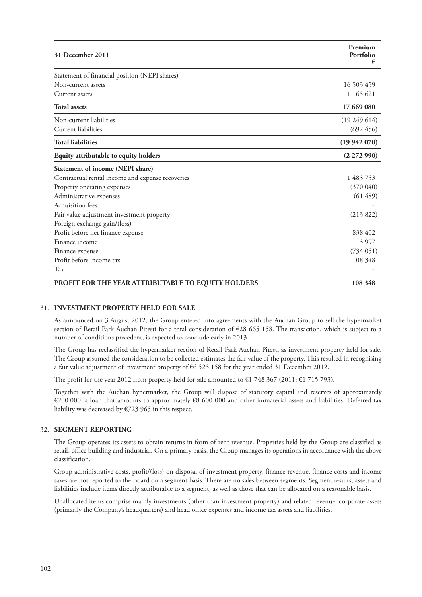| 31 December 2011                                   | Premium<br>Portfolio<br>€ |
|----------------------------------------------------|---------------------------|
| Statement of financial position (NEPI shares)      |                           |
| Non-current assets                                 | 16 503 459                |
| Current assets                                     | 1 165 621                 |
| <b>Total assets</b>                                | 17 669 080                |
| Non-current liabilities                            | (19249614)                |
| <b>Current liabilities</b>                         | (692, 456)                |
| <b>Total liabilities</b>                           | (19942070)                |
| Equity attributable to equity holders              | (2272990)                 |
| Statement of income (NEPI share)                   |                           |
| Contractual rental income and expense recoveries   | 1 483 753                 |
| Property operating expenses                        | (370040)                  |
| Administrative expenses                            | (61489)                   |
| Acquisition fees                                   |                           |
| Fair value adjustment investment property          | (213 822)                 |
| Foreign exchange gain/(loss)                       |                           |
| Profit before net finance expense                  | 838 402                   |
| Finance income                                     | 3997                      |
| Finance expense                                    | (734051)                  |
| Profit before income tax                           | 108 348                   |
| Tax                                                |                           |
| PROFIT FOR THE YEAR ATTRIBUTABLE TO EQUITY HOLDERS | 108 348                   |

# 31. **INVESTMENT PROPERTY HELD FOR SALE**

As announced on 3 August 2012, the Group entered into agreements with the Auchan Group to sell the hypermarket section of Retail Park Auchan Pitesti for a total consideration of €28 665 158. The transaction, which is subject to a number of conditions precedent, is expected to conclude early in 2013.

The Group has reclassified the hypermarket section of Retail Park Auchan Pitesti as investment property held for sale. The Group assumed the consideration to be collected estimates the fair value of the property. This resulted in recognising a fair value adjustment of investment property of €6 525 158 for the year ended 31 December 2012.

The profit for the year 2012 from property held for sale amounted to  $\epsilon$ 1 748 367 (2011:  $\epsilon$ 1 715 793).

Together with the Auchan hypermarket, the Group will dispose of statutory capital and reserves of approximately €200 000, a loan that amounts to approximately €8 600 000 and other immaterial assets and liabilities. Deferred tax liability was decreased by €723 965 in this respect.

## 32. **SEGMENT REPORTING**

The Group operates its assets to obtain returns in form of rent revenue. Properties held by the Group are classified as retail, office building and industrial. On a primary basis, the Group manages its operations in accordance with the above classification.

Group administrative costs, profit/(loss) on disposal of investment property, finance revenue, finance costs and income taxes are not reported to the Board on a segment basis. There are no sales between segments. Segment results, assets and liabilities include items directly attributable to a segment, as well as those that can be allocated on a reasonable basis.

Unallocated items comprise mainly investments (other than investment property) and related revenue, corporate assets (primarily the Company's headquarters) and head office expenses and income tax assets and liabilities.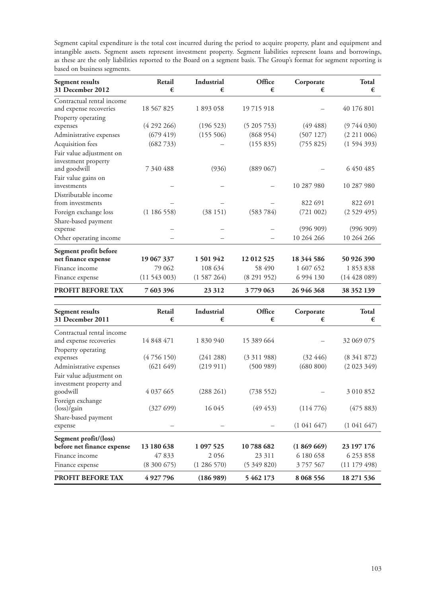Segment capital expenditure is the total cost incurred during the period to acquire property, plant and equipment and intangible assets. Segment assets represent investment property. Segment liabilities represent loans and borrowings, as these are the only liabilities reported to the Board on a segment basis. The Group's format for segment reporting is based on business segments.

| <b>Segment results</b><br>31 December 2012      | Retail<br>€ | <b>Industrial</b><br>€ | Office<br>€ | Corporate<br>€ | <b>Total</b><br>€ |
|-------------------------------------------------|-------------|------------------------|-------------|----------------|-------------------|
| Contractual rental income                       |             |                        |             |                |                   |
| and expense recoveries                          | 18 567 825  | 1893058                | 19715918    |                | 40 176 801        |
| Property operating                              |             |                        |             |                |                   |
| expenses                                        | (4292266)   | (196523)               | (5205753)   | (49 488)       | (9744030)         |
| Administrative expenses                         | (679 419)   | (155 506)              | (868954)    | (507127)       | (2 211 006)       |
| Acquisition fees                                | (682733)    |                        | (155 835)   | (755825)       | (1594393)         |
| Fair value adjustment on<br>investment property |             |                        |             |                |                   |
| and goodwill                                    | 7 340 488   | (936)                  | (889 067)   |                | 6 450 485         |
| Fair value gains on<br>investments              |             |                        |             | 10 287 980     | 10 287 980        |
| Distributable income<br>from investments        |             |                        |             | 822 691        | 822 691           |
| Foreign exchange loss                           | (1186558)   | (38151)                | (583 784)   | (721 002)      | (2529495)         |
| Share-based payment                             |             |                        |             |                |                   |
| expense                                         |             |                        |             | (996909)       | (996909)          |
| Other operating income                          |             |                        |             | 10 264 266     | 10 264 266        |
| Segment profit before                           |             |                        |             |                |                   |
| net finance expense                             | 19 067 337  | 1501942                | 12 012 525  | 18 344 586     | 50 926 390        |
| Finance income                                  | 79 062      | 108 634                | 58 490      | 1 607 652      | 1853838           |
| Finance expense                                 | (11543003)  | (1587264)              | (8291952)   | 6 9 9 4 1 3 0  | (14428089)        |
| <b>PROFIT BEFORE TAX</b>                        | 7 603 396   | 23 3 12                | 3779 063    | 26 946 368     | 38 352 139        |

| <b>Segment results</b><br>31 December 2011 | Retail<br>€   | Industrial<br>€ | Office<br>€ | Corporate<br>€ | <b>Total</b><br>€ |
|--------------------------------------------|---------------|-----------------|-------------|----------------|-------------------|
| Contractual rental income                  |               |                 |             |                |                   |
| and expense recoveries                     | 14 848 471    | 1 830 940       | 15 389 664  |                | 32 069 075        |
| Property operating                         |               |                 |             |                |                   |
| expenses                                   | (4756150)     | (241 288)       | (3311988)   | (32, 446)      | (8341872)         |
| Administrative expenses                    | (621649)      | (219911)        | (500989)    | (680 800)      | (2023349)         |
| Fair value adjustment on                   |               |                 |             |                |                   |
| investment property and                    |               |                 |             |                |                   |
| goodwill                                   | 4 0 3 7 6 6 5 | (288 261)       | (738552)    |                | 3 010 852         |
| Foreign exchange                           |               |                 |             |                |                   |
| $(\text{loss})/\text{gain}$                | (32769)       | 16 045          | $(49\;453)$ | (114776)       | (475883)          |
| Share-based payment                        |               |                 |             |                |                   |
| expense                                    |               |                 |             | (1041647)      | (1041647)         |
| Segment profit/(loss)                      |               |                 |             |                |                   |
| before net finance expense                 | 13 180 638    | 1 097 525       | 10788682    | (1869669)      | 23 197 176        |
| Finance income                             | 47 833        | 2056            | 23 311      | 6 180 658      | 6 253 858         |
| Finance expense                            | (8,300,675)   | (1286570)       | (5349820)   | 3 757 567      | (11179498)        |
| <b>PROFIT BEFORE TAX</b>                   | 4927796       | (186989)        | 5 462 173   | 8 0 68 5 5 6   | 18 271 536        |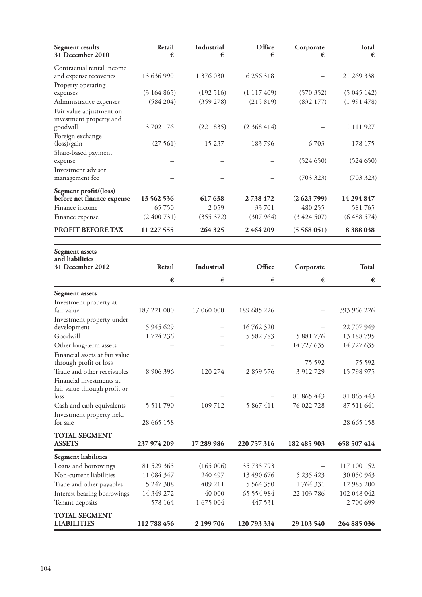| Segment results<br>31 December 2010                   | Retail<br>€   | Industrial<br>€ | Office<br>€   | Corporate<br>€      | <b>Total</b><br>€    |
|-------------------------------------------------------|---------------|-----------------|---------------|---------------------|----------------------|
| Contractual rental income                             |               |                 |               |                     |                      |
| and expense recoveries                                | 13 636 990    | 1 376 030       | 6 25 6 318    |                     | 21 269 338           |
| Property operating<br>expenses                        | (3164865)     | (192516)        | (1117409)     | (570352)            | (5045142)            |
| Administrative expenses                               | (584 204)     | (359 278)       | (215 819)     | (832177)            | (1991478)            |
| Fair value adjustment on                              |               |                 |               |                     |                      |
| investment property and                               |               |                 |               |                     |                      |
| goodwill                                              | 3702176       | (221 835)       | (2368414)     |                     | 1 111 927            |
| Foreign exchange                                      |               |                 |               |                     |                      |
| $(\text{loss})/\text{gain}$                           | (27561)       | 15 237          | 183796        | 6703                | 178 175              |
| Share-based payment                                   |               |                 |               | (524 650)           | (524 650)            |
| expense<br>Investment advisor                         |               |                 |               |                     |                      |
| management fee                                        |               |                 |               | (703 323)           | (703 323)            |
|                                                       |               |                 |               |                     |                      |
| Segment profit/(loss)<br>before net finance expense   | 13 562 536    | 617 638         | 2738472       | (2623799)           | 14 294 847           |
| Finance income                                        | 65750         | 2059            | 33701         | 480 255             | 581765               |
| Finance expense                                       | (2400731)     | (355 372)       | (307964)      | (3424507)           | (6488574)            |
| PROFIT BEFORE TAX                                     | 11 227 555    | 264 325         | 2464209       | (5568051)           | 8388038              |
|                                                       |               |                 |               |                     |                      |
| <b>Segment</b> assets<br>and liabilities              |               |                 |               |                     |                      |
| 31 December 2012                                      | Retail        | Industrial      | Office        | Corporate           | <b>Total</b>         |
|                                                       | €             | €               | €             | €                   | €                    |
| <b>Segment assets</b>                                 |               |                 |               |                     |                      |
| Investment property at                                |               |                 |               |                     |                      |
| fair value                                            | 187 221 000   | 17 060 000      | 189 685 226   |                     | 393 966 226          |
| Investment property under                             |               |                 |               |                     |                      |
| development                                           | 5 9 4 5 6 2 9 |                 | 16 762 320    |                     | 22 707 949           |
| Goodwill                                              | 1724236       |                 | 5 5 8 2 7 8 3 | 5 881 776           | 13 188 795           |
| Other long-term assets                                |               |                 |               | 14 727 635          | 14 727 635           |
| Financial assets at fair value                        |               |                 |               |                     |                      |
| through profit or loss<br>Trade and other receivables | 8 906 396     | 120 274         | 2 859 576     | 75 592<br>3 912 729 | 75 592<br>15 798 975 |
| Financial investments at                              |               |                 |               |                     |                      |
| fair value through profit or                          |               |                 |               |                     |                      |
| loss                                                  |               |                 |               | 81 865 443          | 81 865 443           |
| Cash and cash equivalents                             | 5 5 1 1 7 9 0 | 109 712         | 5 867 411     | 76 022 728          | 87 511 641           |
| Investment property held                              |               |                 |               |                     |                      |
| for sale                                              | 28 665 158    |                 |               |                     | 28 665 158           |
| <b>TOTAL SEGMENT</b><br><b>ASSETS</b>                 | 237 974 209   | 17 289 986      | 220 757 316   | 182 485 903         | 658 507 414          |
| <b>Segment liabilities</b>                            |               |                 |               |                     |                      |
| Loans and borrowings                                  | 81 529 365    | (165006)        | 35 735 793    |                     | 117 100 152          |
| Non-current liabilities                               | 11 084 347    | 240 497         | 13 490 676    | 5 235 423           | 30 050 943           |
| Trade and other payables                              | 5 247 308     | 409 211         | 5 5 6 4 3 5 0 | 1764331             | 12 985 200           |
| Interest bearing borrowings                           | 14 349 272    | 40 000          | 65 554 984    | 22 103 786          | 102 048 042          |
| Tenant deposits                                       | 578 164       | 1 675 004       | 447 531       |                     | 2700 699             |
| <b>TOTAL SEGMENT</b><br><b>LIABILITIES</b>            | 112788456     | 2 199 706       | 120 793 334   | 29 103 540          | 264 885 036          |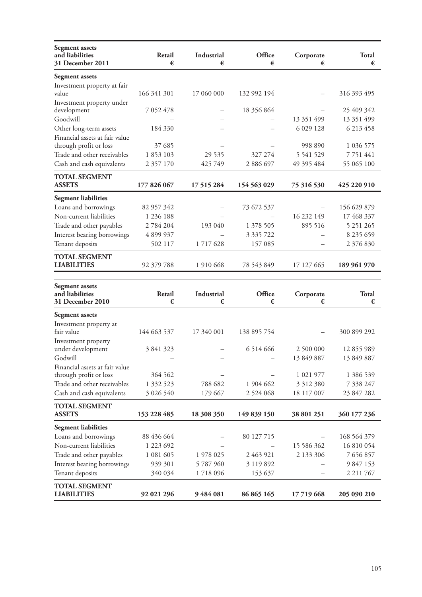| <b>Segment</b> assets<br>and liabilities<br>31 December 2011                       | Retail<br>€       | Industrial<br>€ | Office<br>€   | Corporate<br>€         | <b>Total</b><br>€      |
|------------------------------------------------------------------------------------|-------------------|-----------------|---------------|------------------------|------------------------|
| <b>Segment assets</b>                                                              |                   |                 |               |                        |                        |
| Investment property at fair<br>value                                               | 166 341 301       | 17 060 000      | 132 992 194   |                        | 316 393 495            |
| Investment property under<br>development                                           | 7 052 478         |                 | 18 356 864    |                        | 25 409 342             |
| Goodwill                                                                           |                   |                 |               | 13 351 499             | 13 351 499             |
| Other long-term assets<br>Financial assets at fair value<br>through profit or loss | 184 330<br>37 685 |                 |               | 6 0 29 1 28<br>998 890 | 6 213 458<br>1 036 575 |
| Trade and other receivables                                                        | 1853103           | 29 5 35         | 327 274       | 5 5 41 5 29            | 7 7 5 1 4 4 1          |
| Cash and cash equivalents                                                          | 2 357 170         | 425 749         | 2 886 697     | 49 395 484             | 55 065 100             |
| <b>TOTAL SEGMENT</b><br><b>ASSETS</b>                                              | 177 826 067       | 17 515 284      | 154 563 029   | 75 316 530             | 425 220 910            |
| <b>Segment liabilities</b>                                                         |                   |                 |               |                        |                        |
| Loans and borrowings                                                               | 82 957 342        |                 | 73 672 537    |                        | 156 629 879            |
| Non-current liabilities                                                            | 1 2 3 6 1 8 8     |                 |               | 16 232 149             | 17 468 337             |
| Trade and other payables                                                           | 2 784 204         | 193 040         | 1 378 505     | 895 516                | 5 251 265              |
| Interest bearing borrowings                                                        | 4899937           |                 | 3 335 722     |                        | 8 235 659              |
| Tenant deposits                                                                    | 502 117           | 1717628         | 157 085       |                        | 2 376 830              |
| <b>TOTAL SEGMENT</b><br><b>LIABILITIES</b>                                         | 92 379 788        | 1 910 668       | 78 543 849    | 17 127 665             | 189 961 970            |
| <b>Segment</b> assets                                                              |                   |                 |               |                        |                        |
| and liabilities<br>31 December 2010                                                | Retail<br>€       | Industrial<br>€ | Office<br>€   | Corporate<br>€         | Total<br>€             |
|                                                                                    |                   |                 |               |                        |                        |
| Segment assets                                                                     |                   |                 |               |                        |                        |
| Investment property at<br>fair value                                               | 144 663 537       | 17 340 001      | 138 895 754   |                        | 300 899 292            |
| Investment property<br>under development                                           | 3 841 323         |                 | 6514666       | 2 500 000              | 12 855 989             |
| Godwill<br>Financial assets at fair value                                          |                   |                 |               | 13 849 887             | 13 849 887             |
| through profit or loss                                                             | 364 562           |                 |               | 1 021 977              | 1 386 539              |
| Trade and other receivables                                                        | 1 332 523         | 788 682         | 1 904 662     | 3 3 1 2 3 8 0          | 7 338 247              |
| Cash and cash equivalents                                                          | 3 026 540         | 179 667         | 2 5 2 4 0 6 8 | 18 117 007             | 23 847 282             |
| <b>TOTAL SEGMENT</b>                                                               |                   |                 |               |                        |                        |
| <b>ASSETS</b>                                                                      | 153 228 485       | 18 308 350      | 149 839 150   | 38 801 251             | 360 177 236            |
| <b>Segment liabilities</b>                                                         |                   |                 |               |                        |                        |
| Loans and borrowings                                                               | 88 436 664        |                 | 80 127 715    |                        | 168 564 379            |
| Non-current liabilities                                                            | 1 223 692         |                 |               | 15 586 362             | 16 810 054             |
| Trade and other payables                                                           | 1 081 605         | 1 978 025       | 2 463 921     | 2 133 306              | 7 656 857              |
| Interest bearing borrowings                                                        | 939 301           | 5787960         | 3 119 892     |                        | 9 847 153              |
| Tenant deposits                                                                    | 340 034           | 1718096         | 153 637       |                        | 2 2 1 1 7 6 7          |
| <b>TOTAL SEGMENT</b><br><b>LIABILITIES</b>                                         | 92 021 296        | 9484081         | 86 865 165    | 17719668               | 205 090 210            |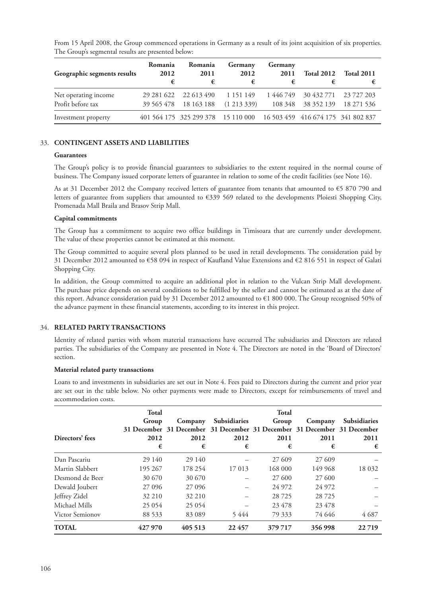| Geographic segments results | Romania<br>2012 | Romania<br>2011<br>€                                                  | Germany<br>2012<br>€ | Germany<br>2011 | <b>Total 2012</b>    | <b>Total 2011</b> |
|-----------------------------|-----------------|-----------------------------------------------------------------------|----------------------|-----------------|----------------------|-------------------|
| Net operating income        |                 | 29 281 622 22 613 490 1 151 149                                       |                      |                 | 1 446 749 30 432 771 | 23 727 203        |
| Profit before tax           |                 | 39 565 478 18 163 188                                                 | $(1\;213\;339)$      |                 | 108 348 38 352 139   | 18 271 536        |
| Investment property         |                 | 401 564 175 325 299 378 15 110 000 16 503 459 416 674 175 341 802 837 |                      |                 |                      |                   |

From 15 April 2008, the Group commenced operations in Germany as a result of its joint acquisition of six properties. The Group's segmental results are presented below:

## 33. **CONTINGENT ASSETS AND LIABILITIES**

### **Guarantees**

The Group's policy is to provide financial guarantees to subsidiaries to the extent required in the normal course of business. The Company issued corporate letters of guarantee in relation to some of the credit facilities (see Note 16).

As at 31 December 2012 the Company received letters of guarantee from tenants that amounted to €5 870 790 and letters of guarantee from suppliers that amounted to €339 569 related to the developments Ploiesti Shopping City, Promenada Mall Braila and Brasov Strip Mall.

## **Capital commitments**

The Group has a commitment to acquire two office buildings in Timisoara that are currently under development. The value of these properties cannot be estimated at this moment.

The Group committed to acquire several plots planned to be used in retail developments. The consideration paid by 31 December 2012 amounted to €58 094 in respect of Kaufland Value Extensions and €2 816 551 in respect of Galati Shopping City.

In addition, the Group committed to acquire an additional plot in relation to the Vulcan Strip Mall development. The purchase price depends on several conditions to be fulfilled by the seller and cannot be estimated as at the date of this report. Advance consideration paid by 31 December 2012 amounted to €1 800 000. The Group recognised 50% of the advance payment in these financial statements, according to its interest in this project.

## 34. **RELATED PARTY TRANSACTIONS**

Identity of related parties with whom material transactions have occurred The subsidiaries and Directors are related parties. The subsidiaries of the Company are presented in Note 4. The Directors are noted in the 'Board of Directors' section.

## **Material related party transactions**

Loans to and investments in subsidiaries are set out in Note 4. Fees paid to Directors during the current and prior year are set out in the table below. No other payments were made to Directors, except for reimbursements of travel and accommodation costs.

|                        | <b>Total</b> |                                                                         |                     | <b>Total</b> |         |                     |
|------------------------|--------------|-------------------------------------------------------------------------|---------------------|--------------|---------|---------------------|
|                        | Group        | Company                                                                 | <b>Subsidiaries</b> | Group        | Company | <b>Subsidiaries</b> |
|                        |              | 31 December 31 December 31 December 31 December 31 December 31 December |                     |              |         |                     |
| Directors' fees        | 2012         | 2012                                                                    | 2012                | 2011         | 2011    | 2011                |
|                        | €            | €                                                                       | €                   | €            | €       | €                   |
| Dan Pascariu           | 29 140       | 29 140                                                                  |                     | 27 609       | 27 609  |                     |
| Martin Slabbert        | 195 267      | 178 254                                                                 | 17 013              | 168 000      | 149 968 | 18 0 32             |
| Desmond de Beer        | 30 670       | 30 670                                                                  |                     | 27 600       | 27 600  |                     |
| Dewald Joubert         | 27 09 6      | 27 0 96                                                                 |                     | 24 972       | 24 972  |                     |
| Jeffrey Zidel          | 32 210       | 32 210                                                                  |                     | 28 7 25      | 28725   |                     |
| Michael Mills          | 25 0 54      | 25 0 54                                                                 |                     | 23 478       | 23 478  |                     |
| <b>Victor Semionov</b> | 88 533       | 83 089                                                                  | 5444                | 79 333       | 74 646  | 4687                |
| <b>TOTAL</b>           | 427 970      | 405 513                                                                 | 22 457              | 379 717      | 356 998 | 22719               |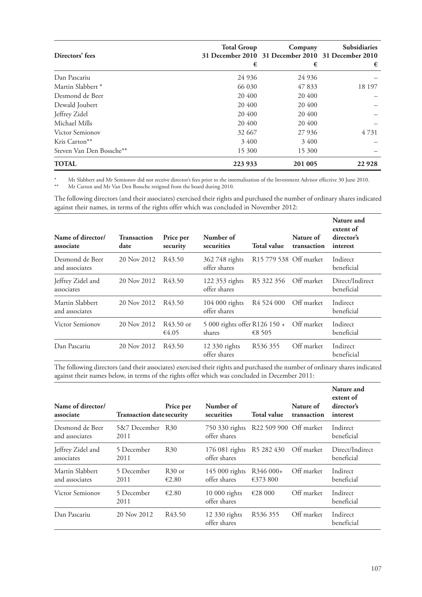| Directors' fees              | <b>Total Group</b><br>€ | Company<br>31 December 2010 31 December 2010 31 December 2010<br>€ | Subsidiaries<br>€ |
|------------------------------|-------------------------|--------------------------------------------------------------------|-------------------|
| Dan Pascariu                 | 24 9 36                 | 24 9 36                                                            |                   |
| Martin Slabbert <sup>*</sup> | 66 030                  | 47 833                                                             | 18 197            |
| Desmond de Beer              | 20 400                  | 20 400                                                             |                   |
| Dewald Joubert               | 20 400                  | 20 400                                                             |                   |
| Jeffrey Zidel                | 20 400                  | 20 400                                                             |                   |
| Michael Mills                | 20 400                  | 20 400                                                             |                   |
| Victor Semionov              | 32 667                  | 27 9 36                                                            | 4 7 3 1           |
| Kris Carton**                | 3400                    | 3400                                                               |                   |
| Steven Van Den Bossche**     | 15 300                  | 15 300                                                             |                   |
| <b>TOTAL</b>                 | 223 933                 | 201 005                                                            | 22 9 28           |

\* Mr Slabbert and Mr Semionov did not receive director's fees prior to the internalisation of the Investment Advisor effective 30 June 2010.

\*\* Mr Carton and Mr Van Den Bossche resigned from the board during 2010.

The following directors (and their associates) exercised their rights and purchased the number of ordinary shares indicated against their names, in terms of the rights offer which was concluded in November 2012:

| Name of director/<br>associate    | <b>Transaction</b><br>date | Price per<br>security | Number of<br>securities                 | <b>Total value</b>                 | Nature of<br>transaction | Nature and<br>extent of<br>director's<br>interest |
|-----------------------------------|----------------------------|-----------------------|-----------------------------------------|------------------------------------|--------------------------|---------------------------------------------------|
| Desmond de Beer<br>and associates | 20 Nov 2012                | R <sub>43.50</sub>    | 362 748 rights<br>offer shares          | R <sub>15</sub> 779 538 Off market |                          | Indirect<br>beneficial                            |
| Jeffrey Zidel and<br>associates   | 20 Nov 2012                | R <sub>43.50</sub>    | 122 353 rights<br>offer shares          | R <sub>5</sub> 322 356             | Off market               | Direct/Indirect<br>beneficial                     |
| Martin Slabbert<br>and associates | 20 Nov 2012                | R <sub>43.50</sub>    | 104 000 rights<br>offer shares          | R <sub>4</sub> 524 000             | Off market               | Indirect<br>beneficial                            |
| <b>Victor Semionov</b>            | 20 Nov 2012                | R43.50 or<br>€4.05    | 5 000 rights offer R126 150 +<br>shares | €8 505                             | Off market               | Indirect<br>beneficial                            |
| Dan Pascariu                      | 20 Nov 2012                | R43.50                | 12 330 rights<br>offer shares           | R <sub>536</sub> 355               | Off market               | Indirect<br>beneficial                            |

The following directors (and their associates) exercised their rights and purchased the number of ordinary shares indicated against their names below, in terms of the rights offer which was concluded in December 2011:

| Name of director/<br>associate    | <b>Transaction date security</b> | Price per          | Number of<br>securities         | Total value            | Nature of<br>transaction | Nature and<br>extent of<br>director's<br>interest |
|-----------------------------------|----------------------------------|--------------------|---------------------------------|------------------------|--------------------------|---------------------------------------------------|
| Desmond de Beer<br>and associates | 5&7 December<br>2011             | – R30              | 750 330 rights<br>offer shares  | R22 509 900 Off market |                          | Indirect<br>beneficial                            |
| Jeffrey Zidel and<br>associates   | 5 December<br>2011               | <b>R30</b>         | $176081$ rights<br>offer shares | R <sub>5</sub> 282 430 | Off market               | Direct/Indirect<br>beneficial                     |
| Martin Slabbert<br>and associates | 5 December<br>2011               | $R30$ or<br>€2.80  | 145 000 rights<br>offer shares  | R346 000+<br>€373 800  | Off market               | Indirect<br>beneficial                            |
| Victor Semionov                   | 5 December<br>2011               | €2.80              | $10000$ rights<br>offer shares  | €28 000                | Off market               | Indirect<br>beneficial                            |
| Dan Pascariu                      | 20 Nov 2012                      | R <sub>43.50</sub> | 12 330 rights<br>offer shares   | R <sub>536</sub> 355   | Off market               | Indirect<br>beneficial                            |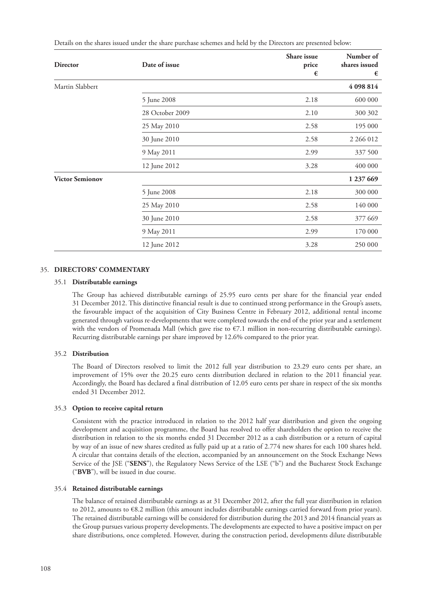| <b>Director</b>        | Date of issue   | Share issue<br>price<br>€ | Number of<br>shares issued<br>€ |
|------------------------|-----------------|---------------------------|---------------------------------|
| Martin Slabbert        |                 |                           | 4 098 814                       |
|                        | 5 June 2008     | 2.18                      | 600 000                         |
|                        | 28 October 2009 | 2.10                      | 300 302                         |
|                        | 25 May 2010     | 2.58                      | 195 000                         |
|                        | 30 June 2010    | 2.58                      | 2 266 012                       |
|                        | 9 May 2011      | 2.99                      | 337 500                         |
|                        | 12 June 2012    | 3.28                      | 400 000                         |
| <b>Victor Semionov</b> |                 |                           | 1 237 669                       |
|                        | 5 June 2008     | 2.18                      | 300 000                         |
|                        | 25 May 2010     | 2.58                      | 140 000                         |
|                        | 30 June 2010    | 2.58                      | 377 669                         |
|                        | 9 May 2011      | 2.99                      | 170 000                         |
|                        | 12 June 2012    | 3.28                      | 250 000                         |

Details on the shares issued under the share purchase schemes and held by the Directors are presented below:

#### 35. **DIRECTORS' COMMENTARY**

#### 35.1 **Distributable earnings**

The Group has achieved distributable earnings of 25.95 euro cents per share for the financial year ended 31 December 2012. This distinctive financial result is due to continued strong performance in the Group's assets, the favourable impact of the acquisition of City Business Centre in February 2012, additional rental income generated through various re-developments that were completed towards the end of the prior year and a settlement with the vendors of Promenada Mall (which gave rise to €7.1 million in non-recurring distributable earnings). Recurring distributable earnings per share improved by 12.6% compared to the prior year.

#### 35.2 **Distribution**

The Board of Directors resolved to limit the 2012 full year distribution to 23.29 euro cents per share, an improvement of 15% over the 20.25 euro cents distribution declared in relation to the 2011 financial year. Accordingly, the Board has declared a final distribution of 12.05 euro cents per share in respect of the six months ended 31 December 2012.

#### 35.3 **Option to receive capital return**

Consistent with the practice introduced in relation to the 2012 half year distribution and given the ongoing development and acquisition programme, the Board has resolved to offer shareholders the option to receive the distribution in relation to the six months ended 31 December 2012 as a cash distribution or a return of capital by way of an issue of new shares credited as fully paid up at a ratio of 2.774 new shares for each 100 shares held. A circular that contains details of the election, accompanied by an announcement on the Stock Exchange News Service of the JSE ("**SENS**"), the Regulatory News Service of the LSE ("b") and the Bucharest Stock Exchange ("**BVB**"), will be issued in due course.

#### 35.4 **Retained distributable earnings**

The balance of retained distributable earnings as at 31 December 2012, after the full year distribution in relation to 2012, amounts to €8.2 million (this amount includes distributable earnings carried forward from prior years). The retained distributable earnings will be considered for distribution during the 2013 and 2014 financial years as the Group pursues various property developments. The developments are expected to have a positive impact on per share distributions, once completed. However, during the construction period, developments dilute distributable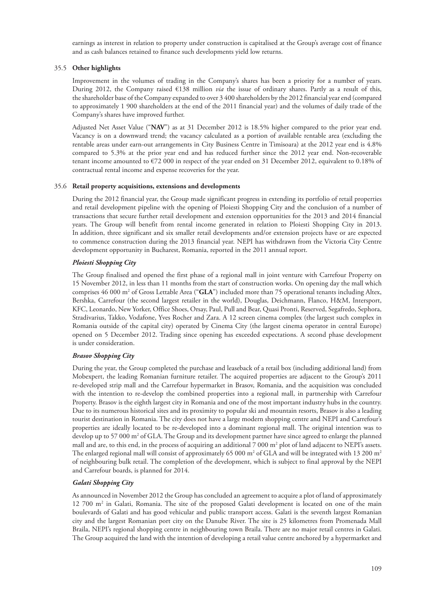earnings as interest in relation to property under construction is capitalised at the Group's average cost of finance and as cash balances retained to finance such developments yield low returns.

# 35.5 **Other highlights**

Improvement in the volumes of trading in the Company's shares has been a priority for a number of years. During 2012, the Company raised €138 million *via* the issue of ordinary shares. Partly as a result of this, the shareholder base of the Company expanded to over 3 400 shareholders by the 2012 financial year end (compared to approximately 1 900 shareholders at the end of the 2011 financial year) and the volumes of daily trade of the Company's shares have improved further.

Adjusted Net Asset Value ("**NAV**") as at 31 December 2012 is 18.5% higher compared to the prior year end. Vacancy is on a downward trend; the vacancy calculated as a portion of available rentable area (excluding the rentable areas under earn-out arrangements in City Business Centre in Timisoara) at the 2012 year end is 4.8% compared to 5.3% at the prior year end and has reduced further since the 2012 year end. Non-recoverable tenant income amounted to €72 000 in respect of the year ended on 31 December 2012, equivalent to 0.18% of contractual rental income and expense recoveries for the year.

# 35.6 **Retail property acquisitions, extensions and developments**

During the 2012 financial year, the Group made significant progress in extending its portfolio of retail properties and retail development pipeline with the opening of Ploiesti Shopping City and the conclusion of a number of transactions that secure further retail development and extension opportunities for the 2013 and 2014 financial years. The Group will benefit from rental income generated in relation to Ploiesti Shopping City in 2013. In addition, three significant and six smaller retail developments and/or extension projects have or are expected to commence construction during the 2013 financial year. NEPI has withdrawn from the Victoria City Centre development opportunity in Bucharest, Romania, reported in the 2011 annual report.

# *Ploiesti Shopping City*

The Group finalised and opened the first phase of a regional mall in joint venture with Carrefour Property on 15 November 2012, in less than 11 months from the start of construction works. On opening day the mall which comprises 46 000 m<sup>2</sup> of Gross Lettable Area ("**GLA**") included more than 75 operational tenants including Altex, Bershka, Carrefour (the second largest retailer in the world), Douglas, Deichmann, Flanco, H&M, Intersport, KFC, Leonardo, New Yorker, Office Shoes, Orsay, Paul, Pull and Bear, Quasi Pronti, Reserved, Segafredo, Sephora, Stradivarius, Takko, Vodafone, Yves Rocher and Zara. A 12 screen cinema complex (the largest such complex in Romania outside of the capital city) operated by Cinema City (the largest cinema operator in central Europe) opened on 5 December 2012. Trading since opening has exceeded expectations. A second phase development is under consideration.

# *Brasov Shopping City*

During the year, the Group completed the purchase and leaseback of a retail box (including additional land) from Mobexpert, the leading Romanian furniture retailer. The acquired properties are adjacent to the Group's 2011 re-developed strip mall and the Carrefour hypermarket in Brasov, Romania, and the acquisition was concluded with the intention to re-develop the combined properties into a regional mall, in partnership with Carrefour Property. Brasov is the eighth largest city in Romania and one of the most important industry hubs in the country. Due to its numerous historical sites and its proximity to popular ski and mountain resorts, Brasov is also a leading tourist destination in Romania. The city does not have a large modern shopping centre and NEPI and Carrefour's properties are ideally located to be re-developed into a dominant regional mall. The original intention was to develop up to 57 000 m<sup>2</sup> of GLA. The Group and its development partner have since agreed to enlarge the planned mall and are, to this end, in the process of acquiring an additional  $7000 \text{ m}^2$  plot of land adjacent to NEPI's assets. The enlarged regional mall will consist of approximately 65 000 m<sup>2</sup> of GLA and will be integrated with 13 200 m<sup>2</sup> of neighbouring bulk retail. The completion of the development, which is subject to final approval by the NEPI and Carrefour boards, is planned for 2014.

# *Galati Shopping City*

As announced in November 2012 the Group has concluded an agreement to acquire a plot of land of approximately 12 700 m2 in Galati, Romania. The site of the proposed Galati development is located on one of the main boulevards of Galati and has good vehicular and public transport access. Galati is the seventh largest Romanian city and the largest Romanian port city on the Danube River. The site is 25 kilometres from Promenada Mall Braila, NEPI's regional shopping centre in neighbouring town Braila. There are no major retail centres in Galati. The Group acquired the land with the intention of developing a retail value centre anchored by a hypermarket and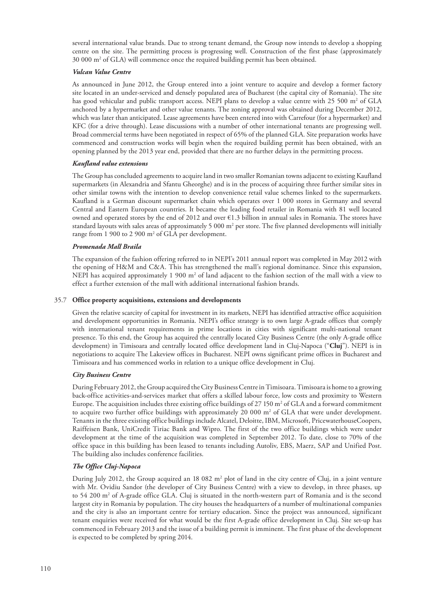several international value brands. Due to strong tenant demand, the Group now intends to develop a shopping centre on the site. The permitting process is progressing well. Construction of the first phase (approximately 30 000 m2 of GLA) will commence once the required building permit has been obtained.

# *Vulcan Value Centre*

As announced in June 2012, the Group entered into a joint venture to acquire and develop a former factory site located in an under-serviced and densely populated area of Bucharest (the capital city of Romania). The site has good vehicular and public transport access. NEPI plans to develop a value centre with 25 500 m<sup>2</sup> of GLA anchored by a hypermarket and other value tenants. The zoning approval was obtained during December 2012, which was later than anticipated. Lease agreements have been entered into with Carrefour (for a hypermarket) and KFC (for a drive through). Lease discussions with a number of other international tenants are progressing well. Broad commercial terms have been negotiated in respect of 65% of the planned GLA. Site preparation works have commenced and construction works will begin when the required building permit has been obtained, with an opening planned by the 2013 year end, provided that there are no further delays in the permitting process.

#### *Kaufland value extensions*

The Group has concluded agreements to acquire land in two smaller Romanian towns adjacent to existing Kaufland supermarkets (in Alexandria and Sfantu Gheorghe) and is in the process of acquiring three further similar sites in other similar towns with the intention to develop convenience retail value schemes linked to the supermarkets. Kaufland is a German discount supermarket chain which operates over 1 000 stores in Germany and several Central and Eastern European countries. It became the leading food retailer in Romania with 81 well located owned and operated stores by the end of 2012 and over €1.3 billion in annual sales in Romania. The stores have standard layouts with sales areas of approximately 5 000  $m^2$  per store. The five planned developments will initially range from 1 900 to 2 900 m<sup>2</sup> of GLA per development.

# *Promenada Mall Braila*

The expansion of the fashion offering referred to in NEPI's 2011 annual report was completed in May 2012 with the opening of H&M and C&A. This has strengthened the mall's regional dominance. Since this expansion, NEPI has acquired approximately 1 900  $m<sup>2</sup>$  of land adjacent to the fashion section of the mall with a view to effect a further extension of the mall with additional international fashion brands.

#### 35.7 **Office property acquisitions, extensions and developments**

Given the relative scarcity of capital for investment in its markets, NEPI has identified attractive office acquisition and development opportunities in Romania. NEPI's office strategy is to own large A-grade offices that comply with international tenant requirements in prime locations in cities with significant multi-national tenant presence. To this end, the Group has acquired the centrally located City Business Centre (the only A-grade office development) in Timisoara and centrally located office development land in Cluj-Napoca ("**Cluj**"). NEPI is in negotiations to acquire The Lakeview offices in Bucharest. NEPI owns significant prime offices in Bucharest and Timisoara and has commenced works in relation to a unique office development in Cluj.

#### *City Business Centre*

During February 2012, the Group acquired the City Business Centre in Timisoara. Timisoara is home to a growing back-office activities-and-services market that offers a skilled labour force, low costs and proximity to Western Europe. The acquisition includes three existing office buildings of 27 150  $\text{m}^2$  of GLA and a forward commitment to acquire two further office buildings with approximately 20 000  $\mathrm{m}^2$  of GLA that were under development. Tenants in the three existing office buildings include Alcatel, Deloitte, IBM, Microsoft, PricewaterhouseCoopers, Raiffeisen Bank, UniCredit Tiriac Bank and Wipro. The first of the two office buildings which were under development at the time of the acquisition was completed in September 2012. To date, close to 70% of the office space in this building has been leased to tenants including Autoliv, EBS, Maerz, SAP and Unified Post. The building also includes conference facilities.

# *The Office Cluj-Napoca*

During July 2012, the Group acquired an 18 082 m<sup>2</sup> plot of land in the city centre of Cluj, in a joint venture with Mr. Ovidiu Sandor (the developer of City Business Centre) with a view to develop, in three phases, up to 54 200 m<sup>2</sup> of A-grade office GLA. Cluj is situated in the north-western part of Romania and is the second largest city in Romania by population. The city houses the headquarters of a number of multinational companies and the city is also an important centre for tertiary education. Since the project was announced, significant tenant enquiries were received for what would be the first A-grade office development in Cluj. Site set-up has commenced in February 2013 and the issue of a building permit is imminent. The first phase of the development is expected to be completed by spring 2014.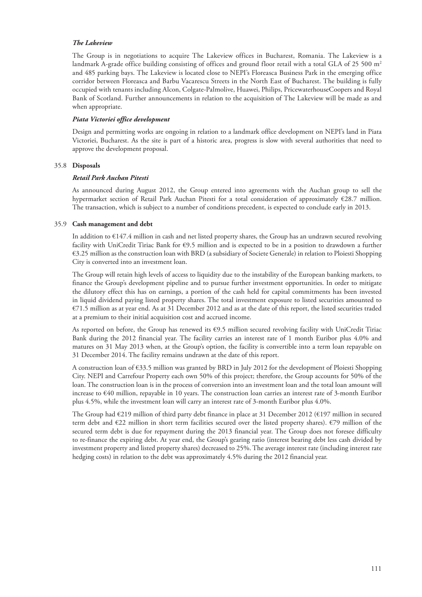#### *The Lakeview*

The Group is in negotiations to acquire The Lakeview offices in Bucharest, Romania. The Lakeview is a landmark A-grade office building consisting of offices and ground floor retail with a total GLA of 25 500 m<sup>2</sup> and 485 parking bays. The Lakeview is located close to NEPI's Floreasca Business Park in the emerging office corridor between Floreasca and Barbu Vacarescu Streets in the North East of Bucharest. The building is fully occupied with tenants including Alcon, Colgate-Palmolive, Huawei, Philips, PricewaterhouseCoopers and Royal Bank of Scotland. Further announcements in relation to the acquisition of The Lakeview will be made as and when appropriate.

#### *Piata Victoriei office development*

Design and permitting works are ongoing in relation to a landmark office development on NEPI's land in Piata Victoriei, Bucharest. As the site is part of a historic area, progress is slow with several authorities that need to approve the development proposal.

#### 35.8 **Disposals**

#### *Retail Park Auchan Pitesti*

As announced during August 2012, the Group entered into agreements with the Auchan group to sell the hypermarket section of Retail Park Auchan Pitesti for a total consideration of approximately €28.7 million. The transaction, which is subject to a number of conditions precedent, is expected to conclude early in 2013.

#### 35.9 **Cash management and debt**

In addition to €147.4 million in cash and net listed property shares, the Group has an undrawn secured revolving facility with UniCredit Tiriac Bank for €9.5 million and is expected to be in a position to drawdown a further €3.25 million as the construction loan with BRD (a subsidiary of Societe Generale) in relation to Ploiesti Shopping City is converted into an investment loan.

The Group will retain high levels of access to liquidity due to the instability of the European banking markets, to finance the Group's development pipeline and to pursue further investment opportunities. In order to mitigate the dilutory effect this has on earnings, a portion of the cash held for capital commitments has been invested in liquid dividend paying listed property shares. The total investment exposure to listed securities amounted to €71.5 million as at year end. As at 31 December 2012 and as at the date of this report, the listed securities traded at a premium to their initial acquisition cost and accrued income.

As reported on before, the Group has renewed its €9.5 million secured revolving facility with UniCredit Tiriac Bank during the 2012 financial year. The facility carries an interest rate of 1 month Euribor plus 4.0% and matures on 31 May 2013 when, at the Group's option, the facility is convertible into a term loan repayable on 31 December 2014. The facility remains undrawn at the date of this report.

A construction loan of €33.5 million was granted by BRD in July 2012 for the development of Ploiesti Shopping City. NEPI and Carrefour Property each own 50% of this project; therefore, the Group accounts for 50% of the loan. The construction loan is in the process of conversion into an investment loan and the total loan amount will increase to €40 million, repayable in 10 years. The construction loan carries an interest rate of 3-month Euribor plus 4.5%, while the investment loan will carry an interest rate of 3-month Euribor plus 4.0%.

The Group had €219 million of third party debt finance in place at 31 December 2012 (€197 million in secured term debt and €22 million in short term facilities secured over the listed property shares). €79 million of the secured term debt is due for repayment during the 2013 financial year. The Group does not foresee difficulty to re-finance the expiring debt. At year end, the Group's gearing ratio (interest bearing debt less cash divided by investment property and listed property shares) decreased to 25%. The average interest rate (including interest rate hedging costs) in relation to the debt was approximately 4.5% during the 2012 financial year.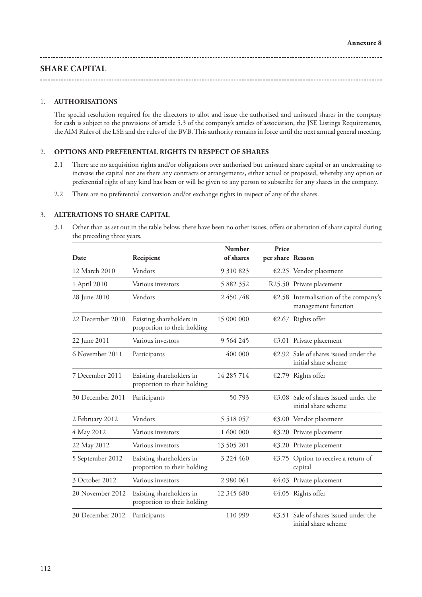# **SHARE CAPITAL**

# 1. **AUTHORISATIONS**

The special resolution required for the directors to allot and issue the authorised and unissued shares in the company for cash is subject to the provisions of article 5.3 of the company's articles of association, the JSE Listings Requirements, the AIM Rules of the LSE and the rules of the BVB. This authority remains in force until the next annual general meeting.

## 2. **OPTIONS AND PREFERENTIAL RIGHTS IN RESPECT OF SHARES**

- 2.1 There are no acquisition rights and/or obligations over authorised but unissued share capital or an undertaking to increase the capital nor are there any contracts or arrangements, either actual or proposed, whereby any option or preferential right of any kind has been or will be given to any person to subscribe for any shares in the company.
- 2.2 There are no preferential conversion and/or exchange rights in respect of any of the shares.

# 3. **ALTERATIONS TO SHARE CAPITAL**

3.1 Other than as set out in the table below, there have been no other issues, offers or alteration of share capital during the preceding three years.

| Date             | Recipient                                               | Number<br>of shares | Price<br>per share Reason |                                                                         |
|------------------|---------------------------------------------------------|---------------------|---------------------------|-------------------------------------------------------------------------|
| 12 March 2010    | Vendors                                                 | 9 310 823           |                           | €2.25 Vendor placement                                                  |
| 1 April 2010     | Various investors                                       | 5 882 352           |                           | R25.50 Private placement                                                |
| 28 June 2010     | Vendors                                                 | 2 450 748           |                           | €2.58 Internalisation of the company's<br>management function           |
| 22 December 2010 | Existing shareholders in<br>proportion to their holding | 15 000 000          |                           | €2.67 Rights offer                                                      |
| 22 June 2011     | Various investors                                       | 9 5 6 4 2 4 5       |                           | €3.01 Private placement                                                 |
| 6 November 2011  | Participants                                            | 400 000             |                           | $€2.92$ Sale of shares issued under the<br>initial share scheme         |
| 7 December 2011  | Existing shareholders in<br>proportion to their holding | 14 285 714          |                           | €2.79 Rights offer                                                      |
| 30 December 2011 | Participants                                            | 50793               |                           | $€3.08$ Sale of shares issued under the<br>initial share scheme         |
| 2 February 2012  | Vendors                                                 | 5 5 18 0 5 7        |                           | €3.00 Vendor placement                                                  |
| 4 May 2012       | Various investors                                       | 1 600 000           |                           | €3.20 Private placement                                                 |
| 22 May 2012      | Various investors                                       | 13 505 201          |                           | €3.20 Private placement                                                 |
| 5 September 2012 | Existing shareholders in<br>proportion to their holding | 3 2 2 4 4 6 0       |                           | €3.75 Option to receive a return of<br>capital                          |
| 3 October 2012   | Various investors                                       | 2 980 061           |                           | €4.03 Private placement                                                 |
| 20 November 2012 | Existing shareholders in<br>proportion to their holding | 12 345 680          |                           | €4.05 Rights offer                                                      |
| 30 December 2012 | Participants                                            | 110 999             |                           | $\epsilon$ 3.51 Sale of shares issued under the<br>initial share scheme |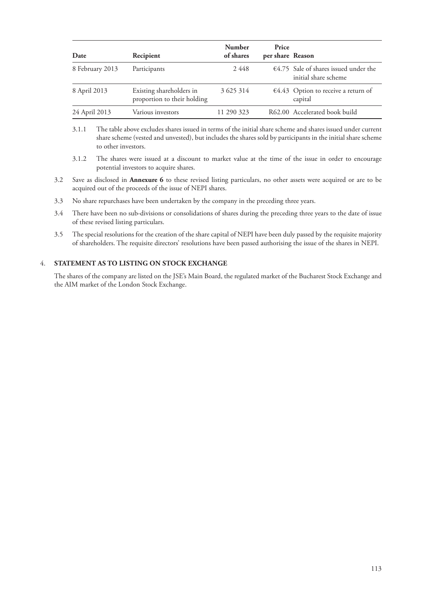| Date            | Recipient                                               | <b>Number</b><br>of shares | Price<br>per share Reason |                                                                         |
|-----------------|---------------------------------------------------------|----------------------------|---------------------------|-------------------------------------------------------------------------|
| 8 February 2013 | Participants                                            | 2448                       |                           | $\epsilon$ 4.75 Sale of shares issued under the<br>initial share scheme |
| 8 April 2013    | Existing shareholders in<br>proportion to their holding | 3 6 25 314                 |                           | $€4.43$ Option to receive a return of<br>capital                        |
| 24 April 2013   | Various investors                                       | 11 290 323                 |                           | R62.00 Accelerated book build                                           |

- 3.1.1 The table above excludes shares issued in terms of the initial share scheme and shares issued under current share scheme (vested and unvested), but includes the shares sold by participants in the initial share scheme to other investors.
- 3.1.2 The shares were issued at a discount to market value at the time of the issue in order to encourage potential investors to acquire shares.
- 3.2 Save as disclosed in **Annexure 6** to these revised listing particulars, no other assets were acquired or are to be acquired out of the proceeds of the issue of NEPI shares.
- 3.3 No share repurchases have been undertaken by the company in the preceding three years.
- 3.4 There have been no sub-divisions or consolidations of shares during the preceding three years to the date of issue of these revised listing particulars.
- 3.5 The special resolutions for the creation of the share capital of NEPI have been duly passed by the requisite majority of shareholders. The requisite directors' resolutions have been passed authorising the issue of the shares in NEPI.

# 4. **STATEMENT AS TO LISTING ON STOCK EXCHANGE**

The shares of the company are listed on the JSE's Main Board, the regulated market of the Bucharest Stock Exchange and the AIM market of the London Stock Exchange.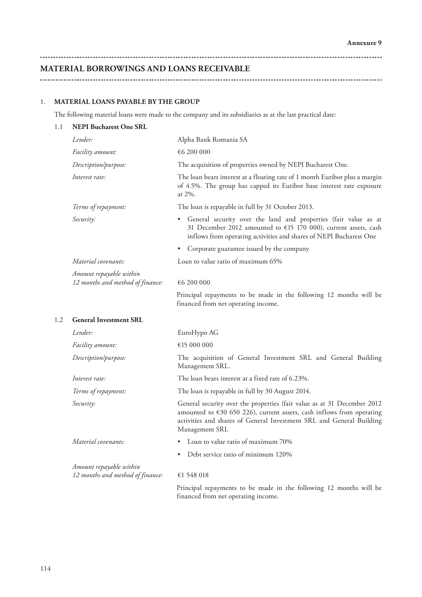# **MATERIAL BORROWINGS AND LOANS RECEIVABLE**

#### 1. **MATERIAL LOANS PAYABLE BY THE GROUP**

The following material loans were made to the company and its subsidiaries as at the last practical date:

# 1.1 **NEPI Bucharest One SRL** *Lender:* Alpha Bank Romania SA *Facility amount:* €6 200 000 *Description/purpose:* The acquisition of properties owned by NEPI Bucharest One. *Interest rate:* The loan bears interest at a floating rate of 1 month Euribor plus a margin of 4.5%. The group has capped its Euribor base interest rate exposure at 2%. *Terms of repayment:* The loan is repayable in full by 31 October 2013. *Security:* • General security over the land and properties (fair value as at 31 December 2012 amounted to  $E$ 15 170 000), current assets, cash inflows from operating activities and shares of NEPI Bucharest One • Corporate guarantee issued by the company *Material covenants:* Loan to value ratio of maximum 65% *Amount repayable within 12 months and method of finance:* €6 200 000 Principal repayments to be made in the following 12 months will be financed from net operating income. 1.2 **General Investment SRL** *Lender:* EuroHypo AG *Facility amount:* €15 000 000 *Description/purpose:* The acquisition of General Investment SRL and General Building Management SRL. *Interest rate:* The loan bears interest at a fixed rate of 6.23%. *Terms of repayment:* The loan is repayable in full by 30 August 2014. *Security:* General security over the properties (fair value as at 31 December 2012 amounted to  $630$  650 226), current assets, cash inflows from operating activities and shares of General Investment SRL and General Building Management SRL *Material covenants:* • Loan to value ratio of maximum 70% • Debt service ratio of minimum 120% *Amount repayable within 12 months and method of finance:* €1 548 018 Principal repayments to be made in the following 12 months will be financed from net operating income.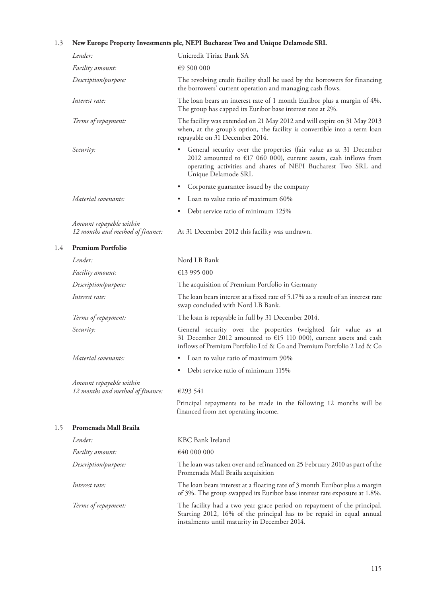# 1.3 **New Europe Property Investments plc, NEPI Bucharest Two and Unique Delamode SRL**

1.4 **Premium Portfolio**

1.5 **Promenada Mall Braila**

| Lender:                                                     | Unicredit Tiriac Bank SA                                                                                                                                                                                                           |
|-------------------------------------------------------------|------------------------------------------------------------------------------------------------------------------------------------------------------------------------------------------------------------------------------------|
| Facility amount:                                            | €9 500 000                                                                                                                                                                                                                         |
| Description/purpose:                                        | The revolving credit facility shall be used by the borrowers for financing<br>the borrowers' current operation and managing cash flows.                                                                                            |
| Interest rate:                                              | The loan bears an interest rate of 1 month Euribor plus a margin of 4%.<br>The group has capped its Euribor base interest rate at 2%.                                                                                              |
| Terms of repayment:                                         | The facility was extended on 21 May 2012 and will expire on 31 May 2013<br>when, at the group's option, the facility is convertible into a term loan<br>repayable on 31 December 2014.                                             |
| Security:                                                   | • General security over the properties (fair value as at 31 December<br>2012 amounted to $E17$ 060 000), current assets, cash inflows from<br>operating activities and shares of NEPI Bucharest Two SRL and<br>Unique Delamode SRL |
|                                                             | Corporate guarantee issued by the company<br>٠                                                                                                                                                                                     |
| Material covenants:                                         | Loan to value ratio of maximum 60%                                                                                                                                                                                                 |
|                                                             | Debt service ratio of minimum 125%<br>٠                                                                                                                                                                                            |
| Amount repayable within<br>12 months and method of finance: | At 31 December 2012 this facility was undrawn.                                                                                                                                                                                     |
| <b>Premium Portfolio</b>                                    |                                                                                                                                                                                                                                    |
| Lender:                                                     | Nord LB Bank                                                                                                                                                                                                                       |
| Facility amount:                                            | €13 995 000                                                                                                                                                                                                                        |
| Description/purpose:                                        | The acquisition of Premium Portfolio in Germany                                                                                                                                                                                    |
| Interest rate:                                              | The loan bears interest at a fixed rate of 5.17% as a result of an interest rate<br>swap concluded with Nord LB Bank.                                                                                                              |
| Terms of repayment:                                         | The loan is repayable in full by 31 December 2014.                                                                                                                                                                                 |
| Security:                                                   | General security over the properties (weighted fair value as at<br>31 December 2012 amounted to €15 110 000), current assets and cash<br>inflows of Premium Portfolio Ltd & Co and Premium Portfolio 2 Ltd & Co                    |
| Material covenants:                                         | • Loan to value ratio of maximum 90%                                                                                                                                                                                               |
|                                                             | Debt service ratio of minimum 115%<br>٠                                                                                                                                                                                            |
| Amount repayable within<br>12 months and method of finance: | €293 541                                                                                                                                                                                                                           |
|                                                             | Principal repayments to be made in the following 12 months will be<br>financed from net operating income.                                                                                                                          |
| Promenada Mall Braila                                       |                                                                                                                                                                                                                                    |
| Lender:                                                     | KBC Bank Ireland                                                                                                                                                                                                                   |
| Facility amount:                                            | €40 000 000                                                                                                                                                                                                                        |
| Description/purpose:                                        | The loan was taken over and refinanced on 25 February 2010 as part of the<br>Promenada Mall Braila acquisition                                                                                                                     |
| Interest rate:                                              | The loan bears interest at a floating rate of 3 month Euribor plus a margin<br>of 3%. The group swapped its Euribor base interest rate exposure at 1.8%.                                                                           |
| Terms of repayment:                                         | The facility had a two year grace period on repayment of the principal.<br>Starting 2012, 16% of the principal has to be repaid in equal annual                                                                                    |

instalments until maturity in December 2014.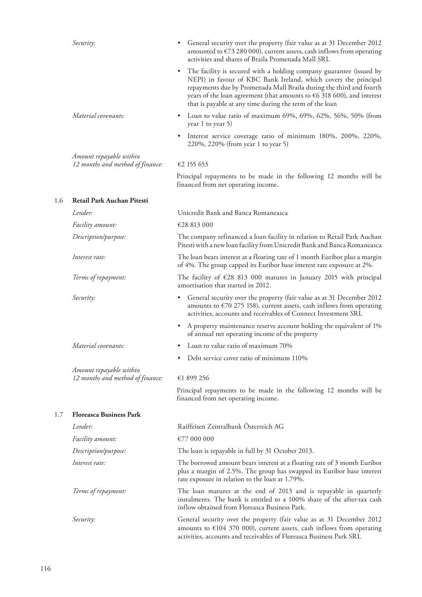| Security:                                                   | General security over the property (fair value as at 31 December 2012<br>amounted to $\epsilon$ 73 280 000), current assets, cash inflows from operating<br>activities and shares of Braila Promenada Mall SRL                                                                                                                                       |
|-------------------------------------------------------------|------------------------------------------------------------------------------------------------------------------------------------------------------------------------------------------------------------------------------------------------------------------------------------------------------------------------------------------------------|
|                                                             | The facility is secured with a holding company guarantee (issued by<br>NEPI) in favour of KBC Bank Ireland, which covers the principal<br>repayments due by Promenada Mall Braila during the third and fourth<br>years of the loan agreement (that amounts to $66$ 318 600), and interest<br>that is payable at any time during the term of the loan |
| Material covenants:                                         | Loan to value ratio of maximum 69%, 69%, 62%, 56%, 50% (from<br>٠<br>year 1 to year 5)                                                                                                                                                                                                                                                               |
|                                                             | Interest service coverage ratio of minimum 180%, 200%, 220%,<br>٠<br>220%, 220% (from year 1 to year 5)                                                                                                                                                                                                                                              |
| Amount repayable within<br>12 months and method of finance: | €2 155 653                                                                                                                                                                                                                                                                                                                                           |
|                                                             | Principal repayments to be made in the following 12 months will be<br>financed from net operating income.                                                                                                                                                                                                                                            |
| Retail Park Auchan Pitesti                                  |                                                                                                                                                                                                                                                                                                                                                      |
| Lender:                                                     | Unicredit Bank and Banca Romaneasca                                                                                                                                                                                                                                                                                                                  |
| Facility amount:                                            | €28 813 000                                                                                                                                                                                                                                                                                                                                          |
| Description/purpose:                                        | The company refinanced a loan facility in relation to Retail Park Auchan<br>Pitesti with a new loan facility from Unicredit Bank and Banca Romaneasca                                                                                                                                                                                                |
| Interest rate:                                              | The loan bears interest at a floating rate of 1 month Euribor plus a margin<br>of 4%. The group capped its Euribor base interest rate exposure at 2%.                                                                                                                                                                                                |
| Terms of repayment:                                         | The facility of $\epsilon$ 28 813 000 matures in January 2015 with principal<br>amortisation that started in 2012.                                                                                                                                                                                                                                   |
| Security:                                                   | General security over the property (fair value as at 31 December 2012<br>amounts to $\epsilon$ 70 275 158), current assets, cash inflows from operating<br>activities, accounts and receivables of Connect Investment SRL                                                                                                                            |
|                                                             | • A property maintenance reserve account holding the equivalent of 1%<br>of annual net operating income of the property                                                                                                                                                                                                                              |
| Material covenants:                                         | Loan to value ratio of maximum 70%                                                                                                                                                                                                                                                                                                                   |
|                                                             | Debt service cover ratio of minimum 110%                                                                                                                                                                                                                                                                                                             |
| Amount repayable within                                     |                                                                                                                                                                                                                                                                                                                                                      |
| 12 months and method of finance:                            | €1 899 256                                                                                                                                                                                                                                                                                                                                           |
|                                                             | Principal repayments to be made in the following 12 months will be<br>financed from net operating income.                                                                                                                                                                                                                                            |
| <b>Floreasca Business Park</b>                              |                                                                                                                                                                                                                                                                                                                                                      |
| Lender:                                                     | Raiffeisen Zentralbank Österreich AG                                                                                                                                                                                                                                                                                                                 |
| <i>Facility amount:</i>                                     | €77 000 000                                                                                                                                                                                                                                                                                                                                          |
| Description/purpose:                                        | The loan is repayable in full by 31 October 2013.                                                                                                                                                                                                                                                                                                    |
| Interest rate:                                              | The borrowed amount bears interest at a floating rate of 3 month Euribor<br>plus a margin of 2.5%. The group has swapped its Euribor base interest<br>rate exposure in relation to the loan at 1.79%.                                                                                                                                                |
| Terms of repayment:                                         | The loan matures at the end of 2013 and is repayable in quarterly<br>instalments. The bank is entitled to a 100% share of the after-tax cash<br>inflow obtained from Floreasca Business Park.                                                                                                                                                        |
| Security:                                                   | General security over the property (fair value as at 31 December 2012<br>amounts to $£104$ 370 000), current assets, cash inflows from operating<br>activities, accounts and receivables of Floreasca Business Park SRL                                                                                                                              |

1.6 **Retail Park Auchan Pitesti**

 $1.7$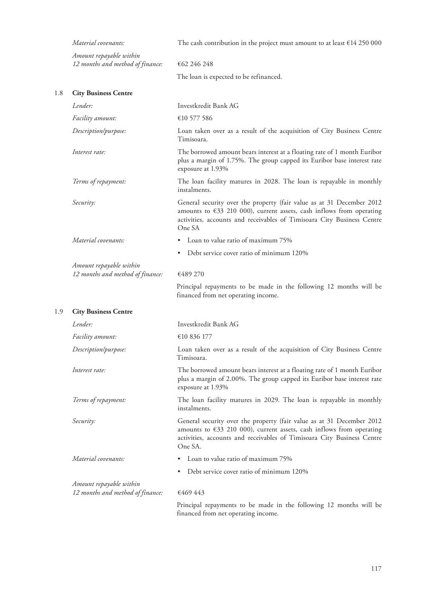|     | Material covenants:                                         | The cash contribution in the project must amount to at least $\epsilon$ 14 250 000                                                                                                                                                           |
|-----|-------------------------------------------------------------|----------------------------------------------------------------------------------------------------------------------------------------------------------------------------------------------------------------------------------------------|
|     | Amount repayable within<br>12 months and method of finance: | €62 246 248                                                                                                                                                                                                                                  |
|     |                                                             | The loan is expected to be refinanced.                                                                                                                                                                                                       |
| 1.8 | <b>City Business Centre</b>                                 |                                                                                                                                                                                                                                              |
|     | Lender:                                                     | Investkredit Bank AG                                                                                                                                                                                                                         |
|     | Facility amount:                                            | €10 577 586                                                                                                                                                                                                                                  |
|     | Description/purpose:                                        | Loan taken over as a result of the acquisition of City Business Centre<br>Timisoara.                                                                                                                                                         |
|     | Interest rate:                                              | The borrowed amount bears interest at a floating rate of 1 month Euribor<br>plus a margin of 1.75%. The group capped its Euribor base interest rate<br>exposure at 1.93%                                                                     |
|     | Terms of repayment:                                         | The loan facility matures in 2028. The loan is repayable in monthly<br>instalments.                                                                                                                                                          |
|     | Security:                                                   | General security over the property (fair value as at 31 December 2012<br>amounts to $633$ 210 000), current assets, cash inflows from operating<br>activities, accounts and receivables of Timisoara City Business Centre<br>One SA          |
|     | Material covenants:                                         | Loan to value ratio of maximum 75%                                                                                                                                                                                                           |
|     |                                                             | Debt service cover ratio of minimum 120%                                                                                                                                                                                                     |
|     | Amount repayable within<br>12 months and method of finance: | €489 270                                                                                                                                                                                                                                     |
|     |                                                             | Principal repayments to be made in the following 12 months will be<br>financed from net operating income.                                                                                                                                    |
| 1.9 | <b>City Business Centre</b>                                 |                                                                                                                                                                                                                                              |
|     | Lender:                                                     | Investkredit Bank AG                                                                                                                                                                                                                         |
|     | Facility amount:                                            | €10 836 177                                                                                                                                                                                                                                  |
|     | Description/purpose:                                        | Loan taken over as a result of the acquisition of City Business Centre<br>Timisoara.                                                                                                                                                         |
|     | Interest rate:                                              | The borrowed amount bears interest at a floating rate of 1 month Euribor<br>plus a margin of 2.00%. The group capped its Euribor base interest rate<br>exposure at 1.93%                                                                     |
|     | Terms of repayment:                                         | The loan facility matures in 2029. The loan is repayable in monthly<br>instalments.                                                                                                                                                          |
|     | Security:                                                   | General security over the property (fair value as at 31 December 2012<br>amounts to $\epsilon$ 33 210 000), current assets, cash inflows from operating<br>activities, accounts and receivables of Timisoara City Business Centre<br>One SA. |
|     | Material covenants:                                         | Loan to value ratio of maximum 75%                                                                                                                                                                                                           |
|     |                                                             | Debt service cover ratio of minimum 120%                                                                                                                                                                                                     |
|     | Amount repayable within<br>12 months and method of finance: | €469 443                                                                                                                                                                                                                                     |
|     |                                                             | Principal repayments to be made in the following 12 months will be<br>financed from net operating income.                                                                                                                                    |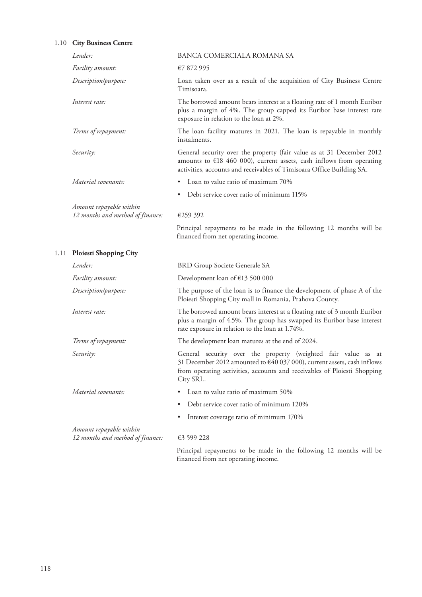# 1.10 **City Business Centre**

| Lender:                                                     | BANCA COMERCIALA ROMANA SA                                                                                                                                                                                                       |
|-------------------------------------------------------------|----------------------------------------------------------------------------------------------------------------------------------------------------------------------------------------------------------------------------------|
| <i>Facility amount:</i>                                     | €7 872 995                                                                                                                                                                                                                       |
| Description/purpose:                                        | Loan taken over as a result of the acquisition of City Business Centre<br>Timisoara.                                                                                                                                             |
| Interest rate:                                              | The borrowed amount bears interest at a floating rate of 1 month Euribor<br>plus a margin of 4%. The group capped its Euribor base interest rate<br>exposure in relation to the loan at 2%.                                      |
| Terms of repayment:                                         | The loan facility matures in 2021. The loan is repayable in monthly<br>instalments.                                                                                                                                              |
| Security:                                                   | General security over the property (fair value as at 31 December 2012<br>amounts to $\epsilon$ 18 460 000), current assets, cash inflows from operating<br>activities, accounts and receivables of Timisoara Office Building SA. |
| Material covenants:                                         | Loan to value ratio of maximum 70%<br>٠                                                                                                                                                                                          |
|                                                             | Debt service cover ratio of minimum 115%<br>٠                                                                                                                                                                                    |
| Amount repayable within<br>12 months and method of finance: | €259 392                                                                                                                                                                                                                         |
|                                                             | Principal repayments to be made in the following 12 months will be                                                                                                                                                               |

financed from net operating income.

1.11 **Ploiesti Shopping City**

| Lender:                          | BRD Group Societe Generale SA                                                                                                                                                                                                               |
|----------------------------------|---------------------------------------------------------------------------------------------------------------------------------------------------------------------------------------------------------------------------------------------|
| <i>Facility amount:</i>          | Development loan of $£13,500,000$                                                                                                                                                                                                           |
| Description/purpose:             | The purpose of the loan is to finance the development of phase A of the<br>Ploiesti Shopping City mall in Romania, Prahova County.                                                                                                          |
| Interest rate:                   | The borrowed amount bears interest at a floating rate of 3 month Euribor<br>plus a margin of 4.5%. The group has swapped its Euribor base interest<br>rate exposure in relation to the loan at 1.74%.                                       |
| Terms of repayment:              | The development loan matures at the end of 2024.                                                                                                                                                                                            |
| Security:                        | General security over the property (weighted fair value as at<br>31 December 2012 amounted to $\epsilon$ 40 037 000), current assets, cash inflows<br>from operating activities, accounts and receivables of Ploiesti Shopping<br>City SRL. |
| Material covenants:              | Loan to value ratio of maximum 50%                                                                                                                                                                                                          |
|                                  | Debt service cover ratio of minimum 120%<br>٠                                                                                                                                                                                               |
|                                  | Interest coverage ratio of minimum 170%                                                                                                                                                                                                     |
| Amount repayable within          |                                                                                                                                                                                                                                             |
| 12 months and method of finance: | €3 599 228                                                                                                                                                                                                                                  |
|                                  | Principal repayments to be made in the following 12 months will be<br>financed from net operating income.                                                                                                                                   |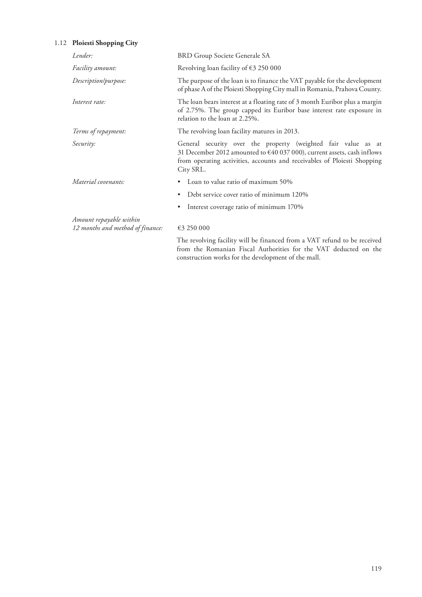# 1.12 **Ploiesti Shopping City**

| Lender:                                                     | <b>BRD Group Societe Generale SA</b>                                                                                                                                                                                              |
|-------------------------------------------------------------|-----------------------------------------------------------------------------------------------------------------------------------------------------------------------------------------------------------------------------------|
| Facility amount:                                            | Revolving loan facility of $\epsilon$ 3 250 000                                                                                                                                                                                   |
| Description/purpose:                                        | The purpose of the loan is to finance the VAT payable for the development<br>of phase A of the Ploiesti Shopping City mall in Romania, Prahova County.                                                                            |
| Interest rate:                                              | The loan bears interest at a floating rate of 3 month Euribor plus a margin<br>of 2.75%. The group capped its Euribor base interest rate exposure in<br>relation to the loan at 2.25%.                                            |
| Terms of repayment:                                         | The revolving loan facility matures in 2013.                                                                                                                                                                                      |
| Security:                                                   | General security over the property (weighted fair value as at<br>31 December 2012 amounted to €40 037 000), current assets, cash inflows<br>from operating activities, accounts and receivables of Ploiesti Shopping<br>City SRL. |
| Material covenants:                                         | Loan to value ratio of maximum 50%<br>٠                                                                                                                                                                                           |
|                                                             | Debt service cover ratio of minimum 120%                                                                                                                                                                                          |
|                                                             | Interest coverage ratio of minimum 170%                                                                                                                                                                                           |
| Amount repayable within<br>12 months and method of finance: | €3 250 000                                                                                                                                                                                                                        |
|                                                             | The revolving facility will be financed from a VAT refund to be received<br>from the Romanian Fiscal Authorities for the VAT deducted on the<br>construction works for the development of the mall.                               |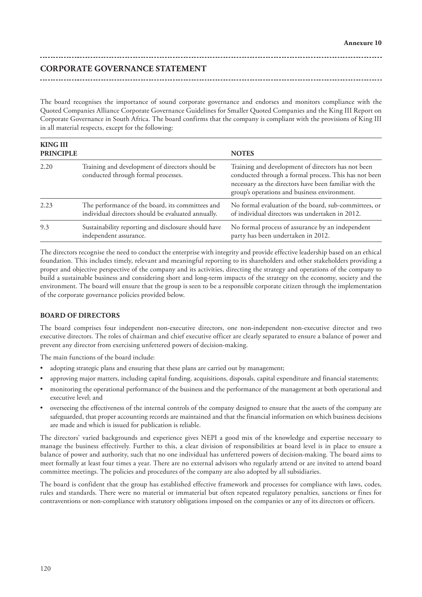# **CORPORATE GOVERNANCE STATEMENT**

The board recognises the importance of sound corporate governance and endorses and monitors compliance with the Quoted Companies Alliance Corporate Governance Guidelines for Smaller Quoted Companies and the King III Report on Corporate Governance in South Africa. The board confirms that the company is compliant with the provisions of King III in all material respects, except for the following:

| <b>KING III</b><br><b>PRINCIPLE</b> |                                                                                                        | <b>NOTES</b>                                                                                                                                                                                                          |
|-------------------------------------|--------------------------------------------------------------------------------------------------------|-----------------------------------------------------------------------------------------------------------------------------------------------------------------------------------------------------------------------|
| 2.20                                | Training and development of directors should be<br>conducted through formal processes.                 | Training and development of directors has not been<br>conducted through a formal process. This has not been<br>necessary as the directors have been familiar with the<br>group's operations and business environment. |
| 2.23                                | The performance of the board, its committees and<br>individual directors should be evaluated annually. | No formal evaluation of the board, sub-committees, or<br>of individual directors was undertaken in 2012.                                                                                                              |
| 9.3                                 | Sustainability reporting and disclosure should have<br>independent assurance.                          | No formal process of assurance by an independent<br>party has been undertaken in 2012.                                                                                                                                |

The directors recognise the need to conduct the enterprise with integrity and provide effective leadership based on an ethical foundation. This includes timely, relevant and meaningful reporting to its shareholders and other stakeholders providing a proper and objective perspective of the company and its activities, directing the strategy and operations of the company to build a sustainable business and considering short and long-term impacts of the strategy on the economy, society and the environment. The board will ensure that the group is seen to be a responsible corporate citizen through the implementation of the corporate governance policies provided below.

# **BOARD OF DIRECTORS**

The board comprises four independent non-executive directors, one non-independent non-executive director and two executive directors. The roles of chairman and chief executive officer are clearly separated to ensure a balance of power and prevent any director from exercising unfettered powers of decision-making.

The main functions of the board include:

- adopting strategic plans and ensuring that these plans are carried out by management;
- approving major matters, including capital funding, acquisitions, disposals, capital expenditure and financial statements;
- monitoring the operational performance of the business and the performance of the management at both operational and executive level; and
- overseeing the effectiveness of the internal controls of the company designed to ensure that the assets of the company are safeguarded, that proper accounting records are maintained and that the financial information on which business decisions are made and which is issued for publication is reliable.

The directors' varied backgrounds and experience gives NEPI a good mix of the knowledge and expertise necessary to manage the business effectively. Further to this, a clear division of responsibilities at board level is in place to ensure a balance of power and authority, such that no one individual has unfettered powers of decision-making. The board aims to meet formally at least four times a year. There are no external advisors who regularly attend or are invited to attend board committee meetings. The policies and procedures of the company are also adopted by all subsidiaries.

The board is confident that the group has established effective framework and processes for compliance with laws, codes, rules and standards. There were no material or immaterial but often repeated regulatory penalties, sanctions or fines for contraventions or non-compliance with statutory obligations imposed on the companies or any of its directors or officers.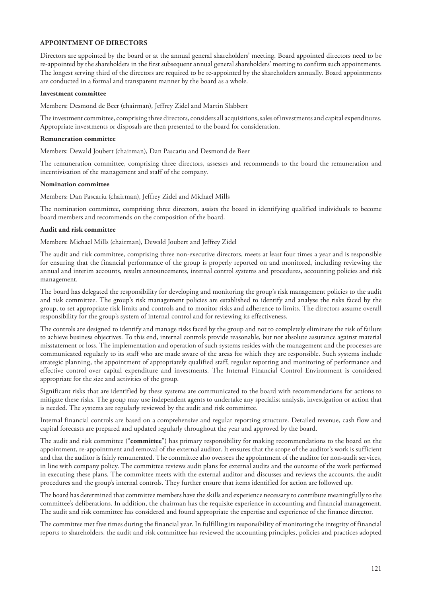# **APPOINTMENT OF DIRECTORS**

Directors are appointed by the board or at the annual general shareholders' meeting. Board appointed directors need to be re-appointed by the shareholders in the first subsequent annual general shareholders' meeting to confirm such appointments. The longest serving third of the directors are required to be re-appointed by the shareholders annually. Board appointments are conducted in a formal and transparent manner by the board as a whole.

#### **Investment committee**

Members: Desmond de Beer (chairman), Jeffrey Zidel and Martin Slabbert

The investment committee, comprising three directors, considers all acquisitions, sales of investments and capital expenditures. Appropriate investments or disposals are then presented to the board for consideration.

#### **Remuneration committee**

Members: Dewald Joubert (chairman), Dan Pascariu and Desmond de Beer

The remuneration committee, comprising three directors, assesses and recommends to the board the remuneration and incentivisation of the management and staff of the company.

#### **Nomination committee**

Members: Dan Pascariu (chairman), Jeffrey Zidel and Michael Mills

The nomination committee, comprising three directors, assists the board in identifying qualified individuals to become board members and recommends on the composition of the board.

#### **Audit and risk committee**

Members: Michael Mills (chairman), Dewald Joubert and Jeffrey Zidel

The audit and risk committee, comprising three non-executive directors, meets at least four times a year and is responsible for ensuring that the financial performance of the group is properly reported on and monitored, including reviewing the annual and interim accounts, results announcements, internal control systems and procedures, accounting policies and risk management.

The board has delegated the responsibility for developing and monitoring the group's risk management policies to the audit and risk committee. The group's risk management policies are established to identify and analyse the risks faced by the group, to set appropriate risk limits and controls and to monitor risks and adherence to limits. The directors assume overall responsibility for the group's system of internal control and for reviewing its effectiveness.

The controls are designed to identify and manage risks faced by the group and not to completely eliminate the risk of failure to achieve business objectives. To this end, internal controls provide reasonable, but not absolute assurance against material misstatement or loss. The implementation and operation of such systems resides with the management and the processes are communicated regularly to its staff who are made aware of the areas for which they are responsible. Such systems include strategic planning, the appointment of appropriately qualified staff, regular reporting and monitoring of performance and effective control over capital expenditure and investments. The Internal Financial Control Environment is considered appropriate for the size and activities of the group.

Significant risks that are identified by these systems are communicated to the board with recommendations for actions to mitigate these risks. The group may use independent agents to undertake any specialist analysis, investigation or action that is needed. The systems are regularly reviewed by the audit and risk committee.

Internal financial controls are based on a comprehensive and regular reporting structure. Detailed revenue, cash flow and capital forecasts are prepared and updated regularly throughout the year and approved by the board.

The audit and risk committee ("**committee**") has primary responsibility for making recommendations to the board on the appointment, re-appointment and removal of the external auditor. It ensures that the scope of the auditor's work is sufficient and that the auditor is fairly remunerated. The committee also oversees the appointment of the auditor for non-audit services, in line with company policy. The committee reviews audit plans for external audits and the outcome of the work performed in executing these plans. The committee meets with the external auditor and discusses and reviews the accounts, the audit procedures and the group's internal controls. They further ensure that items identified for action are followed up.

The board has determined that committee members have the skills and experience necessary to contribute meaningfully to the committee's deliberations. In addition, the chairman has the requisite experience in accounting and financial management. The audit and risk committee has considered and found appropriate the expertise and experience of the finance director.

The committee met five times during the financial year. In fulfilling its responsibility of monitoring the integrity of financial reports to shareholders, the audit and risk committee has reviewed the accounting principles, policies and practices adopted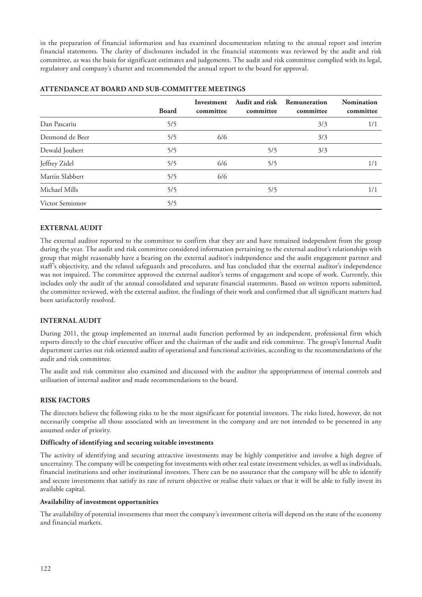in the preparation of financial information and has examined documentation relating to the annual report and interim financial statements. The clarity of disclosures included in the financial statements was reviewed by the audit and risk committee, as was the basis for significant estimates and judgements. The audit and risk committee complied with its legal, regulatory and company's charter and recommended the annual report to the board for approval.

|                        | <b>Board</b> | Investment<br>committee | Audit and risk<br>committee | Remuneration<br>committee | <b>Nomination</b><br>committee |
|------------------------|--------------|-------------------------|-----------------------------|---------------------------|--------------------------------|
| Dan Pascariu           | 5/5          |                         |                             | 3/3                       | 1/1                            |
| Desmond de Beer        | 5/5          | 6/6                     |                             | 3/3                       |                                |
| Dewald Joubert         | 5/5          |                         | 5/5                         | 3/3                       |                                |
| Jeffrey Zidel          | 5/5          | 6/6                     | 5/5                         |                           | 1/1                            |
| Martin Slabbert        | 5/5          | 6/6                     |                             |                           |                                |
| Michael Mills          | 5/5          |                         | 5/5                         |                           | 1/1                            |
| <b>Victor Semionov</b> | 5/5          |                         |                             |                           |                                |

# **ATTENDANCE AT BOARD AND SUB-COMMITTEE MEETINGS**

# **EXTERNAL AUDIT**

The external auditor reported to the committee to confirm that they are and have remained independent from the group during the year. The audit and risk committee considered information pertaining to the external auditor's relationships with group that might reasonably have a bearing on the external auditor's independence and the audit engagement partner and staff's objectivity, and the related safeguards and procedures, and has concluded that the external auditor's independence was not impaired. The committee approved the external auditor's terms of engagement and scope of work. Currently, this includes only the audit of the annual consolidated and separate financial statements. Based on written reports submitted, the committee reviewed, with the external auditor, the findings of their work and confirmed that all significant matters had been satisfactorily resolved.

#### **INTERNAL AUDIT**

During 2011, the group implemented an internal audit function performed by an independent, professional firm which reports directly to the chief executive officer and the chairman of the audit and risk committee. The group's Internal Audit department carries out risk oriented audits of operational and functional activities, according to the recommendations of the audit and risk committee.

The audit and risk committee also examined and discussed with the auditor the appropriateness of internal controls and utilisation of internal auditor and made recommendations to the board.

# **RISK FACTORS**

The directors believe the following risks to be the most significant for potential investors. The risks listed, however, do not necessarily comprise all those associated with an investment in the company and are not intended to be presented in any assumed order of priority.

#### **Difficulty of identifying and securing suitable investments**

The activity of identifying and securing attractive investments may be highly competitive and involve a high degree of uncertainty. The company will be competing for investments with other real estate investment vehicles, as well as individuals, financial institutions and other institutional investors. There can be no assurance that the company will be able to identify and secure investments that satisfy its rate of return objective or realise their values or that it will be able to fully invest its available capital.

#### **Availability of investment opportunities**

The availability of potential investments that meet the company's investment criteria will depend on the state of the economy and financial markets.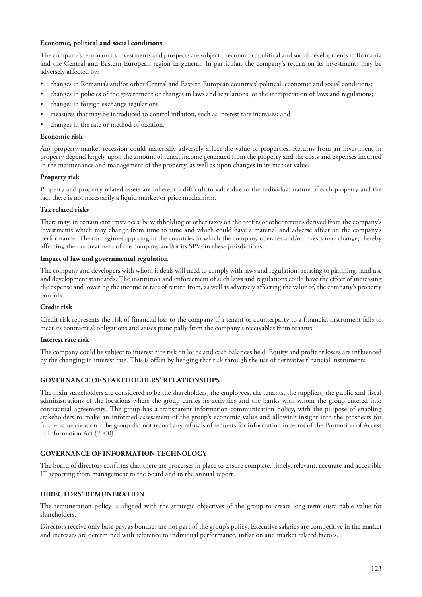### **Economic, political and social conditions**

The company's return on its investments and prospects are subject to economic, political and social developments in Romania and the Central and Eastern European region in general. In particular, the company's return on its investments may be adversely affected by:

- changes in Romania's and/or other Central and Eastern European countries' political, economic and social conditions;
- changes in policies of the government or changes in laws and regulations, or the interpretation of laws and regulations;
- changes in foreign exchange regulations;
- measures that may be introduced to control inflation, such as interest rate increases; and
- changes in the rate or method of taxation.

#### **Economic risk**

Any property market recession could materially adversely affect the value of properties. Returns from an investment in property depend largely upon the amount of rental income generated from the property and the costs and expenses incurred in the maintenance and management of the property, as well as upon changes in its market value.

# **Property risk**

Property and property related assets are inherently difficult to value due to the individual nature of each property and the fact there is not necessarily a liquid market or price mechanism.

# **Tax related risks**

There may, in certain circumstances, be withholding or other taxes on the profits or other returns derived from the company's investments which may change from time to time and which could have a material and adverse affect on the company's performance. The tax regimes applying in the countries in which the company operates and/or invests may change, thereby affecting the tax treatment of the company and/or its SPVs in these jurisdictions.

#### **Impact of law and governmental regulation**

The company and developers with whom it deals will need to comply with laws and regulations relating to planning, land use and development standards. The institution and enforcement of such laws and regulations could have the effect of increasing the expense and lowering the income or rate of return from, as well as adversely affecting the value of, the company's property portfolio.

#### **Credit risk**

Credit risk represents the risk of financial loss to the company if a tenant or counterparty to a financial instrument fails to meet its contractual obligations and arises principally from the company's receivables from tenants.

#### **Interest rate risk**

The company could be subject to interest rate risk on loans and cash balances held. Equity and profit or losses are influenced by the changing in interest rate. This is offset by hedging that risk through the use of derivative financial instruments.

# **GOVERNANCE OF STAKEHOLDERS' RELATIONSHIPS**

The main stakeholders are considered to be the shareholders, the employees, the tenants, the suppliers, the public and fiscal administrations of the locations where the group carries its activities and the banks with whom the group entered into contractual agreements. The group has a transparent information communication policy, with the purpose of enabling stakeholders to make an informed assessment of the group's economic value and allowing insight into the prospects for future value creation. The group did not record any refusals of requests for information in terms of the Promotion of Access to Information Act (2000).

## **GOVERNANCE OF INFORMATION TECHNOLOGY**

The board of directors confirms that there are processes in place to ensure complete, timely, relevant, accurate and accessible IT reporting from management to the board and in the annual report.

#### **DIRECTORS' REMUNERATION**

The remuneration policy is aligned with the strategic objectives of the group to create long-term sustainable value for shareholders.

Directors receive only base pay, as bonuses are not part of the group's policy. Executive salaries are competitive in the market and increases are determined with reference to individual performance, inflation and market related factors.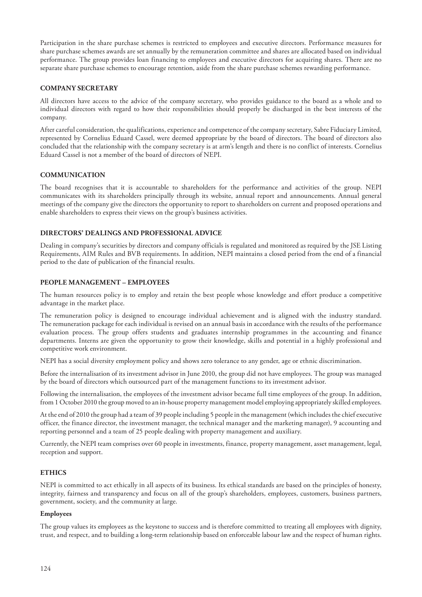Participation in the share purchase schemes is restricted to employees and executive directors. Performance measures for share purchase schemes awards are set annually by the remuneration committee and shares are allocated based on individual performance. The group provides loan financing to employees and executive directors for acquiring shares. There are no separate share purchase schemes to encourage retention, aside from the share purchase schemes rewarding performance.

# **COMPANY SECRETARY**

All directors have access to the advice of the company secretary, who provides guidance to the board as a whole and to individual directors with regard to how their responsibilities should properly be discharged in the best interests of the company.

After careful consideration, the qualifications, experience and competence of the company secretary, Sabre Fiduciary Limited, represented by Cornelius Eduard Cassel, were deemed appropriate by the board of directors. The board of directors also concluded that the relationship with the company secretary is at arm's length and there is no conflict of interests. Cornelius Eduard Cassel is not a member of the board of directors of NEPI.

# **COMMUNICATION**

The board recognises that it is accountable to shareholders for the performance and activities of the group. NEPI communicates with its shareholders principally through its website, annual report and announcements. Annual general meetings of the company give the directors the opportunity to report to shareholders on current and proposed operations and enable shareholders to express their views on the group's business activities.

# **DIRECTORS' DEALINGS AND PROFESSIONAL ADVICE**

Dealing in company's securities by directors and company officials is regulated and monitored as required by the JSE Listing Requirements, AIM Rules and BVB requirements. In addition, NEPI maintains a closed period from the end of a financial period to the date of publication of the financial results.

# **PEOPLE MANAGEMENT – EMPLOYEES**

The human resources policy is to employ and retain the best people whose knowledge and effort produce a competitive advantage in the market place.

The remuneration policy is designed to encourage individual achievement and is aligned with the industry standard. The remuneration package for each individual is revised on an annual basis in accordance with the results of the performance evaluation process. The group offers students and graduates internship programmes in the accounting and finance departments. Interns are given the opportunity to grow their knowledge, skills and potential in a highly professional and competitive work environment.

NEPI has a social diversity employment policy and shows zero tolerance to any gender, age or ethnic discrimination.

Before the internalisation of its investment advisor in June 2010, the group did not have employees. The group was managed by the board of directors which outsourced part of the management functions to its investment advisor.

Following the internalisation, the employees of the investment advisor became full time employees of the group. In addition, from 1 October 2010 the group moved to an in-house property management model employing appropriately skilled employees.

At the end of 2010 the group had a team of 39 people including 5 people in the management (which includes the chief executive officer, the finance director, the investment manager, the technical manager and the marketing manager), 9 accounting and reporting personnel and a team of 25 people dealing with property management and auxiliary.

Currently, the NEPI team comprises over 60 people in investments, finance, property management, asset management, legal, reception and support.

# **ETHICS**

NEPI is committed to act ethically in all aspects of its business. Its ethical standards are based on the principles of honesty, integrity, fairness and transparency and focus on all of the group's shareholders, employees, customers, business partners, government, society, and the community at large.

#### **Employees**

The group values its employees as the keystone to success and is therefore committed to treating all employees with dignity, trust, and respect, and to building a long-term relationship based on enforceable labour law and the respect of human rights.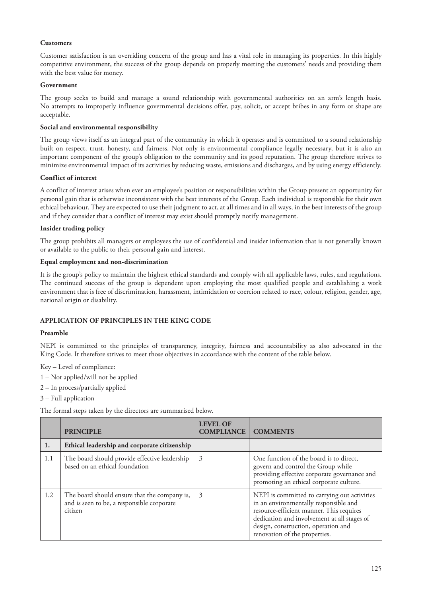# **Customers**

Customer satisfaction is an overriding concern of the group and has a vital role in managing its properties. In this highly competitive environment, the success of the group depends on properly meeting the customers' needs and providing them with the best value for money.

#### **Government**

The group seeks to build and manage a sound relationship with governmental authorities on an arm's length basis. No attempts to improperly influence governmental decisions offer, pay, solicit, or accept bribes in any form or shape are acceptable.

#### **Social and environmental responsibility**

The group views itself as an integral part of the community in which it operates and is committed to a sound relationship built on respect, trust, honesty, and fairness. Not only is environmental compliance legally necessary, but it is also an important component of the group's obligation to the community and its good reputation. The group therefore strives to minimize environmental impact of its activities by reducing waste, emissions and discharges, and by using energy efficiently.

# **Conflict of interest**

A conflict of interest arises when ever an employee's position or responsibilities within the Group present an opportunity for personal gain that is otherwise inconsistent with the best interests of the Group. Each individual is responsible for their own ethical behaviour. They are expected to use their judgment to act, at all times and in all ways, in the best interests of the group and if they consider that a conflict of interest may exist should promptly notify management.

# **Insider trading policy**

The group prohibits all managers or employees the use of confidential and insider information that is not generally known or available to the public to their personal gain and interest.

# **Equal employment and non-discrimination**

It is the group's policy to maintain the highest ethical standards and comply with all applicable laws, rules, and regulations. The continued success of the group is dependent upon employing the most qualified people and establishing a work environment that is free of discrimination, harassment, intimidation or coercion related to race, colour, religion, gender, age, national origin or disability.

# **APPLICATION OF PRINCIPLES IN THE KING CODE**

#### **Preamble**

NEPI is committed to the principles of transparency, integrity, fairness and accountability as also advocated in the King Code. It therefore strives to meet those objectives in accordance with the content of the table below.

Key – Level of compliance:

- 1 Not applied/will not be applied
- 2 In process/partially applied
- 3 Full application

The formal steps taken by the directors are summarised below.

|     | <b>PRINCIPLE</b>                                                                                      | <b>LEVEL OF</b><br><b>COMPLIANCE</b> | <b>COMMENTS</b>                                                                                                                                                                                                                                          |
|-----|-------------------------------------------------------------------------------------------------------|--------------------------------------|----------------------------------------------------------------------------------------------------------------------------------------------------------------------------------------------------------------------------------------------------------|
| 1.  | Ethical leadership and corporate citizenship                                                          |                                      |                                                                                                                                                                                                                                                          |
| 1.1 | The board should provide effective leadership<br>based on an ethical foundation                       | 3                                    | One function of the board is to direct,<br>govern and control the Group while<br>providing effective corporate governance and<br>promoting an ethical corporate culture.                                                                                 |
| 1.2 | The board should ensure that the company is,<br>and is seen to be, a responsible corporate<br>citizen | 3                                    | NEPI is committed to carrying out activities<br>in an environmentally responsible and<br>resource-efficient manner. This requires<br>dedication and involvement at all stages of<br>design, construction, operation and<br>renovation of the properties. |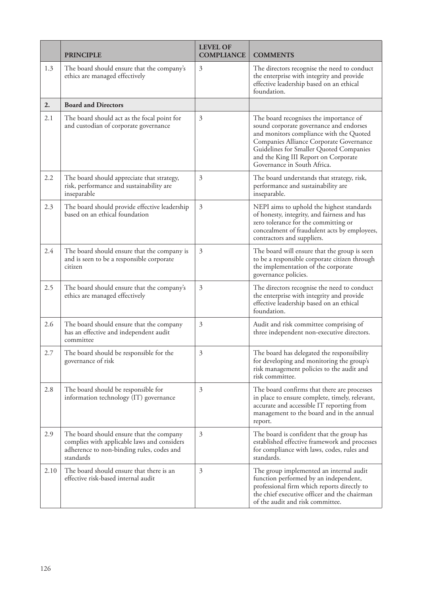|      | <b>PRINCIPLE</b>                                                                                                                                  | <b>LEVEL OF</b><br><b>COMPLIANCE</b> | <b>COMMENTS</b>                                                                                                                                                                                                                                                                           |
|------|---------------------------------------------------------------------------------------------------------------------------------------------------|--------------------------------------|-------------------------------------------------------------------------------------------------------------------------------------------------------------------------------------------------------------------------------------------------------------------------------------------|
| 1.3  | The board should ensure that the company's<br>ethics are managed effectively                                                                      | 3                                    | The directors recognise the need to conduct<br>the enterprise with integrity and provide<br>effective leadership based on an ethical<br>foundation.                                                                                                                                       |
| 2.   | <b>Board and Directors</b>                                                                                                                        |                                      |                                                                                                                                                                                                                                                                                           |
| 2.1  | The board should act as the focal point for<br>and custodian of corporate governance                                                              | 3                                    | The board recognises the importance of<br>sound corporate governance and endorses<br>and monitors compliance with the Quoted<br>Companies Alliance Corporate Governance<br>Guidelines for Smaller Quoted Companies<br>and the King III Report on Corporate<br>Governance in South Africa. |
| 2.2  | The board should appreciate that strategy,<br>risk, performance and sustainability are<br>inseparable                                             | 3                                    | The board understands that strategy, risk,<br>performance and sustainability are<br>inseparable.                                                                                                                                                                                          |
| 2.3  | The board should provide effective leadership<br>based on an ethical foundation                                                                   | 3                                    | NEPI aims to uphold the highest standards<br>of honesty, integrity, and fairness and has<br>zero tolerance for the committing or<br>concealment of fraudulent acts by employees,<br>contractors and suppliers.                                                                            |
| 2.4  | The board should ensure that the company is<br>and is seen to be a responsible corporate<br>citizen                                               | 3                                    | The board will ensure that the group is seen<br>to be a responsible corporate citizen through<br>the implementation of the corporate<br>governance policies.                                                                                                                              |
| 2.5  | The board should ensure that the company's<br>ethics are managed effectively                                                                      | 3                                    | The directors recognise the need to conduct<br>the enterprise with integrity and provide<br>effective leadership based on an ethical<br>foundation.                                                                                                                                       |
| 2.6  | The board should ensure that the company<br>has an effective and independent audit<br>committee                                                   | 3                                    | Audit and risk committee comprising of<br>three independent non-executive directors.                                                                                                                                                                                                      |
| 2.7  | The board should be responsible for the<br>governance of risk                                                                                     | 3                                    | The board has delegated the responsibility<br>for developing and monitoring the group's<br>risk management policies to the audit and<br>risk committee.                                                                                                                                   |
| 2.8  | The board should be responsible for<br>information technology (IT) governance                                                                     | 3                                    | The board confirms that there are processes<br>in place to ensure complete, timely, relevant,<br>accurate and accessible IT reporting from<br>management to the board and in the annual<br>report.                                                                                        |
| 2.9  | The board should ensure that the company<br>complies with applicable laws and considers<br>adherence to non-binding rules, codes and<br>standards | 3                                    | The board is confident that the group has<br>established effective framework and processes<br>for compliance with laws, codes, rules and<br>standards.                                                                                                                                    |
| 2.10 | The board should ensure that there is an<br>effective risk-based internal audit                                                                   | 3                                    | The group implemented an internal audit<br>function performed by an independent,<br>professional firm which reports directly to<br>the chief executive officer and the chairman<br>of the audit and risk committee.                                                                       |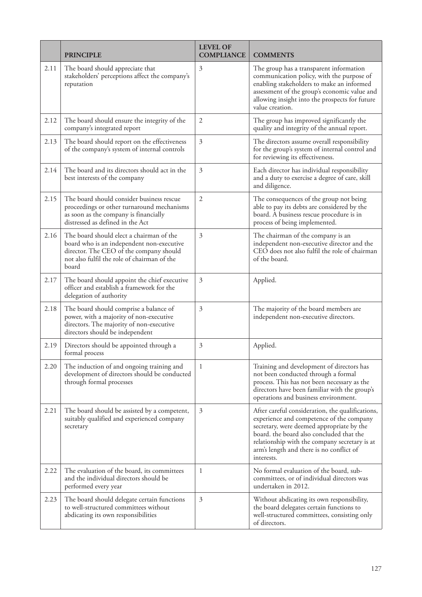|      | <b>PRINCIPLE</b>                                                                                                                                                                         | <b>LEVEL OF</b><br><b>COMPLIANCE</b> | <b>COMMENTS</b>                                                                                                                                                                                                                                                                                  |
|------|------------------------------------------------------------------------------------------------------------------------------------------------------------------------------------------|--------------------------------------|--------------------------------------------------------------------------------------------------------------------------------------------------------------------------------------------------------------------------------------------------------------------------------------------------|
| 2.11 | The board should appreciate that<br>stakeholders' perceptions affect the company's<br>reputation                                                                                         | 3                                    | The group has a transparent information<br>communication policy, with the purpose of<br>enabling stakeholders to make an informed<br>assessment of the group's economic value and<br>allowing insight into the prospects for future<br>value creation.                                           |
| 2.12 | The board should ensure the integrity of the<br>company's integrated report                                                                                                              | $\mathfrak{2}$                       | The group has improved significantly the<br>quality and integrity of the annual report.                                                                                                                                                                                                          |
| 2.13 | The board should report on the effectiveness<br>of the company's system of internal controls                                                                                             | 3                                    | The directors assume overall responsibility<br>for the group's system of internal control and<br>for reviewing its effectiveness.                                                                                                                                                                |
| 2.14 | The board and its directors should act in the<br>best interests of the company                                                                                                           | 3                                    | Each director has individual responsibility<br>and a duty to exercise a degree of care, skill<br>and diligence.                                                                                                                                                                                  |
| 2.15 | The board should consider business rescue<br>proceedings or other turnaround mechanisms<br>as soon as the company is financially<br>distressed as defined in the Act                     | 2                                    | The consequences of the group not being<br>able to pay its debts are considered by the<br>board. A business rescue procedure is in<br>process of being implemented.                                                                                                                              |
| 2.16 | The board should elect a chairman of the<br>board who is an independent non-executive<br>director. The CEO of the company should<br>not also fulfil the role of chairman of the<br>board | 3                                    | The chairman of the company is an<br>independent non-executive director and the<br>CEO does not also fulfil the role of chairman<br>of the board.                                                                                                                                                |
| 2.17 | The board should appoint the chief executive<br>officer and establish a framework for the<br>delegation of authority                                                                     | 3                                    | Applied.                                                                                                                                                                                                                                                                                         |
| 2.18 | The board should comprise a balance of<br>power, with a majority of non-executive<br>directors. The majority of non-executive<br>directors should be independent                         | 3                                    | The majority of the board members are<br>independent non-executive directors.                                                                                                                                                                                                                    |
| 2.19 | Directors should be appointed through a<br>formal process                                                                                                                                | 3                                    | Applied.                                                                                                                                                                                                                                                                                         |
| 2.20 | The induction of and ongoing training and<br>development of directors should be conducted<br>through formal processes                                                                    | 1                                    | Training and development of directors has<br>not been conducted through a formal<br>process. This has not been necessary as the<br>directors have been familiar with the group's<br>operations and business environment.                                                                         |
| 2.21 | The board should be assisted by a competent,<br>suitably qualified and experienced company<br>secretary                                                                                  | 3                                    | After careful consideration, the qualifications,<br>experience and competence of the company<br>secretary, were deemed appropriate by the<br>board, the board also concluded that the<br>relationship with the company secretary is at<br>arm's length and there is no conflict of<br>interests. |
| 2.22 | The evaluation of the board, its committees<br>and the individual directors should be<br>performed every year                                                                            | 1                                    | No formal evaluation of the board, sub-<br>committees, or of individual directors was<br>undertaken in 2012.                                                                                                                                                                                     |
| 2.23 | The board should delegate certain functions<br>to well-structured committees without<br>abdicating its own responsibilities                                                              | 3                                    | Without abdicating its own responsibility,<br>the board delegates certain functions to<br>well-structured committees, consisting only<br>of directors.                                                                                                                                           |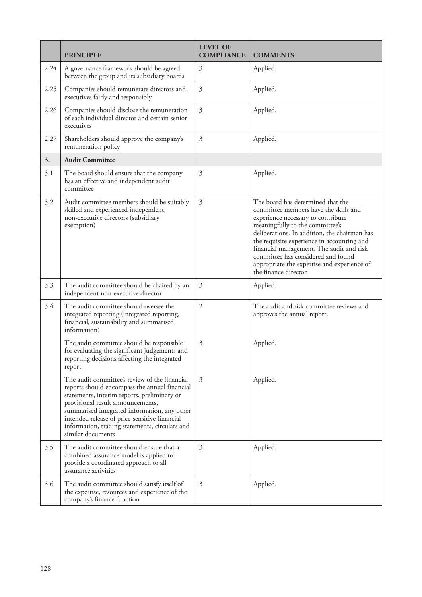|      | <b>PRINCIPLE</b>                                                                                                                                                                                                                                                                                                                                           | <b>LEVEL OF</b><br><b>COMPLIANCE</b> | <b>COMMENTS</b>                                                                                                                                                                                                                                                                                                                                                                                             |
|------|------------------------------------------------------------------------------------------------------------------------------------------------------------------------------------------------------------------------------------------------------------------------------------------------------------------------------------------------------------|--------------------------------------|-------------------------------------------------------------------------------------------------------------------------------------------------------------------------------------------------------------------------------------------------------------------------------------------------------------------------------------------------------------------------------------------------------------|
| 2.24 | A governance framework should be agreed<br>between the group and its subsidiary boards                                                                                                                                                                                                                                                                     | 3                                    | Applied.                                                                                                                                                                                                                                                                                                                                                                                                    |
| 2.25 | Companies should remunerate directors and<br>executives fairly and responsibly                                                                                                                                                                                                                                                                             | 3                                    | Applied.                                                                                                                                                                                                                                                                                                                                                                                                    |
| 2.26 | Companies should disclose the remuneration<br>of each individual director and certain senior<br>executives                                                                                                                                                                                                                                                 | 3                                    | Applied.                                                                                                                                                                                                                                                                                                                                                                                                    |
| 2.27 | Shareholders should approve the company's<br>remuneration policy                                                                                                                                                                                                                                                                                           | 3                                    | Applied.                                                                                                                                                                                                                                                                                                                                                                                                    |
| 3.   | <b>Audit Committee</b>                                                                                                                                                                                                                                                                                                                                     |                                      |                                                                                                                                                                                                                                                                                                                                                                                                             |
| 3.1  | The board should ensure that the company<br>has an effective and independent audit<br>committee                                                                                                                                                                                                                                                            | 3                                    | Applied.                                                                                                                                                                                                                                                                                                                                                                                                    |
| 3.2  | Audit committee members should be suitably<br>skilled and experienced independent,<br>non-executive directors (subsidiary<br>exemption)                                                                                                                                                                                                                    | 3                                    | The board has determined that the<br>committee members have the skills and<br>experience necessary to contribute<br>meaningfully to the committee's<br>deliberations. In addition, the chairman has<br>the requisite experience in accounting and<br>financial management. The audit and risk<br>committee has considered and found<br>appropriate the expertise and experience of<br>the finance director. |
| 3.3  | The audit committee should be chaired by an<br>independent non-executive director                                                                                                                                                                                                                                                                          | 3                                    | Applied.                                                                                                                                                                                                                                                                                                                                                                                                    |
| 3.4  | The audit committee should oversee the<br>integrated reporting (integrated reporting,<br>financial, sustainability and summarised<br>information)                                                                                                                                                                                                          | $\overline{2}$                       | The audit and risk committee reviews and<br>approves the annual report.                                                                                                                                                                                                                                                                                                                                     |
|      | The audit committee should be responsible<br>for evaluating the significant judgements and<br>reporting decisions affecting the integrated<br>report                                                                                                                                                                                                       | 3                                    | Applied.                                                                                                                                                                                                                                                                                                                                                                                                    |
|      | The audit committee's review of the financial<br>reports should encompass the annual financial<br>statements, interim reports, preliminary or<br>provisional result announcements,<br>summarised integrated information, any other<br>intended release of price-sensitive financial<br>information, trading statements, circulars and<br>similar documents | 3                                    | Applied.                                                                                                                                                                                                                                                                                                                                                                                                    |
| 3.5  | The audit committee should ensure that a<br>combined assurance model is applied to<br>provide a coordinated approach to all<br>assurance activities                                                                                                                                                                                                        | $\mathfrak{Z}$                       | Applied.                                                                                                                                                                                                                                                                                                                                                                                                    |
| 3.6  | The audit committee should satisfy itself of<br>the expertise, resources and experience of the<br>company's finance function                                                                                                                                                                                                                               | 3                                    | Applied.                                                                                                                                                                                                                                                                                                                                                                                                    |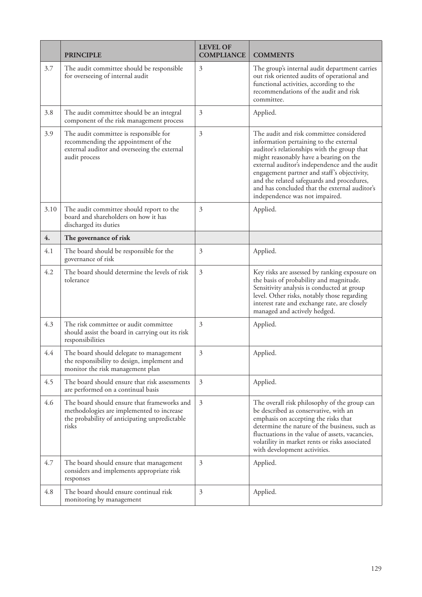|      | <b>PRINCIPLE</b>                                                                                                                                   | <b>LEVEL OF</b><br><b>COMPLIANCE</b> | <b>COMMENTS</b>                                                                                                                                                                                                                                                                                                                                                                                             |
|------|----------------------------------------------------------------------------------------------------------------------------------------------------|--------------------------------------|-------------------------------------------------------------------------------------------------------------------------------------------------------------------------------------------------------------------------------------------------------------------------------------------------------------------------------------------------------------------------------------------------------------|
| 3.7  | The audit committee should be responsible<br>for overseeing of internal audit                                                                      | $\mathfrak{Z}$                       | The group's internal audit department carries<br>out risk oriented audits of operational and<br>functional activities, according to the<br>recommendations of the audit and risk<br>committee.                                                                                                                                                                                                              |
| 3.8  | The audit committee should be an integral<br>component of the risk management process                                                              | 3                                    | Applied.                                                                                                                                                                                                                                                                                                                                                                                                    |
| 3.9  | The audit committee is responsible for<br>recommending the appointment of the<br>external auditor and overseeing the external<br>audit process     | $\mathfrak{Z}$                       | The audit and risk committee considered<br>information pertaining to the external<br>auditor's relationships with the group that<br>might reasonably have a bearing on the<br>external auditor's independence and the audit<br>engagement partner and staff's objectivity,<br>and the related safeguards and procedures,<br>and has concluded that the external auditor's<br>independence was not impaired. |
| 3.10 | The audit committee should report to the<br>board and shareholders on how it has<br>discharged its duties                                          | 3                                    | Applied.                                                                                                                                                                                                                                                                                                                                                                                                    |
| 4.   | The governance of risk                                                                                                                             |                                      |                                                                                                                                                                                                                                                                                                                                                                                                             |
| 4.1  | The board should be responsible for the<br>governance of risk                                                                                      | 3                                    | Applied.                                                                                                                                                                                                                                                                                                                                                                                                    |
| 4.2  | The board should determine the levels of risk<br>tolerance                                                                                         | 3                                    | Key risks are assessed by ranking exposure on<br>the basis of probability and magnitude.<br>Sensitivity analysis is conducted at group<br>level. Other risks, notably those regarding<br>interest rate and exchange rate, are closely<br>managed and actively hedged.                                                                                                                                       |
| 4.3  | The risk committee or audit committee<br>should assist the board in carrying out its risk<br>responsibilities                                      | 3                                    | Applied.                                                                                                                                                                                                                                                                                                                                                                                                    |
| 4.4  | The board should delegate to management<br>the responsibility to design, implement and<br>monitor the risk management plan                         | $\mathfrak{Z}$                       | Applied.                                                                                                                                                                                                                                                                                                                                                                                                    |
| 4.5  | The board should ensure that risk assessments<br>are performed on a continual basis                                                                | $\mathfrak{Z}$                       | Applied.                                                                                                                                                                                                                                                                                                                                                                                                    |
| 4.6  | The board should ensure that frameworks and<br>methodologies are implemented to increase<br>the probability of anticipating unpredictable<br>risks | 3                                    | The overall risk philosophy of the group can<br>be described as conservative, with an<br>emphasis on accepting the risks that<br>determine the nature of the business, such as<br>fluctuations in the value of assets, vacancies,<br>volatility in market rents or risks associated<br>with development activities.                                                                                         |
| 4.7  | The board should ensure that management<br>considers and implements appropriate risk<br>responses                                                  | 3                                    | Applied.                                                                                                                                                                                                                                                                                                                                                                                                    |
| 4.8  | The board should ensure continual risk<br>monitoring by management                                                                                 | 3                                    | Applied.                                                                                                                                                                                                                                                                                                                                                                                                    |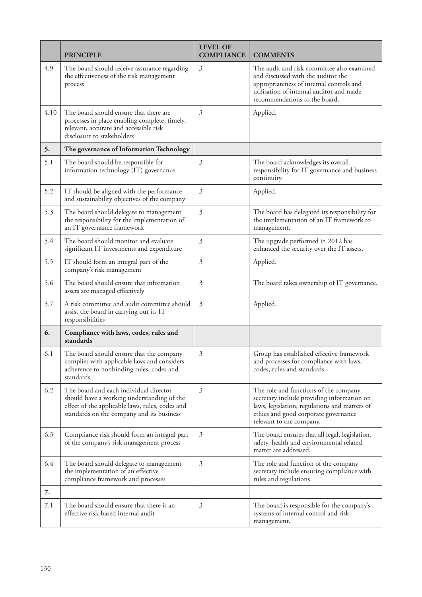|      | <b>PRINCIPLE</b>                                                                                                                                                                     | <b>LEVEL OF</b><br><b>COMPLIANCE</b> | <b>COMMENTS</b>                                                                                                                                                                                           |
|------|--------------------------------------------------------------------------------------------------------------------------------------------------------------------------------------|--------------------------------------|-----------------------------------------------------------------------------------------------------------------------------------------------------------------------------------------------------------|
| 4.9  | The board should receive assurance regarding<br>the effectiveness of the risk management<br>process                                                                                  | $\mathfrak{Z}$                       | The audit and risk committee also examined<br>and discussed with the auditor the<br>appropriateness of internal controls and<br>utilisation of internal auditor and made<br>recommendations to the board. |
| 4.10 | The board should ensure that there are<br>processes in place enabling complete, timely,<br>relevant, accurate and accessible risk<br>disclosure to stakeholders                      | 3                                    | Applied.                                                                                                                                                                                                  |
| 5.   | The governance of Information Technology                                                                                                                                             |                                      |                                                                                                                                                                                                           |
| 5.1  | The board should be responsible for<br>information technology (IT) governance                                                                                                        | $\mathfrak{Z}$                       | The board acknowledges its overall<br>responsibility for IT governance and business<br>continuity.                                                                                                        |
| 5.2  | IT should be aligned with the performance<br>and sustainability objectives of the company                                                                                            | $\mathfrak{Z}$                       | Applied.                                                                                                                                                                                                  |
| 5.3  | The board should delegate to management<br>the responsibility for the implementation of<br>an IT governance framework                                                                | $\mathfrak{Z}$                       | The board has delegated its responsibility for<br>the implementation of an IT framework to<br>management.                                                                                                 |
| 5.4  | The board should monitor and evaluate<br>significant IT investments and expenditure                                                                                                  | 3                                    | The upgrade performed in 2012 has<br>enhanced the security over the IT assets.                                                                                                                            |
| 5.5  | IT should form an integral part of the<br>company's risk management                                                                                                                  | $\mathfrak{Z}$                       | Applied.                                                                                                                                                                                                  |
| 5.6  | The board should ensure that information<br>assets are managed effectively                                                                                                           | $\mathfrak{Z}$                       | The board takes ownership of IT governance.                                                                                                                                                               |
| 5.7  | A risk committee and audit committee should<br>assist the board in carrying out its IT<br>responsibilities                                                                           | $\mathfrak{Z}$                       | Applied.                                                                                                                                                                                                  |
| 6.   | Compliance with laws, codes, rules and<br>standards                                                                                                                                  |                                      |                                                                                                                                                                                                           |
| 6.1  | The board should ensure that the company<br>complies with applicable laws and considers<br>adherence to nonbinding rules, codes and<br>standards                                     | 3                                    | Group has established effective framework<br>and processes for compliance with laws,<br>codes, rules and standards.                                                                                       |
| 6.2  | The board and each individual director<br>should have a working understanding of the<br>effect of the applicable laws, rules, codes and<br>standards on the company and its business | 3                                    | The role and functions of the company<br>secretary include providing information on<br>laws, legislation, regulations and matters of<br>ethics and good corporate governance<br>relevant to the company.  |
| 6.3  | Compliance risk should form an integral part<br>of the company's risk management process                                                                                             | 3                                    | The board ensures that all legal, legislation,<br>safety, health and environmental related<br>matter are addressed.                                                                                       |
| 6.4  | The board should delegate to management<br>the implementation of an effective<br>compliance framework and processes                                                                  | $\mathfrak{Z}$                       | The role and function of the company<br>secretary include ensuring compliance with<br>rules and regulations.                                                                                              |
| 7.   |                                                                                                                                                                                      |                                      |                                                                                                                                                                                                           |
| 7.1  | The board should ensure that there is an<br>effective risk-based internal audit                                                                                                      | 3                                    | The board is responsible for the company's<br>systems of internal control and risk<br>management.                                                                                                         |